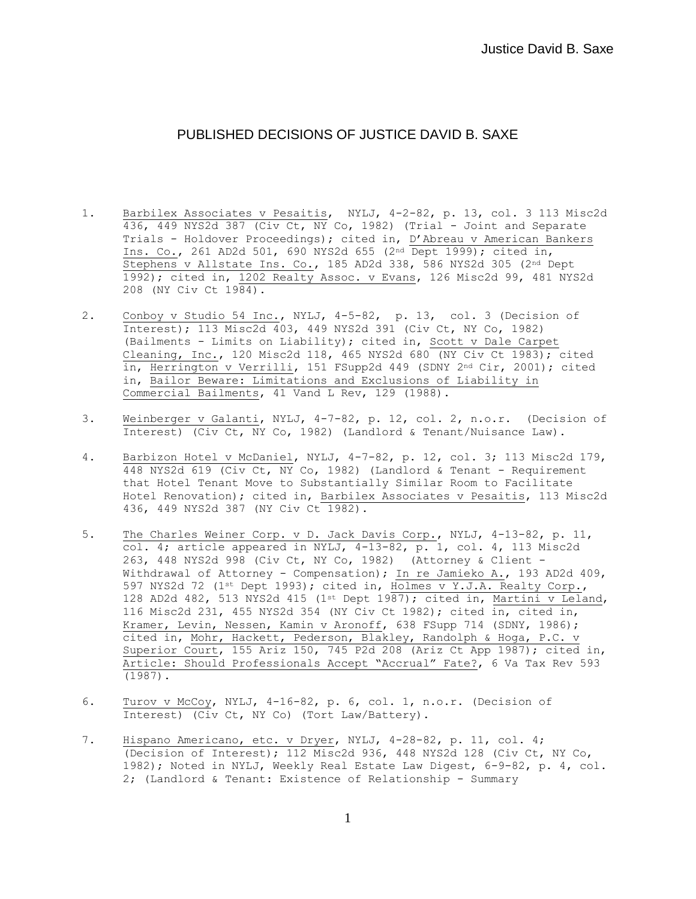## PUBLISHED DECISIONS OF JUSTICE DAVID B. SAXE

- 1. Barbilex Associates v Pesaitis, NYLJ, 4-2-82, p. 13, col. 3 113 Misc2d 436, 449 NYS2d 387 (Civ Ct,  $\overline{NY}$  Co, 1982) (Trial - Joint and Separate Trials - Holdover Proceedings); cited in, D'Abreau v American Bankers Ins. Co., 261 AD2d 501, 690 NYS2d 655 (2nd Dept 1999); cited in, Stephens v Allstate Ins. Co., 185 AD2d 338, 586 NYS2d 305 (2nd Dept 1992); cited in, 1202 Realty Assoc. v Evans, 126 Misc2d 99, 481 NYS2d 208 (NY Civ Ct 1984).
- 2. Conboy v Studio 54 Inc., NYLJ, 4-5-82, p. 13, col. 3 (Decision of Interest); 113 Misc2d 403, 449 NYS2d 391 (Civ Ct, NY Co, 1982) (Bailments - Limits on Liability); cited in, Scott v Dale Carpet Cleaning, Inc., 120 Misc2d 118, 465 NYS2d 680 (NY Civ Ct 1983); cited in, Herrington v Verrilli, 151 FSupp2d 449 (SDNY 2nd Cir, 2001); cited in, Bailor Beware: Limitations and Exclusions of Liability in Commercial Bailments, 41 Vand L Rev, 129 (1988).
- 3. Weinberger v Galanti, NYLJ, 4-7-82, p. 12, col. 2, n.o.r. (Decision of Interest) (Civ Ct, NY Co, 1982) (Landlord & Tenant/Nuisance Law).
- 4. Barbizon Hotel v McDaniel, NYLJ, 4-7-82, p. 12, col. 3; 113 Misc2d 179, 448 NYS2d 619 (Civ Ct, NY Co, 1982) (Landlord & Tenant - Requirement that Hotel Tenant Move to Substantially Similar Room to Facilitate Hotel Renovation); cited in, Barbilex Associates v Pesaitis, 113 Misc2d 436, 449 NYS2d 387 (NY Civ Ct 1982).
- 5. The Charles Weiner Corp. v D. Jack Davis Corp., NYLJ, 4-13-82, p. 11, col. 4; article appeared in NYLJ,  $4-13-82$ , p. 1, col. 4, 113 Misc2d 263, 448 NYS2d 998 (Civ Ct, NY Co, 1982) (Attorney & Client - Withdrawal of Attorney - Compensation); In re Jamieko A., 193 AD2d 409, 597 NYS2d 72 (1st Dept 1993); cited in, Holmes v Y.J.A. Realty Corp., 128 AD2d 482, 513 NYS2d 415 (1st Dept 1987); cited in, Martini v Leland, 116 Misc2d 231, 455 NYS2d 354 (NY Civ Ct 1982); cited in, cited in, Kramer, Levin, Nessen, Kamin v Aronoff, 638 FSupp 714 (SDNY, 1986); cited in, Mohr, Hackett, Pederson, Blakley, Randolph & Hoga, P.C. v Superior Court, 155 Ariz 150, 745 P2d 208 (Ariz Ct App 1987); cited in, Article: Should Professionals Accept "Accrual" Fate?, 6 Va Tax Rev 593 (1987).
- 6. Turov v McCoy, NYLJ, 4-16-82, p. 6, col. 1, n.o.r. (Decision of Interest) (Civ Ct, NY Co) (Tort Law/Battery).
- 7. Hispano Americano, etc. v Dryer, NYLJ, 4-28-82, p. 11, col. 4; (Decision of Interest); 112 Misc2d 936, 448 NYS2d 128 (Civ Ct, NY Co, 1982); Noted in NYLJ, Weekly Real Estate Law Digest, 6-9-82, p. 4, col. 2; (Landlord & Tenant: Existence of Relationship - Summary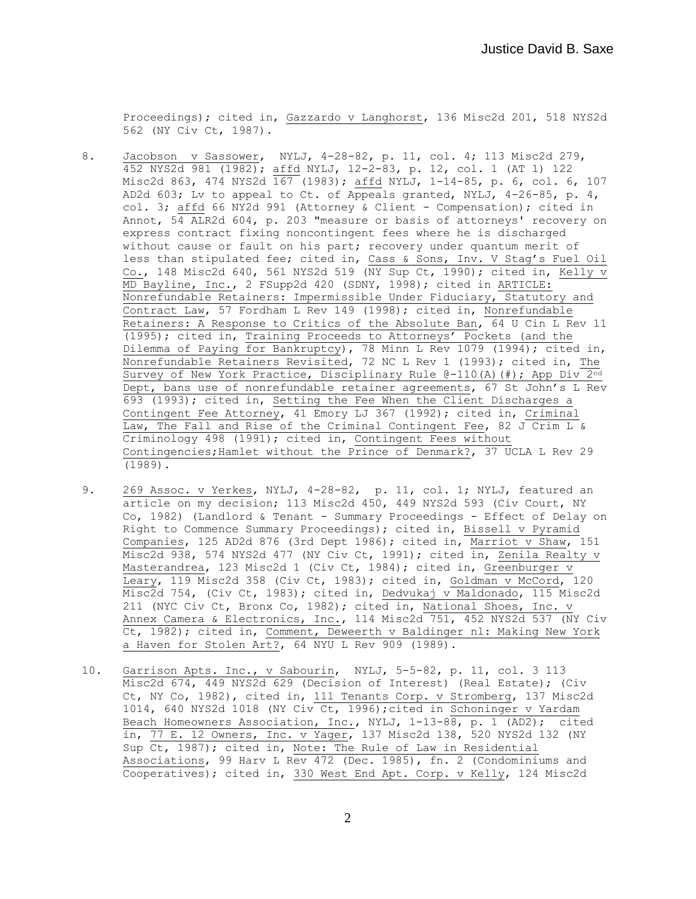Proceedings); cited in, Gazzardo v Langhorst, 136 Misc2d 201, 518 NYS2d 562 (NY Civ Ct, 1987).

- 8. Jacobson v Sassower, NYLJ, 4-28-82, p. 11, col. 4; 113 Misc2d 279, 452 NYS2d 981 (1982); affd NYLJ, 12-2-83, p. 12, col. 1 (AT 1) 122 Misc2d 863, 474 NYS2d  $\overline{167}$  (1983); affd NYLJ, 1-14-85, p. 6, col. 6, 107 AD2d 603; Lv to appeal to Ct. of Appeals granted, NYLJ,  $4-26-85$ , p. 4, col. 3; affd 66 NY2d 991 (Attorney & Client - Compensation); cited in Annot, 54 ALR2d 604, p. 203 "measure or basis of attorneys' recovery on express contract fixing noncontingent fees where he is discharged without cause or fault on his part; recovery under quantum merit of less than stipulated fee; cited in, Cass & Sons, Inv. V Stag's Fuel Oil Co., 148 Misc2d 640, 561 NYS2d 519 ( $\overline{NY}$  Sup Ct, 1990); cited in, Kelly v  $\overline{\text{MD}}$  Bayline, Inc., 2 FSupp2d 420 (SDNY, 1998); cited in ARTICLE: Nonrefundable Retainers: Impermissible Under Fiduciary, Statutory and Contract Law, 57 Fordham L Rev 149 (1998); cited in, Nonrefundable Retainers: A Response to Critics of the Absolute Ban, 64 U Cin L Rev 11 (1995); cited in, Training Proceeds to Attorneys' Pockets (and the Dilemma of Paying for Bankruptcy), 78 Minn L Rev 1079 (1994); cited in, Nonrefundable Retainers Revisited, 72 NC L Rev 1 (1993); cited in, The Survey of New York Practice, Disciplinary Rule @-110(A)(#); App Div 2nd Dept, bans use of nonrefundable retainer agreements, 67 St John's L Rev 693 (1993); cited in, Setting the Fee When the Client Discharges a Contingent Fee Attorney, 41 Emory LJ 367 (1992); cited in, Criminal Law, The Fall and Rise of the Criminal Contingent Fee, 82 J Crim L & Criminology 498 (1991); cited in, Contingent Fees without Contingencies;Hamlet without the Prince of Denmark?, 37 UCLA L Rev 29 (1989).
- 9. 269 Assoc. v Yerkes, NYLJ, 4-28-82, p. 11, col. 1; NYLJ, featured an article on my decision; 113 Misc2d 450, 449 NYS2d 593 (Civ Court, NY Co, 1982) (Landlord & Tenant - Summary Proceedings - Effect of Delay on Right to Commence Summary Proceedings); cited in, Bissell v Pyramid Companies, 125 AD2d 876 (3rd Dept 1986); cited in, Marriot v Shaw, 151 Misc2d 938, 574 NYS2d 477 (NY Civ Ct, 1991); cited in, Zenila Realty v Masterandrea, 123 Misc2d 1 (Civ Ct, 1984); cited in, Greenburger v Leary, 119 Misc2d 358 (Civ Ct, 1983); cited in, Goldman v McCord, 120 Misc2d 754, (Civ Ct, 1983); cited in, Dedvukaj v Maldonado, 115 Misc2d 211 (NYC Civ Ct, Bronx Co, 1982); cited in, National Shoes, Inc. v Annex Camera & Electronics, Inc., 114 Misc2d 751, 452 NYS2d 537 (NY Civ Ct, 1982); cited in, Comment, Deweerth v Baldinger nl: Making New York a Haven for Stolen Art?, 64 NYU L Rev 909 (1989).
- 10. Garrison Apts. Inc., v Sabourin, NYLJ, 5-5-82, p. 11, col. 3 113 Misc2d 674, 449 NYS2d 629 (Decision of Interest) (Real Estate); (Civ Ct, NY Co, 1982), cited in, 111 Tenants Corp. v Stromberg, 137 Misc2d 1014, 640 NYS2d 1018 (NY Civ Ct, 1996);cited in Schoninger v Yardam Beach Homeowners Association, Inc., NYLJ, 1-13-88, p. 1 (AD2); cited in, 77 E. 12 Owners, Inc. v Yager, 137 Misc2d 138, 520 NYS2d 132 (NY Sup Ct, 1987); cited in, Note: The Rule of Law in Residential Associations, 99 Harv L Rev 472 (Dec. 1985), fn. 2 (Condominiums and Cooperatives); cited in, 330 West End Apt. Corp. v Kelly, 124 Misc2d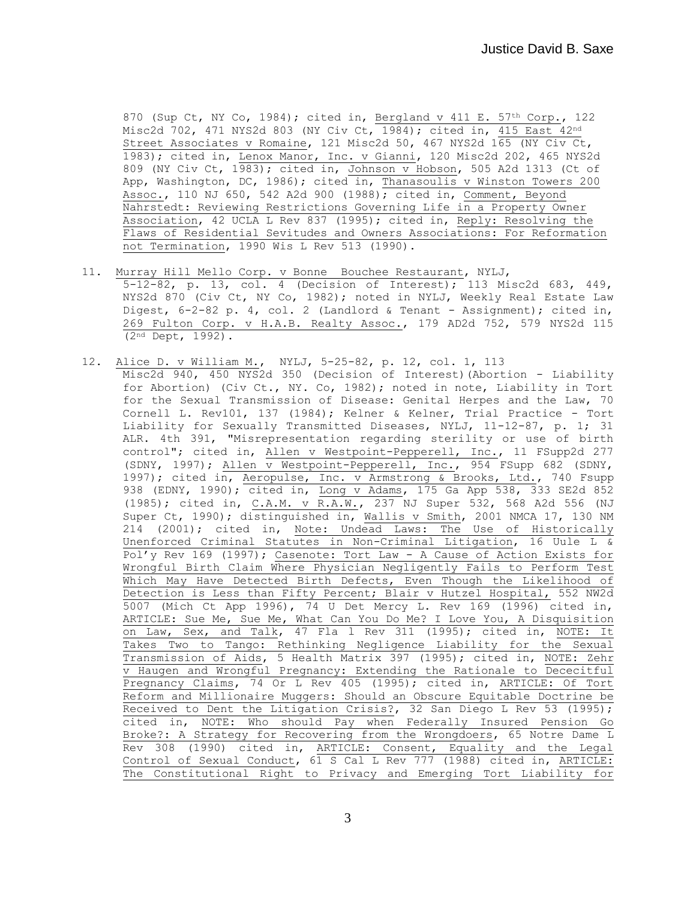870 (Sup Ct, NY Co, 1984); cited in, Bergland v 411 E. 57th Corp., 122 Misc2d 702, 471 NYS2d 803 (NY Civ Ct, 1984); cited in, 415 East 42nd Street Associates v Romaine, 121 Misc2d 50, 467 NYS2d 165 (NY Civ Ct, 1983); cited in, Lenox Manor, Inc. v Gianni, 120 Misc2d 202, 465 NYS2d 809 (NY Civ Ct, 1983); cited in, Johnson v Hobson, 505 A2d 1313 (Ct of App, Washington, DC, 1986); cited in, Thanasoulis v Winston Towers 200 Assoc., 110 NJ 650, 542 A2d 900 (1988); cited in, Comment, Beyond Nahrstedt: Reviewing Restrictions Governing Life in a Property Owner Association, 42 UCLA L Rev 837 (1995); cited in, Reply: Resolving the Flaws of Residential Sevitudes and Owners Associations: For Reformation not Termination, 1990 Wis L Rev 513 (1990).

- 11. Murray Hill Mello Corp. v Bonne Bouchee Restaurant, NYLJ, 5-12-82, p. 13, col. 4 (Decision of Interest); 113 Misc2d 683, 449, NYS2d 870 (Civ Ct, NY Co, 1982); noted in NYLJ, Weekly Real Estate Law Digest, 6-2-82 p. 4, col. 2 (Landlord & Tenant - Assignment); cited in, 269 Fulton Corp. v H.A.B. Realty Assoc., 179 AD2d 752, 579 NYS2d 115 (2nd Dept, 1992).
- 12. Alice D. v William M., NYLJ, 5-25-82, p. 12, col. 1, 113 Misc2d 940, 450 NYS2d 350 (Decision of Interest)(Abortion - Liability for Abortion) (Civ Ct., NY. Co, 1982); noted in note, Liability in Tort for the Sexual Transmission of Disease: Genital Herpes and the Law, 70 Cornell L. Rev101, 137 (1984); Kelner & Kelner, Trial Practice - Tort Liability for Sexually Transmitted Diseases, NYLJ, 11-12-87, p. 1; 31 ALR. 4th 391, "Misrepresentation regarding sterility or use of birth control"; cited in, Allen v Westpoint-Pepperell, Inc., 11 FSupp2d 277 (SDNY, 1997); Allen v Westpoint-Pepperell, Inc., 954 FSupp 682 (SDNY, 1997); cited in, Aeropulse, Inc. v Armstrong & Brooks, Ltd., 740 Fsupp 938 (EDNY, 1990); cited in, Long v Adams, 175 Ga App 538, 333 SE2d 852 (1985); cited in, C.A.M. v R.A.W., 237 NJ Super 532, 568 A2d 556 (NJ Super Ct, 1990); distinguished in, Wallis v Smith, 2001 NMCA 17, 130 NM 214 (2001); cited in, Note: Undead Laws: The Use of Historically Unenforced Criminal Statutes in Non-Criminal Litigation, 16 Uule L & Pol'y Rev 169 (1997); Casenote: Tort Law - A Cause of Action Exists for Wrongful Birth Claim Where Physician Negligently Fails to Perform Test Which May Have Detected Birth Defects, Even Though the Likelihood of Detection is Less than Fifty Percent; Blair v Hutzel Hospital, 552 NW2d 5007 (Mich Ct App 1996), 74 U Det Mercy L. Rev 169 (1996) cited in, ARTICLE: Sue Me, Sue Me, What Can You Do Me? I Love You, A Disquisition on Law, Sex, and Talk, 47 Fla l Rev 311 (1995); cited in, NOTE: It Takes Two to Tango: Rethinking Negligence Liability for the Sexual Transmission of Aids, 5 Health Matrix 397 (1995); cited in, NOTE: Zehr v Haugen and Wrongful Pregnancy: Extending the Rationale to Dececitful Pregnancy Claims, 74 Or L Rev 405 (1995); cited in, ARTICLE: Of Tort Reform and Millionaire Muggers: Should an Obscure Equitable Doctrine be Received to Dent the Litigation Crisis?, 32 San Diego L Rev 53 (1995); cited in, NOTE: Who should Pay when Federally Insured Pension Go Broke?: A Strategy for Recovering from the Wrongdoers, 65 Notre Dame L Rev 308 (1990) cited in, ARTICLE: Consent, Equality and the Legal Control of Sexual Conduct, 61 S Cal L Rev 777 (1988) cited in, ARTICLE: The Constitutional Right to Privacy and Emerging Tort Liability for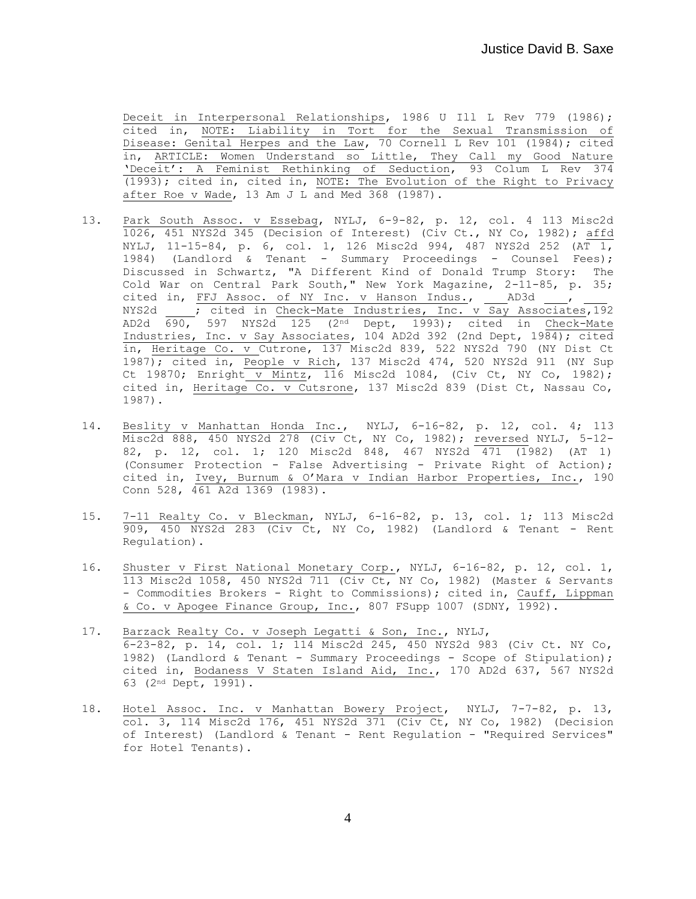Deceit in Interpersonal Relationships, 1986 U Ill L Rev 779 (1986); cited in, NOTE: Liability in Tort for the Sexual Transmission of Disease: Genital Herpes and the Law, 70 Cornell L Rev 101 (1984); cited in, ARTICLE: Women Understand so Little, They Call my Good Nature 'Deceit': A Feminist Rethinking of Seduction, 93 Colum L Rev 374 (1993); cited in, cited in, NOTE: The Evolution of the Right to Privacy after Roe v Wade, 13 Am J L and Med 368 (1987).

- 13. Park South Assoc. v Essebag, NYLJ, 6-9-82, p. 12, col. 4 113 Misc2d 1026, 451 NYS2d 345 (Decision of Interest) (Civ Ct., NY Co, 1982); affd NYLJ, 11-15-84, p. 6, col. 1, 126 Misc2d 994, 487 NYS2d 252 (AT 1, 1984) (Landlord & Tenant - Summary Proceedings - Counsel Fees); Discussed in Schwartz, "A Different Kind of Donald Trump Story: The Cold War on Central Park South," New York Magazine, 2-11-85, p. 35; cited in, FFJ Assoc. of NY Inc. v Hanson Indus., AD3d , NYS2d  $\overline{\phantom{a}}$  ; cited in Check-Mate Industries, Inc.  $\overline{v}$  Say Associates, 192 AD2d 690, 597 NYS2d 125 (2<sup>nd</sup> Dept, 1993); cited in Check-Mate Industries, Inc. v Say Associates, 104 AD2d 392 (2nd Dept, 1984); cited in, Heritage Co. v Cutrone, 137 Misc2d 839, 522 NYS2d 790 (NY Dist Ct 1987); cited in, People v Rich, 137 Misc2d 474, 520 NYS2d 911 (NY Sup Ct 19870; Enright v Mintz, 116 Misc2d 1084, (Civ Ct, NY Co, 1982); cited in, Heritage Co. v Cutsrone, 137 Misc2d 839 (Dist Ct, Nassau Co, 1987).
- 14. Beslity v Manhattan Honda Inc., NYLJ, 6-16-82, p. 12, col. 4; 113 Misc2d 888, 450 NYS2d 278 (Civ Ct, NY Co, 1982); reversed NYLJ, 5-12-82, p. 12, col. 1; 120 Misc2d 848, 467 NYS2d 471 (1982) (AT 1) (Consumer Protection - False Advertising - Private Right of Action); cited in, Ivey, Burnum & O'Mara v Indian Harbor Properties, Inc., 190 Conn 528, 461 A2d 1369 (1983).
- 15. 7-11 Realty Co. v Bleckman, NYLJ, 6-16-82, p. 13, col. 1; 113 Misc2d 909, 450 NYS2d 283 (Civ Ct, NY Co, 1982) (Landlord & Tenant - Rent Regulation).
- 16. Shuster v First National Monetary Corp., NYLJ, 6-16-82, p. 12, col. 1, 113 Misc2d 1058, 450 NYS2d 711 (Civ Ct, NY Co, 1982) (Master & Servants - Commodities Brokers - Right to Commissions); cited in, Cauff, Lippman & Co. v Apogee Finance Group, Inc., 807 FSupp 1007 (SDNY, 1992).
- 17. Barzack Realty Co. v Joseph Legatti & Son, Inc., NYLJ, 6-23-82, p. 14, col. 1; 114 Misc2d 245, 450 NYS2d 983 (Civ Ct. NY Co, 1982) (Landlord & Tenant - Summary Proceedings - Scope of Stipulation); cited in, Bodaness V Staten Island Aid, Inc., 170 AD2d 637, 567 NYS2d 63 (2nd Dept, 1991).
- 18. Hotel Assoc. Inc. v Manhattan Bowery Project, NYLJ, 7-7-82, p. 13, col. 3, 114 Misc2d 176, 451 NYS2d 371 (Civ Ct, NY Co, 1982) (Decision of Interest) (Landlord & Tenant - Rent Regulation - "Required Services" for Hotel Tenants).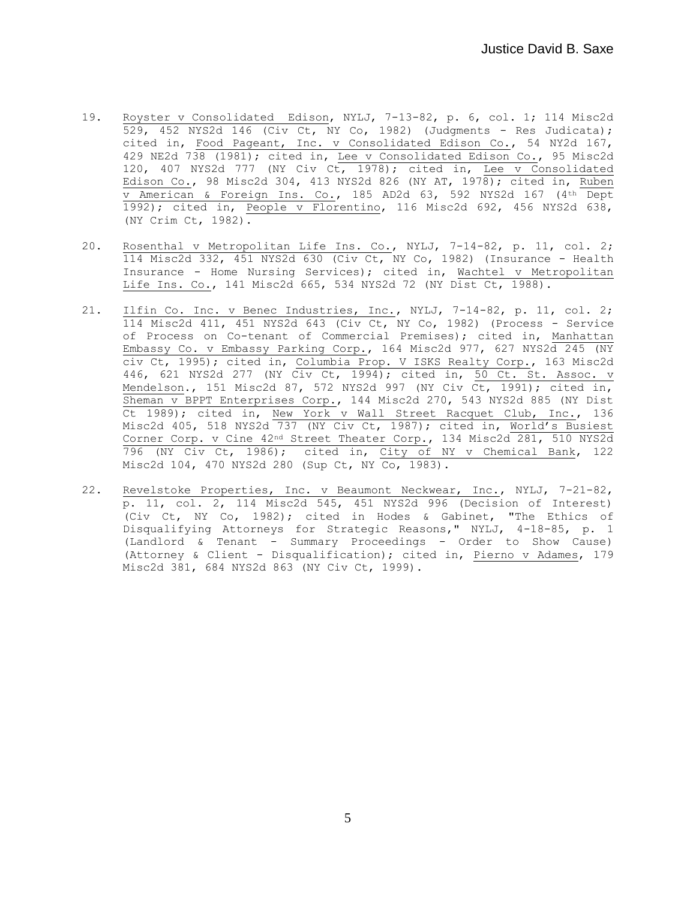- 19. Royster v Consolidated Edison, NYLJ, 7-13-82, p. 6, col. 1; 114 Misc2d  $529, 452$  NYS2d 146 (Civ Ct, NY Co, 1982) (Judgments - Res Judicata); cited in, Food Pageant, Inc. v Consolidated Edison Co., 54 NY2d 167, 429 NE2d 738 (1981); cited in, Lee v Consolidated Edison Co., 95 Misc2d 120, 407 NYS2d 777 (NY Civ Ct, 1978); cited in, Lee v Consolidated Edison Co., 98 Misc2d 304, 413 NYS2d 826 (NY AT, 1978); cited in, Ruben v American & Foreign Ins. Co., 185 AD2d 63, 592 NYS2d 167 (4th Dept 1992); cited in, People v Florentino, 116 Misc2d 692, 456 NYS2d 638, (NY Crim Ct, 1982).
- 20. Rosenthal v Metropolitan Life Ins. Co., NYLJ, 7-14-82, p. 11, col. 2; 114 Misc2d 332, 451 NYS2d 630 (Civ Ct, NY Co, 1982) (Insurance - Health Insurance - Home Nursing Services); cited in, Wachtel v Metropolitan Life Ins. Co., 141 Misc2d 665, 534 NYS2d 72 (NY Dist Ct, 1988).
- 21. Ilfin Co. Inc. v Benec Industries, Inc., NYLJ, 7-14-82, p. 11, col. 2; 114 Misc2d 411, 451 NYS2d 643 (Civ Ct, NY Co, 1982) (Process - Service of Process on Co-tenant of Commercial Premises); cited in, Manhattan Embassy Co. v Embassy Parking Corp., 164 Misc2d 977, 627 NYS2d 245 (NY civ Ct, 1995); cited in, Columbia Prop. V ISKS Realty Corp., 163 Misc2d 446, 621 NYS2d 277 (NY Civ Ct, 1994); cited in, 50 Ct. St. Assoc. v Mendelson., 151 Misc2d 87, 572 NYS2d 997 (NY Civ Ct, 1991); cited in, Sheman v BPPT Enterprises Corp., 144 Misc2d 270, 543 NYS2d 885 (NY Dist Ct 1989); cited in, New York v Wall Street Racquet Club, Inc., 136 Misc2d 405, 518 NYS2d 737 (NY Civ Ct, 1987); cited in, World's Busiest Corner Corp. v Cine 42nd Street Theater Corp., 134 Misc2d 281, 510 NYS2d 796 (NY Civ Ct, 1986); cited in, City of NY v Chemical Bank, 122 Misc2d 104, 470 NYS2d 280 (Sup Ct, NY Co, 1983).
- 22. Revelstoke Properties, Inc. v Beaumont Neckwear, Inc., NYLJ, 7-21-82, p. 11, col. 2, 114 Misc2d 545, 451 NYS2d 996 (Decision of Interest) (Civ Ct, NY Co, 1982); cited in Hodes & Gabinet, "The Ethics of Disqualifying Attorneys for Strategic Reasons," NYLJ, 4-18-85, p. 1 (Landlord & Tenant - Summary Proceedings - Order to Show Cause) (Attorney & Client - Disqualification); cited in, Pierno v Adames, 179 Misc2d 381, 684 NYS2d 863 (NY Civ Ct, 1999).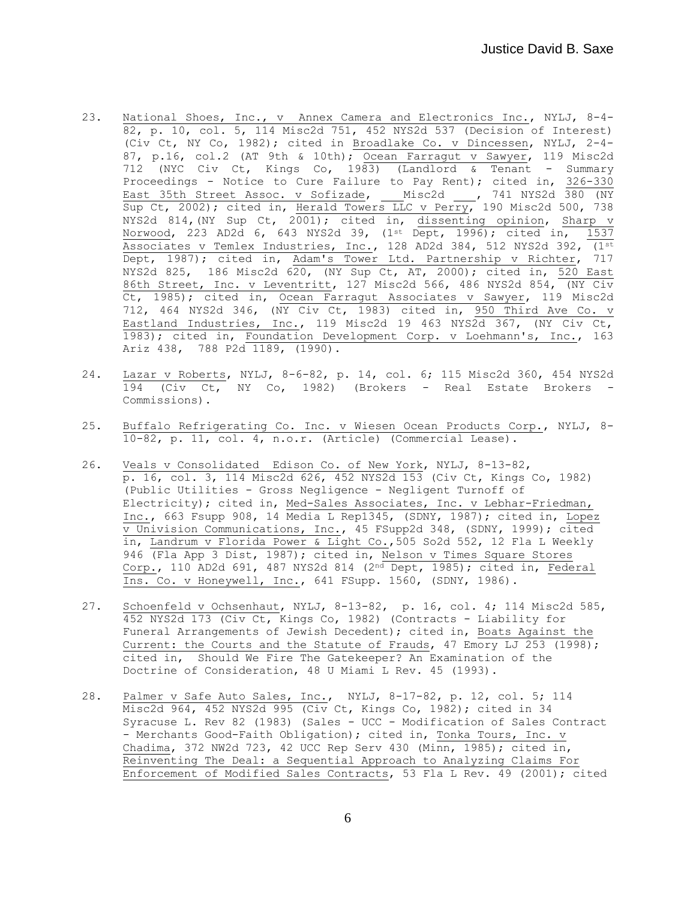- 23. National Shoes, Inc., v Annex Camera and Electronics Inc., NYLJ, 8-4- 82, p. 10, col. 5, 114 Misc2d 751, 452 NYS2d 537 (Decision of Interest) (Civ Ct, NY Co, 1982); cited in Broadlake Co. v Dincessen, NYLJ, 2-4- 87, p.16, col.2 (AT 9th & 10th); Ocean Farragut v Sawyer, 119 Misc2d 712 (NYC Civ Ct, Kings Co, 1983) (Landlord & Tenant - Summary Proceedings - Notice to Cure Failure to Pay Rent); cited in, 326-330 East 35th Street Assoc. v Sofizade, \_\_\_ Misc2d \_\_\_, 741 NYS2d 380 (NY Sup Ct, 2002); cited in, Herald Towers LLC v Perry, 190 Misc2d 500, 738 NYS2d 814,(NY Sup Ct, 2001); cited in, dissenting opinion, Sharp v Norwood, 223 AD2d 6, 643 NYS2d 39, (1<sup>st</sup> Dept, 1996); cited in, 1537 Associates v Temlex Industries, Inc., 128 AD2d 384, 512 NYS2d 392,  $(1^{st}$ Dept, 1987); cited in, Adam's Tower Ltd. Partnership v Richter, 717 NYS2d 825, 186 Misc2d 620, (NY Sup Ct, AT, 2000); cited in, 520 East 86th Street, Inc. v Leventritt, 127 Misc2d 566, 486 NYS2d 854, (NY Civ Ct, 1985); cited in, Ocean Farragut Associates v Sawyer, 119 Misc2d 712, 464 NYS2d 346, (NY Civ Ct, 1983) cited in, 950 Third Ave Co. v Eastland Industries, Inc., 119 Misc2d 19 463 NYS2d 367, (NY Civ Ct, 1983); cited in, Foundation Development Corp. v Loehmann's, Inc., 163 Ariz 438, 788 P2d 1189, (1990).
- 24. Lazar v Roberts, NYLJ, 8-6-82, p. 14, col. 6; 115 Misc2d 360, 454 NYS2d 194 (Civ Ct, NY Co, 1982) (Brokers - Real Estate Brokers - Commissions).
- 25. Buffalo Refrigerating Co. Inc. v Wiesen Ocean Products Corp., NYLJ, 8- 10-82, p. 11, col. 4, n.o.r. (Article) (Commercial Lease).
- 26. Veals v Consolidated Edison Co. of New York, NYLJ, 8-13-82, p. 16, col. 3, 114 Misc2d 626, 452 NYS2d 153 (Civ Ct, Kings Co, 1982) (Public Utilities - Gross Negligence - Negligent Turnoff of Electricity); cited in, Med-Sales Associates, Inc. v Lebhar-Friedman, Inc., 663 Fsupp 908, 14 Media L Rep1345, (SDNY, 1987); cited in, Lopez v Univision Communications, Inc., 45 FSupp2d 348, (SDNY, 1999); cited in, Landrum v Florida Power & Light Co.,505 So2d 552, 12 Fla L Weekly 946 (Fla App 3 Dist, 1987); cited in, Nelson v Times Square Stores Corp., 110 AD2d 691, 487 NYS2d 814 (2 $^{nd}$  Dept, 1985); cited in, Federal Ins. Co. v Honeywell, Inc., 641 FSupp. 1560, (SDNY, 1986).
- 27. Schoenfeld v Ochsenhaut, NYLJ, 8-13-82, p. 16, col. 4; 114 Misc2d 585, 452 NYS2d 173 (Civ Ct, Kings Co, 1982) (Contracts - Liability for Funeral Arrangements of Jewish Decedent); cited in, Boats Against the Current: the Courts and the Statute of Frauds, 47 Emory LJ 253 (1998); cited in, Should We Fire The Gatekeeper? An Examination of the Doctrine of Consideration, 48 U Miami L Rev. 45 (1993).
- 28. Palmer v Safe Auto Sales, Inc., NYLJ, 8-17-82, p. 12, col. 5; 114 Misc2d 964, 452 NYS2d 995 (Civ Ct, Kings Co, 1982); cited in 34 Syracuse L. Rev 82 (1983) (Sales - UCC - Modification of Sales Contract - Merchants Good-Faith Obligation); cited in, Tonka Tours, Inc. v Chadima, 372 NW2d 723, 42 UCC Rep Serv 430 (Minn, 1985); cited in, Reinventing The Deal: a Sequential Approach to Analyzing Claims For Enforcement of Modified Sales Contracts, 53 Fla L Rev. 49 (2001); cited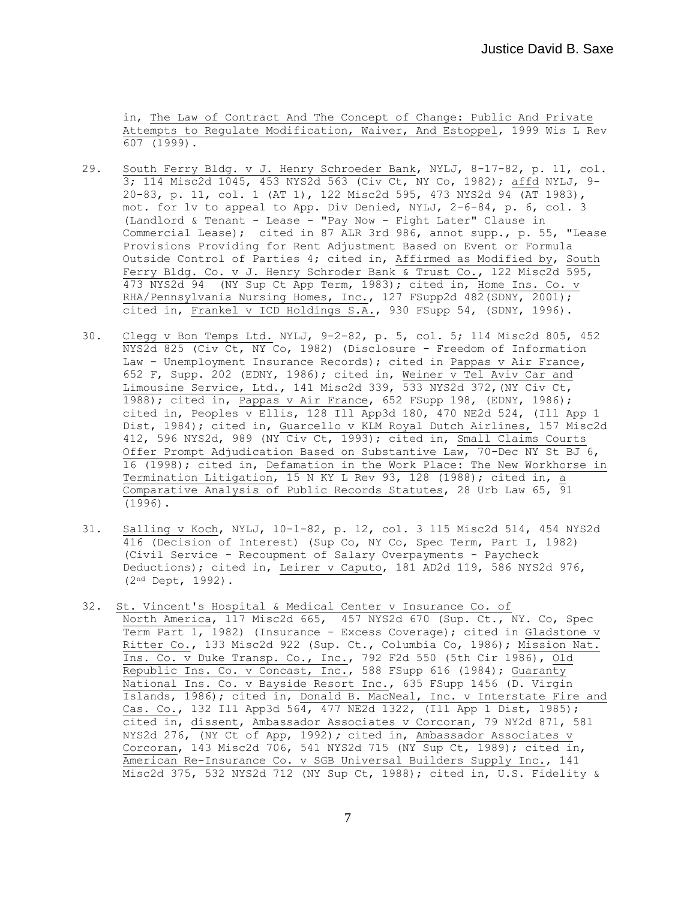in, The Law of Contract And The Concept of Change: Public And Private Attempts to Regulate Modification, Waiver, And Estoppel, 1999 Wis L Rev 607 (1999).

- 29. South Ferry Bldg. v J. Henry Schroeder Bank, NYLJ, 8-17-82, p. 11, col. 3; 114 Misc2d 1045, 453 NYS2d 563 (Civ Ct, NY Co, 1982); affd NYLJ, 9- 20-83, p. 11, col. 1 (AT 1), 122 Misc2d 595, 473 NYS2d 94 (AT 1983), mot. for lv to appeal to App. Div Denied, NYLJ, 2-6-84, p. 6, col. 3 (Landlord & Tenant - Lease - "Pay Now - Fight Later" Clause in Commercial Lease); cited in 87 ALR 3rd 986, annot supp., p. 55, "Lease Provisions Providing for Rent Adjustment Based on Event or Formula Outside Control of Parties 4; cited in, Affirmed as Modified by, South Ferry Bldg. Co. v J. Henry Schroder Bank & Trust Co., 122 Misc2d 595, 473 NYS2d 94 (NY Sup Ct App Term, 1983); cited in, Home Ins. Co. v RHA/Pennsylvania Nursing Homes, Inc., 127 FSupp2d 482(SDNY, 2001); cited in, Frankel v ICD Holdings S.A., 930 FSupp 54, (SDNY, 1996).
- 30. Clegg v Bon Temps Ltd. NYLJ, 9-2-82, p. 5, col. 5; 114 Misc2d 805, 452 NYS2d 825 (Civ Ct, NY Co, 1982) (Disclosure - Freedom of Information Law - Unemployment Insurance Records); cited in Pappas v Air France, 652 F, Supp. 202 (EDNY, 1986); cited in, Weiner v Tel Aviv Car and Limousine Service, Ltd., 141 Misc2d 339, 533 NYS2d 372,(NY Civ Ct, 1988); cited in, Pappas v Air France, 652 FSupp 198, (EDNY, 1986); cited in, Peoples v Ellis, 128 Ill App3d 180, 470 NE2d 524, (Ill App 1 Dist, 1984); cited in, Guarcello v KLM Royal Dutch Airlines, 157 Misc2d 412, 596 NYS2d, 989 (NY Civ Ct, 1993); cited in, Small Claims Courts Offer Prompt Adjudication Based on Substantive Law, 70-Dec NY St BJ 6, 16 (1998); cited in, Defamation in the Work Place: The New Workhorse in Termination Litigation, 15 N KY L Rev 93, 128 (1988); cited in, a Comparative Analysis of Public Records Statutes, 28 Urb Law 65,  $\overline{91}$ (1996).
- 31. Salling v Koch, NYLJ, 10-1-82, p. 12, col. 3 115 Misc2d 514, 454 NYS2d 416 (Decision of Interest) (Sup Co, NY Co, Spec Term, Part I, 1982) (Civil Service - Recoupment of Salary Overpayments - Paycheck Deductions); cited in, Leirer v Caputo, 181 AD2d 119, 586 NYS2d 976, (2nd Dept, 1992).
- 32. St. Vincent's Hospital & Medical Center v Insurance Co. of North America, 117 Misc2d 665, 457 NYS2d 670 (Sup. Ct., NY. Co, Spec Term Part 1, 1982) (Insurance - Excess Coverage); cited in Gladstone v Ritter Co., 133 Misc2d 922 (Sup. Ct., Columbia Co, 1986); Mission Nat. Ins. Co. v Duke Transp. Co., Inc., 792 F2d 550 (5th Cir 1986), Old Republic Ins. Co. v Concast, Inc., 588 FSupp 616 (1984); Guaranty National Ins. Co. v Bayside Resort Inc., 635 FSupp 1456 (D. Virgin Islands, 1986); cited in, Donald B. MacNeal, Inc. v Interstate Fire and Cas. Co., 132 Ill App3d 564, 477 NE2d 1322, (Ill App 1 Dist, 1985); cited in, dissent, Ambassador Associates v Corcoran, 79 NY2d 871, 581 NYS2d 276, (NY Ct of App, 1992)*;* cited in, Ambassador Associates v Corcoran, 143 Misc2d 706, 541 NYS2d 715 (NY Sup Ct, 1989); cited in, American Re-Insurance Co. v SGB Universal Builders Supply Inc., 141 Misc2d 375, 532 NYS2d 712 (NY Sup Ct, 1988); cited in, U.S. Fidelity &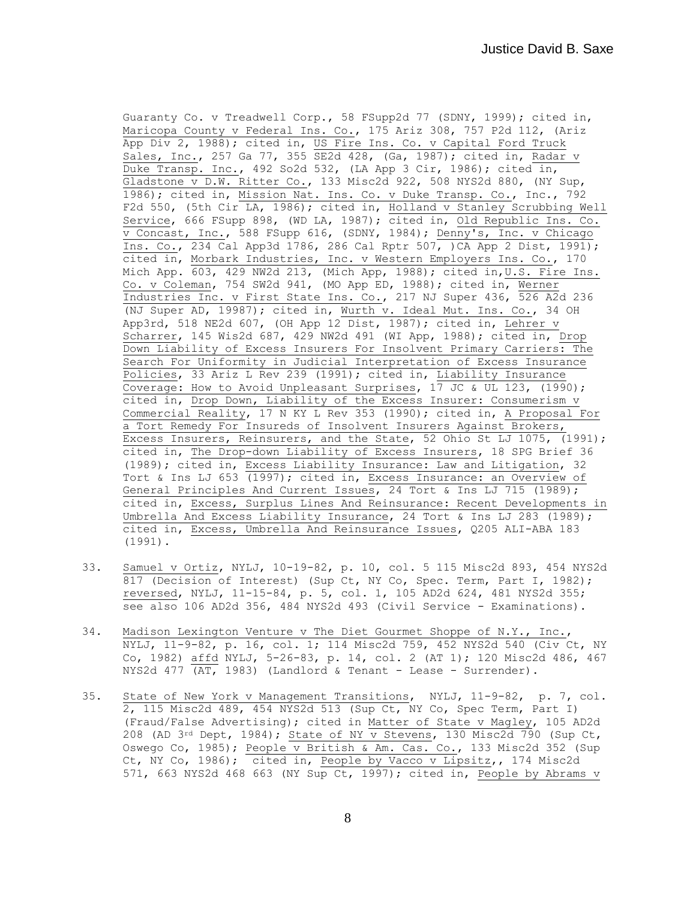Guaranty Co. v Treadwell Corp., 58 FSupp2d 77 (SDNY, 1999); cited in, Maricopa County v Federal Ins. Co., 175 Ariz 308, 757 P2d 112, (Ariz App Div 2, 1988); cited in, US Fire Ins. Co. v Capital Ford Truck Sales, Inc., 257 Ga 77, 355 SE2d 428, (Ga, 1987); cited in, Radar v Duke Transp. Inc., 492 So2d 532, (LA App 3 Cir, 1986); cited in, Gladstone v D.W. Ritter Co., 133 Misc2d 922, 508 NYS2d 880, (NY Sup, 1986); cited in, Mission Nat. Ins. Co. v Duke Transp. Co., Inc., 792 F2d 550, (5th Cir LA, 1986); cited in, Holland v Stanley Scrubbing Well Service, 666 FSupp 898, (WD LA, 1987); cited in, Old Republic Ins. Co. v Concast, Inc., 588 FSupp 616, (SDNY, 1984); Denny's, Inc. v Chicago Ins. Co., 234 Cal App3d 1786, 286 Cal Rptr 507, )CA App 2 Dist, 1991); cited in, Morbark Industries, Inc. v Western Employers Ins. Co., 170 Mich App.  $\overline{603}$ , 429 NW2d 213, (Mich App, 1988); cited in, U.S. Fire Ins. Co. v Coleman, 754 SW2d 941, (MO App ED, 1988); cited in, Werner Industries Inc. v First State Ins. Co., 217 NJ Super 436, 526 A2d 236 (NJ Super AD, 19987); cited in, Wurth v. Ideal Mut. Ins. Co., 34 OH App3rd, 518 NE2d 607, (OH App 12 Dist, 1987); cited in, Lehrer v Scharrer, 145 Wis2d 687, 429 NW2d 491 (WI App, 1988); cited in, Drop Down Liability of Excess Insurers For Insolvent Primary Carriers: The Search For Uniformity in Judicial Interpretation of Excess Insurance Policies, 33 Ariz L Rev 239 (1991); cited in, Liability Insurance Coverage: How to Avoid Unpleasant Surprises,  $17 \text{ JC } \alpha$  UL 123,  $(1990)$ ; cited in, Drop Down, Liability of the Excess Insurer: Consumerism v Commercial Reality, 17 N KY L Rev 353 (1990); cited in, A Proposal For a Tort Remedy For Insureds of Insolvent Insurers Against Brokers, Excess Insurers, Reinsurers, and the State, 52 Ohio St LJ 1075, (1991); cited in, The Drop-down Liability of Excess Insurers, 18 SPG Brief 36 (1989); cited in, Excess Liability Insurance: Law and Litigation, 32 Tort & Ins LJ 653 (1997); cited in, Excess Insurance: an Overview of General Principles And Current Issues, 24 Tort & Ins LJ 715 (1989); cited in, Excess, Surplus Lines And Reinsurance: Recent Developments in Umbrella And Excess Liability Insurance, 24 Tort & Ins LJ 283 (1989); cited in, Excess, Umbrella And Reinsurance Issues, Q205 ALI-ABA 183 (1991).

- 33. Samuel v Ortiz, NYLJ, 10-19-82, p. 10, col. 5 115 Misc2d 893, 454 NYS2d 817 (Decision of Interest) (Sup Ct, NY Co, Spec. Term, Part I, 1982); reversed, NYLJ, 11-15-84, p. 5, col. 1, 105 AD2d 624, 481 NYS2d 355; see also 106 AD2d 356, 484 NYS2d 493 (Civil Service - Examinations).
- 34. Madison Lexington Venture v The Diet Gourmet Shoppe of N.Y., Inc., NYLJ, 11-9-82, p. 16, col. 1; 114 Misc2d 759, 452 NYS2d 540 (Civ Ct, NY Co, 1982) affd NYLJ, 5-26-83, p. 14, col. 2 (AT 1); 120 Misc2d 486, 467 NYS2d 477  $\overline{(AT, 1983)}$  (Landlord & Tenant - Lease - Surrender).
- 35. State of New York v Management Transitions, NYLJ, 11-9-82, p. 7, col. 2, 115 Misc2d 489, 454 NYS2d 513 (Sup Ct, NY Co, Spec Term, Part I) (Fraud/False Advertising); cited in Matter of State v Magley, 105 AD2d 208 (AD 3rd Dept, 1984); State of NY v Stevens, 130 Misc2d 790 (Sup Ct, Oswego Co, 1985); People v British & Am. Cas. Co., 133 Misc2d 352 (Sup Ct, NY Co, 1986); cited in, People by Vacco v Lipsitz,, 174 Misc2d 571, 663 NYS2d 468 663 (NY Sup Ct, 1997); cited in, People by Abrams v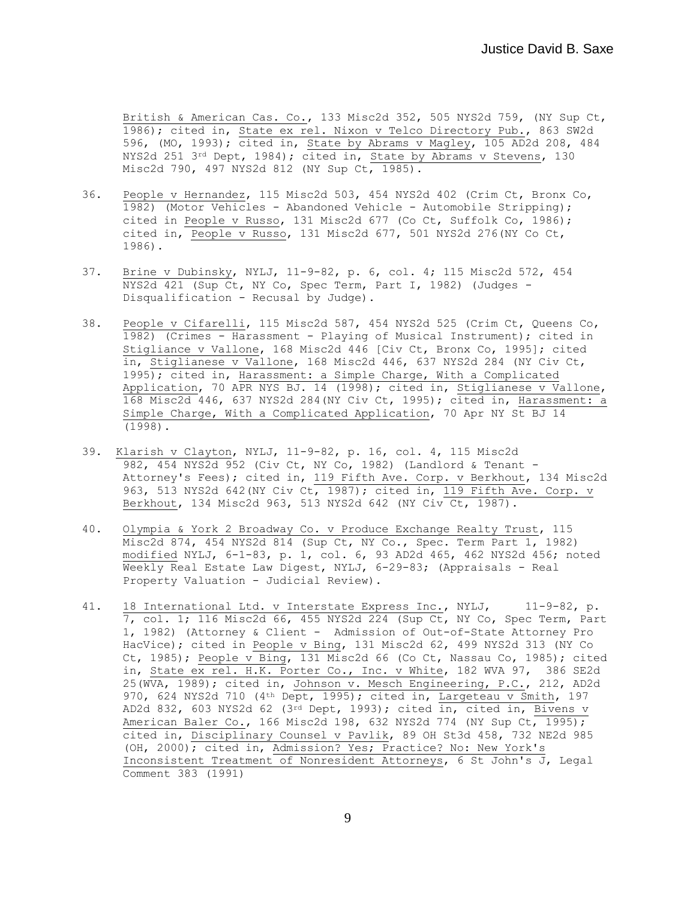British & American Cas. Co., 133 Misc2d 352, 505 NYS2d 759, (NY Sup Ct, 1986); cited in, State ex rel. Nixon v Telco Directory Pub., 863 SW2d 596, (MO, 1993); cited in, State by Abrams v Magley, 105 AD2d 208, 484 NYS2d 251 3<sup>rd</sup> Dept, 1984); cited in, State by Abrams v Stevens, 130 Misc2d 790, 497 NYS2d 812 (NY Sup Ct, 1985).

- 36. People v Hernandez, 115 Misc2d 503, 454 NYS2d 402 (Crim Ct, Bronx Co, 1982) (Motor Vehicles - Abandoned Vehicle - Automobile Stripping); cited in People v Russo, 131 Misc2d 677 (Co Ct, Suffolk Co, 1986); cited in, People v Russo, 131 Misc2d 677, 501 NYS2d 276(NY Co Ct, 1986).
- 37. Brine v Dubinsky, NYLJ, 11-9-82, p. 6, col. 4; 115 Misc2d 572, 454 NYS2d 421 (Sup Ct, NY Co, Spec Term, Part I, 1982) (Judges - Disqualification - Recusal by Judge).
- 38. People v Cifarelli, 115 Misc2d 587, 454 NYS2d 525 (Crim Ct, Queens Co, 1982) (Crimes - Harassment - Playing of Musical Instrument); cited in Stigliance v Vallone, 168 Misc2d 446 [Civ Ct, Bronx Co, 1995]; cited in, Stiglianese v Vallone, 168 Misc2d 446, 637 NYS2d 284 (NY Civ Ct, 1995); cited in, Harassment: a Simple Charge, With a Complicated Application, 70 APR NYS BJ. 14 (1998); cited in, Stiglianese v Vallone, 168 Misc2d 446, 637 NYS2d 284(NY Civ Ct, 1995); cited in, Harassment: a Simple Charge, With a Complicated Application, 70 Apr NY St BJ 14 (1998).
- 39. Klarish v Clayton, NYLJ, 11-9-82, p. 16, col. 4, 115 Misc2d 982, 454 NYS2d 952 (Civ Ct, NY Co, 1982) (Landlord & Tenant - Attorney's Fees); cited in, 119 Fifth Ave. Corp. v Berkhout, 134 Misc2d 963, 513 NYS2d 642 (NY Civ Ct, 1987); cited in, 119 Fifth Ave. Corp. v Berkhout, 134 Misc2d 963, 513 NYS2d 642 (NY Civ Ct, 1987).
- 40. Olympia & York 2 Broadway Co. v Produce Exchange Realty Trust, 115 Misc2d 874, 454 NYS2d 814 (Sup Ct, NY Co., Spec. Term Part 1, 1982) modified NYLJ, 6-1-83, p. 1, col. 6, 93 AD2d 465, 462 NYS2d 456; noted Weekly Real Estate Law Digest, NYLJ, 6-29-83; (Appraisals - Real Property Valuation - Judicial Review).
- 41. 18 International Ltd. v Interstate Express Inc., NYLJ, 11-9-82, p. 7, col. 1; 116 Misc2d 66, 455 NYS2d 224 (Sup Ct, NY Co, Spec Term, Part 1, 1982) (Attorney & Client - Admission of Out-of-State Attorney Pro HacVice); cited in People v Bing, 131 Misc2d 62, 499 NYS2d 313 (NY Co Ct, 1985); People v Bing, 131 Misc2d 66 (Co Ct, Nassau Co, 1985); cited in, State ex rel. H.K. Porter Co., Inc. v White, 182 WVA 97, 386 SE2d 25(WVA, 1989); cited in, Johnson v. Mesch Engineering, P.C., 212, AD2d 970, 624 NYS2d 710 (4<sup>th</sup> Dept, 1995); cited in, Largeteau v Smith, 197 AD2d 832, 603 NYS2d 62 (3rd Dept, 1993); cited in, cited in, Bivens v American Baler Co., 166 Misc2d 198, 632 NYS2d 774 (NY Sup Ct, 1995); cited in, Disciplinary Counsel v Pavlik, 89 OH St3d 458, 732 NE2d 985 (OH, 2000); cited in, Admission? Yes; Practice? No: New York's Inconsistent Treatment of Nonresident Attorneys, 6 St John's J, Legal Comment 383 (1991)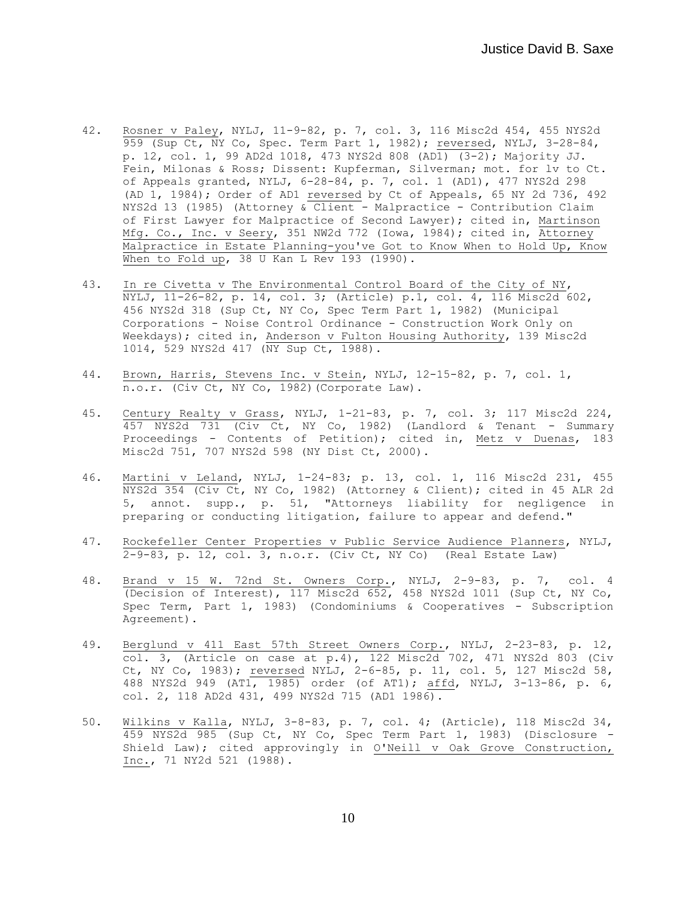- 42. Rosner v Paley, NYLJ, 11-9-82, p. 7, col. 3, 116 Misc2d 454, 455 NYS2d 959 (Sup Ct, NY Co, Spec. Term Part 1, 1982); reversed, NYLJ, 3-28-84, p. 12, col. 1, 99 AD2d 1018, 473 NYS2d 808 (AD1)  $(3-2)$ ; Majority JJ. Fein, Milonas & Ross; Dissent: Kupferman, Silverman; mot. for lv to Ct. of Appeals granted, NYLJ, 6-28-84, p. 7, col. 1 (AD1), 477 NYS2d 298 (AD 1, 1984); Order of AD1 reversed by Ct of Appeals, 65 NY 2d 736, 492 NYS2d 13 (1985) (Attorney & Client - Malpractice - Contribution Claim of First Lawyer for Malpractice of Second Lawyer); cited in, Martinson Mfg. Co., Inc. v Seery, 351 NW2d 772 (Iowa, 1984); cited in, Attorney Malpractice in Estate Planning-you've Got to Know When to Hold Up, Know When to Fold up, 38 U Kan L Rev 193 (1990).
- 43. In re Civetta v The Environmental Control Board of the City of NY, NYLJ, 11-26-82, p. 14, col. 3; (Article) p.1, col. 4, 116 Misc2d 602, 456 NYS2d 318 (Sup Ct, NY Co, Spec Term Part 1, 1982) (Municipal Corporations - Noise Control Ordinance - Construction Work Only on Weekdays); cited in, Anderson v Fulton Housing Authority, 139 Misc2d 1014, 529 NYS2d 417 (NY Sup Ct, 1988).
- 44. Brown, Harris, Stevens Inc. v Stein, NYLJ, 12-15-82, p. 7, col. 1, n.o.r. (Civ Ct, NY Co, 1982)(Corporate Law).
- 45. Century Realty v Grass, NYLJ, 1-21-83, p. 7, col. 3; 117 Misc2d 224, 457 NYS2d 731 (Civ Ct, NY Co, 1982) (Landlord & Tenant - Summary Proceedings - Contents of Petition); cited in, Metz v Duenas, 183 Misc2d 751, 707 NYS2d 598 (NY Dist Ct, 2000).
- 46. Martini v Leland, NYLJ, 1-24-83; p. 13, col. 1, 116 Misc2d 231, 455 NYS2d 354 (Civ Ct, NY Co, 1982) (Attorney & Client); cited in 45 ALR 2d 5, annot. supp., p. 51, "Attorneys liability for negligence in preparing or conducting litigation, failure to appear and defend."
- 47. Rockefeller Center Properties v Public Service Audience Planners, NYLJ, 2-9-83, p. 12, col. 3, n.o.r. (Civ Ct, NY Co) (Real Estate Law)
- 48. Brand v 15 W. 72nd St. Owners Corp., NYLJ, 2-9-83, p. 7, col. 4 (Decision of Interest), 117 Misc2d 652, 458 NYS2d 1011 (Sup Ct, NY Co, Spec Term, Part 1, 1983) (Condominiums & Cooperatives - Subscription Agreement).
- 49. Berglund v 411 East 57th Street Owners Corp., NYLJ, 2-23-83, p. 12, col. 3, (Article on case at p.4), 122 Misc2d 702, 471 NYS2d 803 (Civ Ct, NY Co, 1983); reversed NYLJ, 2-6-85, p. 11, col. 5, 127 Misc2d 58, 488 NYS2d 949 (AT1, 1985) order (of AT1); affd, NYLJ, 3-13-86, p. 6, col. 2, 118 AD2d 431, 499 NYS2d 715 (AD1 1986).
- 50. Wilkins v Kalla, NYLJ, 3-8-83, p. 7, col. 4; (Article), 118 Misc2d 34, 459 NYS2d 985 (Sup Ct, NY Co, Spec Term Part 1, 1983) (Disclosure - Shield Law); cited approvingly in O'Neill v Oak Grove Construction, Inc., 71 NY2d 521 (1988).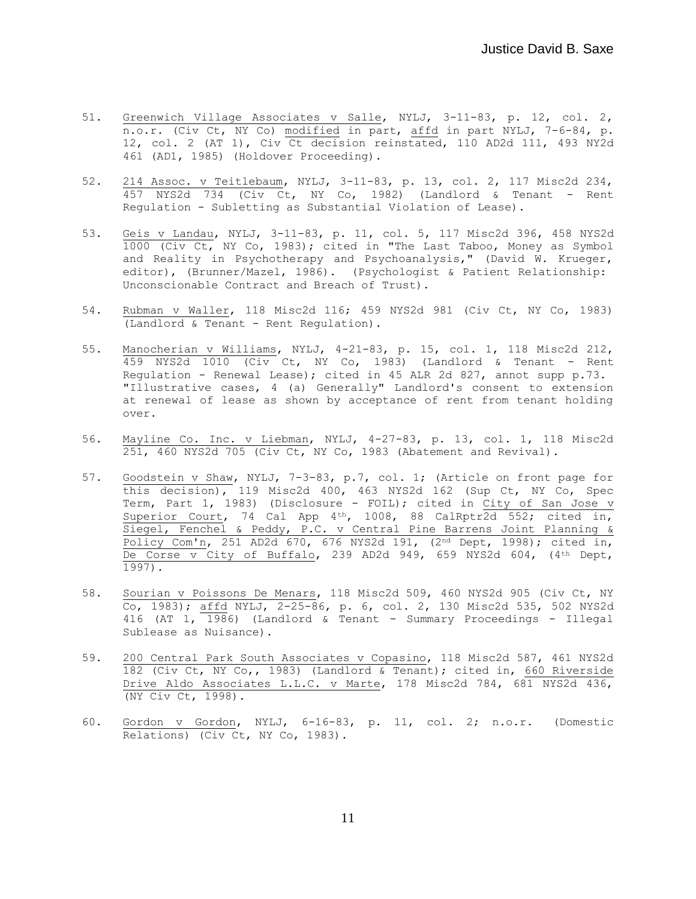- 51. Greenwich Village Associates v Salle, NYLJ, 3-11-83, p. 12, col. 2, n.o.r. (Civ Ct, NY Co) modified in part, affd in part NYLJ, 7-6-84, p. 12, col. 2 (AT 1), Civ Ct decision reinstated, 110 AD2d 111, 493 NY2d 461 (AD1, 1985) (Holdover Proceeding).
- 52. 214 Assoc. v Teitlebaum, NYLJ, 3-11-83, p. 13, col. 2, 117 Misc2d 234, 457 NYS2d 734 (Civ Ct, NY Co, 1982) (Landlord & Tenant - Rent Regulation - Subletting as Substantial Violation of Lease).
- 53. Geis v Landau, NYLJ, 3-11-83, p. 11, col. 5, 117 Misc2d 396, 458 NYS2d 1000 (Civ Ct, NY Co, 1983); cited in "The Last Taboo, Money as Symbol and Reality in Psychotherapy and Psychoanalysis," (David W. Krueger, editor), (Brunner/Mazel, 1986). (Psychologist & Patient Relationship: Unconscionable Contract and Breach of Trust).
- 54. Rubman v Waller, 118 Misc2d 116; 459 NYS2d 981 (Civ Ct, NY Co, 1983) (Landlord & Tenant - Rent Regulation).
- 55. Manocherian v Williams, NYLJ, 4-21-83, p. 15, col. 1, 118 Misc2d 212, 459 NYS2d 1010 (Civ Ct, NY Co, 1983) (Landlord & Tenant - Rent Regulation - Renewal Lease); cited in 45 ALR 2d 827, annot supp p.73. "Illustrative cases, 4 (a) Generally" Landlord's consent to extension at renewal of lease as shown by acceptance of rent from tenant holding over.
- 56. Mayline Co. Inc. v Liebman, NYLJ, 4-27-83, p. 13, col. 1, 118 Misc2d 251, 460 NYS2d 705 (Civ Ct, NY Co, 1983 (Abatement and Revival).
- 57. Goodstein v Shaw, NYLJ, 7-3-83, p.7, col. 1; (Article on front page for  $\overline{\text{this decision}}$ , 119 Misc2d 400, 463 NYS2d 162 (Sup Ct, NY Co, Spec Term, Part 1, 1983) (Disclosure - FOIL); cited in City of San Jose v Superior Court, 74 Cal App  $4<sup>th</sup>$ , 1008, 88 CalRptr $2d$  552; cited in, Siegel, Fenchel & Peddy, P.C. v Central Pine Barrens Joint Planning & Policy Com'n, 251 AD2d 670, 676 NYS2d 191, (2nd Dept, 1998); cited in, De Corse v City of Buffalo, 239 AD2d 949, 659 NYS2d 604, (4th Dept, 1997).
- 58. Sourian v Poissons De Menars, 118 Misc2d 509, 460 NYS2d 905 (Civ Ct, NY  $\overline{c}$ , 1983); affd NYLJ, 2-25-86, p. 6, col. 2, 130 Misc2d 535, 502 NYS2d 416 (AT  $1, 1986$ ) (Landlord & Tenant - Summary Proceedings - Illegal Sublease as Nuisance).
- 59. 200 Central Park South Associates v Copasino, 118 Misc2d 587, 461 NYS2d 182 (Civ Ct, NY Co,, 1983) (Landlord & Tenant); cited in, 660 Riverside Drive Aldo Associates L.L.C. v Marte, 178 Misc2d 784, 681 NYS2d 436, (NY Civ Ct, 1998).
- 60. Gordon v Gordon, NYLJ, 6-16-83, p. 11, col. 2; n.o.r. (Domestic Relations) (Civ Ct, NY Co, 1983).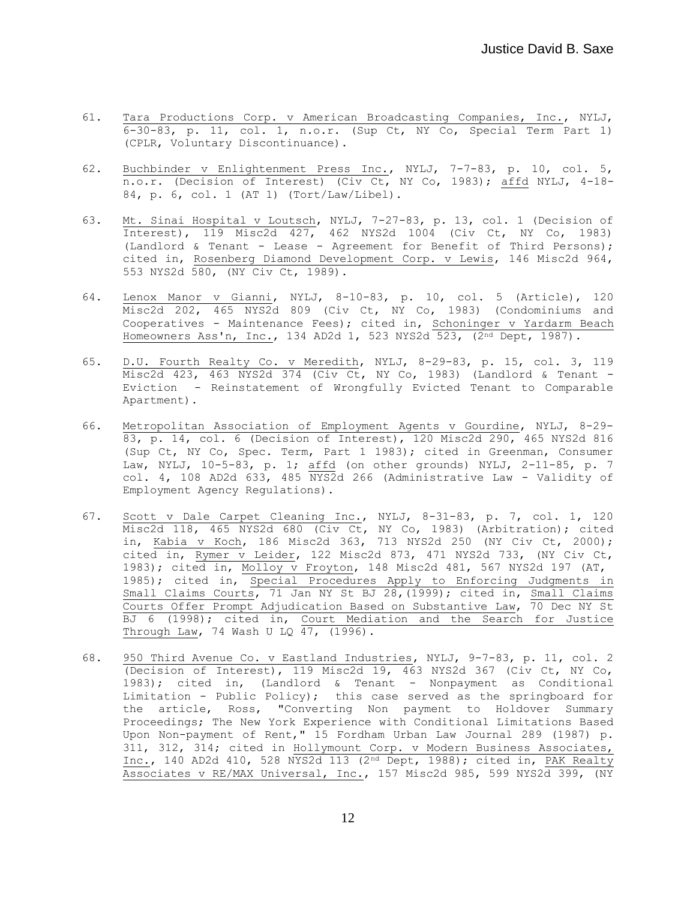- 61. Tara Productions Corp. v American Broadcasting Companies, Inc., NYLJ,  $6-30-83$ , p. 11, col. 1, n.o.r. (Sup Ct, NY Co, Special Term Part 1) (CPLR, Voluntary Discontinuance).
- 62. Buchbinder v Enlightenment Press Inc., NYLJ, 7-7-83, p. 10, col. 5,  $n.o.r.$  (Decision of Interest) (Civ Ct, NY Co, 1983); affd NYLJ, 4-18-84, p. 6, col. 1 (AT 1) (Tort/Law/Libel).
- 63. Mt. Sinai Hospital v Loutsch, NYLJ, 7-27-83, p. 13, col. 1 (Decision of Interest), 119 Misc2d 427, 462 NYS2d 1004 (Civ Ct, NY Co, 1983) (Landlord & Tenant - Lease - Agreement for Benefit of Third Persons); cited in, Rosenberg Diamond Development Corp. v Lewis, 146 Misc2d 964, 553 NYS2d 580, (NY Civ Ct, 1989).
- 64. Lenox Manor v Gianni, NYLJ, 8-10-83, p. 10, col. 5 (Article), 120 Misc2d 202, 465 NYS2d 809 (Civ Ct, NY Co, 1983) (Condominiums and Cooperatives - Maintenance Fees); cited in, Schoninger v Yardarm Beach Homeowners Ass'n, Inc., 134 AD2d 1, 523 NYS2d 523, (2nd Dept, 1987).
- 65. D.U. Fourth Realty Co. v Meredith, NYLJ, 8-29-83, p. 15, col. 3, 119 Misc2d 423, 463 NYS2d 374 (Civ Ct, NY Co, 1983) (Landlord & Tenant - Eviction - Reinstatement of Wrongfully Evicted Tenant to Comparable Apartment).
- 66. Metropolitan Association of Employment Agents v Gourdine, NYLJ, 8-29- 83, p. 14, col. 6 (Decision of Interest), 120 Misc2d 290, 465 NYS2d 816 (Sup Ct, NY Co, Spec. Term, Part 1 1983); cited in Greenman, Consumer Law, NYLJ, 10-5-83, p. 1; affd (on other grounds) NYLJ, 2-11-85, p. 7 col. 4, 108 AD2d 633, 485  $\overline{\text{NYS2d}}$  266 (Administrative Law - Validity of Employment Agency Regulations).
- 67. Scott v Dale Carpet Cleaning Inc., NYLJ, 8-31-83, p. 7, col. 1, 120 Misc2d 118, 465 NYS2d 680 (Civ Ct, NY Co, 1983) (Arbitration); cited in, Kabia v Koch, 186 Misc2d 363, 713 NYS2d 250 (NY Civ Ct, 2000); cited in, Rymer v Leider, 122 Misc2d 873, 471 NYS2d 733, (NY Civ Ct, 1983); cited in, Molloy v Froyton, 148 Misc2d 481, 567 NYS2d 197 (AT, 1985); cited in, Special Procedures Apply to Enforcing Judgments in Small Claims Courts, 71 Jan NY St BJ 28, (1999); cited in, Small Claims Courts Offer Prompt Adjudication Based on Substantive Law, 70 Dec NY St BJ 6 (1998); cited in, Court Mediation and the Search for Justice Through Law, 74 Wash U LQ  $\overline{47}$ , (1996).
- 68. 950 Third Avenue Co. v Eastland Industries, NYLJ, 9-7-83, p. 11, col. 2 (Decision of Interest), 119 Misc2d 19, 463 NYS2d 367 (Civ Ct, NY Co, 1983); cited in, (Landlord & Tenant - Nonpayment as Conditional Limitation - Public Policy); this case served as the springboard for the article, Ross, "Converting Non payment to Holdover Summary Proceedings; The New York Experience with Conditional Limitations Based Upon Non-payment of Rent," 15 Fordham Urban Law Journal 289 (1987) p. 311, 312, 314; cited in Hollymount Corp. v Modern Business Associates, Inc., 140 AD2d 410, 528 NYS2d 113 (2nd Dept, 1988); cited in, PAK Realty Associates v RE/MAX Universal, Inc., 157 Misc2d 985, 599 NYS2d 399, (NY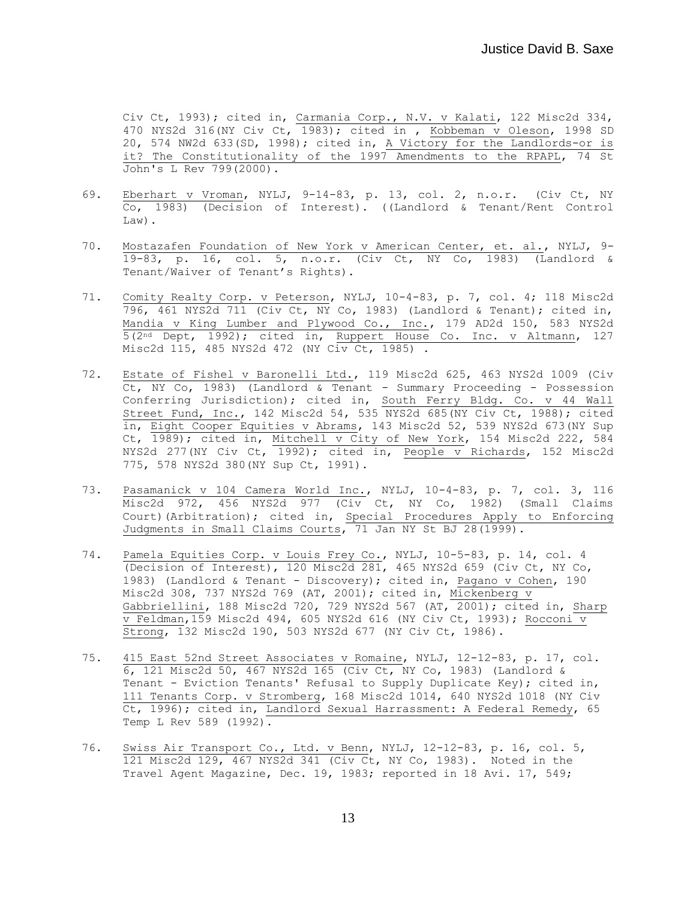Civ Ct, 1993); cited in, Carmania Corp., N.V. v Kalati, 122 Misc2d 334, 470 NYS2d 316(NY Civ Ct, 1983); cited in , Kobbeman v Oleson, 1998 SD 20, 574 NW2d 633(SD, 1998); cited in, A Victory for the Landlords-or is it? The Constitutionality of the 1997 Amendments to the RPAPL, 74 St John's L Rev 799(2000).

- 69. Eberhart v Vroman, NYLJ, 9-14-83, p. 13, col. 2, n.o.r. (Civ Ct, NY Co, 1983) (Decision of Interest). ((Landlord & Tenant/Rent Control Law).
- 70. Mostazafen Foundation of New York v American Center, et. al., NYLJ, 9- 19-83, p. 16, col. 5, n.o.r. (Civ Ct, NY Co, 1983) (Landlord & Tenant/Waiver of Tenant's Rights).
- 71. Comity Realty Corp. v Peterson, NYLJ, 10-4-83, p. 7, col. 4; 118 Misc2d 796, 461 NYS2d 711 (Civ Ct, NY Co, 1983) (Landlord & Tenant); cited in, Mandia v King Lumber and Plywood Co., Inc., 179 AD2d 150, 583 NYS2d 5(2nd Dept, 1992); cited in, Ruppert House Co. Inc. v Altmann, 127 Misc2d 115, 485 NYS2d 472 (NY Civ Ct, 1985) .
- 72. Estate of Fishel v Baronelli Ltd., 119 Misc2d 625, 463 NYS2d 1009 (Civ Ct, NY Co, 1983) (Landlord & Tenant - Summary Proceeding - Possession Conferring Jurisdiction); cited in, South Ferry Bldg. Co. v 44 Wall Street Fund, Inc., 142 Misc2d 54, 535 NYS2d 685 (NY Civ Ct, 1988); cited in, Eight Cooper Equities v Abrams, 143 Misc2d 52, 539 NYS2d 673(NY Sup Ct, 1989); cited in, Mitchell v City of New York, 154 Misc2d 222, 584 NYS2d 277(NY Civ Ct, 1992); cited in, People v Richards, 152 Misc2d 775, 578 NYS2d 380(NY Sup Ct, 1991).
- 73. Pasamanick v 104 Camera World Inc., NYLJ, 10-4-83, p. 7, col. 3, 116 Misc2d 972, 456 NYS2d 977 (Civ Ct, NY Co, 1982) (Small Claims Court)(Arbitration); cited in, Special Procedures Apply to Enforcing Judgments in Small Claims Courts, 71 Jan NY St BJ 28(1999).
- 74. Pamela Equities Corp. v Louis Frey Co., NYLJ, 10-5-83, p. 14, col. 4 (Decision of Interest), 120 Misc2d 281, 465 NYS2d 659 (Civ Ct, NY Co, 1983) (Landlord & Tenant - Discovery); cited in, Pagano v Cohen, 190 Misc2d 308, 737 NYS2d 769 (AT, 2001); cited in, Mickenberg v Gabbriellini, 188 Misc2d 720, 729 NYS2d 567 (AT, 2001); cited in, Sharp  $\overline{v}$  Feldman, 159 Misc2d 494, 605 NYS2d 616 (NY Civ Ct, 1993); Rocconi  $\overline{v}$ Strong, 132 Misc2d 190, 503 NYS2d 677 (NY Civ Ct, 1986).
- 75. 415 East 52nd Street Associates v Romaine, NYLJ, 12-12-83, p. 17, col. 6, 121 Misc2d 50, 467 NYS2d 165 (Civ Ct, NY Co, 1983) (Landlord & Tenant - Eviction Tenants' Refusal to Supply Duplicate Key); cited in, 111 Tenants Corp. v Stromberg, 168 Misc2d 1014, 640 NYS2d 1018 (NY Civ Ct, 1996); cited in, Landlord Sexual Harrassment: A Federal Remedy, 65 Temp L Rev 589 (1992).
- 76. Swiss Air Transport Co., Ltd. v Benn, NYLJ, 12-12-83, p. 16, col. 5, 121 Misc2d 129, 467 NYS2d 341 (Civ Ct, NY Co, 1983). Noted in the Travel Agent Magazine, Dec. 19, 1983; reported in 18 Avi. 17, 549;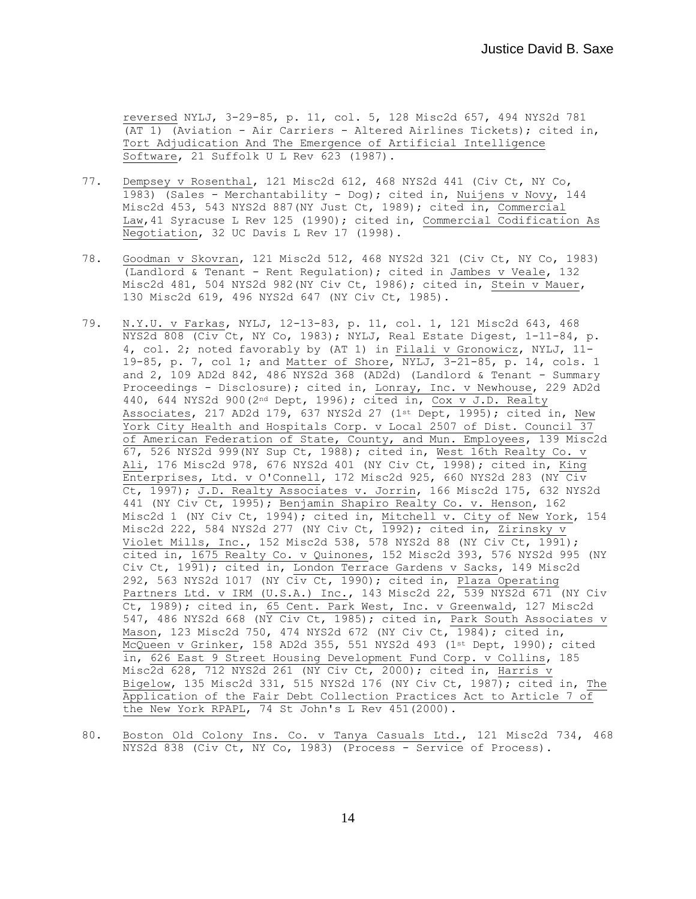reversed NYLJ, 3-29-85, p. 11, col. 5, 128 Misc2d 657, 494 NYS2d 781 (AT 1) (Aviation - Air Carriers - Altered Airlines Tickets); cited in, Tort Adjudication And The Emergence of Artificial Intelligence Software, 21 Suffolk U L Rev 623 (1987).

- 77. Dempsey v Rosenthal, 121 Misc2d 612, 468 NYS2d 441 (Civ Ct, NY Co, 1983) (Sales - Merchantability - Dog); cited in, Nuijens v Novy, 144 Misc2d 453, 543 NYS2d 887(NY Just Ct, 1989); cited in, Commercial Law,41 Syracuse L Rev 125 (1990); cited in, Commercial Codification As Negotiation, 32 UC Davis L Rev 17 (1998).
- 78. Goodman v Skovran, 121 Misc2d 512, 468 NYS2d 321 (Civ Ct, NY Co, 1983) (Landlord & Tenant - Rent Regulation); cited in Jambes v Veale, 132 Misc2d 481, 504 NYS2d 982(NY Civ Ct, 1986); cited in, Stein v Mauer, 130 Misc2d 619, 496 NYS2d 647 (NY Civ Ct, 1985).
- 79. N.Y.U. v Farkas, NYLJ, 12-13-83, p. 11, col. 1, 121 Misc2d 643, 468 NYS2d 808 (Civ Ct, NY Co, 1983); NYLJ, Real Estate Digest, 1-11-84, p. 4, col. 2; noted favorably by (AT 1) in Filali v Gronowicz, NYLJ, 11- 19-85, p. 7, col 1; and Matter of Shore, NYLJ, 3-21-85, p. 14, cols. 1 and 2, 109 AD2d 842, 486 NYS2d 368 (AD2d) (Landlord & Tenant - Summary Proceedings - Disclosure); cited in, Lonray, Inc. v Newhouse, 229 AD2d 440, 644 NYS2d 900(2nd Dept, 1996); cited in, Cox v J.D. Realty Associates, 217 AD2d 179, 637 NYS2d 27 (1st Dept, 1995); cited in, New York City Health and Hospitals Corp. v Local 2507 of Dist. Council 37 of American Federation of State, County, and Mun. Employees, 139 Misc2d 67, 526 NYS2d 999(NY Sup Ct, 1988); cited in, West 16th Realty Co. v Ali, 176 Misc2d 978, 676 NYS2d 401 (NY Civ Ct, 1998); cited in, King Enterprises, Ltd. v O'Connell, 172 Misc2d 925, 660 NYS2d 283 (NY Civ Ct, 1997); J.D. Realty Associates v. Jorrin, 166 Misc2d 175, 632 NYS2d 441 (NY Civ Ct, 1995); Benjamin Shapiro Realty Co. v. Henson, 162 Misc2d 1 (NY Civ Ct, 1994); cited in, Mitchell v. City of New York, 154 Misc2d 222, 584 NYS2d 277 (NY Civ Ct, 1992); cited in, Zirinsky v Violet Mills, Inc., 152 Misc2d 538, 578 NYS2d 88 (NY Civ Ct, 1991); cited in, 1675 Realty Co. v Quinones, 152 Misc2d 393, 576 NYS2d 995 (NY Civ Ct, 1991); cited in, London Terrace Gardens v Sacks, 149 Misc2d 292, 563 NYS2d 1017 (NY Civ Ct, 1990); cited in, Plaza Operating Partners Ltd. v IRM (U.S.A.) Inc., 143 Misc2d 22, 539 NYS2d 671 (NY Civ Ct, 1989); cited in, 65 Cent. Park West, Inc. v Greenwald, 127 Misc2d 547, 486 NYS2d 668 (NY Civ Ct, 1985); cited in, Park South Associates v Mason, 123 Misc2d 750, 474 NYS2d 672 (NY Civ Ct, 1984); cited in, McQueen v Grinker, 158 AD2d 355, 551 NYS2d 493 (1st Dept, 1990); cited in, 626 East 9 Street Housing Development Fund Corp. v Collins, 185 Misc2d 628, 712 NYS2d 261 (NY Civ Ct, 2000); cited in, Harris v Bigelow, 135 Misc2d 331, 515 NYS2d 176 (NY Civ Ct, 1987); cited in, The Application of the Fair Debt Collection Practices Act to Article 7 of the New York RPAPL, 74 St John's L Rev 451(2000).
- 80. Boston Old Colony Ins. Co. v Tanya Casuals Ltd., 121 Misc2d 734, 468 NYS2d 838 (Civ Ct, NY Co, 1983) (Process - Service of Process).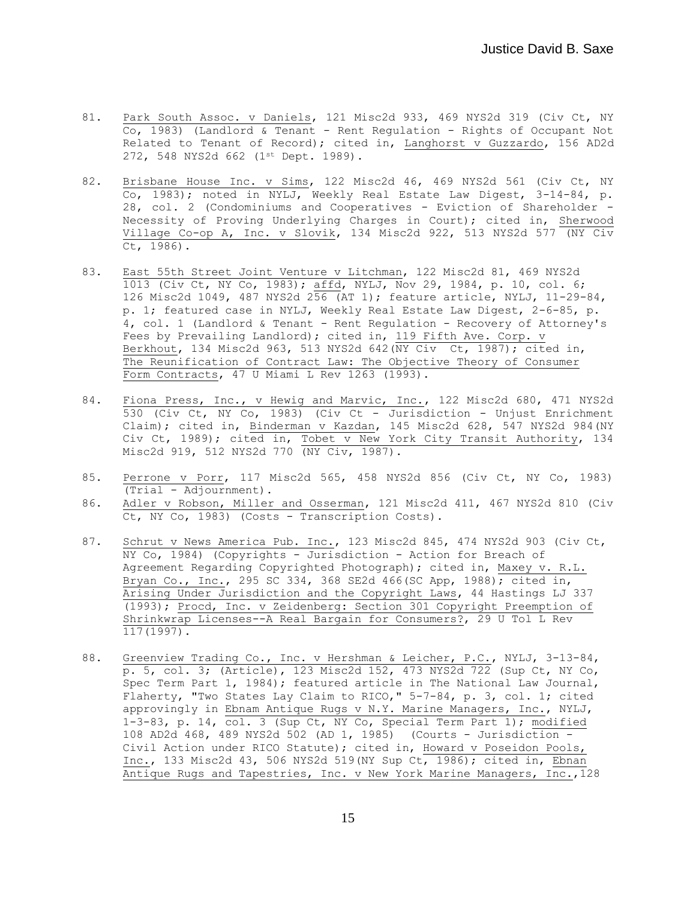- 81. Park South Assoc. v Daniels, 121 Misc2d 933, 469 NYS2d 319 (Civ Ct, NY Co, 1983) (Landlord & Tenant - Rent Regulation - Rights of Occupant Not Related to Tenant of Record); cited in, Langhorst v Guzzardo, 156 AD2d 272, 548 NYS2d 662 (1st Dept. 1989).
- 82. Brisbane House Inc. v Sims, 122 Misc2d 46, 469 NYS2d 561 (Civ Ct, NY Co, 1983); noted in NYLJ, Weekly Real Estate Law Digest, 3-14-84, p. 28, col. 2 (Condominiums and Cooperatives - Eviction of Shareholder - Necessity of Proving Underlying Charges in Court); cited in, Sherwood Village Co-op A, Inc. v Slovik, 134 Misc2d 922, 513 NYS2d 577 (NY Civ Ct, 1986).
- 83. East 55th Street Joint Venture v Litchman, 122 Misc2d 81, 469 NYS2d 1013 (Civ Ct, NY Co, 1983); affd, NYLJ, Nov 29, 1984, p. 10, col. 6; 126 Misc2d 1049, 487 NYS2d 256 (AT 1); feature article, NYLJ, 11-29-84, p. 1; featured case in NYLJ, Weekly Real Estate Law Digest, 2-6-85, p. 4, col. 1 (Landlord & Tenant - Rent Regulation - Recovery of Attorney's Fees by Prevailing Landlord); cited in, 119 Fifth Ave. Corp. v Berkhout, 134 Misc2d 963, 513 NYS2d 642(NY Civ Ct, 1987); cited in, The Reunification of Contract Law: The Objective Theory of Consumer Form Contracts, 47 U Miami L Rev 1263 (1993).
- 84. Fiona Press, Inc., v Hewig and Marvic, Inc., 122 Misc2d 680, 471 NYS2d 530 (Civ Ct, NY Co, 1983) (Civ Ct - Jurisdiction - Unjust Enrichment Claim); cited in, Binderman v Kazdan, 145 Misc2d 628, 547 NYS2d 984(NY Civ Ct, 1989); cited in, Tobet v New York City Transit Authority, 134 Misc2d 919, 512 NYS2d 770 (NY Civ, 1987).
- 85. Perrone v Porr, 117 Misc2d 565, 458 NYS2d 856 (Civ Ct, NY Co, 1983) (Trial - Adjournment).
- 86. Adler v Robson, Miller and Osserman, 121 Misc2d 411, 467 NYS2d 810 (Civ Ct, NY Co, 1983) (Costs - Transcription Costs).
- 87. Schrut v News America Pub. Inc., 123 Misc2d 845, 474 NYS2d 903 (Civ Ct, NY Co, 1984) (Copyrights - Jurisdiction - Action for Breach of Agreement Regarding Copyrighted Photograph); cited in, Maxey v. R.L. Bryan Co., Inc., 295 SC 334, 368 SE2d 466(SC App, 1988), cited in, Arising Under Jurisdiction and the Copyright Laws, 44 Hastings LJ 337 (1993); Procd, Inc. v Zeidenberg: Section 301 Copyright Preemption of Shrinkwrap Licenses--A Real Bargain for Consumers?, 29 U Tol L Rev 117(1997).
- 88. Greenview Trading Co., Inc. v Hershman & Leicher, P.C., NYLJ, 3-13-84, p. 5, col. 3; (Article), 123 Misc2d 152, 473 NYS2d 722 (Sup Ct, NY Co, Spec Term Part 1, 1984); featured article in The National Law Journal, Flaherty, "Two States Lay Claim to RICO," 5-7-84, p. 3, col. 1; cited approvingly in Ebnam Antique Rugs v N.Y. Marine Managers, Inc., NYLJ, 1-3-83, p. 14, col. 3 (Sup Ct, NY Co, Special Term Part 1); modified 108 AD2d 468, 489 NYS2d 502 (AD 1, 1985) (Courts - Jurisdiction - Civil Action under RICO Statute); cited in, Howard v Poseidon Pools, Inc., 133 Misc2d 43, 506 NYS2d 519(NY Sup Ct, 1986); cited in, Ebnan Antique Rugs and Tapestries, Inc. v New York Marine Managers, Inc., 128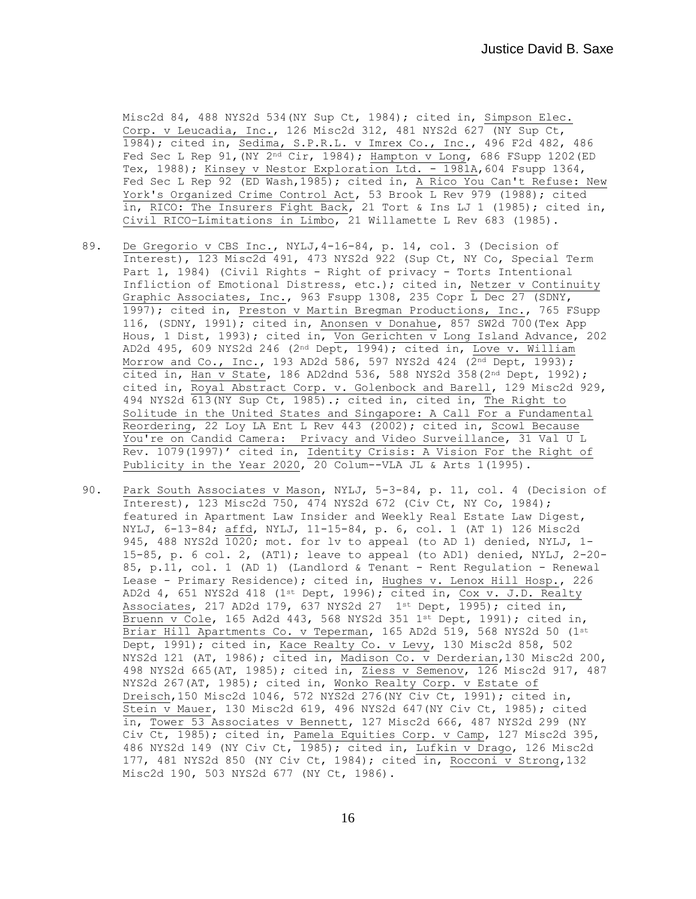Misc2d 84, 488 NYS2d 534(NY Sup Ct, 1984); cited in, Simpson Elec. Corp. v Leucadia, Inc., 126 Misc2d 312, 481 NYS2d 627 (NY Sup Ct, 1984); cited in, Sedima, S.P.R.L. v Imrex Co., Inc., 496 F2d 482, 486 Fed Sec L Rep 91,  $(NY \t{2^{nd} Cir, 1984})$ ; Hampton v Long, 686 FSupp 1202(ED Tex, 1988); Kinsey v Nestor Exploration Ltd. - 1981A, 604 Fsupp 1364, Fed Sec L Rep 92 (ED Wash, 1985); cited in, A Rico You Can't Refuse: New York's Organized Crime Control Act, 53 Brook L Rev 979 (1988); cited in, RICO: The Insurers Fight Back, 21 Tort & Ins LJ 1 (1985); cited in, Civil RICO–Limitations in Limbo, 21 Willamette L Rev 683 (1985).

- 89. De Gregorio v CBS Inc., NYLJ, 4-16-84, p. 14, col. 3 (Decision of Interest), 123 Misc2d 491, 473 NYS2d 922 (Sup Ct, NY Co, Special Term Part 1, 1984) (Civil Rights - Right of privacy - Torts Intentional Infliction of Emotional Distress, etc.); cited in, Netzer v Continuity Graphic Associates, Inc., 963 Fsupp 1308, 235 Copr L Dec 27 (SDNY, 1997); cited in, Preston v Martin Bregman Productions, Inc., 765 FSupp 116, (SDNY, 1991); cited in, Anonsen v Donahue, 857 SW2d 700(Tex App Hous, 1 Dist, 1993); cited in, Von Gerichten v Long Island Advance, 202 AD2d 495, 609 NYS2d 246 (2nd Dept, 1994); cited in, Love v. William Morrow and Co., Inc., 193 AD2d 586, 597 NYS2d 424  $(2^{nd}$  Dept, 1993); cited in, Han v State, 186 AD2dnd 536, 588 NYS2d 358(2<sup>nd</sup> Dept, 1992); cited in, Royal Abstract Corp. v. Golenbock and Barell, 129 Misc2d 929, 494 NYS2d 613(NY Sup Ct, 1985).; cited in, cited in, The Right to Solitude in the United States and Singapore: A Call For a Fundamental Reordering, 22 Loy LA Ent L Rev 443 (2002); cited in, Scowl Because You're on Candid Camera: Privacy and Video Surveillance, 31 Val U L Rev. 1079(1997)' cited in, Identity Crisis: A Vision For the Right of Publicity in the Year 2020, 20 Colum--VLA JL & Arts 1(1995).
- 90. Park South Associates v Mason, NYLJ, 5-3-84, p. 11, col. 4 (Decision of Interest), 123 Misc2d 750, 474 NYS2d 672 (Civ Ct, NY Co, 1984); featured in Apartment Law Insider and Weekly Real Estate Law Digest, NYLJ, 6-13-84; affd, NYLJ, 11-15-84, p. 6, col. 1 (AT 1) 126 Misc2d 945, 488 NYS2d 1020; mot. for lv to appeal (to AD 1) denied, NYLJ, 1- 15-85, p. 6 col. 2, (AT1); leave to appeal (to AD1) denied, NYLJ, 2-20- 85, p.11, col. 1 (AD 1) (Landlord & Tenant - Rent Regulation - Renewal Lease - Primary Residence); cited in, Hughes v. Lenox Hill Hosp., 226 AD2d 4, 651 NYS2d 418 (1st Dept, 1996); cited in, Cox v. J.D. Realty Associates, 217 AD2d 179, 637 NYS2d 27  $1^{st}$  Dept, 1995); cited in, Bruenn v Cole, 165 Ad2d 443, 568 NYS2d 351 1st Dept, 1991); cited in, Briar Hill Apartments Co. v Teperman, 165 AD2d 519, 568 NYS2d 50 (1st Dept, 1991); cited in, Kace Realty Co. v Levy, 130 Misc2d 858, 502 NYS2d 121 (AT, 1986); cited in, Madison Co. v Derderian,130 Misc2d 200, 498 NYS2d 665(AT, 1985); cited in, Ziess v Semenov, 126 Misc2d 917, 487 NYS2d 267(AT, 1985); cited in, Wonko Realty Corp. v Estate of Dreisch,150 Misc2d 1046, 572 NYS2d 276(NY Civ Ct, 1991); cited in, Stein v Mauer, 130 Misc2d 619, 496 NYS2d 647(NY Civ Ct, 1985); cited in, Tower 53 Associates v Bennett, 127 Misc2d 666, 487 NYS2d 299 (NY Civ Ct, 1985); cited in, Pamela Equities Corp. v Camp, 127 Misc2d 395, 486 NYS2d 149 (NY Civ Ct, 1985); cited in, Lufkin v Drago, 126 Misc2d 177, 481 NYS2d 850 (NY Civ Ct, 1984); cited in, Rocconi v Strong,132 Misc2d 190, 503 NYS2d 677 (NY Ct, 1986).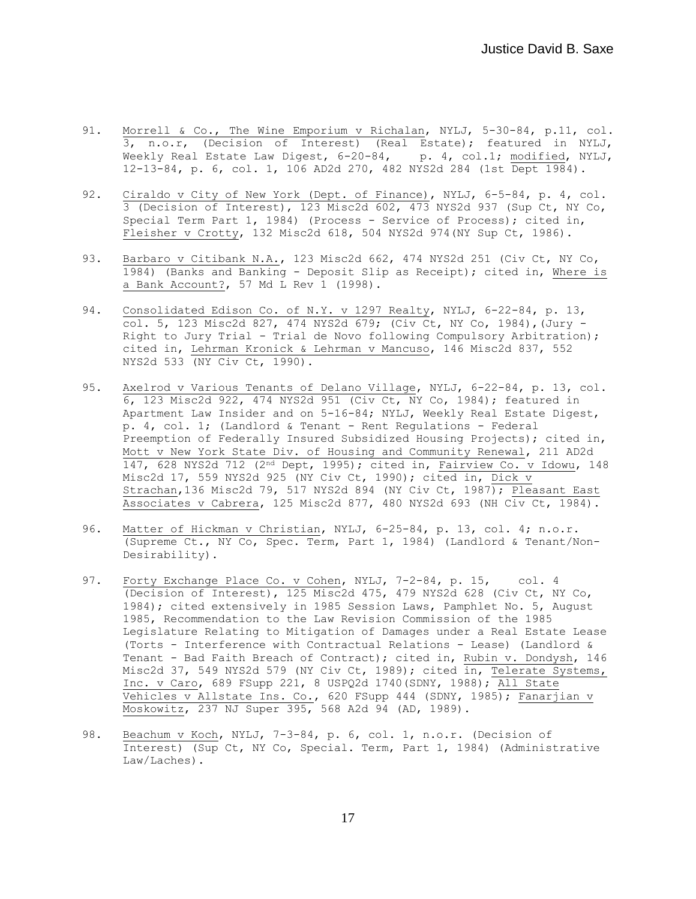- 91. Morrell & Co., The Wine Emporium v Richalan, NYLJ, 5-30-84, p.11, col. 3, n.o.r, (Decision of Interest) (Real Estate); featured in NYLJ, Weekly Real Estate Law Digest, 6-20-84, p. 4, col.1; modified, NYLJ, 12-13-84, p. 6, col. 1, 106 AD2d 270, 482 NYS2d 284 (1st Dept 1984).
- 92. Ciraldo v City of New York (Dept. of Finance), NYLJ, 6-5-84, p. 4, col. 3 (Decision of Interest), 123 Misc2d 602, 473 NYS2d 937 (Sup Ct, NY Co, Special Term Part 1, 1984) (Process - Service of Process); cited in, Fleisher v Crotty, 132 Misc2d 618, 504 NYS2d 974(NY Sup Ct, 1986).
- 93. Barbaro v Citibank N.A., 123 Misc2d 662, 474 NYS2d 251 (Civ Ct, NY Co, 1984) (Banks and Banking - Deposit Slip as Receipt); cited in, Where is a Bank Account?, 57 Md L Rev 1 (1998).
- 94. Consolidated Edison Co. of N.Y. v 1297 Realty, NYLJ, 6-22-84, p. 13, col. 5, 123 Misc2d 827, 474 NYS2d 679; (Civ Ct, NY Co, 1984),(Jury - Right to Jury Trial - Trial de Novo following Compulsory Arbitration); cited in, Lehrman Kronick & Lehrman v Mancuso, 146 Misc2d 837, 552 NYS2d 533 (NY Civ Ct, 1990).
- 95. Axelrod v Various Tenants of Delano Village, NYLJ, 6-22-84, p. 13, col. 6, 123 Misc2d 922, 474 NYS2d 951 (Civ Ct, NY Co, 1984); featured in Apartment Law Insider and on 5-16-84; NYLJ, Weekly Real Estate Digest, p. 4, col. 1; (Landlord & Tenant - Rent Regulations - Federal Preemption of Federally Insured Subsidized Housing Projects); cited in, Mott v New York State Div. of Housing and Community Renewal, 211 AD2d 147, 628 NYS2d 712 (2nd Dept, 1995); cited in, Fairview Co. v Idowu, 148 Misc2d 17, 559 NYS2d 925 (NY Civ Ct, 1990); cited in, Dick v Strachan,136 Misc2d 79, 517 NYS2d 894 (NY Civ Ct, 1987); Pleasant East Associates v Cabrera, 125 Misc2d 877, 480 NYS2d 693 (NH Civ Ct, 1984).
- 96. Matter of Hickman v Christian, NYLJ, 6-25-84, p. 13, col. 4; n.o.r. (Supreme Ct., NY Co, Spec. Term, Part 1, 1984) (Landlord & Tenant/Non-Desirability).
- 97. Forty Exchange Place Co. v Cohen, NYLJ, 7-2-84, p. 15, col. 4 (Decision of Interest), 125 Misc2d 475, 479 NYS2d 628 (Civ Ct, NY Co, 1984); cited extensively in 1985 Session Laws, Pamphlet No. 5, August 1985, Recommendation to the Law Revision Commission of the 1985 Legislature Relating to Mitigation of Damages under a Real Estate Lease (Torts - Interference with Contractual Relations - Lease) (Landlord & Tenant - Bad Faith Breach of Contract); cited in, Rubin v. Dondysh, 146 Misc2d 37, 549 NYS2d 579 (NY Civ Ct, 1989); cited in, Telerate Systems, Inc. v Caro, 689 FSupp 221, 8 USPQ2d 1740(SDNY, 1988); All State Vehicles v Allstate Ins. Co., 620 FSupp 444 (SDNY, 1985); Fanarjian v Moskowitz, 237 NJ Super 395, 568 A2d 94 (AD, 1989).
- 98. Beachum v Koch, NYLJ, 7-3-84, p. 6, col. 1, n.o.r. (Decision of Interest) (Sup Ct, NY Co, Special. Term, Part 1, 1984) (Administrative Law/Laches).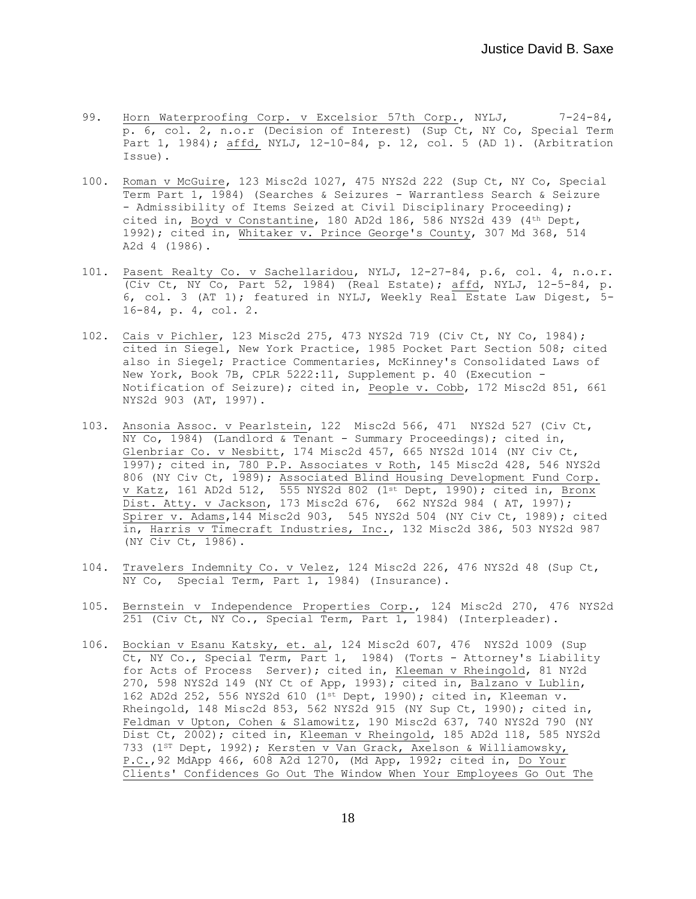- 99. Horn Waterproofing Corp. v Excelsior 57th Corp., NYLJ, 7-24-84, p. 6, col. 2, n.o.r (Decision of Interest) (Sup Ct, NY Co, Special Term Part 1, 1984); affd, NYLJ, 12-10-84, p. 12, col. 5 (AD 1). (Arbitration Issue).
- 100. Roman v McGuire, 123 Misc2d 1027, 475 NYS2d 222 (Sup Ct, NY Co, Special Term Part 1, 1984) (Searches & Seizures - Warrantless Search & Seizure - Admissibility of Items Seized at Civil Disciplinary Proceeding); cited in, Boyd v Constantine, 180 AD2d 186, 586 NYS2d 439 (4th Dept, 1992); cited in, Whitaker v. Prince George's County, 307 Md 368, 514 A2d 4 (1986).
- 101. Pasent Realty Co. v Sachellaridou, NYLJ, 12-27-84, p.6, col. 4, n.o.r. (Civ Ct, NY Co, Part 52, 1984) (Real Estate); affd, NYLJ, 12-5-84, p. 6, col. 3 (AT 1); featured in NYLJ, Weekly Real Estate Law Digest, 5- 16-84, p. 4, col. 2.
- 102. Cais v Pichler, 123 Misc2d 275, 473 NYS2d 719 (Civ Ct, NY Co, 1984); cited in Siegel, New York Practice, 1985 Pocket Part Section 508; cited also in Siegel; Practice Commentaries, McKinney's Consolidated Laws of New York, Book 7B, CPLR 5222:11, Supplement p. 40 (Execution - Notification of Seizure); cited in, People v. Cobb, 172 Misc2d 851, 661 NYS2d 903 (AT, 1997).
- 103. Ansonia Assoc. v Pearlstein, 122 Misc2d 566, 471 NYS2d 527 (Civ Ct,  $\overline{NY}$  Co, 1984) (Landlord & Tenant - Summary Proceedings); cited in, Glenbriar Co. v Nesbitt, 174 Misc2d 457, 665 NYS2d 1014 (NY Civ Ct, 1997); cited in, 780 P.P. Associates v Roth, 145 Misc2d 428, 546 NYS2d 806 (NY Civ Ct, 1989); Associated Blind Housing Development Fund Corp. v Katz, 161 AD2d 512, 555 NYS2d 802 (1st Dept, 1990); cited in, Bronx Dist. Atty. v Jackson, 173 Misc2d 676, 662 NYS2d 984 ( AT, 1997); Spirer v. Adams,144 Misc2d 903, 545 NYS2d 504 (NY Civ Ct, 1989); cited in, Harris v Timecraft Industries, Inc., 132 Misc2d 386, 503 NYS2d 987 (NY Civ Ct, 1986).
- 104. Travelers Indemnity Co. v Velez, 124 Misc2d 226, 476 NYS2d 48 (Sup Ct, NY Co, Special Term, Part 1, 1984) (Insurance).
- 105. Bernstein v Independence Properties Corp., 124 Misc2d 270, 476 NYS2d 251 (Civ Ct, NY Co., Special Term, Part 1, 1984) (Interpleader).
- 106. Bockian v Esanu Katsky, et. al, 124 Misc2d 607, 476 NYS2d 1009 (Sup Ct, NY Co., Special Term, Part 1, 1984) (Torts - Attorney's Liability for Acts of Process Server); cited in, Kleeman v Rheingold, 81 NY2d 270, 598 NYS2d 149 (NY Ct of App, 1993); cited in, Balzano v Lublin, 162 AD2d 252, 556 NYS2d 610 (1st Dept, 1990); cited in, Kleeman v. Rheingold, 148 Misc2d 853, 562 NYS2d 915 (NY Sup Ct, 1990); cited in, Feldman v Upton, Cohen & Slamowitz, 190 Misc2d 637, 740 NYS2d 790 (NY Dist Ct, 2002); cited in, Kleeman v Rheingold, 185 AD2d 118, 585 NYS2d 733 (1<sup>st</sup> Dept, 1992); Kersten v Van Grack, Axelson & Williamowsky, P.C.,92 MdApp 466, 608 A2d 1270, (Md App, 1992; cited in, Do Your Clients' Confidences Go Out The Window When Your Employees Go Out The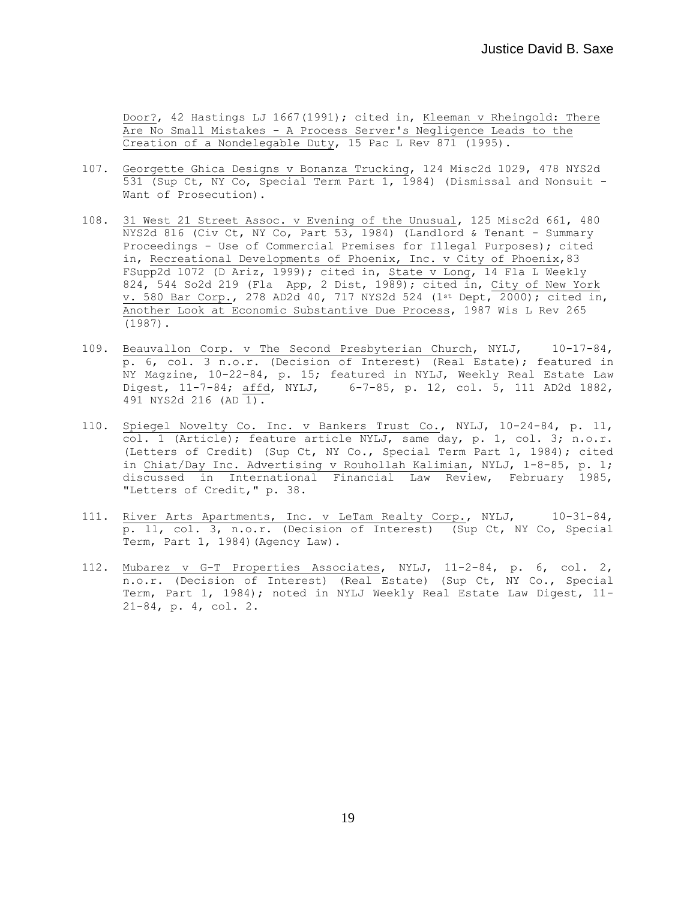Door?, 42 Hastings LJ 1667(1991); cited in, Kleeman v Rheingold: There Are No Small Mistakes - A Process Server's Negligence Leads to the Creation of a Nondelegable Duty, 15 Pac L Rev 871 (1995).

- 107. Georgette Ghica Designs v Bonanza Trucking, 124 Misc2d 1029, 478 NYS2d 531 (Sup Ct, NY Co, Special Term Part 1, 1984) (Dismissal and Nonsuit - Want of Prosecution).
- 108. 31 West 21 Street Assoc. v Evening of the Unusual, 125 Misc2d 661, 480 NYS2d 816 (Civ Ct, NY Co, Part 53, 1984) (Landlord & Tenant - Summary Proceedings - Use of Commercial Premises for Illegal Purposes); cited in, Recreational Developments of Phoenix, Inc. v City of Phoenix,83 FSupp2d 1072 (D Ariz, 1999); cited in, State v Long, 14 Fla L Weekly 824, 544 So2d 219 (Fla App, 2 Dist, 1989); cited in, City of New York v. 580 Bar Corp., 278 AD2d 40, 717 NYS2d 524 (1st Dept, 2000); cited in, Another Look at Economic Substantive Due Process, 1987 Wis L Rev 265 (1987).
- 109. Beauvallon Corp. v The Second Presbyterian Church, NYLJ, 10-17-84, p. 6, col. 3 n.o.r. (Decision of Interest) (Real Estate); featured in NY Magzine, 10-22-84, p. 15; featured in NYLJ, Weekly Real Estate Law Digest, 11-7-84; affd, NYLJ, 6-7-85, p. 12, col. 5, 111 AD2d 1882, 491 NYS2d 216 (AD 1).
- 110. Spiegel Novelty Co. Inc. v Bankers Trust Co., NYLJ, 10-24-84, p. 11, col. 1 (Article); feature article NYLJ, same day, p. 1, col. 3; n.o.r. (Letters of Credit) (Sup Ct, NY Co., Special Term Part 1, 1984); cited in Chiat/Day Inc. Advertising v Rouhollah Kalimian, NYLJ, 1-8-85, p. 1; discussed in International Financial Law Review, February 1985, "Letters of Credit," p. 38.
- 111. River Arts Apartments, Inc. v LeTam Realty Corp., NYLJ, 10-31-84, p. 11, col. 3, n.o.r. (Decision of Interest) (Sup Ct, NY Co, Special Term, Part 1, 1984)(Agency Law).
- 112. Mubarez v G-T Properties Associates, NYLJ, 11-2-84, p. 6, col. 2, n.o.r. (Decision of Interest) (Real Estate) (Sup Ct, NY Co., Special Term, Part 1, 1984); noted in NYLJ Weekly Real Estate Law Digest, 11-21-84, p. 4, col. 2.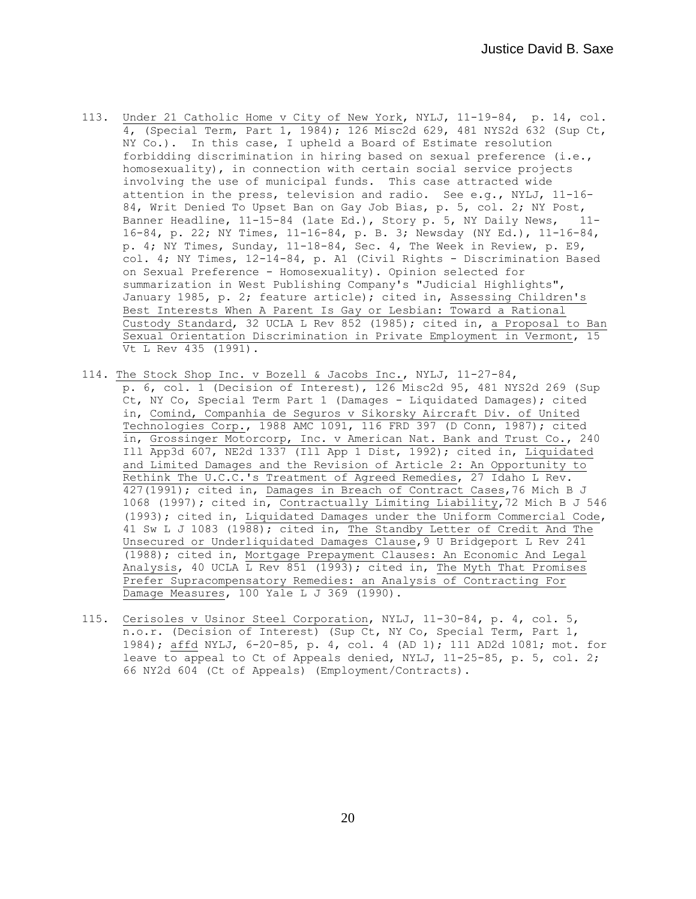- 113. Under 21 Catholic Home v City of New York, NYLJ, 11-19-84, p. 14, col. 4, (Special Term, Part 1, 1984); 126 Misc2d 629, 481 NYS2d 632 (Sup Ct, NY Co.). In this case, I upheld a Board of Estimate resolution forbidding discrimination in hiring based on sexual preference (i.e., homosexuality), in connection with certain social service projects involving the use of municipal funds. This case attracted wide attention in the press, television and radio. See e.g., NYLJ, 11-16- 84, Writ Denied To Upset Ban on Gay Job Bias, p. 5, col. 2; NY Post, Banner Headline, 11-15-84 (late Ed.), Story p. 5, NY Daily News, 11- 16-84, p. 22; NY Times, 11-16-84, p. B. 3; Newsday (NY Ed.), 11-16-84, p. 4; NY Times, Sunday, 11-18-84, Sec. 4, The Week in Review, p. E9, col. 4; NY Times, 12-14-84, p. A1 (Civil Rights - Discrimination Based on Sexual Preference - Homosexuality). Opinion selected for summarization in West Publishing Company's "Judicial Highlights", January 1985, p. 2; feature article); cited in, Assessing Children's Best Interests When A Parent Is Gay or Lesbian: Toward a Rational Custody Standard, 32 UCLA L Rev 852 (1985); cited in, a Proposal to Ban Sexual Orientation Discrimination in Private Employment in Vermont, 15 Vt L Rev 435 (1991).
- 114. The Stock Shop Inc. v Bozell & Jacobs Inc., NYLJ, 11-27-84, p. 6, col. 1 (Decision of Interest), 126 Misc2d 95, 481 NYS2d 269 (Sup Ct, NY Co, Special Term Part 1 (Damages - Liquidated Damages); cited in, Comind, Companhia de Seguros v Sikorsky Aircraft Div. of United Technologies Corp., 1988 AMC 1091, 116 FRD 397 (D Conn, 1987); cited in, Grossinger Motorcorp, Inc. v American Nat. Bank and Trust Co., 240 Ill App3d 607, NE2d 1337 (Ill App 1 Dist, 1992); cited in, Liquidated and Limited Damages and the Revision of Article 2: An Opportunity to Rethink The U.C.C.'s Treatment of Agreed Remedies, 27 Idaho L Rev. 427(1991); cited in, Damages in Breach of Contract Cases,76 Mich B J 1068 (1997)**;** cited in, Contractually Limiting Liability,72 Mich B J 546 (1993); cited in, Liquidated Damages under the Uniform Commercial Code, 41 Sw L J 1083 (1988); cited in, The Standby Letter of Credit And The Unsecured or Underliquidated Damages Clause,9 U Bridgeport L Rev 241 (1988); cited in, Mortgage Prepayment Clauses: An Economic And Legal Analysis, 40 UCLA  $\overline{L}$  Rev 851 (1993); cited in, The Myth That Promises Prefer Supracompensatory Remedies: an Analysis of Contracting For Damage Measures, 100 Yale L J 369 (1990).
- 115. Cerisoles v Usinor Steel Corporation, NYLJ, 11-30-84, p. 4, col. 5, n.o.r. (Decision of Interest) (Sup Ct, NY Co, Special Term, Part 1, 1984); affd NYLJ, 6-20-85, p. 4, col. 4 (AD 1); 111 AD2d 1081; mot. for leave to appeal to Ct of Appeals denied, NYLJ, 11-25-85, p. 5, col. 2; 66 NY2d 604 (Ct of Appeals) (Employment/Contracts).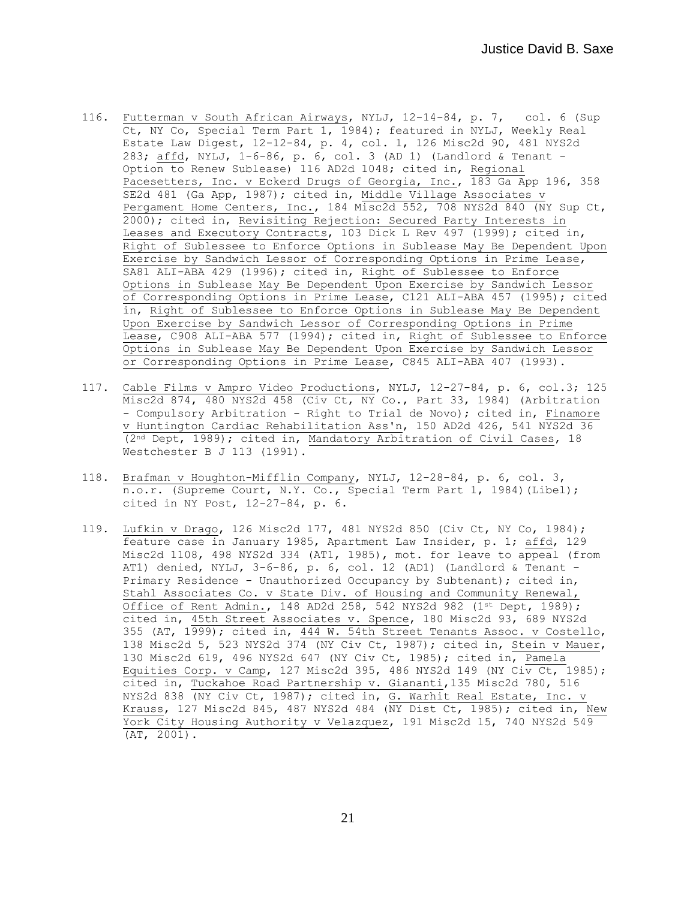- 116. Futterman v South African Airways, NYLJ, 12-14-84, p. 7, col. 6 (Sup Ct, NY Co, Special Term Part 1, 1984); featured in NYLJ, Weekly Real Estate Law Digest, 12-12-84, p. 4, col. 1, 126 Misc2d 90, 481 NYS2d 283; affd, NYLJ, 1-6-86, p. 6, col. 3 (AD 1) (Landlord & Tenant - Option to Renew Sublease) 116 AD2d 1048; cited in, Regional Pacesetters, Inc. v Eckerd Drugs of Georgia, Inc., 183 Ga App 196, 358 SE2d 481 (Ga App, 1987); cited in, Middle Village Associates v Pergament Home Centers, Inc., 184 Misc2d 552, 708 NYS2d 840 (NY Sup Ct, 2000); cited in, Revisiting Rejection: Secured Party Interests in Leases and Executory Contracts, 103 Dick L Rev 497 (1999); cited in, Right of Sublessee to Enforce Options in Sublease May Be Dependent Upon Exercise by Sandwich Lessor of Corresponding Options in Prime Lease, SA81 ALI-ABA 429 (1996); cited in, Right of Sublessee to Enforce Options in Sublease May Be Dependent Upon Exercise by Sandwich Lessor of Corresponding Options in Prime Lease, C121 ALI-ABA 457 (1995); cited in, Right of Sublessee to Enforce Options in Sublease May Be Dependent Upon Exercise by Sandwich Lessor of Corresponding Options in Prime Lease, C908 ALI-ABA 577 (1994); cited in, Right of Sublessee to Enforce Options in Sublease May Be Dependent Upon Exercise by Sandwich Lessor or Corresponding Options in Prime Lease, C845 ALI-ABA 407 (1993).
- 117. Cable Films v Ampro Video Productions, NYLJ, 12-27-84, p. 6, col.3; 125 Misc2d 874, 480 NYS2d 458 (Civ Ct, NY Co., Part 33, 1984) (Arbitration - Compulsory Arbitration - Right to Trial de Novo); cited in, Finamore v Huntington Cardiac Rehabilitation Ass'n, 150 AD2d 426, 541 NYS2d 36 (2nd Dept, 1989); cited in, Mandatory Arbitration of Civil Cases, 18 Westchester B J 113 (1991).
- 118. Brafman v Houghton-Mifflin Company, NYLJ, 12-28-84, p. 6, col. 3, n.o.r. (Supreme Court, N.Y. Co., Special Term Part 1, 1984)(Libel); cited in NY Post, 12-27-84, p. 6.
- 119. Lufkin v Drago, 126 Misc2d 177, 481 NYS2d 850 (Civ Ct, NY Co, 1984); feature case in January 1985, Apartment Law Insider, p. 1; affd, 129 Misc2d 1108, 498 NYS2d 334 (AT1, 1985), mot. for leave to appeal (from AT1) denied, NYLJ, 3-6-86, p. 6, col. 12 (AD1) (Landlord & Tenant - Primary Residence - Unauthorized Occupancy by Subtenant); cited in, Stahl Associates Co. v State Div. of Housing and Community Renewal, Office of Rent Admin., 148 AD2d 258, 542 NYS2d 982 (1st Dept, 1989); cited in, 45th Street Associates v. Spence, 180 Misc2d 93, 689 NYS2d 355 (AT, 1999); cited in, 444 W. 54th Street Tenants Assoc. v Costello, 138 Misc2d 5, 523 NYS2d 374 (NY Civ Ct, 1987); cited in, Stein v Mauer, 130 Misc2d 619, 496 NYS2d 647 (NY Civ Ct, 1985); cited in, Pamela Equities Corp. v Camp, 127 Misc2d 395, 486 NYS2d 149 (NY Civ Ct, 1985); cited in, Tuckahoe Road Partnership v. Giananti,135 Misc2d 780, 516 NYS2d 838 (NY Civ Ct, 1987); cited in, G. Warhit Real Estate, Inc. v Krauss, 127 Misc2d 845, 487 NYS2d 484 (NY Dist Ct, 1985); cited in, New York City Housing Authority v Velazquez, 191 Misc2d 15, 740 NYS2d 549 (AT, 2001).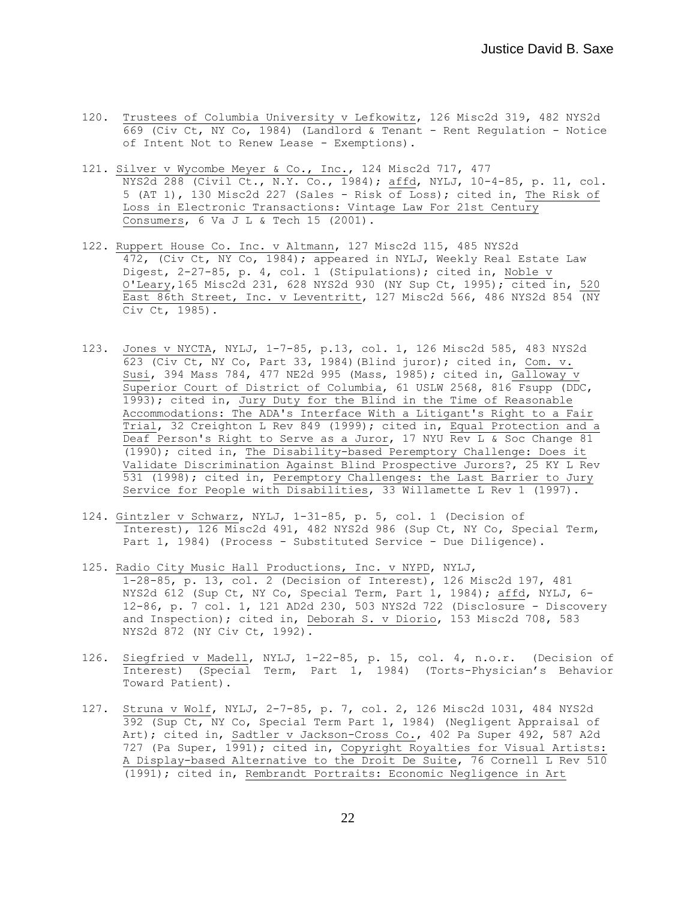- 120. Trustees of Columbia University v Lefkowitz, 126 Misc2d 319, 482 NYS2d 669 (Civ Ct, NY Co, 1984) (Landlord & Tenant - Rent Regulation - Notice of Intent Not to Renew Lease - Exemptions).
- 121. Silver v Wycombe Meyer & Co., Inc., 124 Misc2d 717, 477 NYS2d 288 (Civil Ct., N.Y. Co., 1984); affd, NYLJ, 10-4-85, p. 11, col. 5 (AT 1), 130 Misc2d 227 (Sales - Risk of Loss); cited in, The Risk of Loss in Electronic Transactions: Vintage Law For 21st Century Consumers, 6 Va J L & Tech 15 (2001).
- 122. Ruppert House Co. Inc. v Altmann, 127 Misc2d 115, 485 NYS2d 472, (Civ Ct, NY Co, 1984); appeared in NYLJ, Weekly Real Estate Law Digest, 2-27-85, p. 4, col. 1 (Stipulations); cited in, Noble v O'Leary,165 Misc2d 231, 628 NYS2d 930 (NY Sup Ct, 1995); cited in, 520 East 86th Street, Inc. v Leventritt, 127 Misc2d 566, 486 NYS2d 854 (NY Civ Ct, 1985).
- 123. Jones v NYCTA, NYLJ, 1-7-85, p.13, col. 1, 126 Misc2d 585, 483 NYS2d 623 (Civ Ct, NY Co, Part 33, 1984)(Blind juror); cited in, Com. v. Susi, 394 Mass 784, 477 NE2d 995 (Mass, 1985); cited in, Galloway v Superior Court of District of Columbia, 61 USLW 2568, 816 Fsupp (DDC, 1993); cited in, Jury Duty for the Blind in the Time of Reasonable Accommodations: The ADA's Interface With a Litigant's Right to a Fair Trial, 32 Creighton L Rev 849 (1999); cited in, Equal Protection and a Deaf Person's Right to Serve as a Juror, 17 NYU Rev L & Soc Change 81 (1990); cited in, The Disability-based Peremptory Challenge: Does it Validate Discrimination Against Blind Prospective Jurors?, 25 KY L Rev 531 (1998); cited in, Peremptory Challenges: the Last Barrier to Jury Service for People with Disabilities, 33 Willamette L Rev 1 (1997).
- 124. Gintzler v Schwarz, NYLJ, 1-31-85, p. 5, col. 1 (Decision of Interest), 126 Misc2d 491, 482 NYS2d 986 (Sup Ct, NY Co, Special Term, Part 1, 1984) (Process - Substituted Service - Due Diligence).
- 125. Radio City Music Hall Productions, Inc. v NYPD, NYLJ, 1-28-85, p. 13, col. 2 (Decision of Interest), 126 Misc2d 197, 481 NYS2d 612 (Sup Ct, NY Co, Special Term, Part 1, 1984); affd, NYLJ, 6- 12-86, p. 7 col. 1, 121 AD2d 230, 503 NYS2d 722 (Disclosure - Discovery and Inspection); cited in, Deborah S. v Diorio, 153 Misc2d 708, 583 NYS2d 872 (NY Civ Ct, 1992).
- 126. Siegfried v Madell, NYLJ, 1-22-85, p. 15, col. 4, n.o.r. (Decision of Interest) (Special Term, Part 1, 1984) (Torts-Physician's Behavior Toward Patient).
- 127. Struna v Wolf, NYLJ, 2-7-85, p. 7, col. 2, 126 Misc2d 1031, 484 NYS2d 392 (Sup Ct, NY Co, Special Term Part 1, 1984) (Negligent Appraisal of Art); cited in, Sadtler v Jackson-Cross Co., 402 Pa Super 492, 587 A2d 727 (Pa Super, 1991); cited in, Copyright Royalties for Visual Artists: A Display-based Alternative to the Droit De Suite, 76 Cornell L Rev 510 (1991); cited in, Rembrandt Portraits: Economic Negligence in Art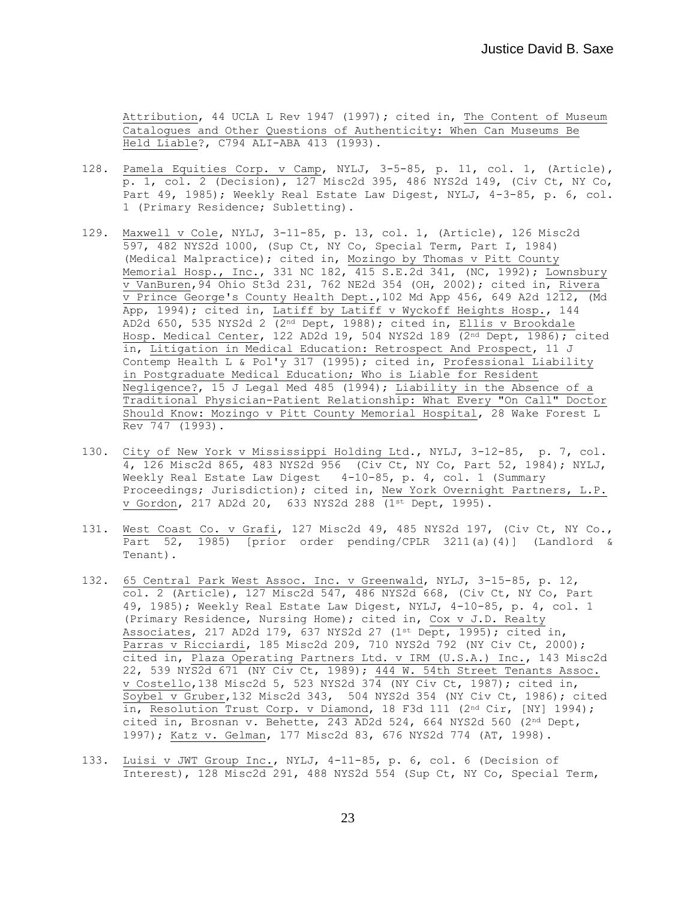Attribution, 44 UCLA L Rev 1947 (1997)**;** cited in, The Content of Museum Catalogues and Other Questions of Authenticity: When Can Museums Be Held Liable?, C794 ALI-ABA 413 (1993).

- 128. Pamela Equities Corp. v Camp, NYLJ, 3-5-85, p. 11, col. 1, (Article), p. 1, col. 2 (Decision), 127 Misc2d 395, 486 NYS2d 149, (Civ Ct, NY Co, Part 49, 1985); Weekly Real Estate Law Digest, NYLJ, 4-3-85, p. 6, col. 1 (Primary Residence; Subletting).
- 129. Maxwell v Cole, NYLJ, 3-11-85, p. 13, col. 1, (Article), 126 Misc2d 597, 482 NYS2d 1000, (Sup Ct, NY Co, Special Term, Part I, 1984) (Medical Malpractice); cited in, Mozingo by Thomas v Pitt County Memorial Hosp., Inc., 331 NC 182, 415 S.E.2d 341, (NC, 1992); Lownsbury v VanBuren,94 Ohio St3d 231, 762 NE2d 354 (OH, 2002); cited in, Rivera  $\overline{v}$  Prince George's County Health Dept., 102 Md App 456, 649 A2d 1212, (Md App, 1994); cited in, Latiff by Latiff v Wyckoff Heights Hosp., 144 AD2d 650, 535 NYS2d 2 (2nd Dept, 1988); cited in, Ellis v Brookdale Hosp. Medical Center, 122 AD2d 19, 504 NYS2d 189 (2<sup>nd</sup> Dept, 1986); cited in, Litigation in Medical Education: Retrospect And Prospect, 11 J Contemp Health L & Pol'y 317 (1995); cited in, Professional Liability in Postgraduate Medical Education; Who is Liable for Resident Negligence?, 15 J Legal Med 485 (1994); Liability in the Absence of a Traditional Physician-Patient Relationship: What Every "On Call" Doctor Should Know: Mozingo v Pitt County Memorial Hospital, 28 Wake Forest L Rev 747 (1993).
- 130. City of New York v Mississippi Holding Ltd., NYLJ, 3-12-85, p. 7, col. 4, 126 Misc2d 865, 483 NYS2d 956 (Civ Ct, NY Co, Part 52, 1984); NYLJ, Weekly Real Estate Law Digest 4-10-85, p. 4, col. 1 (Summary Proceedings; Jurisdiction); cited in, New York Overnight Partners, L.P. v Gordon, 217 AD2d 20, 633 NYS2d 288 (1st Dept, 1995).
- 131. West Coast Co. v Grafi, 127 Misc2d 49, 485 NYS2d 197, (Civ Ct, NY Co., Part 52, 1985) [prior order pending/CPLR 3211(a)(4)] (Landlord & Tenant).
- 132. 65 Central Park West Assoc. Inc. v Greenwald, NYLJ, 3-15-85, p. 12, col. 2 (Article), 127 Misc2d 547, 486 NYS2d 668, (Civ Ct, NY Co, Part 49, 1985); Weekly Real Estate Law Digest, NYLJ, 4-10-85, p. 4, col. 1 (Primary Residence, Nursing Home); cited in, Cox v J.D. Realty Associates, 217 AD2d 179, 637 NYS2d 27 (1st Dept, 1995); cited in, Parras v Ricciardi, 185 Misc2d 209, 710 NYS2d 792 (NY Civ Ct, 2000); cited in, Plaza Operating Partners Ltd. v IRM (U.S.A.) Inc., 143 Misc2d 22, 539 NYS2d 671 (NY Civ Ct, 1989); 444 W. 54th Street Tenants Assoc. v Costello,138 Misc2d 5, 523 NYS2d 374 (NY Civ Ct, 1987); cited in, Soybel v Gruber,132 Misc2d 343, 504 NYS2d 354 (NY Civ Ct, 1986); cited in, Resolution Trust Corp. v Diamond, 18 F3d 111 (2<sup>nd</sup> Cir, [NY] 1994); cited in, Brosnan v. Behette, 243 AD2d 524, 664 NYS2d 560 (2nd Dept, 1997); Katz v. Gelman, 177 Misc2d 83, 676 NYS2d 774 (AT, 1998).
- 133. Luisi v JWT Group Inc., NYLJ, 4-11-85, p. 6, col. 6 (Decision of Interest), 128 Misc2d 291, 488 NYS2d 554 (Sup Ct, NY Co, Special Term,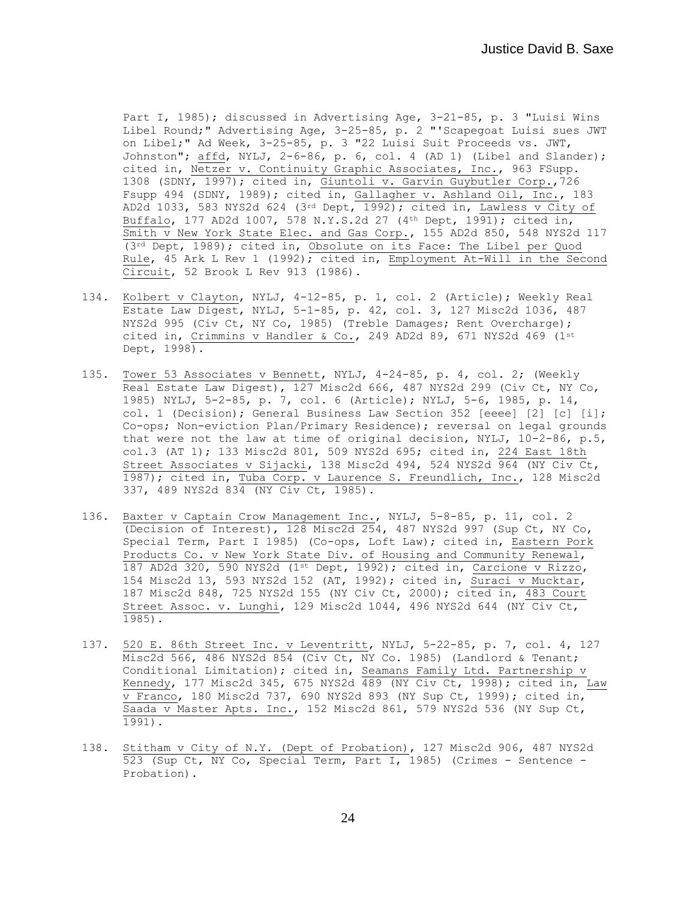Part I, 1985); discussed in Advertising Age, 3-21-85, p. 3 "Luisi Wins Libel Round;" Advertising Age, 3-25-85, p. 2 "'Scapegoat Luisi sues JWT on Libel;" Ad Week, 3-25-85, p. 3 "22 Luisi Suit Proceeds vs. JWT, Johnston"; affd, NYLJ, 2-6-86, p. 6, col. 4 (AD 1) (Libel and Slander); cited in, Netzer v. Continuity Graphic Associates, Inc., 963 FSupp. 1308 (SDNY, 1997); cited in, Giuntoli v. Garvin Guybutler Corp.,726 Fsupp 494 (SDNY, 1989); cited in, Gallagher v. Ashland Oil, Inc., 183 AD2d 1033, 583 NYS2d 624 (3rd Dept, 1992); cited in, Lawless v City of Buffalo, 177 AD2d 1007, 578 N.Y.S.2d 27 (4th Dept, 1991); cited in, Smith v New York State Elec. and Gas Corp., 155 AD2d 850, 548 NYS2d 117 (3rd Dept, 1989); cited in, Obsolute on its Face: The Libel per Quod Rule, 45 Ark L Rev 1 (1992); cited in, Employment At-Will in the Second Circuit, 52 Brook L Rev 913 (1986).

- 134. Kolbert v Clayton, NYLJ, 4-12-85, p. 1, col. 2 (Article); Weekly Real Estate Law Digest, NYLJ, 5-1-85, p. 42, col. 3, 127 Misc2d 1036, 487 NYS2d 995 (Civ Ct, NY Co, 1985) (Treble Damages; Rent Overcharge); cited in, Crimmins v Handler & Co., 249 AD2d 89, 671 NYS2d 469  $(1^{st}$ Dept, 1998).
- 135. Tower 53 Associates v Bennett, NYLJ, 4-24-85, p. 4, col. 2; (Weekly Real Estate Law Digest), 127 Misc2d 666, 487 NYS2d 299 (Civ Ct, NY Co, 1985) NYLJ, 5-2-85, p. 7, col. 6 (Article); NYLJ, 5-6, 1985, p. 14, col. 1 (Decision); General Business Law Section 352 [eeee] [2] [c] [i]; Co-ops; Non-eviction Plan/Primary Residence); reversal on legal grounds that were not the law at time of original decision, NYLJ, 10-2-86, p.5, col.3 (AT 1); 133 Misc2d 801, 509 NYS2d 695; cited in, 224 East 18th Street Associates v Sijacki, 138 Misc2d 494, 524 NYS2d 964 (NY Civ Ct, 1987); cited in, Tuba Corp. v Laurence S. Freundlich, Inc., 128 Misc2d 337, 489 NYS2d 834 (NY Civ Ct, 1985).
- 136. Baxter v Captain Crow Management Inc., NYLJ, 5-8-85, p. 11, col. 2 (Decision of Interest), 128 Misc2d 254, 487 NYS2d 997 (Sup Ct, NY Co, Special Term, Part I 1985) (Co-ops, Loft Law); cited in, Eastern Pork Products Co. v New York State Div. of Housing and Community Renewal, 187 AD2d 320, 590 NYS2d (1st Dept, 1992); cited in, Carcione v Rizzo, 154 Misc2d 13, 593 NYS2d 152 (AT, 1992); cited in, Suraci v Mucktar, 187 Misc2d 848, 725 NYS2d 155 (NY Civ Ct, 2000); cited in, 483 Court Street Assoc. v. Lunghi, 129 Misc2d 1044, 496 NYS2d 644 (NY Civ Ct, 1985).
- 137. 520 E. 86th Street Inc. v Leventritt, NYLJ, 5-22-85, p. 7, col. 4, 127 Misc2d 566, 486 NYS2d 854 (Civ Ct, NY Co. 1985) (Landlord & Tenant; Conditional Limitation); cited in, Seamans Family Ltd. Partnership v Kennedy, 177 Misc2d 345, 675 NYS2d 489 (NY Civ Ct, 1998); cited in, Law  $\overline{v}$  Franco, 180 Misc2d 737, 690 NYS2d 893 (NY Sup Ct, 1999); cited in, Saada v Master Apts. Inc., 152 Misc2d 861, 579 NYS2d 536 (NY Sup Ct, 1991).
- 138. Stitham v City of N.Y. (Dept of Probation), 127 Misc2d 906, 487 NYS2d 523 (Sup Ct, NY Co, Special Term, Part I, 1985) (Crimes - Sentence - Probation).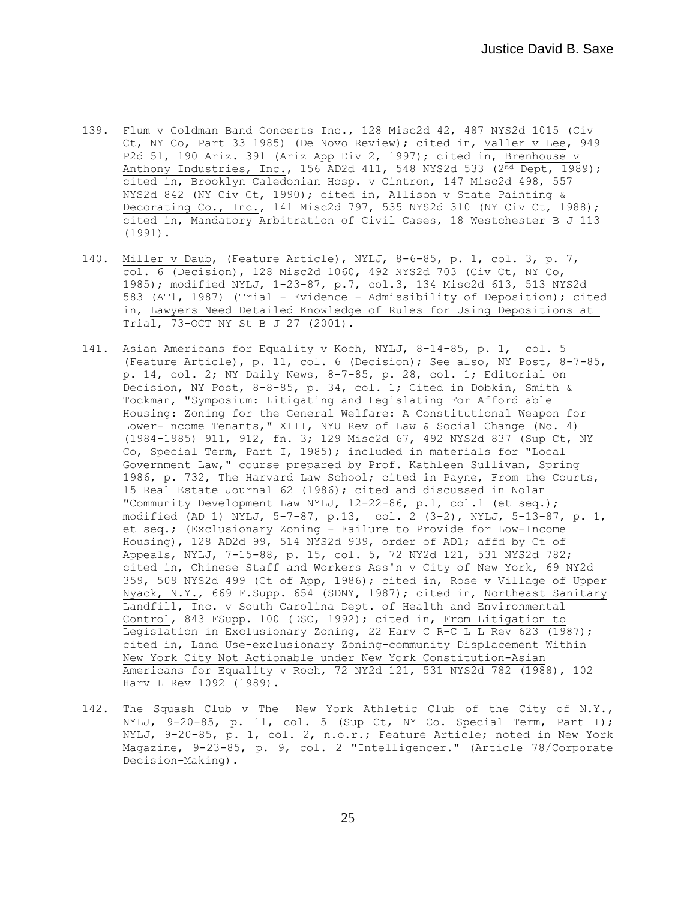- 139. Flum v Goldman Band Concerts Inc., 128 Misc2d 42, 487 NYS2d 1015 (Civ Ct, NY Co, Part 33 1985) (De Novo Review); cited in, Valler v Lee, 949 P2d 51, 190 Ariz. 391 (Ariz App Div 2, 1997); cited in, Brenhouse v Anthony Industries, Inc., 156 AD2d 411, 548 NYS2d 533 ( $2^{\overline{nd}}$  Dept, 1989); cited in, Brooklyn Caledonian Hosp. v Cintron, 147 Misc2d 498, 557 NYS2d 842 (NY Civ Ct, 1990); cited in, Allison v State Painting & Decorating Co., Inc., 141 Misc2d 797, 535 NYS2d 310 (NY Civ Ct, 1988); cited in, Mandatory Arbitration of Civil Cases, 18 Westchester B J 113 (1991).
- 140. Miller v Daub, (Feature Article), NYLJ, 8-6-85, p. 1, col. 3, p. 7, col. 6 (Decision), 128 Misc2d 1060, 492 NYS2d 703 (Civ Ct, NY Co, 1985); modified NYLJ, 1-23-87, p.7, col.3, 134 Misc2d 613, 513 NYS2d 583 (AT1, 1987) (Trial - Evidence - Admissibility of Deposition); cited in, Lawyers Need Detailed Knowledge of Rules for Using Depositions at Trial, 73-OCT NY St B J 27 (2001).
- 141. Asian Americans for Equality v Koch, NYLJ, 8-14-85, p. 1, col. 5 (Feature Article), p. 11, col. 6 (Decision); See also, NY Post, 8-7-85, p. 14, col. 2; NY Daily News, 8-7-85, p. 28, col. 1; Editorial on Decision, NY Post, 8-8-85, p. 34, col. 1; Cited in Dobkin, Smith & Tockman, "Symposium: Litigating and Legislating For Afford able Housing: Zoning for the General Welfare: A Constitutional Weapon for Lower-Income Tenants," XIII, NYU Rev of Law & Social Change (No. 4) (1984-1985) 911, 912, fn. 3; 129 Misc2d 67, 492 NYS2d 837 (Sup Ct, NY Co, Special Term, Part I, 1985); included in materials for "Local Government Law," course prepared by Prof. Kathleen Sullivan, Spring 1986, p. 732, The Harvard Law School; cited in Payne, From the Courts, 15 Real Estate Journal 62 (1986); cited and discussed in Nolan "Community Development Law NYLJ, 12-22-86, p.1, col.1 (et seq.); modified (AD 1) NYLJ, 5-7-87, p.13, col. 2 (3-2), NYLJ, 5-13-87, p. 1, et seq.; (Exclusionary Zoning - Failure to Provide for Low-Income Housing), 128 AD2d 99, 514 NYS2d 939, order of AD1; affd by Ct of Appeals, NYLJ, 7-15-88, p. 15, col. 5, 72 NY2d 121, 531 NYS2d 782; cited in, Chinese Staff and Workers Ass'n v City of New York, 69 NY2d 359, 509 NYS2d 499 (Ct of App, 1986); cited in, Rose v Village of Upper Nyack, N.Y., 669 F.Supp. 654 (SDNY, 1987); cited in, Northeast Sanitary Landfill, Inc. v South Carolina Dept. of Health and Environmental Control, 843 FSupp. 100 (DSC, 1992); cited in, From Litigation to Legislation in Exclusionary Zoning, 22 Harv C R-C L L Rev 623 (1987); cited in, Land Use-exclusionary Zoning-community Displacement Within New York City Not Actionable under New York Constitution-Asian Americans for Equality v Roch, 72 NY2d 121, 531 NYS2d 782 (1988), 102 Harv L Rev 1092 (1989).
- 142. The Squash Club v The New York Athletic Club of the City of N.Y., NYLJ, 9-20-85, p. 11, col. 5 (Sup Ct, NY Co. Special Term, Part I); NYLJ, 9-20-85, p. 1, col. 2, n.o.r.; Feature Article; noted in New York Magazine, 9-23-85, p. 9, col. 2 "Intelligencer." (Article 78/Corporate Decision-Making).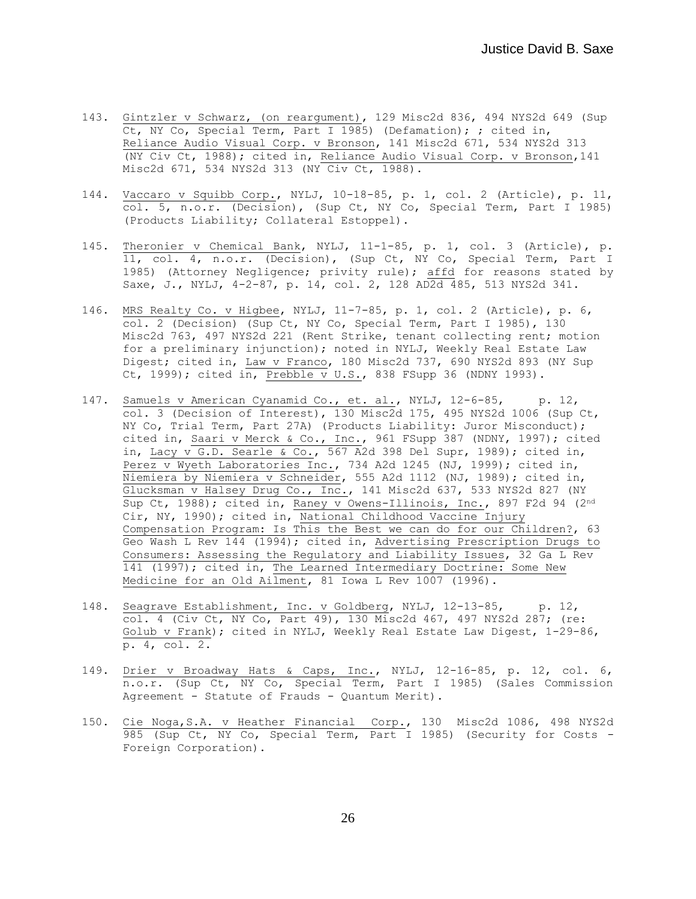- 143. Gintzler v Schwarz, (on reargument), 129 Misc2d 836, 494 NYS2d 649 (Sup Ct, NY Co, Special Term, Part I 1985) (Defamation); ; cited in, Reliance Audio Visual Corp. v Bronson, 141 Misc2d 671, 534 NYS2d 313 (NY Civ Ct, 1988); cited in, Reliance Audio Visual Corp. v Bronson,141 Misc2d 671, 534 NYS2d 313 (NY Civ Ct, 1988).
- 144. Vaccaro v Squibb Corp., NYLJ, 10-18-85, p. 1, col. 2 (Article), p. 11, col. 5, n.o.r. (Decision), (Sup Ct, NY Co, Special Term, Part I 1985) (Products Liability; Collateral Estoppel).
- 145. Theronier v Chemical Bank, NYLJ, 11-1-85, p. 1, col. 3 (Article), p. 11, col. 4, n.o.r. (Decision), (Sup Ct, NY Co, Special Term, Part I 1985) (Attorney Negligence; privity rule); affd for reasons stated by Saxe, J., NYLJ, 4-2-87, p. 14, col. 2, 128 AD2d 485, 513 NYS2d 341.
- 146. MRS Realty Co. v Higbee, NYLJ, 11-7-85, p. 1, col. 2 (Article), p. 6, col. 2 (Decision) (Sup Ct, NY Co, Special Term, Part I 1985), 130 Misc2d 763, 497 NYS2d 221 (Rent Strike, tenant collecting rent; motion for a preliminary injunction); noted in NYLJ, Weekly Real Estate Law Digest; cited in, Law v Franco, 180 Misc2d 737, 690 NYS2d 893 (NY Sup Ct, 1999); cited in, Prebble v U.S., 838 FSupp 36 (NDNY 1993).
- 147. Samuels v American Cyanamid Co., et. al., NYLJ, 12-6-85, p. 12, col. 3 (Decision of Interest), 130 Misc2d 175, 495 NYS2d 1006 (Sup Ct, NY Co, Trial Term, Part 27A) (Products Liability: Juror Misconduct); cited in, Saari v Merck & Co., Inc., 961 FSupp 387 (NDNY, 1997); cited in, Lacy v G.D. Searle & Co., 567 A2d 398 Del Supr, 1989); cited in, Perez v Wyeth Laboratories Inc., 734 A2d 1245 (NJ, 1999); cited in, Niemiera by Niemiera v Schneider, 555 A2d 1112 (NJ, 1989); cited in, Glucksman v Halsey Drug Co., Inc., 141 Misc2d 637, 533 NYS2d 827 (NY Sup Ct, 1988); cited in, Raney v Owens-Illinois, Inc., 897 F2d 94 (2nd Cir, NY, 1990); cited in, National Childhood Vaccine Injury Compensation Program: Is This the Best we can do for our Children?, 63 Geo Wash L Rev 144 (1994); cited in, Advertising Prescription Drugs to Consumers: Assessing the Regulatory and Liability Issues, 32 Ga L Rev 141 (1997); cited in, The Learned Intermediary Doctrine: Some New Medicine for an Old Ailment, 81 Iowa L Rev 1007 (1996).
- 148. Seagrave Establishment, Inc. v Goldberg, NYLJ, 12-13-85, p. 12, col. 4 (Civ Ct, NY Co, Part 49), 130 Misc2d 467, 497 NYS2d 287; (re: Golub v Frank); cited in NYLJ, Weekly Real Estate Law Digest, 1-29-86, p. 4, col. 2.
- 149. Drier v Broadway Hats & Caps, Inc., NYLJ, 12-16-85, p. 12, col. 6, n.o.r. (Sup Ct, NY Co, Special Term, Part I 1985) (Sales Commission Agreement - Statute of Frauds - Quantum Merit).
- 150. Cie Noga,S.A. v Heather Financial Corp., 130 Misc2d 1086, 498 NYS2d 985 (Sup Ct, NY Co, Special Term, Part I 1985) (Security for Costs - Foreign Corporation).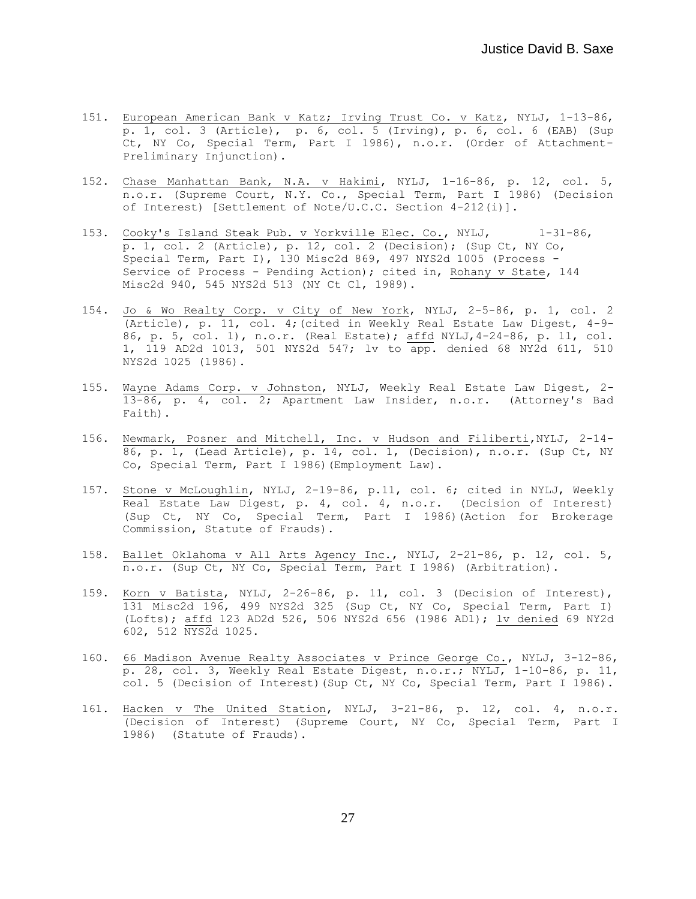- 151. European American Bank v Katz; Irving Trust Co. v Katz, NYLJ, 1-13-86, p. 1, col. 3 (Article), p. 6, col. 5 (Irving), p. 6, col. 6 (EAB) (Sup Ct, NY Co, Special Term, Part I 1986), n.o.r. (Order of Attachment-Preliminary Injunction).
- 152. Chase Manhattan Bank, N.A. v Hakimi, NYLJ, 1-16-86, p. 12, col. 5, n.o.r. (Supreme Court, N.Y. Co., Special Term, Part I 1986) (Decision of Interest) [Settlement of Note/U.C.C. Section 4-212(i)].
- 153. Cooky's Island Steak Pub. v Yorkville Elec. Co., NYLJ, 1-31-86, p. 1, col. 2 (Article), p. 12, col. 2 (Decision); (Sup Ct, NY Co, Special Term, Part I), 130 Misc2d 869, 497 NYS2d 1005 (Process - Service of Process - Pending Action); cited in, Rohany v State, 144 Misc2d 940, 545 NYS2d 513 (NY Ct Cl, 1989).
- 154. Jo & Wo Realty Corp. v City of New York, NYLJ, 2-5-86, p. 1, col. 2 (Article), p. 11, col. 4;(cited in Weekly Real Estate Law Digest, 4-9- 86, p. 5, col. 1), n.o.r. (Real Estate); affd NYLJ,4-24-86, p. 11, col. 1, 119 AD2d 1013, 501 NYS2d 547; lv to app. denied 68 NY2d 611, 510 NYS2d 1025 (1986).
- 155. Wayne Adams Corp. v Johnston, NYLJ, Weekly Real Estate Law Digest, 2- 13-86, p. 4, col. 2; Apartment Law Insider, n.o.r. (Attorney's Bad Faith).
- 156. Newmark, Posner and Mitchell, Inc. v Hudson and Filiberti,NYLJ, 2-14- 86, p. 1, (Lead Article), p. 14, col. 1, (Decision), n.o.r. (Sup Ct, NY Co, Special Term, Part I 1986)(Employment Law).
- 157. Stone v McLoughlin, NYLJ, 2-19-86, p.11, col. 6; cited in NYLJ, Weekly Real Estate Law Digest, p. 4, col. 4, n.o.r. (Decision of Interest) (Sup Ct, NY Co, Special Term, Part I 1986)(Action for Brokerage Commission, Statute of Frauds).
- 158. Ballet Oklahoma v All Arts Agency Inc., NYLJ, 2-21-86, p. 12, col. 5, n.o.r. (Sup Ct, NY Co, Special Term, Part I 1986) (Arbitration).
- 159. Korn v Batista, NYLJ, 2-26-86, p. 11, col. 3 (Decision of Interest), 131 Misc2d 196, 499 NYS2d 325 (Sup Ct, NY Co, Special Term, Part I) (Lofts); affd 123 AD2d 526, 506 NYS2d 656 (1986 AD1); lv denied 69 NY2d 602, 512 NYS2d 1025.
- 160. 66 Madison Avenue Realty Associates v Prince George Co., NYLJ, 3-12-86, p. 28, col. 3, Weekly Real Estate Digest, n.o.r.; NYLJ, 1-10-86, p. 11, col. 5 (Decision of Interest)(Sup Ct, NY Co, Special Term, Part I 1986).
- 161. Hacken v The United Station, NYLJ, 3-21-86, p. 12, col. 4, n.o.r. (Decision of Interest) (Supreme Court, NY Co, Special Term, Part I 1986) (Statute of Frauds).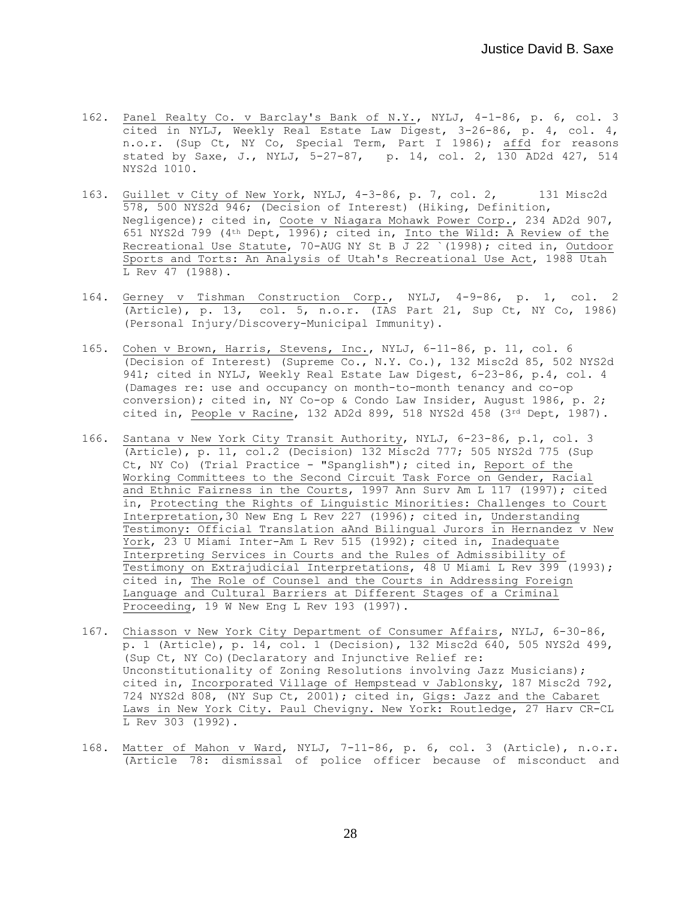- 162. Panel Realty Co. v Barclay's Bank of N.Y., NYLJ, 4-1-86, p. 6, col. 3 cited in NYLJ, Weekly Real Estate Law Digest, 3-26-86, p. 4, col. 4, n.o.r. (Sup Ct, NY Co, Special Term, Part I 1986); affd for reasons stated by Saxe, J., NYLJ, 5-27-87, p. 14, col. 2, 130 AD2d 427, 514 NYS2d 1010.
- 163. Guillet v City of New York, NYLJ, 4-3-86, p. 7, col. 2, 131 Misc2d 578, 500 NYS2d 946; (Decision of Interest) (Hiking, Definition, Negligence); cited in, Coote v Niagara Mohawk Power Corp., 234 AD2d 907, 651 NYS2d 799 (4th Dept, 1996); cited in, Into the Wild: A Review of the Recreational Use Statute, 70-AUG NY St B J 22 `(1998); cited in, Outdoor Sports and Torts: An Analysis of Utah's Recreational Use Act, 1988 Utah L Rev 47 (1988).
- 164. Gerney v Tishman Construction Corp., NYLJ, 4-9-86, p. 1, col. 2 (Article), p. 13, col. 5, n.o.r. (IAS Part 21, Sup Ct, NY Co, 1986) (Personal Injury/Discovery-Municipal Immunity).
- 165. Cohen v Brown, Harris, Stevens, Inc., NYLJ, 6-11-86, p. 11, col. 6 (Decision of Interest) (Supreme Co., N.Y. Co.), 132 Misc2d 85, 502 NYS2d 941; cited in NYLJ, Weekly Real Estate Law Digest, 6-23-86, p.4, col. 4 (Damages re: use and occupancy on month-to-month tenancy and co-op conversion); cited in, NY Co-op & Condo Law Insider, August 1986, p. 2; cited in, People v Racine, 132 AD2d 899, 518 NYS2d 458 (3rd Dept, 1987).
- 166. Santana v New York City Transit Authority, NYLJ, 6-23-86, p.1, col. 3 (Article), p. 11, col.2 (Decision) 132 Misc2d 777; 505 NYS2d 775 (Sup Ct, NY Co) (Trial Practice - "Spanglish"); cited in, Report of the Working Committees to the Second Circuit Task Force on Gender, Racial and Ethnic Fairness in the Courts, 1997 Ann Surv Am L 117 (1997); cited in, Protecting the Rights of Linguistic Minorities: Challenges to Court Interpretation,30 New Eng L Rev 227 (1996); cited in, Understanding Testimony: Official Translation aAnd Bilingual Jurors in Hernandez v New York, 23 U Miami Inter-Am L Rev 515 (1992); cited in, Inadequate Interpreting Services in Courts and the Rules of Admissibility of Testimony on Extrajudicial Interpretations, 48 U Miami L Rev 399 (1993); cited in, The Role of Counsel and the Courts in Addressing Foreign Language and Cultural Barriers at Different Stages of a Criminal Proceeding, 19 W New Eng L Rev 193 (1997).
- 167. Chiasson v New York City Department of Consumer Affairs, NYLJ, 6-30-86, p. 1 (Article), p. 14, col. 1 (Decision), 132 Misc2d 640, 505 NYS2d 499, (Sup Ct, NY Co)(Declaratory and Injunctive Relief re: Unconstitutionality of Zoning Resolutions involving Jazz Musicians); cited in, Incorporated Village of Hempstead v Jablonsky, 187 Misc2d 792, 724 NYS2d 808, (NY Sup Ct, 2001); cited in, Gigs: Jazz and the Cabaret Laws in New York City. Paul Chevigny. New York: Routledge, 27 Harv CR-CL L Rev 303 (1992).
- 168. Matter of Mahon v Ward, NYLJ, 7-11-86, p. 6, col. 3 (Article), n.o.r. (Article 78: dismissal of police officer because of misconduct and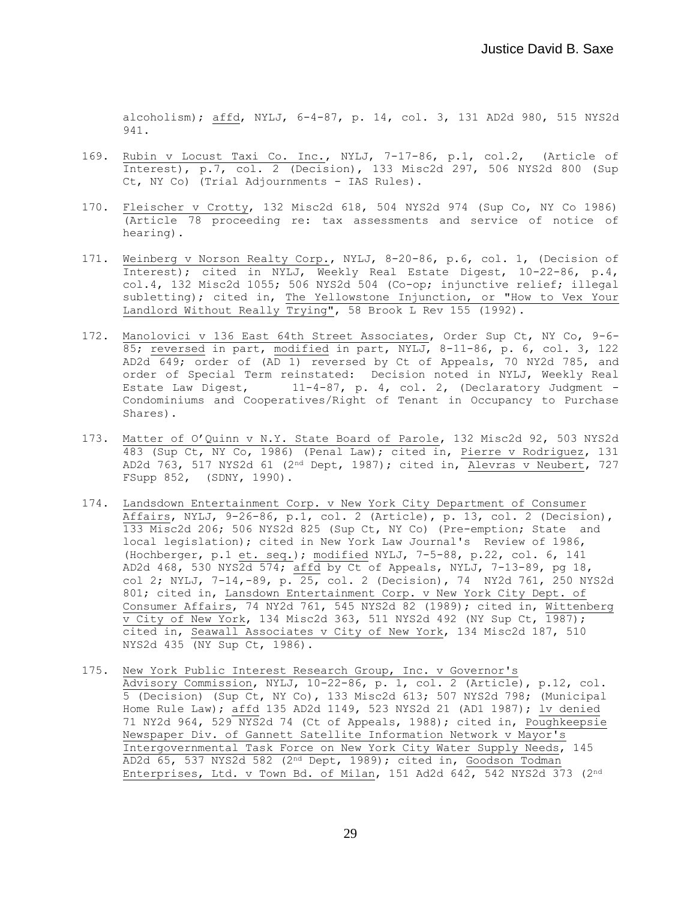alcoholism); affd, NYLJ, 6-4-87, p. 14, col. 3, 131 AD2d 980, 515 NYS2d 941.

- 169. Rubin v Locust Taxi Co. Inc., NYLJ, 7-17-86, p.1, col.2, (Article of Interest), p.7, col. 2 (Decision), 133 Misc2d 297, 506 NYS2d 800 (Sup Ct, NY Co) (Trial Adjournments - IAS Rules).
- 170. Fleischer v Crotty, 132 Misc2d 618, 504 NYS2d 974 (Sup Co, NY Co 1986) (Article 78 proceeding re: tax assessments and service of notice of hearing).
- 171. Weinberg v Norson Realty Corp., NYLJ, 8-20-86, p.6, col. 1, (Decision of Interest); cited in NYLJ, Weekly Real Estate Digest, 10-22-86, p.4, col.4, 132 Misc2d 1055; 506 NYS2d 504 (Co-op; injunctive relief; illegal subletting); cited in, The Yellowstone Injunction, or "How to Vex Your Landlord Without Really Trying", 58 Brook L Rev 155 (1992).
- 172. Manolovici v 136 East 64th Street Associates, Order Sup Ct, NY Co, 9-6- 85; reversed in part, modified in part, NYLJ, 8-11-86, p. 6, col. 3, 122 AD2d 649; order of (AD 1) reversed by Ct of Appeals, 70 NY2d 785, and order of Special Term reinstated: Decision noted in NYLJ, Weekly Real Estate Law Digest, 11-4-87, p. 4, col. 2, (Declaratory Judgment -Condominiums and Cooperatives/Right of Tenant in Occupancy to Purchase Shares).
- 173. Matter of O'Quinn v N.Y. State Board of Parole, 132 Misc2d 92, 503 NYS2d 483 (Sup Ct, NY Co, 1986) (Penal Law); cited in, Pierre v Rodriguez, 131 AD2d 763, 517 NYS2d 61 (2<sup>nd</sup> Dept, 1987); cited in, Alevras v Neubert, 727 FSupp 852, (SDNY, 1990).
- 174. Landsdown Entertainment Corp. v New York City Department of Consumer Affairs, NYLJ, 9-26-86, p.1, col. 2 (Article), p. 13, col. 2 (Decision), 133 Misc2d 206; 506 NYS2d 825 (Sup Ct, NY Co) (Pre-emption; State and local legislation); cited in New York Law Journal's Review of 1986, (Hochberger, p.1 et. seq.); modified NYLJ, 7-5-88, p.22, col. 6, 141 AD2d 468, 530 NYS $\overline{2d}$  574;  $\overline{affd}$  by Ct of Appeals, NYLJ, 7-13-89, pg 18, col 2; NYLJ, 7-14,-89, p. 25, col. 2 (Decision), 74 NY2d 761, 250 NYS2d 801; cited in, Lansdown Entertainment Corp. v New York City Dept. of Consumer Affairs, 74 NY2d 761, 545 NYS2d 82 (1989); cited in, Wittenberg  $\overline{v}$  City of New York, 134 Misc2d 363, 511 NYS2d 492 (NY Sup Ct,  $\overline{1987}$ ); cited in, Seawall Associates v City of New York, 134 Misc2d 187, 510 NYS2d 435 (NY Sup Ct, 1986).
- 175. New York Public Interest Research Group, Inc. v Governor's Advisory Commission, NYLJ, 10-22-86, p. 1, col. 2 (Article), p.12, col. 5 (Decision) (Sup Ct, NY Co), 133 Misc2d 613; 507 NYS2d 798; (Municipal Home Rule Law); affd 135 AD2d 1149, 523 NYS2d 21 (AD1 1987); lv denied 71 NY2d 964, 529 NYS2d 74 (Ct of Appeals, 1988); cited in, Poughkeepsie Newspaper Div. of Gannett Satellite Information Network v Mayor's Intergovernmental Task Force on New York City Water Supply Needs, 145 AD2d 65, 537 NYS2d 582 (2nd Dept, 1989); cited in, Goodson Todman Enterprises, Ltd. v Town Bd. of Milan, 151 Ad2d 642, 542 NYS2d 373 (2nd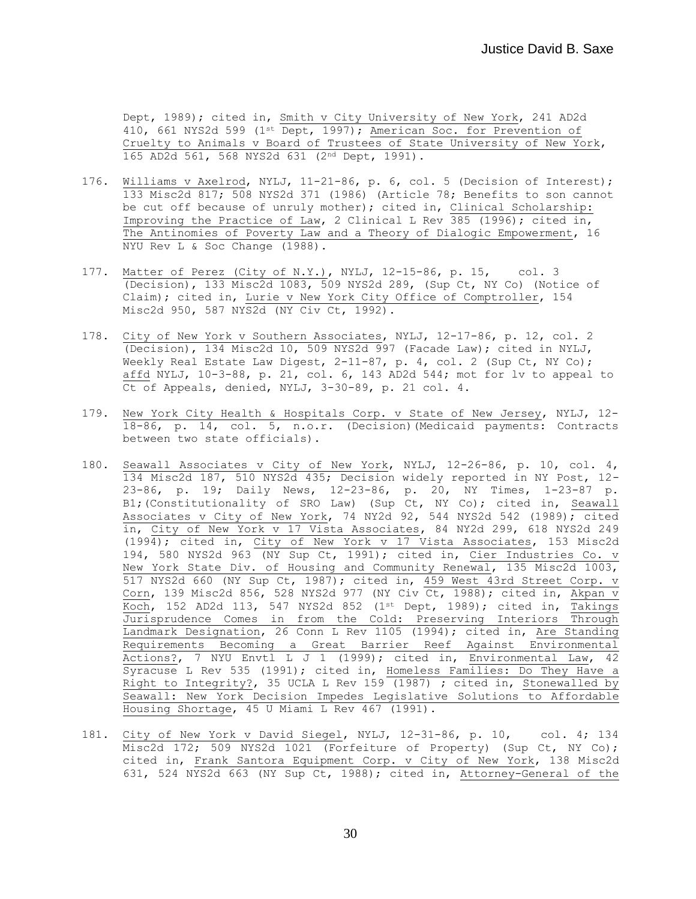Dept, 1989); cited in, Smith v City University of New York, 241 AD2d 410, 661 NYS2d 599 (1<sup>st</sup> Dept, 1997); American Soc. for Prevention of Cruelty to Animals v Board of Trustees of State University of New York, 165 AD2d 561, 568 NYS2d 631 (2nd Dept, 1991).

- 176. Williams v Axelrod, NYLJ, 11-21-86, p. 6, col. 5 (Decision of Interest); 133 Misc2d 817; 508 NYS2d 371 (1986) (Article 78; Benefits to son cannot be cut off because of unruly mother); cited in, Clinical Scholarship: Improving the Practice of Law, 2 Clinical L Rev 385 (1996); cited in, The Antinomies of Poverty Law and a Theory of Dialogic Empowerment, 16 NYU Rev L & Soc Change (1988).
- 177. Matter of Perez (City of N.Y.), NYLJ, 12-15-86, p. 15, col. 3 (Decision), 133 Misc2d 1083, 509 NYS2d 289, (Sup Ct, NY Co) (Notice of Claim); cited in, Lurie v New York City Office of Comptroller, 154 Misc2d 950, 587 NYS2d (NY Civ Ct, 1992).
- 178. City of New York v Southern Associates, NYLJ, 12-17-86, p. 12, col. 2 (Decision), 134 Misc2d 10, 509 NYS2d 997 (Facade Law); cited in NYLJ, Weekly Real Estate Law Digest, 2-11-87, p. 4, col. 2 (Sup Ct, NY Co); affd NYLJ, 10-3-88, p. 21, col. 6, 143 AD2d 544; mot for lv to appeal to Ct of Appeals, denied, NYLJ, 3-30-89, p. 21 col. 4.
- 179. New York City Health & Hospitals Corp. v State of New Jersey, NYLJ, 12- 18-86, p. 14, col. 5, n.o.r. (Decision)(Medicaid payments: Contracts between two state officials).
- 180. Seawall Associates v City of New York, NYLJ, 12-26-86, p. 10, col. 4, 134 Misc2d 187, 510 NYS2d 435; Decision widely reported in NY Post, 12- 23-86, p. 19; Daily News, 12-23-86, p. 20, NY Times, 1-23-87 p. B1;(Constitutionality of SRO Law) (Sup Ct, NY Co); cited in, Seawall Associates v City of New York, 74 NY2d 92, 544 NYS2d 542 (1989); cited in, City of New York v 17 Vista Associates, 84 NY2d 299, 618 NYS2d 249 (1994); cited in, City of New York v 17 Vista Associates, 153 Misc2d 194, 580 NYS2d 963 (NY Sup Ct, 1991); cited in, Cier Industries Co. v New York State Div. of Housing and Community Renewal, 135 Misc2d 1003, 517 NYS2d 660 (NY Sup Ct, 1987); cited in, 459 West 43rd Street Corp. v Corn, 139 Misc2d 856, 528 NYS2d 977 (NY Civ Ct, 1988); cited in, Akpan v Koch, 152 AD2d 113, 547 NYS2d 852 (1st Dept, 1989); cited in, Takings Jurisprudence Comes in from the Cold: Preserving Interiors Through Landmark Designation, 26 Conn L Rev 1105 (1994); cited in, Are Standing Requirements Becoming a Great Barrier Reef Against Environmental Actions?, 7 NYU Envtl L J 1 (1999); cited in, Environmental Law, 42 Syracuse L Rev 535 (1991); cited in, Homeless Families: Do They Have a Right to Integrity?, 35 UCLA L Rev 159 (1987) ; cited in, Stonewalled by Seawall: New York Decision Impedes Legislative Solutions to Affordable Housing Shortage, 45 U Miami L Rev 467 (1991).
- 181. City of New York v David Siegel, NYLJ, 12-31-86, p. 10, col. 4; 134 Misc2d 172; 509 NYS2d 1021 (Forfeiture of Property) (Sup Ct, NY Co); cited in, Frank Santora Equipment Corp. v City of New York, 138 Misc2d 631, 524 NYS2d 663 (NY Sup Ct, 1988); cited in, Attorney-General of the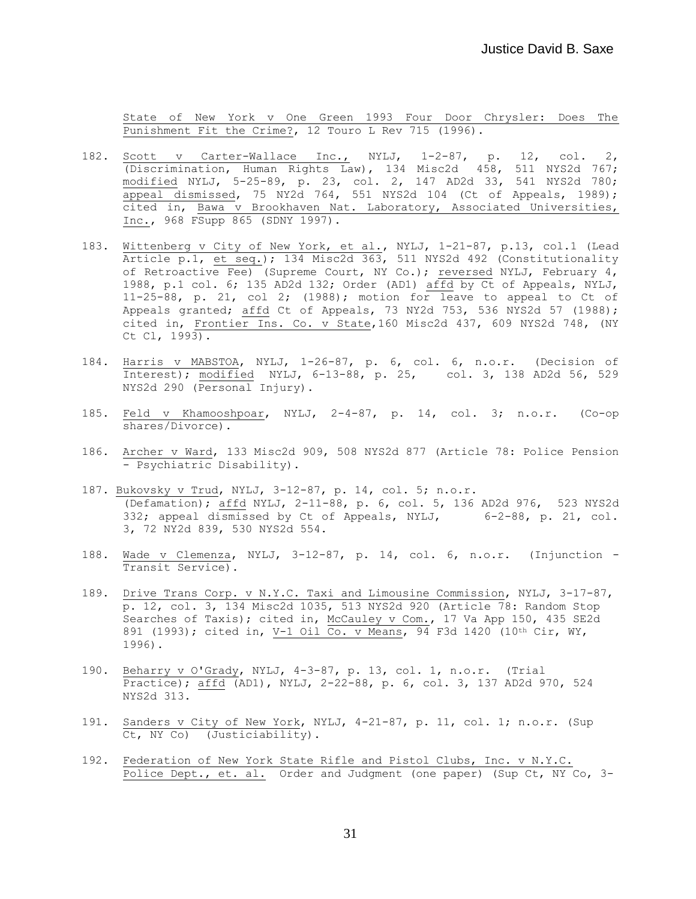State of New York v One Green 1993 Four Door Chrysler: Does The Punishment Fit the Crime?, 12 Touro L Rev 715 (1996).

- 182. Scott v Carter-Wallace Inc., NYLJ, 1-2-87, p. 12, col. 2, (Discrimination, Human Rights Law), 134 Misc2d 458, 511 NYS2d 767; modified NYLJ, 5-25-89, p. 23, col. 2, 147 AD2d 33, 541 NYS2d 780; appeal dismissed, 75 NY2d 764, 551 NYS2d 104 (Ct of Appeals, 1989); cited in, Bawa v Brookhaven Nat. Laboratory, Associated Universities, Inc., 968 FSupp 865 (SDNY 1997).
- 183. Wittenberg v City of New York, et al., NYLJ, 1-21-87, p.13, col.1 (Lead Article p.1, et seq.); 134 Misc2d 363, 511 NYS2d 492 (Constitutionality of Retroactive Fee) (Supreme Court, NY Co.); reversed NYLJ, February 4, 1988, p.1 col. 6; 135 AD2d 132; Order (AD1) affd by Ct of Appeals, NYLJ, 11-25-88, p. 21, col 2; (1988); motion for leave to appeal to Ct of Appeals granted; affd Ct of Appeals, 73 NY2d 753, 536 NYS2d 57 (1988); cited in, Frontier Ins. Co. v State,160 Misc2d 437, 609 NYS2d 748, (NY Ct Cl, 1993).
- 184. Harris v MABSTOA, NYLJ, 1-26-87, p. 6, col. 6, n.o.r. (Decision of Interest); modified NYLJ, 6-13-88, p. 25, col. 3, 138 AD2d 56, 529 NYS2d 290 (Personal Injury).
- 185. Feld v Khamooshpoar, NYLJ, 2-4-87, p. 14, col. 3; n.o.r. (Co-op shares/Divorce).
- 186. Archer v Ward, 133 Misc2d 909, 508 NYS2d 877 (Article 78: Police Pension - Psychiatric Disability).
- 187. Bukovsky v Trud, NYLJ, 3-12-87, p. 14, col. 5; n.o.r. (Defamation); affd NYLJ, 2-11-88, p. 6, col. 5, 136 AD2d 976, 523 NYS2d 332; appeal dismissed by Ct of Appeals, NYLJ, 6-2-88, p. 21, col. 3, 72 NY2d 839, 530 NYS2d 554.
- 188. Wade v Clemenza, NYLJ, 3-12-87, p. 14, col. 6, n.o.r. (Injunction Transit Service).
- 189. Drive Trans Corp. v N.Y.C. Taxi and Limousine Commission, NYLJ, 3-17-87, p. 12, col. 3, 134 Misc2d 1035, 513 NYS2d 920 (Article 78: Random Stop Searches of Taxis); cited in, McCauley v Com., 17 Va App 150, 435 SE2d 891 (1993); cited in, V-1 Oil  $\overline{Co. v}$  Means, 94 F3d 1420 (10th Cir, WY, 1996).
- 190. Beharry v O'Grady, NYLJ, 4-3-87, p. 13, col. 1, n.o.r. (Trial Practice); affd (AD1), NYLJ, 2-22-88, p. 6, col. 3, 137 AD2d 970, 524 NYS2d 313.
- 191. Sanders v City of New York, NYLJ, 4-21-87, p. 11, col. 1; n.o.r. (Sup Ct, NY Co) (Justiciability).
- 192. Federation of New York State Rifle and Pistol Clubs, Inc. v N.Y.C. Police Dept., et. al. Order and Judgment (one paper) (Sup Ct, NY Co, 3-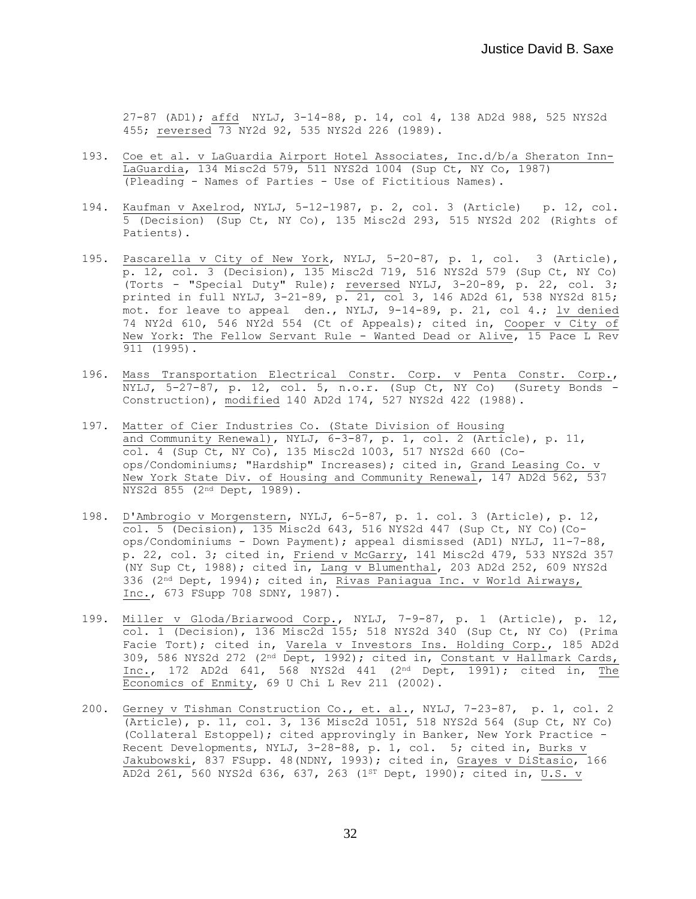27-87 (AD1); affd NYLJ, 3-14-88, p. 14, col 4, 138 AD2d 988, 525 NYS2d 455; reversed 73 NY2d 92, 535 NYS2d 226 (1989).

- 193. Coe et al. v LaGuardia Airport Hotel Associates, Inc.d/b/a Sheraton Inn-LaGuardia, 134 Misc2d 579, 511 NYS2d 1004 (Sup Ct, NY Co, 1987) (Pleading - Names of Parties - Use of Fictitious Names).
- 194. Kaufman v Axelrod, NYLJ, 5-12-1987, p. 2, col. 3 (Article) p. 12, col. 5 (Decision) (Sup Ct, NY Co), 135 Misc2d 293, 515 NYS2d 202 (Rights of Patients).
- 195. Pascarella v City of New York, NYLJ, 5-20-87, p. 1, col. 3 (Article), p. 12, col. 3 (Decision), 135 Misc2d 719, 516 NYS2d 579 (Sup Ct, NY Co) (Torts - "Special Duty" Rule); reversed NYLJ, 3-20-89, p. 22, col. 3; printed in full NYLJ, 3-21-89, p. 21, col 3, 146 AD2d 61, 538 NYS2d 815; mot. for leave to appeal den., NYLJ, 9-14-89, p. 21, col 4.; lv denied 74 NY2d 610, 546 NY2d 554 (Ct of Appeals); cited in, Cooper  $\overline{v}$  City of New York: The Fellow Servant Rule - Wanted Dead or Alive, 15 Pace L Rev 911 (1995).
- 196. Mass Transportation Electrical Constr. Corp. v Penta Constr. Corp., NYLJ, 5-27-87, p. 12, col. 5, n.o.r. (Sup Ct, NY Co) (Surety Bonds - Construction), modified 140 AD2d 174, 527 NYS2d 422 (1988).
- 197. Matter of Cier Industries Co. (State Division of Housing and Community Renewal), NYLJ, 6-3-87, p. 1, col. 2 (Article), p. 11, col. 4 (Sup Ct, NY Co), 135 Misc2d 1003, 517 NYS2d 660 (Coops/Condominiums; "Hardship" Increases); cited in, Grand Leasing Co. v New York State Div. of Housing and Community Renewal, 147 AD2d 562, 537 NYS2d 855 (2nd Dept, 1989).
- 198. D'Ambrogio v Morgenstern, NYLJ, 6-5-87, p. 1. col. 3 (Article), p. 12,  $\overline{col.}$  5 (Decision), 135 Misc2d 643, 516 NYS2d 447 (Sup Ct, NY Co)(Coops/Condominiums - Down Payment); appeal dismissed (AD1) NYLJ, 11-7-88, p. 22, col. 3; cited in, Friend v McGarry, 141 Misc2d 479, 533 NYS2d 357 (NY Sup Ct, 1988); cited in, Lang v Blumenthal, 203 AD2d 252, 609 NYS2d 336 (2nd Dept, 1994); cited in, Rivas Paniagua Inc. v World Airways, Inc., 673 FSupp 708 SDNY, 1987).
- 199. Miller v Gloda/Briarwood Corp., NYLJ, 7-9-87, p. 1 (Article), p. 12, col. 1 (Decision), 136 Misc2d 155; 518 NYS2d 340 (Sup Ct, NY Co) (Prima Facie Tort); cited in, Varela v Investors Ins. Holding Corp., 185 AD2d 309, 586 NYS2d 272 (2nd Dept, 1992); cited in, Constant v Hallmark Cards, Inc., 172 AD2d 641, 568 NYS2d 441 (2<sup>nd</sup> Dept, 1991); cited in, The Economics of Enmity, 69 U Chi L Rev 211 (2002).
- 200. Gerney v Tishman Construction Co., et. al., NYLJ, 7-23-87, p. 1, col. 2 (Article), p. 11, col. 3, 136 Misc2d 1051, 518 NYS2d 564 (Sup Ct, NY Co) (Collateral Estoppel); cited approvingly in Banker, New York Practice - Recent Developments, NYLJ, 3-28-88, p. 1, col. 5; cited in, Burks v Jakubowski, 837 FSupp. 48(NDNY, 1993); cited in, Grayes v DiStasio, 166 AD2d 261, 560 NYS2d 636, 637, 263 (1ST Dept, 1990); cited in, U.S. v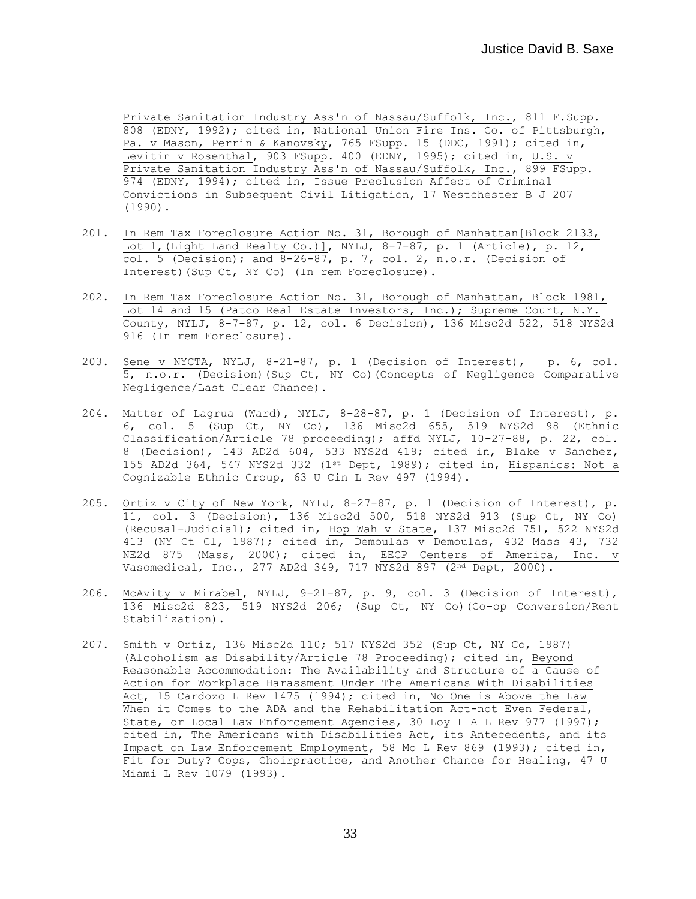Private Sanitation Industry Ass'n of Nassau/Suffolk, Inc., 811 F.Supp. 808 (EDNY, 1992); cited in, National Union Fire Ins. Co. of Pittsburgh, Pa. v Mason, Perrin & Kanovsky, 765 FSupp. 15 (DDC, 1991); cited in, Levitin v Rosenthal, 903 FSupp. 400 (EDNY, 1995); cited in, U.S. v Private Sanitation Industry Ass'n of Nassau/Suffolk, Inc., 899 FSupp. 974 (EDNY, 1994); cited in, Issue Preclusion Affect of Criminal Convictions in Subsequent Civil Litigation, 17 Westchester B J 207 (1990).

- 201. In Rem Tax Foreclosure Action No. 31, Borough of Manhattan[Block 2133, Lot 1,(Light Land Realty Co.)], NYLJ, 8-7-87, p. 1 (Article), p. 12, col. 5 (Decision); and  $8-26-87$ , p. 7, col. 2, n.o.r. (Decision of Interest)(Sup Ct, NY Co) (In rem Foreclosure).
- 202. In Rem Tax Foreclosure Action No. 31, Borough of Manhattan, Block 1981, Lot 14 and 15 (Patco Real Estate Investors, Inc.); Supreme Court, N.Y. County, NYLJ, 8-7-87, p. 12, col. 6 Decision), 136 Misc2d 522, 518 NYS2d 916 (In rem Foreclosure).
- 203. Sene v NYCTA, NYLJ, 8-21-87, p. 1 (Decision of Interest), p. 6, col. 5, n.o.r. (Decision)(Sup Ct, NY Co)(Concepts of Negligence Comparative Negligence/Last Clear Chance).
- 204. Matter of Lagrua (Ward), NYLJ, 8-28-87, p. 1 (Decision of Interest), p. 6, col. 5 (Sup Ct, NY Co), 136 Misc2d 655, 519 NYS2d 98 (Ethnic Classification/Article 78 proceeding); affd NYLJ, 10-27-88, p. 22, col. 8 (Decision), 143 AD2d 604, 533 NYS2d 419; cited in, Blake v Sanchez, 155 AD2d 364, 547 NYS2d 332 (1st Dept, 1989); cited in, Hispanics: Not a Cognizable Ethnic Group, 63 U Cin L Rev 497 (1994).
- 205. Ortiz v City of New York, NYLJ, 8-27-87, p. 1 (Decision of Interest), p. 11, col. 3 (Decision), 136 Misc2d 500, 518 NYS2d 913 (Sup Ct, NY Co) (Recusal-Judicial); cited in, Hop Wah v State, 137 Misc2d 751, 522 NYS2d 413 (NY Ct Cl, 1987); cited in, Demoulas v Demoulas, 432 Mass 43, 732 NE2d 875 (Mass, 2000); cited in, EECP Centers of America, Inc. v Vasomedical, Inc., 277 AD2d 349, 717 NYS2d 897 (2nd Dept, 2000).
- 206. McAvity v Mirabel, NYLJ, 9-21-87, p. 9, col. 3 (Decision of Interest), 136 Misc2d 823, 519 NYS2d 206; (Sup Ct, NY Co)(Co-op Conversion/Rent Stabilization).
- 207. Smith v Ortiz, 136 Misc2d 110; 517 NYS2d 352 (Sup Ct, NY Co, 1987) (Alcoholism as Disability/Article 78 Proceeding); cited in, Beyond Reasonable Accommodation: The Availability and Structure of a Cause of Action for Workplace Harassment Under The Americans With Disabilities Act, 15 Cardozo L Rev 1475 (1994); cited in, No One is Above the Law When it Comes to the ADA and the Rehabilitation Act-not Even Federal, State, or Local Law Enforcement Agencies, 30 Loy L A L Rev 977 (1997); cited in, The Americans with Disabilities Act, its Antecedents, and its Impact on Law Enforcement Employment, 58 Mo L Rev 869 (1993); cited in, Fit for Duty? Cops, Choirpractice, and Another Chance for Healing, 47 U Miami L Rev 1079 (1993).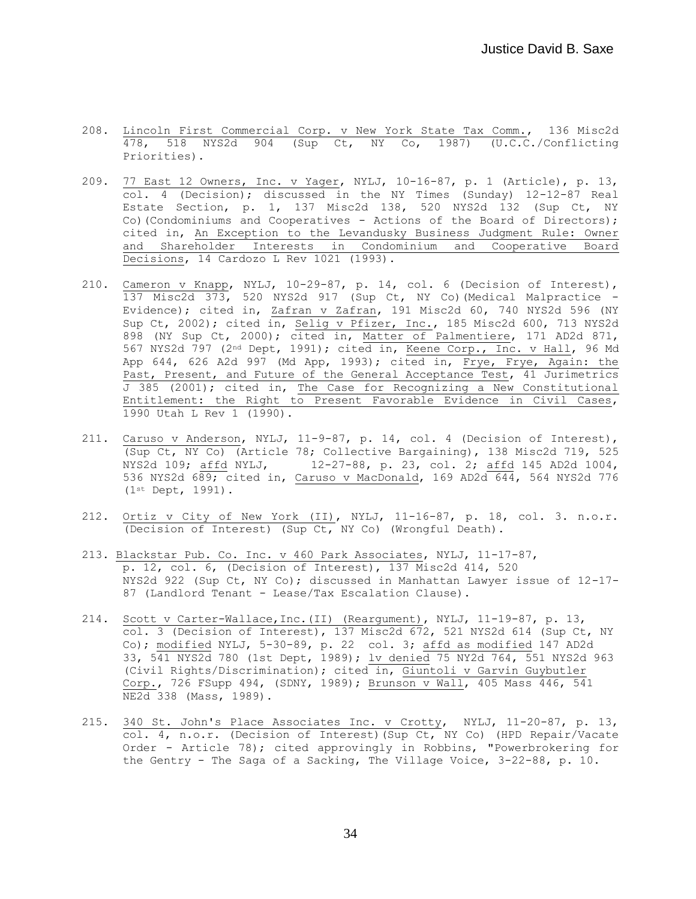- 208. Lincoln First Commercial Corp. v New York State Tax Comm., 136 Misc2d 478, 518 NYS2d 904 (Sup Ct, NY Co, 1987) (U.C.C./Conflicting Priorities).
- 209. 77 East 12 Owners, Inc. v Yager, NYLJ, 10-16-87, p. 1 (Article), p. 13, col. 4 (Decision); discussed in the NY Times (Sunday) 12-12-87 Real Estate Section, p. 1, 137 Misc2d 138, 520 NYS2d 132 (Sup Ct, NY Co)(Condominiums and Cooperatives - Actions of the Board of Directors); cited in, An Exception to the Levandusky Business Judgment Rule: Owner and Shareholder Interests in Condominium and Cooperative Board Decisions, 14 Cardozo L Rev 1021 (1993).
- 210. Cameron v Knapp, NYLJ, 10-29-87, p. 14, col. 6 (Decision of Interest), 137 Misc2d 373, 520 NYS2d 917 (Sup Ct, NY Co)(Medical Malpractice - Evidence); cited in, Zafran v Zafran, 191 Misc2d 60, 740 NYS2d 596 (NY Sup Ct, 2002); cited in, Selig v Pfizer, Inc., 185 Misc2d 600, 713 NYS2d 898 (NY Sup Ct, 2000); cited in, Matter of Palmentiere, 171 AD2d 871, 567 NYS2d 797 (2nd Dept, 1991); cited in, Keene Corp., Inc. v Hall, 96 Md App 644, 626 A2d 997 (Md App, 1993); cited in, Frye, Frye, Again: the Past, Present, and Future of the General Acceptance Test, 41 Jurimetrics  $\overline{J}$  385 (2001); cited in, The Case for Recognizing a New Constitutional Entitlement: the Right to Present Favorable Evidence in Civil Cases, 1990 Utah L Rev 1 (1990).
- 211. Caruso v Anderson, NYLJ, 11-9-87, p. 14, col. 4 (Decision of Interest), (Sup Ct, NY Co) (Article 78; Collective Bargaining), 138 Misc2d 719, 525 NYS2d 109; affd NYLJ, 12-27-88, p. 23, col. 2; affd 145 AD2d 1004, 536 NYS2d 689; cited in, Caruso v MacDonald, 169 AD2d 644, 564 NYS2d 776 (1st Dept, 1991).
- 212. Ortiz v City of New York (II), NYLJ, 11-16-87, p. 18, col. 3. n.o.r. (Decision of Interest) (Sup Ct, NY Co) (Wrongful Death).
- 213. Blackstar Pub. Co. Inc. v 460 Park Associates, NYLJ, 11-17-87, p. 12, col. 6, (Decision of Interest), 137 Misc2d 414, 520 NYS2d 922 (Sup Ct, NY Co); discussed in Manhattan Lawyer issue of 12-17- 87 (Landlord Tenant - Lease/Tax Escalation Clause).
- 214. Scott v Carter-Wallace,Inc.(II) (Reargument), NYLJ, 11-19-87, p. 13, col. 3 (Decision of Interest), 137 Misc2d 672, 521 NYS2d 614 (Sup Ct, NY Co); modified NYLJ, 5-30-89, p. 22 col. 3; affd as modified 147 AD2d 33, 541 NYS2d 780 (1st Dept, 1989); lv denied 75 NY2d 764, 551 NYS2d 963 (Civil Rights/Discrimination); cited in, Giuntoli v Garvin Guybutler Corp., 726 FSupp 494, (SDNY, 1989); Brunson v Wall, 405 Mass 446, 541 NE2d 338 (Mass, 1989).
- 215. 340 St. John's Place Associates Inc. v Crotty, NYLJ, 11-20-87, p. 13, col. 4, n.o.r. (Decision of Interest)(Sup Ct, NY Co) (HPD Repair/Vacate Order - Article 78); cited approvingly in Robbins, "Powerbrokering for the Gentry - The Saga of a Sacking, The Village Voice, 3-22-88, p. 10.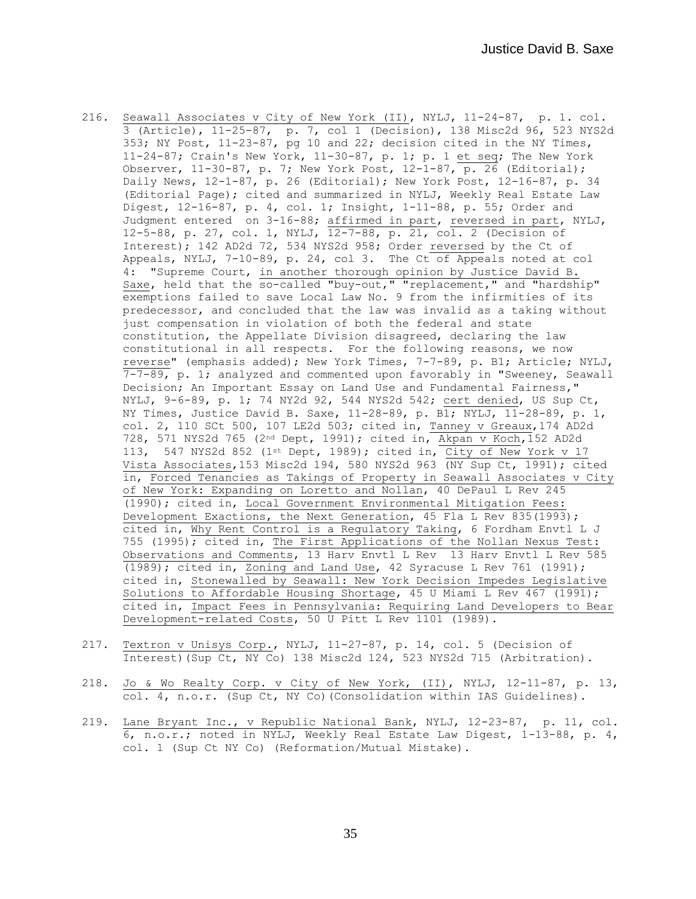- 216. Seawall Associates v City of New York (II), NYLJ, 11-24-87, p. 1. col. 3 (Article), 11-25-87, p. 7, col 1 (Decision), 138 Misc2d 96, 523 NYS2d 353; NY Post, 11-23-87, pg 10 and 22; decision cited in the NY Times, 11-24-87; Crain's New York, 11-30-87, p. 1; p. 1 et seq; The New York Observer, 11-30-87, p. 7; New York Post,  $12-1-87$ , p. 26 (Editorial); Daily News, 12-1-87, p. 26 (Editorial); New York Post, 12-16-87, p. 34 (Editorial Page); cited and summarized in NYLJ, Weekly Real Estate Law Digest, 12-16-87, p. 4, col. 1; Insight, 1-11-88, p. 55; Order and Judgment entered on 3-16-88; affirmed in part, reversed in part, NYLJ, 12-5-88, p. 27, col. 1, NYLJ, 12-7-88, p. 21, col. 2 (Decision of Interest); 142 AD2d 72, 534 NYS2d 958; Order reversed by the Ct of Appeals, NYLJ, 7-10-89, p. 24, col 3. The Ct of Appeals noted at col 4: "Supreme Court, in another thorough opinion by Justice David B. Saxe, held that the so-called "buy-out," "replacement," and "hardship" exemptions failed to save Local Law No. 9 from the infirmities of its predecessor, and concluded that the law was invalid as a taking without just compensation in violation of both the federal and state constitution, the Appellate Division disagreed, declaring the law constitutional in all respects. For the following reasons, we now reverse" (emphasis added); New York Times, 7-7-89, p. B1; Article; NYLJ, 7-7-89, p. 1; analyzed and commented upon favorably in "Sweeney, Seawall Decision; An Important Essay on Land Use and Fundamental Fairness," NYLJ, 9-6-89, p. 1; 74 NY2d 92, 544 NYS2d 542; cert denied, US Sup Ct, NY Times, Justice David B. Saxe, 11-28-89, p. B1; NYLJ, 11-28-89, p. 1, col. 2, 110 SCt 500, 107 LE2d 503; cited in, Tanney v Greaux,174 AD2d 728, 571 NYS2d 765 (2nd Dept, 1991); cited in, Akpan v Koch,152 AD2d 113, 547 NYS2d 852 (1<sup>st</sup> Dept, 1989); cited in, City of New York v 17 Vista Associates,153 Misc2d 194, 580 NYS2d 963 (NY Sup Ct, 1991); cited in, Forced Tenancies as Takings of Property in Seawall Associates v City of New York: Expanding on Loretto and Nollan, 40 DePaul L Rev 245 (1990); cited in, Local Government Environmental Mitigation Fees: Development Exactions, the Next Generation, 45 Fla L Rev 835(1993); cited in, Why Rent Control is a Regulatory Taking, 6 Fordham Envtl L J 755 (1995); cited in, The First Applications of the Nollan Nexus Test: Observations and Comments, 13 Harv Envtl L Rev 13 Harv Envtl L Rev 585 (1989); cited in, Zoning and Land Use, 42 Syracuse L Rev 761 (1991); cited in, Stonewalled by Seawall: New York Decision Impedes Legislative Solutions to Affordable Housing Shortage, 45 U Miami L Rev 467 (1991); cited in, Impact Fees in Pennsylvania: Requiring Land Developers to Bear Development-related Costs, 50 U Pitt L Rev 1101 (1989).
- 217. Textron v Unisys Corp., NYLJ, 11-27-87, p. 14, col. 5 (Decision of Interest)(Sup Ct, NY Co) 138 Misc2d 124, 523 NYS2d 715 (Arbitration).
- 218. Jo & Wo Realty Corp. v City of New York, (II), NYLJ, 12-11-87, p. 13, col. 4, n.o.r. (Sup Ct, NY Co)(Consolidation within IAS Guidelines).
- 219. Lane Bryant Inc., v Republic National Bank, NYLJ, 12-23-87, p. 11, col. 6, n.o.r.; noted in NYLJ, Weekly Real Estate Law Digest, 1-13-88, p. 4, col. 1 (Sup Ct NY Co) (Reformation/Mutual Mistake).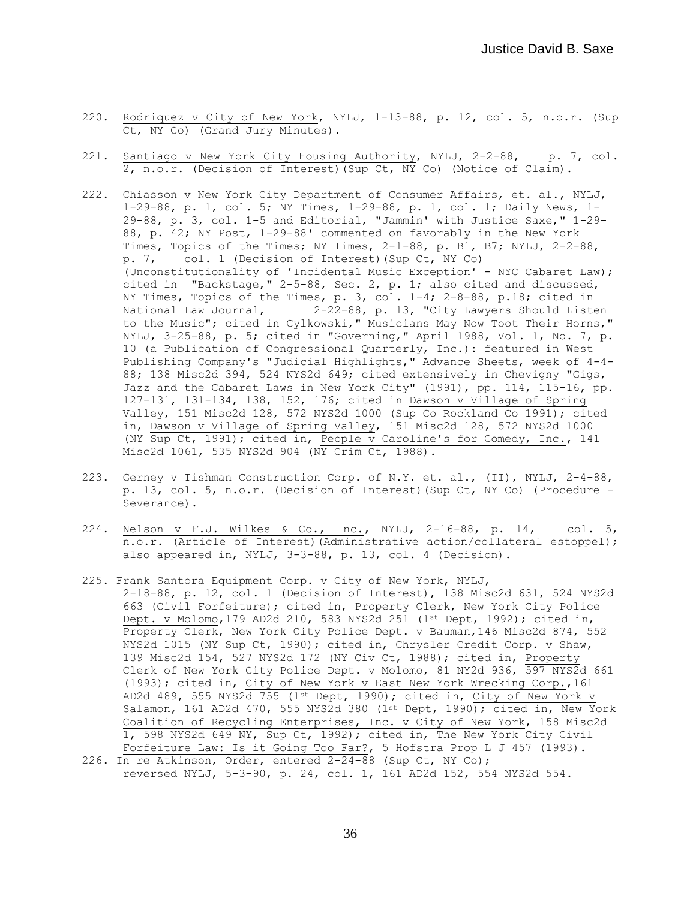- 220. Rodriquez v City of New York, NYLJ, 1-13-88, p. 12, col. 5, n.o.r. (Sup Ct, NY Co) (Grand Jury Minutes).
- 221. Santiago v New York City Housing Authority, NYLJ, 2-2-88, p. 7, col.  $\overline{2, n.o.r.}$  (Decision of Interest) (Sup Ct, NY Co) (Notice of Claim).
- 222. Chiasson v New York City Department of Consumer Affairs, et. al., NYLJ, 1-29-88, p. 1, col. 5; NY Times, 1-29-88, p. 1, col. 1; Daily News, 1- 29-88, p. 3, col. 1-5 and Editorial, "Jammin' with Justice Saxe," 1-29- 88, p. 42; NY Post, 1-29-88' commented on favorably in the New York Times, Topics of the Times; NY Times, 2-1-88, p. B1, B7; NYLJ, 2-2-88, p. 7, col. 1 (Decision of Interest)(Sup Ct, NY Co) (Unconstitutionality of 'Incidental Music Exception' - NYC Cabaret Law); cited in "Backstage," 2-5-88, Sec. 2, p. 1; also cited and discussed, NY Times, Topics of the Times, p. 3, col. 1-4; 2-8-88, p.18; cited in National Law Journal, 2-22-88, p. 13, "City Lawyers Should Listen to the Music"; cited in Cylkowski," Musicians May Now Toot Their Horns," NYLJ, 3-25-88, p. 5; cited in "Governing," April 1988, Vol. 1, No. 7, p. 10 (a Publication of Congressional Quarterly, Inc.): featured in West Publishing Company's "Judicial Highlights," Advance Sheets, week of 4-4- 88; 138 Misc2d 394, 524 NYS2d 649; cited extensively in Chevigny "Gigs, Jazz and the Cabaret Laws in New York City" (1991), pp. 114, 115-16, pp. 127-131, 131-134, 138, 152, 176; cited in Dawson v Village of Spring Valley, 151 Misc2d 128, 572 NYS2d 1000 (Sup Co Rockland Co 1991); cited in, Dawson v Village of Spring Valley, 151 Misc2d 128, 572 NYS2d 1000 (NY Sup Ct, 1991); cited in, People v Caroline's for Comedy, Inc., 141 Misc2d 1061, 535 NYS2d 904 (NY Crim Ct, 1988).
- 223. Gerney v Tishman Construction Corp. of N.Y. et. al., (II), NYLJ, 2-4-88, p. 13, col. 5, n.o.r. (Decision of Interest)(Sup Ct, NY Co) (Procedure - Severance).
- 224. Nelson v F.J. Wilkes & Co., Inc., NYLJ, 2-16-88, p. 14, col. 5, n.o.r. (Article of Interest)(Administrative action/collateral estoppel); also appeared in, NYLJ, 3-3-88, p. 13, col. 4 (Decision).
- 225. Frank Santora Equipment Corp. v City of New York, NYLJ, 2-18-88, p. 12, col. 1 (Decision of Interest), 138 Misc2d 631, 524 NYS2d 663 (Civil Forfeiture); cited in, Property Clerk, New York City Police Dept. v Molomo, 179 AD2d 210, 583 NYS2d 251 (1st Dept, 1992); cited in, Property Clerk, New York City Police Dept. v Bauman,146 Misc2d 874, 552 NYS2d 1015 (NY Sup Ct, 1990); cited in, Chrysler Credit Corp. v Shaw, 139 Misc2d 154, 527 NYS2d 172 (NY Civ Ct, 1988); cited in, Property Clerk of New York City Police Dept. v Molomo, 81 NY2d 936, 597 NYS2d 661 (1993); cited in, City of New York v East New York Wrecking Corp.,161 AD2d 489, 555 NYS2d 755 (1st Dept, 1990); cited in, City of New York v Salamon, 161 AD2d 470, 555 NYS2d 380 (1st Dept, 1990); cited in, New York Coalition of Recycling Enterprises, Inc. v City of New York, 158 Misc2d 1, 598 NYS2d 649 NY, Sup Ct, 1992); cited in, The New York City Civil Forfeiture Law: Is it Going Too Far?, 5 Hofstra Prop L J 457 (1993). 226. In re Atkinson, Order, entered 2-24-88 (Sup Ct, NY Co);
- reversed NYLJ, 5-3-90, p. 24, col. 1, 161 AD2d 152, 554 NYS2d 554.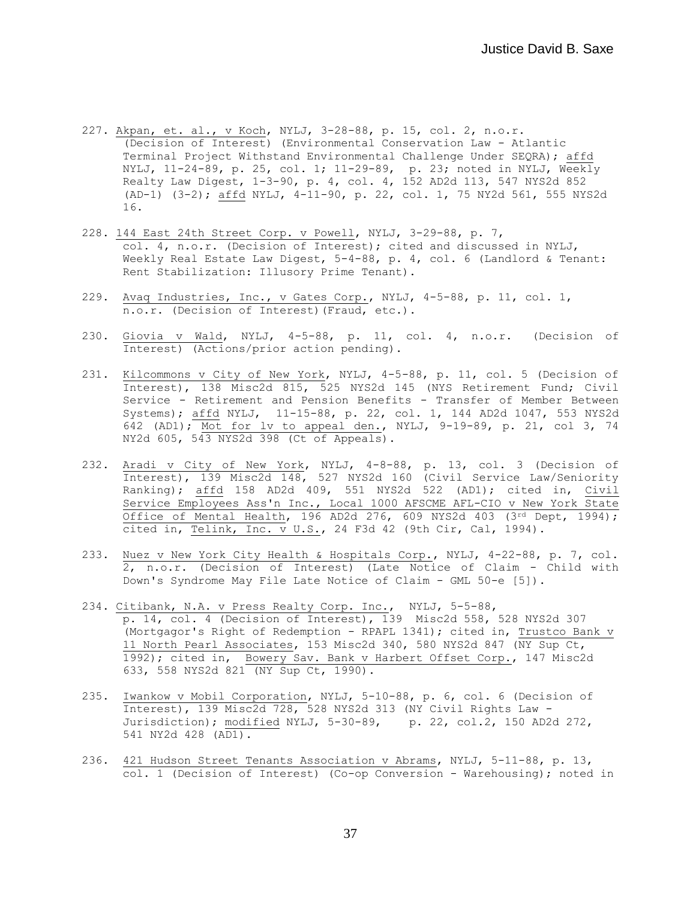- 227. Akpan, et. al., v Koch, NYLJ, 3-28-88, p. 15, col. 2, n.o.r. (Decision of Interest) (Environmental Conservation Law - Atlantic Terminal Project Withstand Environmental Challenge Under SEQRA); affd NYLJ, 11-24-89, p. 25, col. 1; 11-29-89, p. 23; noted in NYLJ, Weekly Realty Law Digest, 1-3-90, p. 4, col. 4, 152 AD2d 113, 547 NYS2d 852 (AD-1) (3-2); affd NYLJ, 4-11-90, p. 22, col. 1, 75 NY2d 561, 555 NYS2d 16.
- 228. 144 East 24th Street Corp. v Powell, NYLJ, 3-29-88, p. 7, col. 4, n.o.r. (Decision of Interest); cited and discussed in NYLJ, Weekly Real Estate Law Digest, 5-4-88, p. 4, col. 6 (Landlord & Tenant: Rent Stabilization: Illusory Prime Tenant).
- 229. Avaq Industries, Inc., v Gates Corp., NYLJ, 4-5-88, p. 11, col. 1, n.o.r. (Decision of Interest)(Fraud, etc.).
- 230. Giovia v Wald, NYLJ, 4-5-88, p. 11, col. 4, n.o.r. (Decision of Interest) (Actions/prior action pending).
- 231. Kilcommons v City of New York, NYLJ, 4-5-88, p. 11, col. 5 (Decision of Interest), 138 Misc2d 815, 525 NYS2d 145 (NYS Retirement Fund; Civil Service - Retirement and Pension Benefits - Transfer of Member Between Systems); affd NYLJ, 11-15-88, p. 22, col. 1, 144 AD2d 1047, 553 NYS2d 642 (AD1); Mot for lv to appeal den., NYLJ, 9-19-89, p. 21, col 3, 74 NY2d 605, 543 NYS2d 398 (Ct of Appeals).
- 232. Aradi v City of New York, NYLJ, 4-8-88, p. 13, col. 3 (Decision of Interest), 139 Misc2d 148, 527 NYS2d 160 (Civil Service Law/Seniority Ranking); affd 158 AD2d 409, 551 NYS2d 522 (AD1); cited in, Civil Service Employees Ass'n Inc., Local 1000 AFSCME AFL-CIO v New York State Office of Mental Health, 196 AD2d 276, 609 NYS2d 403 (3rd Dept, 1994); cited in, Telink, Inc. v U.S., 24 F3d 42 (9th Cir, Cal, 1994).
- 233. Nuez v New York City Health & Hospitals Corp., NYLJ, 4-22-88, p. 7, col. 2, n.o.r. (Decision of Interest) (Late Notice of Claim - Child with Down's Syndrome May File Late Notice of Claim - GML 50-e [5]).
- 234. Citibank, N.A. v Press Realty Corp. Inc., NYLJ, 5-5-88, p. 14, col. 4 (Decision of Interest), 139 Misc2d 558, 528 NYS2d 307 (Mortgagor's Right of Redemption - RPAPL 1341); cited in, Trustco Bank v 11 North Pearl Associates, 153 Misc2d 340, 580 NYS2d 847 (NY Sup Ct, 1992); cited in, Bowery Sav. Bank v Harbert Offset Corp., 147 Misc2d 633, 558 NYS2d 821 (NY Sup Ct, 1990).
- 235. Iwankow v Mobil Corporation, NYLJ, 5-10-88, p. 6, col. 6 (Decision of Interest), 139 Misc2d 728, 528 NYS2d 313 (NY Civil Rights Law - Jurisdiction); modified NYLJ, 5-30-89, p. 22, col.2, 150 AD2d 272, 541 NY2d 428 (AD1).
- 236. 421 Hudson Street Tenants Association v Abrams, NYLJ, 5-11-88, p. 13, col. 1 (Decision of Interest) (Co-op Conversion - Warehousing); noted in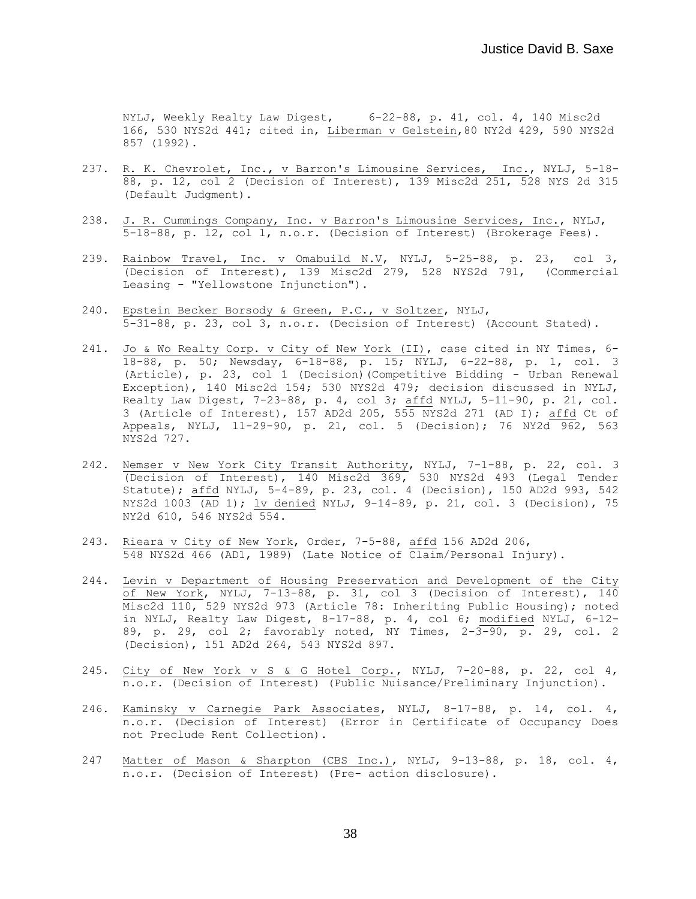NYLJ, Weekly Realty Law Digest, 6-22-88, p. 41, col. 4, 140 Misc2d 166, 530 NYS2d 441; cited in, Liberman v Gelstein,80 NY2d 429, 590 NYS2d 857 (1992).

- 237. R. K. Chevrolet, Inc., v Barron's Limousine Services, Inc., NYLJ, 5-18-88, p. 12, col 2 (Decision of Interest), 139 Misc2d 251, 528 NYS 2d 315 (Default Judgment).
- 238. J. R. Cummings Company, Inc. v Barron's Limousine Services, Inc., NYLJ, 5-18-88, p. 12, col 1, n.o.r. (Decision of Interest) (Brokerage Fees).
- 239. Rainbow Travel, Inc. v Omabuild N.V, NYLJ, 5-25-88, p. 23, col 3, (Decision of Interest), 139 Misc2d 279, 528 NYS2d 791, (Commercial Leasing - "Yellowstone Injunction").
- 240. Epstein Becker Borsody & Green, P.C., v Soltzer, NYLJ, 5-31-88, p. 23, col 3, n.o.r. (Decision of Interest) (Account Stated).
- 241. Jo & Wo Realty Corp. v City of New York (II), case cited in NY Times, 6- 18-88, p. 50; Newsday, 6-18-88, p. 15; NYLJ, 6-22-88, p. 1, col. 3 (Article), p. 23, col 1 (Decision)(Competitive Bidding - Urban Renewal Exception), 140 Misc2d 154; 530 NYS2d 479; decision discussed in NYLJ, Realty Law Digest, 7-23-88, p. 4, col 3; affd NYLJ, 5-11-90, p. 21, col. 3 (Article of Interest), 157 AD2d 205, 555 NYS2d 271 (AD I); affd Ct of Appeals, NYLJ, 11-29-90, p. 21, col. 5 (Decision); 76 NY2d 962, 563 NYS2d 727.
- 242. Nemser v New York City Transit Authority, NYLJ, 7-1-88, p. 22, col. 3 (Decision of Interest), 140 Misc2d 369, 530 NYS2d 493 (Legal Tender Statute); affd NYLJ, 5-4-89, p. 23, col. 4 (Decision), 150 AD2d 993, 542 NYS2d 1003 (AD 1); lv denied NYLJ, 9-14-89, p. 21, col. 3 (Decision), 75 NY2d 610, 546 NYS2d 554.
- 243. Rieara v City of New York, Order, 7-5-88, affd 156 AD2d 206, 548 NYS2d 466 (AD1, 1989) (Late Notice of Claim/Personal Injury).
- 244. Levin v Department of Housing Preservation and Development of the City of New York, NYLJ, 7-13-88, p. 31, col 3 (Decision of Interest), 140 Misc2d  $110, 529$  NYS2d 973 (Article 78: Inheriting Public Housing); noted in NYLJ, Realty Law Digest, 8-17-88, p. 4, col 6; modified NYLJ, 6-12- 89, p. 29, col 2; favorably noted, NY Times,  $2-3-90$ , p. 29, col. 2 (Decision), 151 AD2d 264, 543 NYS2d 897.
- 245. City of New York v S & G Hotel Corp., NYLJ, 7-20-88, p. 22, col 4, n.o.r. (Decision of Interest) (Public Nuisance/Preliminary Injunction).
- 246. Kaminsky v Carnegie Park Associates, NYLJ, 8-17-88, p. 14, col. 4, n.o.r. (Decision of Interest) (Error in Certificate of Occupancy Does not Preclude Rent Collection).
- 247 Matter of Mason & Sharpton (CBS Inc.), NYLJ, 9-13-88, p. 18, col. 4, n.o.r. (Decision of Interest) (Pre- action disclosure).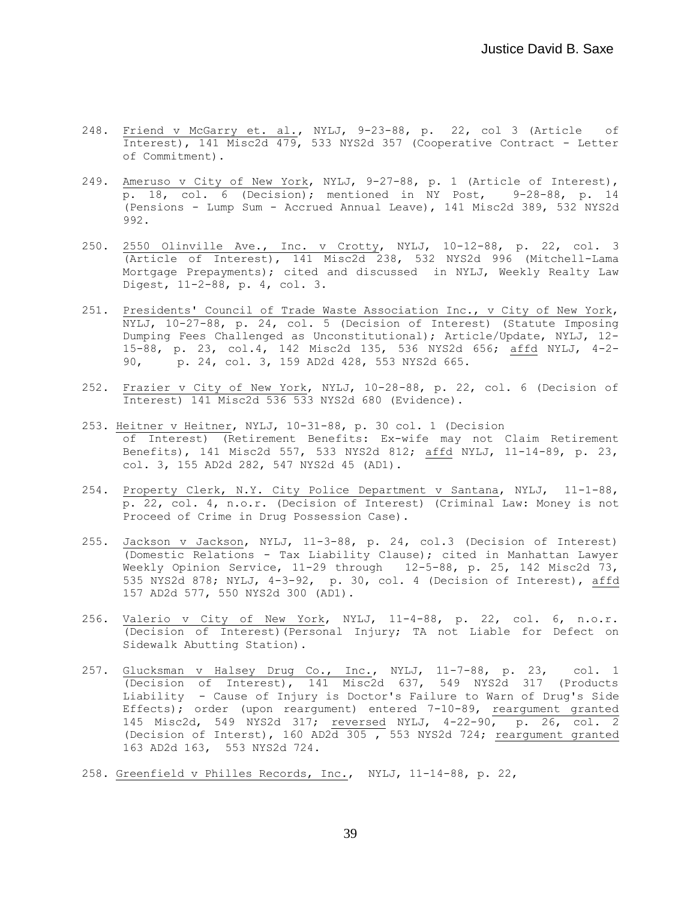- 248. Friend v McGarry et. al., NYLJ, 9-23-88, p. 22, col 3 (Article of Interest), 141 Misc2d 479, 533 NYS2d 357 (Cooperative Contract - Letter of Commitment).
- 249. Ameruso v City of New York, NYLJ, 9-27-88, p. 1 (Article of Interest),  $\overline{p}$ . 18, col. 6 (Decision); mentioned in NY Post, 9-28-88, p. 14 (Pensions - Lump Sum - Accrued Annual Leave), 141 Misc2d 389, 532 NYS2d 992.
- 250. 2550 Olinville Ave., Inc. v Crotty, NYLJ, 10-12-88, p. 22, col. 3 (Article of Interest), 141 Misc2d 238, 532 NYS2d 996 (Mitchell-Lama Mortgage Prepayments); cited and discussed in NYLJ, Weekly Realty Law Digest, 11-2-88, p. 4, col. 3.
- 251. Presidents' Council of Trade Waste Association Inc., v City of New York, NYLJ, 10-27-88, p. 24, col. 5 (Decision of Interest) (Statute Imposing Dumping Fees Challenged as Unconstitutional); Article/Update, NYLJ, 12- 15-88, p. 23, col.4, 142 Misc2d 135, 536 NYS2d 656; affd NYLJ, 4-2- 90, p. 24, col. 3, 159 AD2d 428, 553 NYS2d 665.
- 252. Frazier v City of New York, NYLJ, 10-28-88, p. 22, col. 6 (Decision of Interest) 141 Misc2d 536 533 NYS2d 680 (Evidence).
- 253. Heitner v Heitner, NYLJ, 10-31-88, p. 30 col. 1 (Decision of Interest) (Retirement Benefits: Ex-wife may not Claim Retirement Benefits), 141 Misc2d 557, 533 NYS2d 812; affd NYLJ, 11-14-89, p. 23, col. 3, 155 AD2d 282, 547 NYS2d 45 (AD1).
- 254. Property Clerk, N.Y. City Police Department v Santana, NYLJ, 11-1-88, p. 22, col. 4, n.o.r. (Decision of Interest) (Criminal Law: Money is not Proceed of Crime in Drug Possession Case).
- 255. Jackson v Jackson, NYLJ, 11-3-88, p. 24, col.3 (Decision of Interest) (Domestic Relations - Tax Liability Clause); cited in Manhattan Lawyer Weekly Opinion Service, 11-29 through 12-5-88, p. 25, 142 Misc2d 73, 535 NYS2d 878; NYLJ, 4-3-92, p. 30, col. 4 (Decision of Interest), affd 157 AD2d 577, 550 NYS2d 300 (AD1).
- 256. Valerio v City of New York, NYLJ, 11-4-88, p. 22, col. 6, n.o.r. (Decision of Interest)(Personal Injury; TA not Liable for Defect on Sidewalk Abutting Station).
- 257. Glucksman v Halsey Drug Co., Inc., NYLJ, 11-7-88, p. 23, col. 1 (Decision of Interest), 141 Misc2d 637, 549 NYS2d 317 (Products Liability - Cause of Injury is Doctor's Failure to Warn of Drug's Side Effects); order (upon reargument) entered 7-10-89, reargument granted 145 Misc2d, 549 NYS2d 317; reversed NYLJ, 4-22-90, p. 26, col. 2 (Decision of Interst), 160 AD2 $\overline{d}$  305, 553 NYS2d 724; reargument granted 163 AD2d 163, 553 NYS2d 724.
- 258. Greenfield v Philles Records, Inc., NYLJ, 11-14-88, p. 22,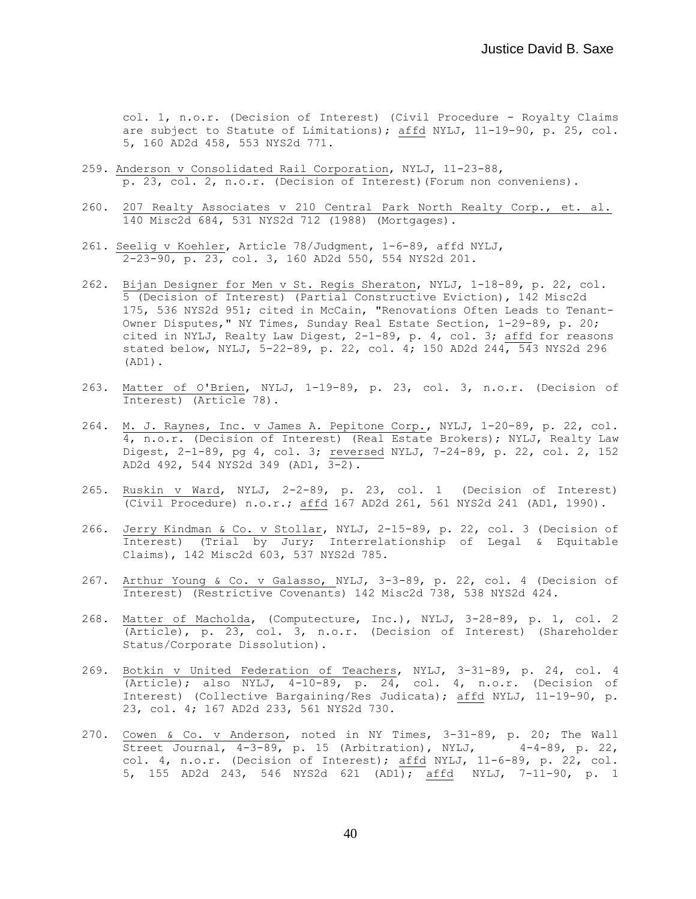col. 1, n.o.r. (Decision of Interest) (Civil Procedure - Royalty Claims are subject to Statute of Limitations); affd NYLJ, 11-19-90, p. 25, col. 5, 160 AD2d 458, 553 NYS2d 771.

- 259. Anderson v Consolidated Rail Corporation, NYLJ, 11-23-88, p. 23, col. 2, n.o.r. (Decision of Interest)(Forum non conveniens).
- 260. 207 Realty Associates v 210 Central Park North Realty Corp., et. al. 140 Misc2d 684, 531 NYS2d 712 (1988) (Mortgages).
- 261. Seelig v Koehler, Article 78/Judgment, 1-6-89, affd NYLJ, 2-23-90, p. 23, col. 3, 160 AD2d 550, 554 NYS2d 201.
- 262. Bijan Designer for Men v St. Regis Sheraton, NYLJ, 1-18-89, p. 22, col. 5 (Decision of Interest) (Partial Constructive Eviction), 142 Misc2d 175, 536 NYS2d 951; cited in McCain, "Renovations Often Leads to Tenant-Owner Disputes," NY Times, Sunday Real Estate Section, 1-29-89, p. 20; cited in NYLJ, Realty Law Digest, 2-1-89, p. 4, col. 3; affd for reasons stated below, NYLJ, 5-22-89, p. 22, col. 4; 150 AD2d 244, 543 NYS2d 296 (AD1).
- 263. Matter of O'Brien, NYLJ, 1-19-89, p. 23, col. 3, n.o.r. (Decision of Interest) (Article 78).
- 264. M. J. Raynes, Inc. v James A. Pepitone Corp., NYLJ, 1-20-89, p. 22, col. 4, n.o.r. (Decision of Interest) (Real Estate Brokers); NYLJ, Realty Law Digest, 2-1-89, pg 4, col. 3; reversed NYLJ, 7-24-89, p. 22, col. 2, 152 AD2d 492, 544 NYS2d 349 (AD1, 3-2).
- 265. Ruskin v Ward, NYLJ, 2-2-89, p. 23, col. 1 (Decision of Interest) (Civil Procedure) n.o.r.; affd 167 AD2d 261, 561 NYS2d 241 (AD1, 1990).
- 266. Jerry Kindman & Co. v Stollar, NYLJ, 2-15-89, p. 22, col. 3 (Decision of Interest) (Trial by Jury; Interrelationship of Legal & Equitable Claims), 142 Misc2d 603, 537 NYS2d 785.
- 267. Arthur Young & Co. v Galasso, NYLJ, 3-3-89, p. 22, col. 4 (Decision of Interest) (Restrictive Covenants) 142 Misc2d 738, 538 NYS2d 424.
- 268. Matter of Macholda, (Computecture, Inc.), NYLJ, 3-28-89, p. 1, col. 2 (Article), p. 23, col. 3, n.o.r. (Decision of Interest) (Shareholder Status/Corporate Dissolution).
- 269. Botkin v United Federation of Teachers, NYLJ, 3-31-89, p. 24, col. 4 (Article); also NYLJ,  $4-10-89$ , p.  $24$ , col. 4, n.o.r. (Decision of Interest) (Collective Bargaining/Res Judicata); affd NYLJ, 11-19-90, p. 23, col. 4; 167 AD2d 233, 561 NYS2d 730.
- 270. Cowen & Co. v Anderson, noted in NY Times, 3-31-89, p. 20; The Wall Street Journal, 4-3-89, p. 15 (Arbitration), NYLJ, 4-4-89, p. 22, col. 4, n.o.r. (Decision of Interest);  $\frac{\text{affd}}{\text{affd}}$  NYLJ, 11-6-89, p. 22, col. 5, 155 AD2d 243, 546 NYS2d 621 (AD1); affd NYLJ, 7-11-90, p. 1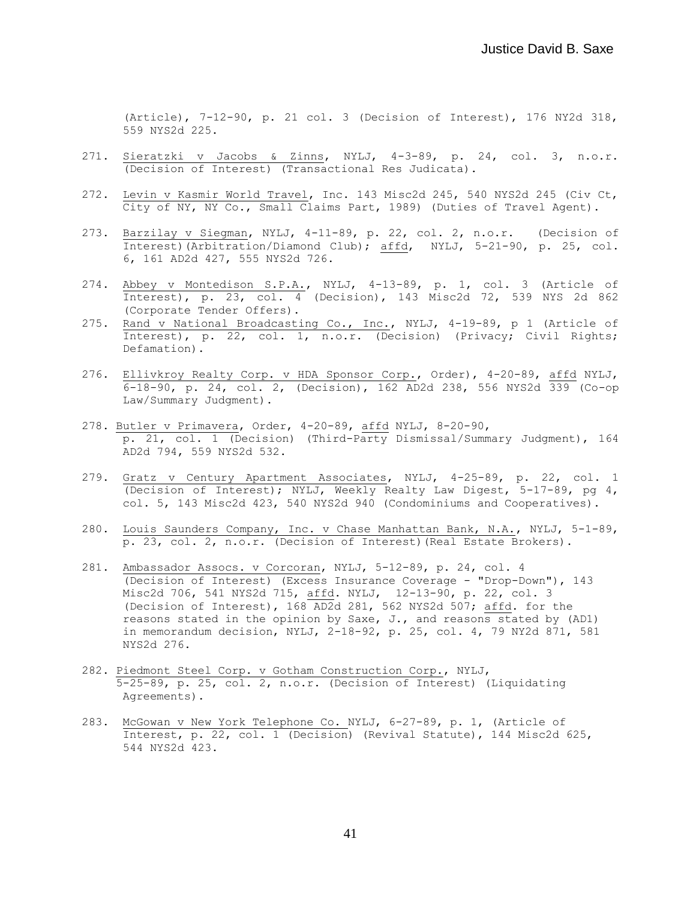(Article), 7-12-90, p. 21 col. 3 (Decision of Interest), 176 NY2d 318, 559 NYS2d 225.

- 271. Sieratzki v Jacobs & Zinns, NYLJ, 4-3-89, p. 24, col. 3, n.o.r. (Decision of Interest) (Transactional Res Judicata).
- 272. Levin v Kasmir World Travel, Inc. 143 Misc2d 245, 540 NYS2d 245 (Civ Ct, City of NY, NY Co., Small Claims Part, 1989) (Duties of Travel Agent).
- 273. Barzilay v Siegman, NYLJ, 4-11-89, p. 22, col. 2, n.o.r. (Decision of Interest)(Arbitration/Diamond Club); affd, NYLJ, 5-21-90, p. 25, col. 6, 161 AD2d 427, 555 NYS2d 726.
- 274. Abbey v Montedison S.P.A., NYLJ, 4-13-89, p. 1, col. 3 (Article of Interest), p. 23, col. 4 (Decision), 143 Misc2d 72, 539 NYS 2d 862 (Corporate Tender Offers).
- 275. Rand v National Broadcasting Co., Inc., NYLJ, 4-19-89, p 1 (Article of Interest), p. 22, col. 1, n.o.r. (Decision) (Privacy; Civil Rights; Defamation).
- 276. Ellivkroy Realty Corp. v HDA Sponsor Corp., Order), 4-20-89, affd NYLJ, 6-18-90, p. 24, col. 2, (Decision), 162 AD2d 238, 556 NYS2d 339 (Co-op Law/Summary Judgment).
- 278. Butler v Primavera, Order, 4-20-89, affd NYLJ, 8-20-90, p. 21, col. 1 (Decision) (Third-Party Dismissal/Summary Judgment), 164 AD2d 794, 559 NYS2d 532.
- 279. Gratz v Century Apartment Associates, NYLJ, 4-25-89, p. 22, col. 1 (Decision of Interest); NYLJ, Weekly Realty Law Digest, 5-17-89, pg 4, col. 5, 143 Misc2d 423, 540 NYS2d 940 (Condominiums and Cooperatives).
- 280. Louis Saunders Company, Inc. v Chase Manhattan Bank, N.A., NYLJ, 5-1-89, p. 23, col. 2, n.o.r. (Decision of Interest)(Real Estate Brokers).
- 281. Ambassador Assocs. v Corcoran, NYLJ, 5-12-89, p. 24, col. 4 (Decision of Interest) (Excess Insurance Coverage - "Drop-Down"), 143 Misc2d 706, 541 NYS2d 715, affd. NYLJ, 12-13-90, p. 22, col. 3 (Decision of Interest), 168 AD2d 281, 562 NYS2d 507; affd. for the reasons stated in the opinion by Saxe, J., and reasons stated by (AD1) in memorandum decision, NYLJ, 2-18-92, p. 25, col. 4, 79 NY2d 871, 581 NYS2d 276.
- 282. Piedmont Steel Corp. v Gotham Construction Corp., NYLJ, 5-25-89, p. 25, col. 2, n.o.r. (Decision of Interest) (Liquidating Agreements).
- 283. McGowan v New York Telephone Co. NYLJ, 6-27-89, p. 1, (Article of Interest, p. 22, col. 1 (Decision) (Revival Statute), 144 Misc2d 625, 544 NYS2d 423.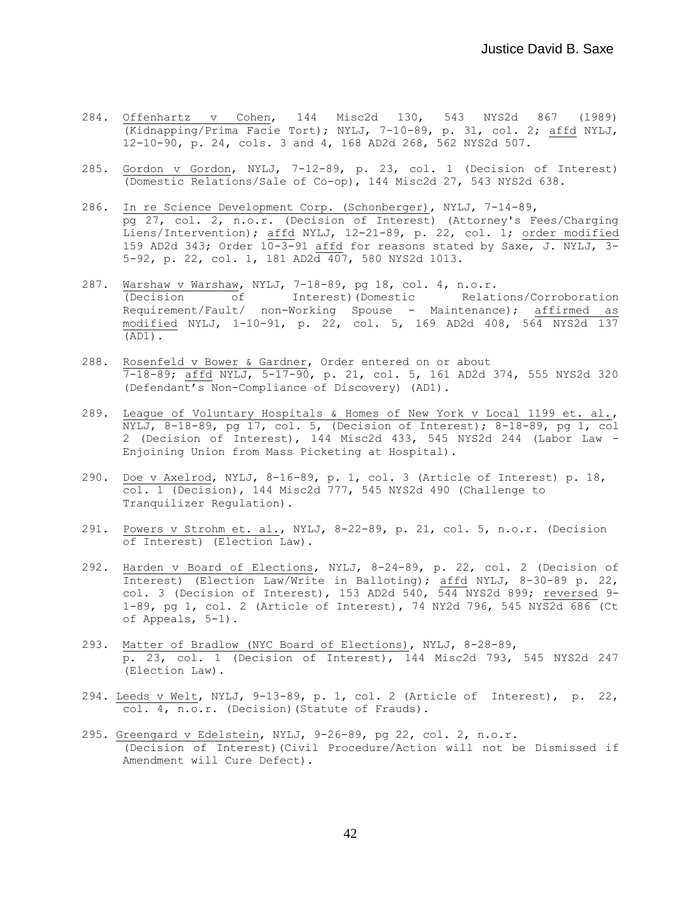- 284. Offenhartz v Cohen, 144 Misc2d 130, 543 NYS2d 867 (1989) (Kidnapping/Prima Facie Tort); NYLJ, 7-10-89, p. 31, col. 2; affd NYLJ, 12-10-90, p. 24, cols. 3 and 4, 168 AD2d 268, 562 NYS2d 507.
- 285. Gordon v Gordon, NYLJ, 7-12-89, p. 23, col. 1 (Decision of Interest) (Domestic Relations/Sale of Co-op), 144 Misc2d 27, 543 NYS2d 638.
- 286. In re Science Development Corp. (Schonberger), NYLJ, 7-14-89, pg 27, col. 2, n.o.r. (Decision of Interest) (Attorney's Fees/Charging Liens/Intervention); affd NYLJ, 12-21-89, p. 22, col. 1; order modified 159 AD2d 343; Order  $10-3-91$  affd for reasons stated by Saxe, J. NYLJ, 3-5-92, p. 22, col. 1, 181 AD2d 407, 580 NYS2d 1013.
- 287. Warshaw v Warshaw, NYLJ, 7-18-89, pg 18, col. 4, n.o.r. (Decision of Interest)(Domestic Relations/Corroboration Requirement/Fault/ non-Working Spouse - Maintenance); affirmed as modified NYLJ, 1-10-91, p. 22, col. 5, 169 AD2d 408, 564 NYS2d 137 (AD1).
- 288. Rosenfeld v Bower & Gardner, Order entered on or about 7-18-89; affd NYLJ, 5-17-90, p. 21, col. 5, 161 AD2d 374, 555 NYS2d 320 (Defendant's Non-Compliance of Discovery) (AD1).
- 289. League of Voluntary Hospitals & Homes of New York v Local 1199 et. al., NYLJ, 8-18-89, pg 17, col. 5, (Decision of Interest); 8-18-89, pg 1, col 2 (Decision of Interest), 144 Misc2d 433, 545 NYS2d 244 (Labor Law - Enjoining Union from Mass Picketing at Hospital).
- 290. Doe v Axelrod, NYLJ, 8-16-89, p. 1, col. 3 (Article of Interest) p. 18, col. 1 (Decision), 144 Misc2d 777, 545 NYS2d 490 (Challenge to Tranquilizer Regulation).
- 291. Powers v Strohm et. al., NYLJ, 8-22-89, p. 21, col. 5, n.o.r. (Decision of Interest) (Election Law).
- 292. Harden v Board of Elections, NYLJ, 8-24-89, p. 22, col. 2 (Decision of Interest) (Election Law/Write in Balloting); affd NYLJ, 8-30-89 p. 22, col. 3 (Decision of Interest), 153 AD2d 540, 544 NYS2d 899; reversed 9- 1-89, pg 1, col. 2 (Article of Interest), 74 NY2d 796, 545 NYS2d 686 (Ct of Appeals, 5-1).
- 293. Matter of Bradlow (NYC Board of Elections), NYLJ, 8-28-89, p. 23, col. 1 (Decision of Interest), 144 Misc2d 793, 545 NYS2d 247 (Election Law).
- 294. Leeds v Welt, NYLJ, 9-13-89, p. 1, col. 2 (Article of Interest), p. 22, col. 4, n.o.r. (Decision)(Statute of Frauds).
- 295. Greengard v Edelstein, NYLJ, 9-26-89, pg 22, col. 2, n.o.r. (Decision of Interest)(Civil Procedure/Action will not be Dismissed if Amendment will Cure Defect).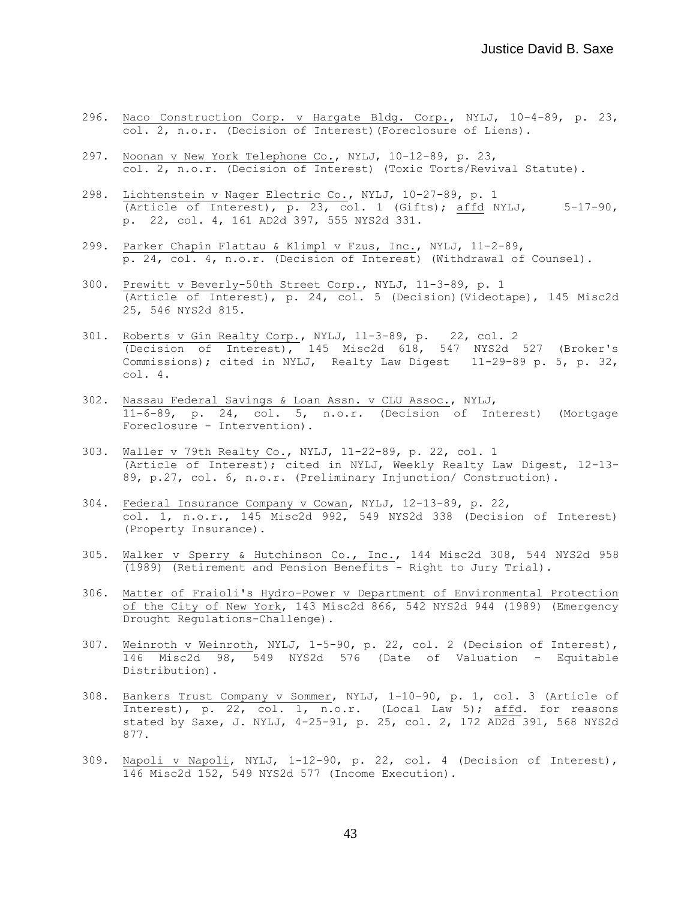- 296. Naco Construction Corp. v Hargate Bldg. Corp., NYLJ, 10-4-89, p. 23, col. 2, n.o.r. (Decision of Interest)(Foreclosure of Liens).
- 297. Noonan v New York Telephone Co., NYLJ, 10-12-89, p. 23, col. 2, n.o.r. (Decision of Interest) (Toxic Torts/Revival Statute).
- 298. Lichtenstein v Nager Electric Co., NYLJ, 10-27-89, p. 1 (Article of Interest), p. 23, col. 1 (Gifts); affd NYLJ,  $5-17-90$ , p. 22, col. 4, 161 AD2d 397, 555 NYS2d 331.
- 299. Parker Chapin Flattau & Klimpl v Fzus, Inc., NYLJ, 11-2-89, p. 24, col. 4, n.o.r. (Decision of Interest) (Withdrawal of Counsel).
- 300. Prewitt v Beverly-50th Street Corp., NYLJ, 11-3-89, p. 1 (Article of Interest), p. 24, col. 5 (Decision)(Videotape), 145 Misc2d 25, 546 NYS2d 815.
- 301. Roberts v Gin Realty Corp., NYLJ, 11-3-89, p. 22, col. 2 (Decision of Interest), 145 Misc2d 618, 547 NYS2d 527 (Broker's Commissions); cited in NYLJ, Realty Law Digest 11-29-89 p. 5, p. 32, col. 4.
- 302. Nassau Federal Savings & Loan Assn. v CLU Assoc., NYLJ, 11-6-89, p. 24, col. 5, n.o.r. (Decision of Interest) (Mortgage Foreclosure - Intervention).
- 303. Waller v 79th Realty Co., NYLJ, 11-22-89, p. 22, col. 1 (Article of Interest); cited in NYLJ, Weekly Realty Law Digest, 12-13- 89, p.27, col. 6, n.o.r. (Preliminary Injunction/ Construction).
- 304. Federal Insurance Company v Cowan, NYLJ, 12-13-89, p. 22, col. 1, n.o.r., 145 Misc2d 992, 549 NYS2d 338 (Decision of Interest) (Property Insurance).
- 305. Walker v Sperry & Hutchinson Co., Inc., 144 Misc2d 308, 544 NYS2d 958 (1989) (Retirement and Pension Benefits - Right to Jury Trial).
- 306. Matter of Fraioli's Hydro-Power v Department of Environmental Protection of the City of New York, 143 Misc2d 866, 542 NYS2d 944 (1989) (Emergency Drought Regulations-Challenge).
- 307. Weinroth v Weinroth, NYLJ, 1-5-90, p. 22, col. 2 (Decision of Interest), 146 Misc2d 98, 549 NYS2d 576 (Date of Valuation - Equitable Distribution).
- 308. Bankers Trust Company v Sommer, NYLJ, 1-10-90, p. 1, col. 3 (Article of Interest), p. 22, col. 1, n.o.r. (Local Law 5); affd. for reasons stated by Saxe, J. NYLJ, 4-25-91, p. 25, col. 2, 172 AD2d 391, 568 NYS2d 877.
- 309. Napoli v Napoli, NYLJ, 1-12-90, p. 22, col. 4 (Decision of Interest), 146 Misc2d 152, 549 NYS2d 577 (Income Execution).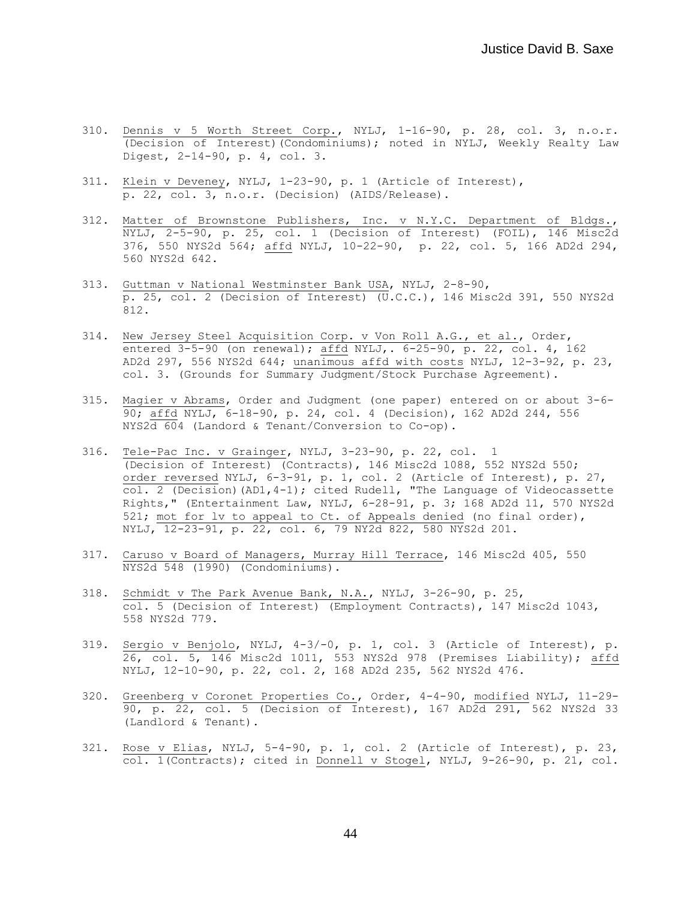- 310. Dennis v 5 Worth Street Corp., NYLJ, 1-16-90, p. 28, col. 3, n.o.r. (Decision of Interest)(Condominiums); noted in NYLJ, Weekly Realty Law Digest, 2-14-90, p. 4, col. 3.
- 311. Klein v Deveney, NYLJ, 1-23-90, p. 1 (Article of Interest), p. 22, col. 3, n.o.r. (Decision) (AIDS/Release).
- 312. Matter of Brownstone Publishers, Inc. v N.Y.C. Department of Bldgs., NYLJ, 2-5-90, p. 25, col. 1 (Decision of Interest) (FOIL), 146 Misc2d 376, 550 NYS2d 564; affd NYLJ, 10-22-90, p. 22, col. 5, 166 AD2d 294, 560 NYS2d 642.
- 313. Guttman v National Westminster Bank USA, NYLJ, 2-8-90, p. 25, col. 2 (Decision of Interest) (U.C.C.), 146 Misc2d 391, 550 NYS2d 812.
- 314. New Jersey Steel Acquisition Corp. v Von Roll A.G., et al., Order, entered 3-5-90 (on renewal); affd NYLJ,. 6-25-90, p. 22, col. 4, 162 AD2d 297, 556 NYS2d 644; unanimous affd with costs NYLJ, 12-3-92, p. 23, col. 3. (Grounds for Summary Judgment/Stock Purchase Agreement).
- 315. Magier v Abrams, Order and Judgment (one paper) entered on or about 3-6- 90; affd NYLJ, 6-18-90, p. 24, col. 4 (Decision), 162 AD2d 244, 556 NYS2d 604 (Landord & Tenant/Conversion to Co-op).
- 316. Tele-Pac Inc. v Grainger, NYLJ, 3-23-90, p. 22, col. 1 (Decision of Interest) (Contracts), 146 Misc2d 1088, 552 NYS2d 550; order reversed NYLJ, 6-3-91, p. 1, col. 2 (Article of Interest), p. 27, col. 2 (Decision)(AD1,4-1); cited Rudell, "The Language of Videocassette Rights," (Entertainment Law, NYLJ, 6-28-91, p. 3; 168 AD2d 11, 570 NYS2d 521; mot for lv to appeal to Ct. of Appeals denied (no final order), NYLJ, 12-23-91, p. 22, col. 6, 79 NY2d 822, 580 NYS2d 201.
- 317. Caruso v Board of Managers, Murray Hill Terrace, 146 Misc2d 405, 550 NYS2d 548 (1990) (Condominiums).
- 318. Schmidt v The Park Avenue Bank, N.A., NYLJ, 3-26-90, p. 25, col. 5 (Decision of Interest) (Employment Contracts), 147 Misc2d 1043, 558 NYS2d 779.
- 319. Sergio v Benjolo, NYLJ, 4-3/-0, p. 1, col. 3 (Article of Interest), p. 26, col. 5, 146 Misc2d 1011, 553 NYS2d 978 (Premises Liability); affd NYLJ, 12-10-90, p. 22, col. 2, 168 AD2d 235, 562 NYS2d 476.
- 320. Greenberg v Coronet Properties Co., Order, 4-4-90, modified NYLJ, 11-29- 90, p. 22, col. 5 (Decision of Interest), 167 AD2d 291, 562 NYS2d 33 (Landlord & Tenant).
- 321. Rose v Elias, NYLJ, 5-4-90, p. 1, col. 2 (Article of Interest), p. 23, col. 1(Contracts); cited in Donnell v Stogel, NYLJ, 9-26-90, p. 21, col.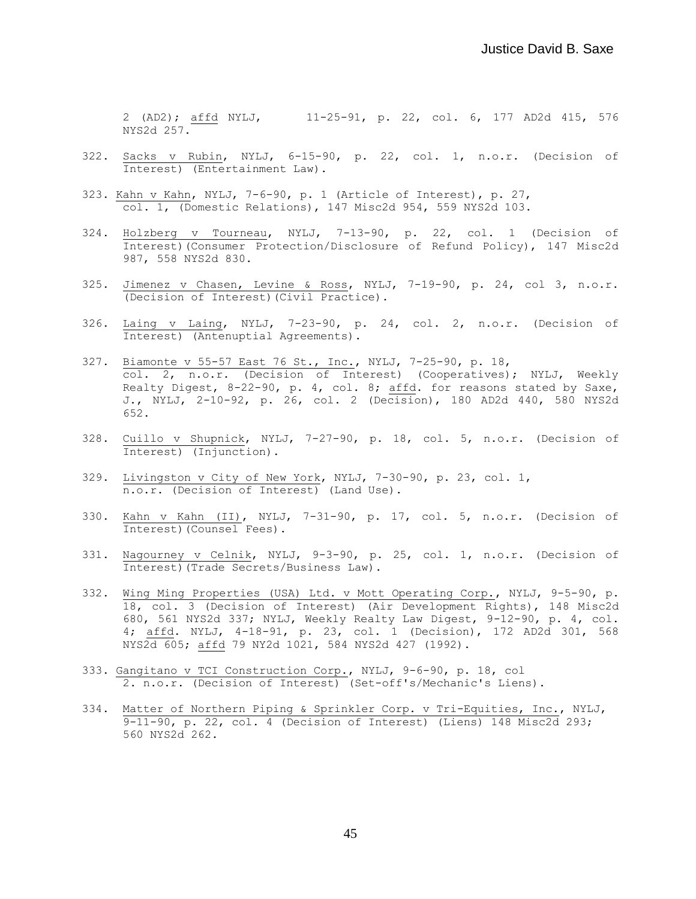2 (AD2); affd NYLJ, 11-25-91, p. 22, col. 6, 177 AD2d 415, 576 NYS2d 257.

- 322. Sacks v Rubin, NYLJ, 6-15-90, p. 22, col. 1, n.o.r. (Decision of Interest) (Entertainment Law).
- 323. Kahn v Kahn, NYLJ, 7-6-90, p. 1 (Article of Interest), p. 27, col. 1, (Domestic Relations), 147 Misc2d 954, 559 NYS2d 103.
- 324. Holzberg v Tourneau, NYLJ, 7-13-90, p. 22, col. 1 (Decision of Interest)(Consumer Protection/Disclosure of Refund Policy), 147 Misc2d 987, 558 NYS2d 830.
- 325. Jimenez v Chasen, Levine & Ross, NYLJ, 7-19-90, p. 24, col 3, n.o.r. (Decision of Interest)(Civil Practice).
- 326. Laing v Laing, NYLJ, 7-23-90, p. 24, col. 2, n.o.r. (Decision of Interest) (Antenuptial Agreements).
- 327. Biamonte v 55-57 East 76 St., Inc., NYLJ, 7-25-90, p. 18, col. 2, n.o.r. (Decision of Interest) (Cooperatives); NYLJ, Weekly Realty Digest, 8-22-90, p. 4, col. 8; affd. for reasons stated by Saxe, J., NYLJ, 2-10-92, p. 26, col. 2 (Decision), 180 AD2d 440, 580 NYS2d 652.
- 328. Cuillo v Shupnick, NYLJ, 7-27-90, p. 18, col. 5, n.o.r. (Decision of Interest) (Injunction).
- 329. Livingston v City of New York, NYLJ, 7-30-90, p. 23, col. 1, n.o.r. (Decision of Interest) (Land Use).
- 330. Kahn v Kahn (II), NYLJ, 7-31-90, p. 17, col. 5, n.o.r. (Decision of Interest)(Counsel Fees).
- 331. Nagourney v Celnik, NYLJ, 9-3-90, p. 25, col. 1, n.o.r. (Decision of Interest)(Trade Secrets/Business Law).
- 332. Wing Ming Properties (USA) Ltd. v Mott Operating Corp., NYLJ, 9-5-90, p. 18, col. 3 (Decision of Interest) (Air Development Rights), 148 Misc2d 680, 561 NYS2d 337; NYLJ, Weekly Realty Law Digest, 9-12-90, p. 4, col. 4; affd. NYLJ, 4-18-91, p. 23, col. 1 (Decision), 172 AD2d 301, 568 NYS2d 605; affd 79 NY2d 1021, 584 NYS2d 427 (1992).
- 333. Gangitano v TCI Construction Corp., NYLJ, 9-6-90, p. 18, col 2. n.o.r. (Decision of Interest) (Set-off's/Mechanic's Liens).
- 334. Matter of Northern Piping & Sprinkler Corp. v Tri-Equities, Inc., NYLJ, 9-11-90, p. 22, col. 4 (Decision of Interest) (Liens) 148 Misc2d 293; 560 NYS2d 262.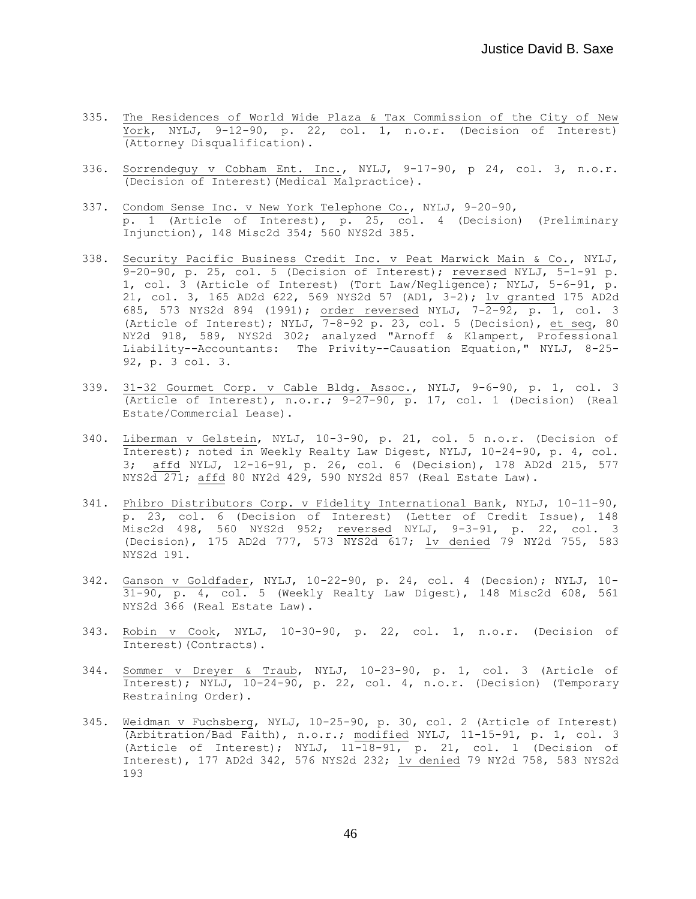- 335. The Residences of World Wide Plaza & Tax Commission of the City of New York, NYLJ, 9-12-90, p. 22, col. 1, n.o.r. (Decision of Interest) (Attorney Disqualification).
- 336. Sorrendeguy v Cobham Ent. Inc., NYLJ, 9-17-90, p 24, col. 3, n.o.r. (Decision of Interest)(Medical Malpractice).
- 337. Condom Sense Inc. v New York Telephone Co., NYLJ, 9-20-90, p. 1 (Article of Interest), p. 25, col. 4 (Decision) (Preliminary Injunction), 148 Misc2d 354; 560 NYS2d 385.
- 338. Security Pacific Business Credit Inc. v Peat Marwick Main & Co., NYLJ,  $9-20-90$ , p. 25, col. 5 (Decision of Interest); reversed NYLJ,  $5-1-91$  p. 1, col. 3 (Article of Interest) (Tort Law/Negligence); NYLJ, 5-6-91, p. 21, col. 3, 165 AD2d 622, 569 NYS2d 57 (AD1, 3-2); lv granted 175 AD2d 685, 573 NYS2d 894 (1991); order reversed NYLJ, 7-2-92, p. 1, col. 3 (Article of Interest); NYLJ,  $\overline{7-8-92}$  p. 23, col. 5 (Decision), et seq, 80 NY2d 918, 589, NYS2d 302; analyzed "Arnoff & Klampert, Professional Liability--Accountants: The Privity--Causation Equation," NYLJ, 8-25- 92, p. 3 col. 3.
- 339. 31-32 Gourmet Corp. v Cable Bldg. Assoc., NYLJ, 9-6-90, p. 1, col. 3 (Article of Interest), n.o.r.; 9-27-90, p. 17, col. 1 (Decision) (Real Estate/Commercial Lease).
- 340. Liberman v Gelstein, NYLJ, 10-3-90, p. 21, col. 5 n.o.r. (Decision of Interest); noted in Weekly Realty Law Digest, NYLJ, 10-24-90, p. 4, col. 3; affd NYLJ, 12-16-91, p. 26, col. 6 (Decision), 178 AD2d 215, 577 NYS2d 271; affd 80 NY2d 429, 590 NYS2d 857 (Real Estate Law).
- 341. Phibro Distributors Corp. v Fidelity International Bank, NYLJ, 10-11-90, p. 23, col. 6 (Decision of Interest) (Letter of Credit Issue), 148 Misc2d 498, 560 NYS2d 952; reversed NYLJ, 9-3-91, p. 22, col. 3 (Decision), 175 AD2d 777, 573 NYS2d 617; lv denied 79 NY2d 755, 583 NYS2d 191.
- 342. Ganson v Goldfader, NYLJ, 10-22-90, p. 24, col. 4 (Decsion); NYLJ, 10- 31-90, p. 4, col. 5 (Weekly Realty Law Digest), 148 Misc2d 608, 561 NYS2d 366 (Real Estate Law).
- 343. Robin v Cook, NYLJ, 10-30-90, p. 22, col. 1, n.o.r. (Decision of Interest)(Contracts).
- 344. Sommer v Dreyer & Traub, NYLJ, 10-23-90, p. 1, col. 3 (Article of Interest); NYLJ, 10-24-90, p. 22, col. 4, n.o.r. (Decision) (Temporary Restraining Order).
- 345. Weidman v Fuchsberg, NYLJ, 10-25-90, p. 30, col. 2 (Article of Interest) (Arbitration/Bad Faith), n.o.r.; modified NYLJ, 11-15-91, p. 1, col. 3 (Article of Interest); NYLJ,  $11\overline{-18-91}$ , p. 21, col. 1 (Decision of Interest), 177 AD2d 342, 576 NYS2d 232; lv denied 79 NY2d 758, 583 NYS2d 193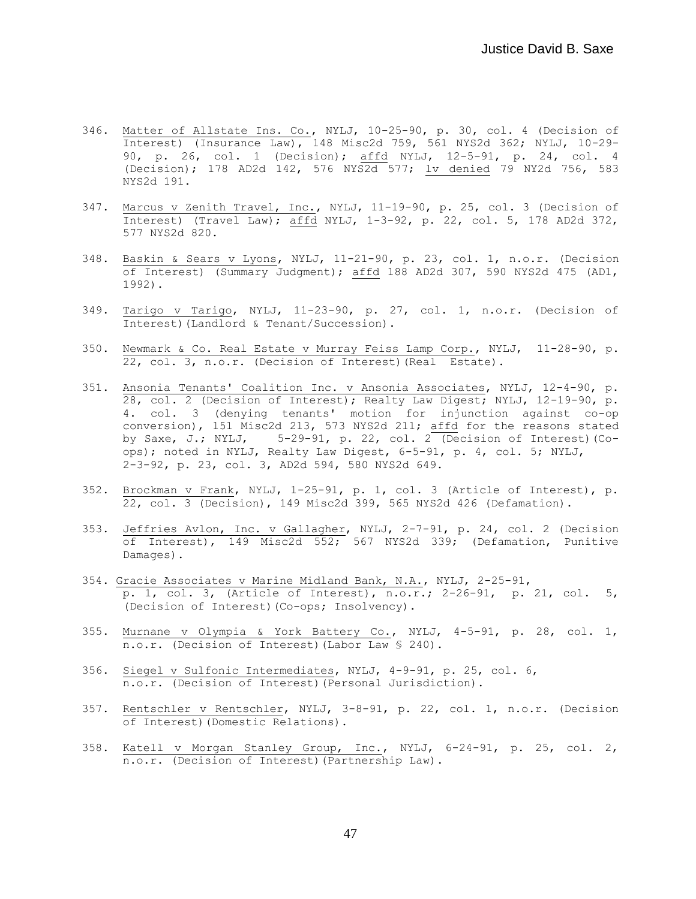- 346. Matter of Allstate Ins. Co., NYLJ, 10-25-90, p. 30, col. 4 (Decision of Interest) (Insurance Law), 148 Misc2d 759, 561 NYS2d 362; NYLJ, 10-29- 90, p. 26, col. 1 (Decision); affd NYLJ, 12-5-91, p. 24, col. 4 (Decision); 178 AD2d 142, 576 NYS2d 577; lv denied 79 NY2d 756, 583 NYS2d 191.
- 347. Marcus v Zenith Travel, Inc., NYLJ, 11-19-90, p. 25, col. 3 (Decision of Interest) (Travel Law); affd NYLJ, 1-3-92, p. 22, col. 5, 178 AD2d 372, 577 NYS2d 820.
- 348. Baskin & Sears v Lyons, NYLJ, 11-21-90, p. 23, col. 1, n.o.r. (Decision of Interest) (Summary Judgment); affd 188 AD2d 307, 590 NYS2d 475 (AD1, 1992).
- 349. Tarigo v Tarigo, NYLJ, 11-23-90, p. 27, col. 1, n.o.r. (Decision of Interest)(Landlord & Tenant/Succession).
- 350. Newmark & Co. Real Estate v Murray Feiss Lamp Corp., NYLJ, 11-28-90, p. 22, col. 3, n.o.r. (Decision of Interest)(Real Estate).
- 351. Ansonia Tenants' Coalition Inc. v Ansonia Associates, NYLJ, 12-4-90, p. 28, col. 2 (Decision of Interest); Realty Law Digest; NYLJ, 12-19-90, p. 4. col. 3 (denying tenants' motion for injunction against co-op conversion), 151 Misc2d 213, 573 NYS2d 211; affd for the reasons stated by Saxe, J.; NYLJ, 5-29-91, p. 22, col. 2 (Decision of Interest)(Coops); noted in NYLJ, Realty Law Digest, 6-5-91, p. 4, col. 5; NYLJ, 2-3-92, p. 23, col. 3, AD2d 594, 580 NYS2d 649.
- 352. Brockman v Frank, NYLJ, 1-25-91, p. 1, col. 3 (Article of Interest), p. 22, col. 3 (Decision), 149 Misc2d 399, 565 NYS2d 426 (Defamation).
- 353. Jeffries Avlon, Inc. v Gallagher, NYLJ, 2-7-91, p. 24, col. 2 (Decision of Interest), 149 Misc2d 552; 567 NYS2d 339; (Defamation, Punitive Damages).
- 354. Gracie Associates v Marine Midland Bank, N.A., NYLJ, 2-25-91, p. 1, col. 3, (Article of Interest), n.o.r.; 2-26-91, p. 21, col. 5, (Decision of Interest)(Co-ops; Insolvency).
- 355. Murnane v Olympia & York Battery Co., NYLJ, 4-5-91, p. 28, col. 1, n.o.r. (Decision of Interest)(Labor Law § 240).
- 356. Siegel v Sulfonic Intermediates, NYLJ, 4-9-91, p. 25, col. 6, n.o.r. (Decision of Interest)(Personal Jurisdiction).
- 357. Rentschler v Rentschler, NYLJ, 3-8-91, p. 22, col. 1, n.o.r. (Decision of Interest)(Domestic Relations).
- 358. Katell v Morgan Stanley Group, Inc., NYLJ, 6-24-91, p. 25, col. 2, n.o.r. (Decision of Interest)(Partnership Law).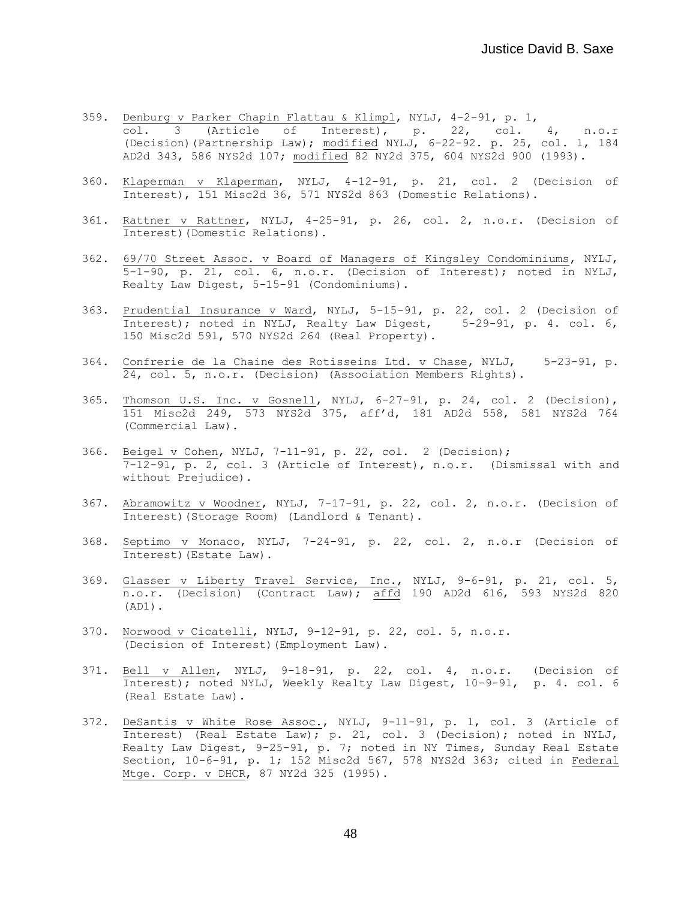- 359. Denburg v Parker Chapin Flattau & Klimpl, NYLJ, 4-2-91, p. 1, col. 3 (Article of Interest), p. 22, col. 4, n.o.r (Decision)(Partnership Law); modified NYLJ, 6-22-92. p. 25, col. 1, 184 AD2d 343, 586 NYS2d 107; modified 82 NY2d 375, 604 NYS2d 900 (1993).
- 360. Klaperman v Klaperman, NYLJ, 4-12-91, p. 21, col. 2 (Decision of Interest), 151 Misc2d 36, 571 NYS2d 863 (Domestic Relations).
- 361. Rattner v Rattner, NYLJ, 4-25-91, p. 26, col. 2, n.o.r. (Decision of Interest)(Domestic Relations).
- 362. 69/70 Street Assoc. v Board of Managers of Kingsley Condominiums, NYLJ, 5-1-90, p. 21, col. 6, n.o.r. (Decision of Interest); noted in NYLJ, Realty Law Digest, 5-15-91 (Condominiums).
- 363. Prudential Insurance v Ward, NYLJ, 5-15-91, p. 22, col. 2 (Decision of Interest); noted in NYLJ, Realty Law Digest, 5-29-91, p. 4. col. 6, 150 Misc2d 591, 570 NYS2d 264 (Real Property).
- 364. Confrerie de la Chaine des Rotisseins Ltd. v Chase, NYLJ, 5-23-91, p. 24, col. 5, n.o.r. (Decision) (Association Members Rights).
- 365. Thomson U.S. Inc. v Gosnell, NYLJ, 6-27-91, p. 24, col. 2 (Decision), 151 Misc2d 249, 573 NYS2d 375, aff'd, 181 AD2d 558, 581 NYS2d 764 (Commercial Law).
- 366. Beigel v Cohen, NYLJ, 7-11-91, p. 22, col. 2 (Decision); 7-12-91, p. 2, col. 3 (Article of Interest), n.o.r. (Dismissal with and without Prejudice).
- 367. Abramowitz v Woodner, NYLJ, 7-17-91, p. 22, col. 2, n.o.r. (Decision of Interest)(Storage Room) (Landlord & Tenant).
- 368. Septimo v Monaco, NYLJ, 7-24-91, p. 22, col. 2, n.o.r (Decision of Interest)(Estate Law).
- 369. Glasser v Liberty Travel Service, Inc., NYLJ, 9-6-91, p. 21, col. 5, n.o.r. (Decision) (Contract Law); affd 190 AD2d 616, 593 NYS2d 820 (AD1).
- 370. Norwood v Cicatelli, NYLJ, 9-12-91, p. 22, col. 5, n.o.r. (Decision of Interest)(Employment Law).
- 371. Bell v Allen, NYLJ, 9-18-91, p. 22, col. 4, n.o.r. (Decision of Interest); noted NYLJ, Weekly Realty Law Digest, 10-9-91, p. 4. col. 6 (Real Estate Law).
- 372. DeSantis v White Rose Assoc., NYLJ, 9-11-91, p. 1, col. 3 (Article of Interest) (Real Estate Law); p. 21, col. 3 (Decision); noted in NYLJ, Realty Law Digest, 9-25-91, p. 7; noted in NY Times, Sunday Real Estate Section, 10-6-91, p. 1; 152 Misc2d 567, 578 NYS2d 363; cited in Federal Mtge. Corp. v DHCR, 87 NY2d 325 (1995).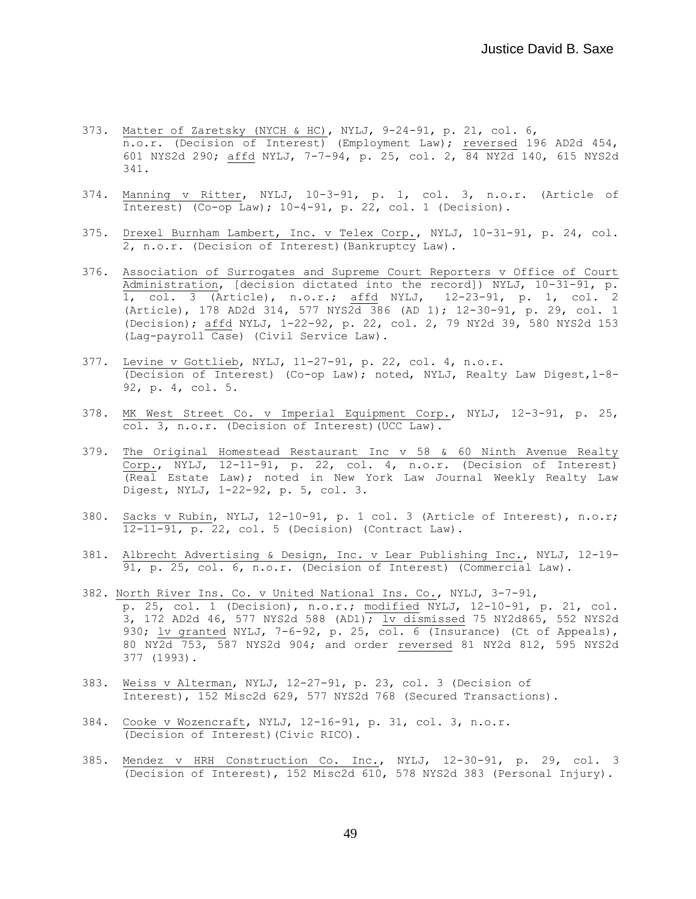- 373. Matter of Zaretsky (NYCH & HC), NYLJ, 9-24-91, p. 21, col. 6, n.o.r. (Decision of Interest) (Employment Law); reversed 196 AD2d 454, 601 NYS2d 290; affd NYLJ, 7-7-94, p. 25, col. 2, 84 NY2d 140, 615 NYS2d 341.
- 374. Manning v Ritter, NYLJ, 10-3-91, p. 1, col. 3, n.o.r. (Article of Interest)  $(Co-op Law)$ ; 10-4-91, p. 22, col. 1 (Decision).
- 375. Drexel Burnham Lambert, Inc. v Telex Corp., NYLJ, 10-31-91, p. 24, col. 2, n.o.r. (Decision of Interest)(Bankruptcy Law).
- 376. Association of Surrogates and Supreme Court Reporters v Office of Court Administration, [decision dictated into the record]) NYLJ, 10-31-91, p. 1, col. 3 (Article), n.o.r.; affd NYLJ, 12-23-91, p. 1, col. 2 (Article), 178 AD2d 314, 577 NYS2d 386 (AD 1); 12-30-91, p. 29, col. 1 (Decision); affd NYLJ, 1-22-92, p. 22, col. 2, 79 NY2d 39, 580 NYS2d 153 (Lag-payroll Case) (Civil Service Law).
- 377. Levine v Gottlieb, NYLJ, 11-27-91, p. 22, col. 4, n.o.r. (Decision of Interest) (Co-op Law); noted, NYLJ, Realty Law Digest,1-8- 92, p. 4, col. 5.
- 378. MK West Street Co. v Imperial Equipment Corp., NYLJ, 12-3-91, p. 25, col. 3, n.o.r. (Decision of Interest)(UCC Law).
- 379. The Original Homestead Restaurant Inc v 58 & 60 Ninth Avenue Realty Corp., NYLJ, 12-11-91, p. 22, col. 4, n.o.r. (Decision of Interest) (Real Estate Law); noted in New York Law Journal Weekly Realty Law Digest, NYLJ, 1-22-92, p. 5, col. 3.
- 380. Sacks v Rubin, NYLJ, 12-10-91, p. 1 col. 3 (Article of Interest), n.o.r;  $\overline{12-11-91}$ , p. 22, col. 5 (Decision) (Contract Law).
- 381. Albrecht Advertising & Design, Inc. v Lear Publishing Inc., NYLJ, 12-19- 91, p. 25, col. 6, n.o.r. (Decision of Interest) (Commercial Law).
- 382. North River Ins. Co. v United National Ins. Co., NYLJ, 3-7-91, p. 25, col. 1 (Decision), n.o.r.; modified NYLJ, 12-10-91, p. 21, col. 3, 172 AD2d 46, 577 NYS2d 588 (AD1); lv dismissed 75 NY2d865, 552 NYS2d 930; lv granted NYLJ, 7-6-92, p. 25, col. 6 (Insurance) (Ct of Appeals), 80 NY2d 753, 587 NYS2d 904; and order reversed 81 NY2d 812, 595 NYS2d 377 (1993).
- 383. Weiss v Alterman, NYLJ, 12-27-91, p. 23, col. 3 (Decision of Interest), 152 Misc2d 629, 577 NYS2d 768 (Secured Transactions).
- 384. Cooke v Wozencraft, NYLJ, 12-16-91, p. 31, col. 3, n.o.r. (Decision of Interest)(Civic RICO).
- 385. Mendez v HRH Construction Co. Inc., NYLJ, 12-30-91, p. 29, col. 3 (Decision of Interest), 152 Misc2d 610, 578 NYS2d 383 (Personal Injury).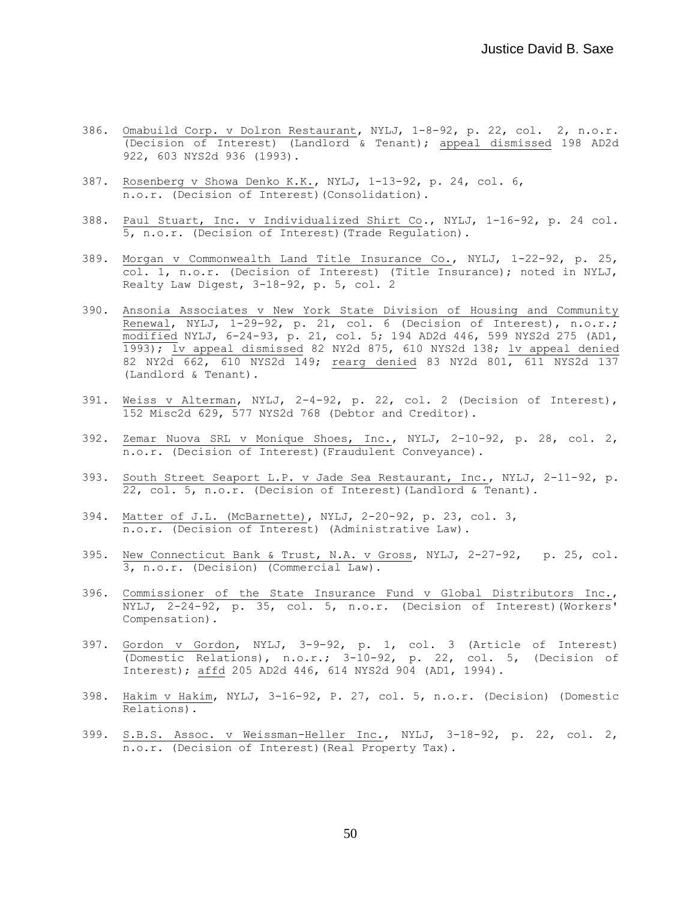- 386. Omabuild Corp. v Dolron Restaurant, NYLJ, 1-8-92, p. 22, col. 2, n.o.r. (Decision of Interest) (Landlord & Tenant); appeal dismissed 198 AD2d 922, 603 NYS2d 936 (1993).
- 387. Rosenberg v Showa Denko K.K., NYLJ, 1-13-92, p. 24, col. 6, n.o.r. (Decision of Interest)(Consolidation).
- 388. Paul Stuart, Inc. v Individualized Shirt Co., NYLJ, 1-16-92, p. 24 col. 5, n.o.r. (Decision of Interest)(Trade Regulation).
- 389. Morgan v Commonwealth Land Title Insurance Co., NYLJ, 1-22-92, p. 25, col. 1, n.o.r. (Decision of Interest) (Title Insurance); noted in NYLJ, Realty Law Digest, 3-18-92, p. 5, col. 2
- 390. Ansonia Associates v New York State Division of Housing and Community Renewal, NYLJ, 1-29-92, p. 21, col. 6 (Decision of Interest), n.o.r.; modified NYLJ, 6-24-93, p. 21, col. 5; 194 AD2d 446, 599 NYS2d 275 (AD1, 1993); lv appeal dismissed 82 NY2d 875, 610 NYS2d 138; lv appeal denied 82 NY2d 662, 610 NYS2d 149; rearg denied 83 NY2d 801, 611 NYS2d 137 (Landlord & Tenant).
- 391. Weiss v Alterman, NYLJ, 2-4-92, p. 22, col. 2 (Decision of Interest), 152 Misc2d 629, 577 NYS2d 768 (Debtor and Creditor).
- 392. Zemar Nuova SRL v Monique Shoes, Inc., NYLJ, 2-10-92, p. 28, col. 2, n.o.r. (Decision of Interest)(Fraudulent Conveyance).
- 393. South Street Seaport L.P. v Jade Sea Restaurant, Inc., NYLJ, 2-11-92, p. 22, col. 5, n.o.r. (Decision of Interest)(Landlord & Tenant).
- 394. Matter of J.L. (McBarnette), NYLJ, 2-20-92, p. 23, col. 3, n.o.r. (Decision of Interest) (Administrative Law).
- 395. New Connecticut Bank & Trust, N.A. v Gross, NYLJ, 2-27-92, p. 25, col. 3, n.o.r. (Decision) (Commercial Law).
- 396. Commissioner of the State Insurance Fund v Global Distributors Inc., NYLJ, 2-24-92, p. 35, col. 5, n.o.r. (Decision of Interest)(Workers' Compensation).
- 397. Gordon v Gordon, NYLJ, 3-9-92, p. 1, col. 3 (Article of Interest) (Domestic Relations), n.o.r.; 3-10-92, p. 22, col. 5, (Decision of Interest); affd 205 AD2d 446, 614 NYS2d 904 (AD1, 1994).
- 398. Hakim v Hakim, NYLJ, 3-16-92, P. 27, col. 5, n.o.r. (Decision) (Domestic Relations).
- 399. S.B.S. Assoc. v Weissman-Heller Inc., NYLJ, 3-18-92, p. 22, col. 2, n.o.r. (Decision of Interest)(Real Property Tax).

50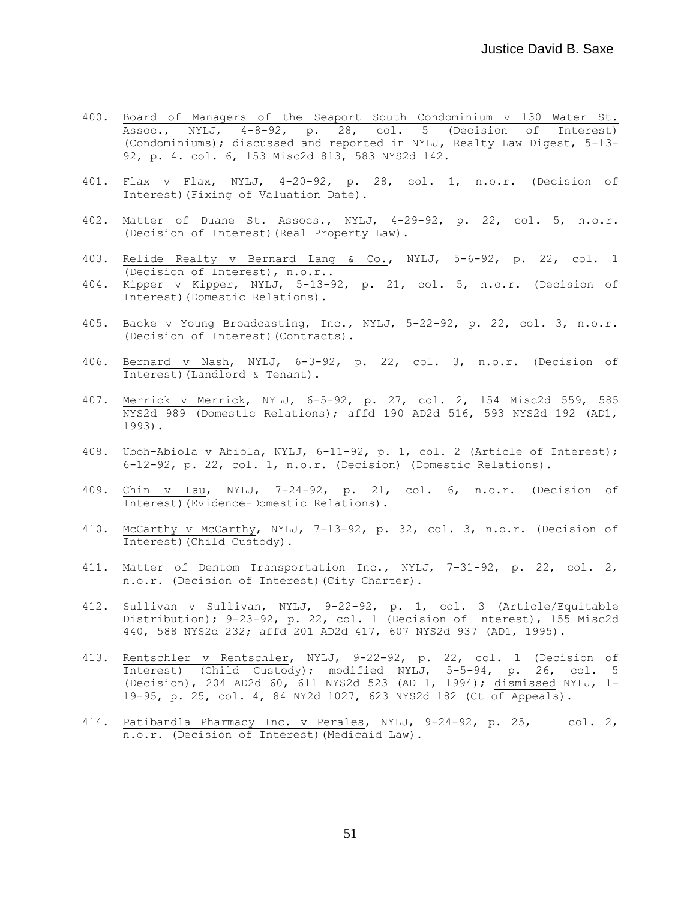- 400. Board of Managers of the Seaport South Condominium v 130 Water St. Assoc., NYLJ, 4-8-92, p. 28, col. 5 (Decision of Interest) (Condominiums); discussed and reported in NYLJ, Realty Law Digest, 5-13- 92, p. 4. col. 6, 153 Misc2d 813, 583 NYS2d 142.
- 401. Flax v Flax, NYLJ, 4-20-92, p. 28, col. 1, n.o.r. (Decision of Interest)(Fixing of Valuation Date).
- 402. Matter of Duane St. Assocs., NYLJ, 4-29-92, p. 22, col. 5, n.o.r. (Decision of Interest)(Real Property Law).
- 403. Relide Realty v Bernard Lang & Co., NYLJ, 5-6-92, p. 22, col. 1 (Decision of Interest), n.o.r..
- 404. Kipper v Kipper, NYLJ, 5-13-92, p. 21, col. 5, n.o.r. (Decision of Interest)(Domestic Relations).
- 405. Backe v Young Broadcasting, Inc., NYLJ, 5-22-92, p. 22, col. 3, n.o.r. (Decision of Interest)(Contracts).
- 406. Bernard v Nash, NYLJ, 6-3-92, p. 22, col. 3, n.o.r. (Decision of Interest)(Landlord & Tenant).
- 407. Merrick v Merrick, NYLJ, 6-5-92, p. 27, col. 2, 154 Misc2d 559, 585 NYS2d 989 (Domestic Relations); affd 190 AD2d 516, 593 NYS2d 192 (AD1, 1993).
- 408. Uboh-Abiola v Abiola, NYLJ, 6-11-92, p. 1, col. 2 (Article of Interest); 6-12-92, p. 22, col. 1, n.o.r. (Decision) (Domestic Relations).
- 409. Chin v Lau, NYLJ, 7-24-92, p. 21, col. 6, n.o.r. (Decision of Interest)(Evidence-Domestic Relations).
- 410. McCarthy v McCarthy, NYLJ, 7-13-92, p. 32, col. 3, n.o.r. (Decision of Interest)(Child Custody).
- 411. Matter of Dentom Transportation Inc., NYLJ, 7-31-92, p. 22, col. 2, n.o.r. (Decision of Interest)(City Charter).
- 412. Sullivan v Sullivan, NYLJ, 9-22-92, p. 1, col. 3 (Article/Equitable Distribution);  $9-23-92$ , p. 22, col. 1 (Decision of Interest), 155 Misc2d 440, 588 NYS2d 232; affd 201 AD2d 417, 607 NYS2d 937 (AD1, 1995).
- 413. Rentschler v Rentschler, NYLJ, 9-22-92, p. 22, col. 1 (Decision of Interest) (Child Custody); modified NYLJ, 5-5-94, p. 26, col. 5 (Decision), 204 AD2d 60, 611 NYS2d 523 (AD 1, 1994); dismissed NYLJ, 1- 19-95, p. 25, col. 4, 84 NY2d 1027, 623 NYS2d 182 (Ct of Appeals).
- 414. Patibandla Pharmacy Inc. v Perales, NYLJ, 9-24-92, p. 25, col. 2, n.o.r. (Decision of Interest)(Medicaid Law).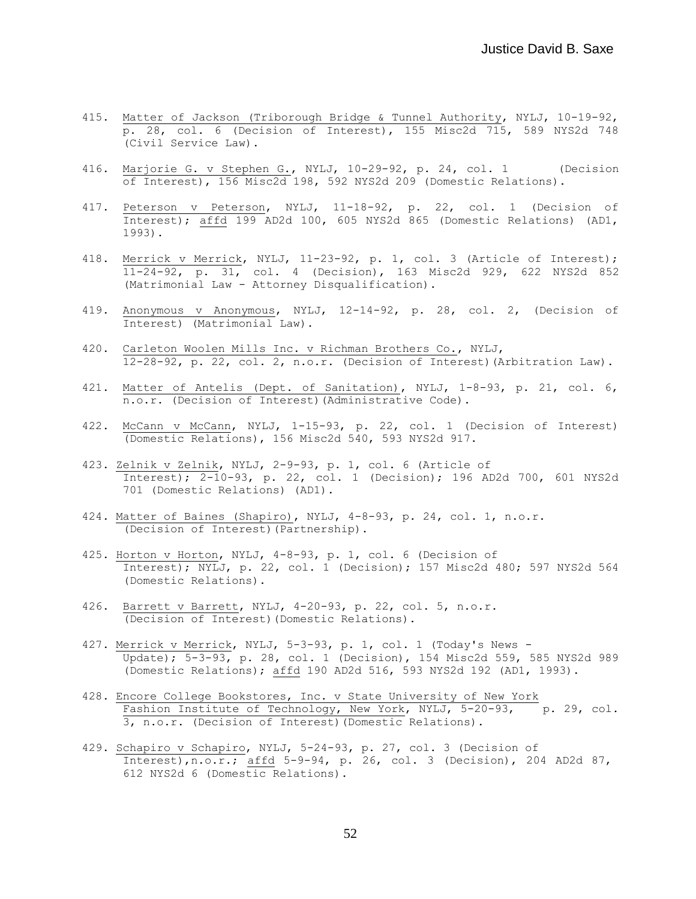- 415. Matter of Jackson (Triborough Bridge & Tunnel Authority, NYLJ, 10-19-92, p. 28, col. 6 (Decision of Interest), 155 Misc2d 715, 589 NYS2d 748 (Civil Service Law).
- 416. Marjorie G. v Stephen G., NYLJ, 10-29-92, p. 24, col. 1 (Decision of Interest), 156 Misc2d 198, 592 NYS2d 209 (Domestic Relations).
- 417. Peterson v Peterson, NYLJ, 11-18-92, p. 22, col. 1 (Decision of Interest); affd 199 AD2d 100, 605 NYS2d 865 (Domestic Relations) (AD1, 1993).
- 418. Merrick v Merrick, NYLJ, 11-23-92, p. 1, col. 3 (Article of Interest); 11-24-92, p. 31, col. 4 (Decision), 163 Misc2d 929, 622 NYS2d 852 (Matrimonial Law - Attorney Disqualification).
- 419. Anonymous v Anonymous, NYLJ, 12-14-92, p. 28, col. 2, (Decision of Interest) (Matrimonial Law).
- 420. Carleton Woolen Mills Inc. v Richman Brothers Co., NYLJ, 12-28-92, p. 22, col. 2, n.o.r. (Decision of Interest)(Arbitration Law).
- 421. Matter of Antelis (Dept. of Sanitation), NYLJ, 1-8-93, p. 21, col. 6, n.o.r. (Decision of Interest)(Administrative Code).
- 422. McCann v McCann, NYLJ, 1-15-93, p. 22, col. 1 (Decision of Interest) (Domestic Relations), 156 Misc2d 540, 593 NYS2d 917.
- 423. Zelnik v Zelnik, NYLJ, 2-9-93, p. 1, col. 6 (Article of Interest); 2-10-93, p. 22, col. 1 (Decision); 196 AD2d 700, 601 NYS2d 701 (Domestic Relations) (AD1).
- 424. Matter of Baines (Shapiro), NYLJ, 4-8-93, p. 24, col. 1, n.o.r. (Decision of Interest)(Partnership).
- 425. Horton v Horton, NYLJ, 4-8-93, p. 1, col. 6 (Decision of Interest); NYLJ, p. 22, col. 1 (Decision); 157 Misc2d 480; 597 NYS2d 564 (Domestic Relations).
- 426. Barrett v Barrett, NYLJ, 4-20-93, p. 22, col. 5, n.o.r. (Decision of Interest)(Domestic Relations).
- 427. Merrick v Merrick, NYLJ, 5-3-93, p. 1, col. 1 (Today's News Update); 5-3-93, p. 28, col. 1 (Decision), 154 Misc2d 559, 585 NYS2d 989 (Domestic Relations); affd 190 AD2d 516, 593 NYS2d 192 (AD1, 1993).
- 428. Encore College Bookstores, Inc. v State University of New York Fashion Institute of Technology, New York, NYLJ, 5-20-93, p. 29, col. 3, n.o.r. (Decision of Interest)(Domestic Relations).
- 429. Schapiro v Schapiro, NYLJ, 5-24-93, p. 27, col. 3 (Decision of Interest),n.o.r.; affd 5-9-94, p. 26, col. 3 (Decision), 204 AD2d 87, 612 NYS2d 6 (Domestic Relations).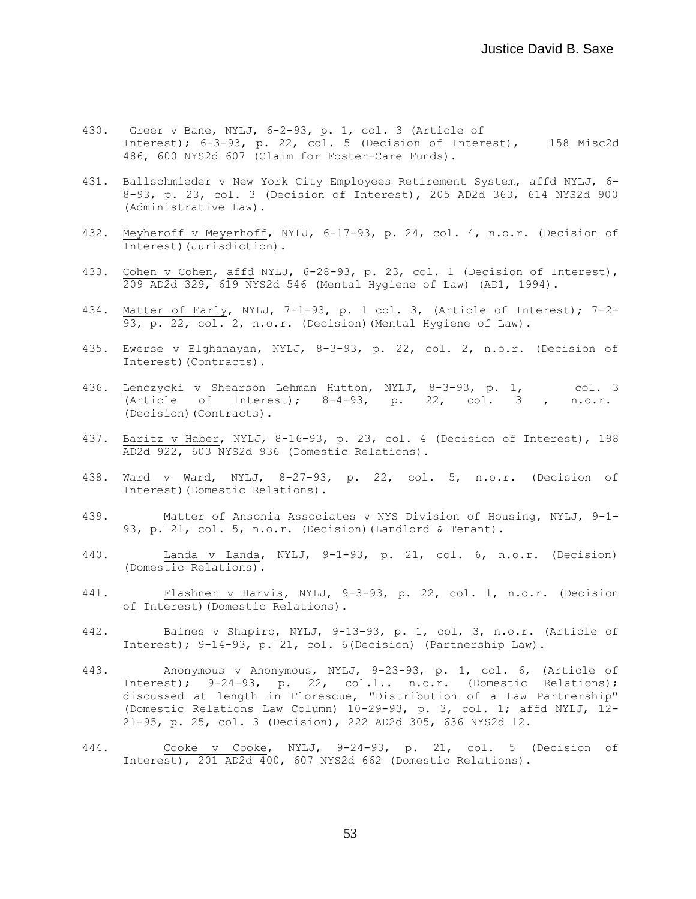- 430. Greer v Bane, NYLJ, 6-2-93, p. 1, col. 3 (Article of Interest); 6-3-93, p. 22, col. 5 (Decision of Interest), 158 Misc2d 486, 600 NYS2d 607 (Claim for Foster-Care Funds).
- 431. Ballschmieder v New York City Employees Retirement System, affd NYLJ, 6- 8-93, p. 23, col. 3 (Decision of Interest), 205 AD2d 363, 614 NYS2d 900 (Administrative Law).
- 432. Meyheroff v Meyerhoff, NYLJ, 6-17-93, p. 24, col. 4, n.o.r. (Decision of Interest)(Jurisdiction).
- 433. Cohen v Cohen, affd NYLJ, 6-28-93, p. 23, col. 1 (Decision of Interest), 209 AD2d 329, 619 NYS2d 546 (Mental Hygiene of Law) (AD1, 1994).
- 434. Matter of Early, NYLJ, 7-1-93, p. 1 col. 3, (Article of Interest); 7-2- 93, p. 22, col. 2, n.o.r. (Decision)(Mental Hygiene of Law).
- 435. Ewerse v Elghanayan, NYLJ, 8-3-93, p. 22, col. 2, n.o.r. (Decision of Interest)(Contracts).
- 436. Lenczycki v Shearson Lehman Hutton, NYLJ, 8-3-93, p. 1, col. 3 (Article of Interest);  $8-4-93$ , p. 22, col. 3, n.o.r. (Decision)(Contracts).
- 437. Baritz v Haber, NYLJ, 8-16-93, p. 23, col. 4 (Decision of Interest), 198 AD2d 922, 603 NYS2d 936 (Domestic Relations).
- 438. Ward v Ward, NYLJ, 8-27-93, p. 22, col. 5, n.o.r. (Decision of Interest)(Domestic Relations).
- 439. Matter of Ansonia Associates v NYS Division of Housing, NYLJ, 9-1- 93, p. 21, col. 5, n.o.r. (Decision) (Landlord & Tenant).
- 440. Landa v Landa, NYLJ, 9-1-93, p. 21, col. 6, n.o.r. (Decision) (Domestic Relations).
- 441. Flashner v Harvis, NYLJ, 9-3-93, p. 22, col. 1, n.o.r. (Decision of Interest)(Domestic Relations).
- 442. Baines v Shapiro, NYLJ, 9-13-93, p. 1, col, 3, n.o.r. (Article of Interest); 9-14-93, p. 21, col. 6(Decision) (Partnership Law).
- 443. Anonymous v Anonymous, NYLJ, 9-23-93, p. 1, col. 6, (Article of Interest); 9-24-93, p. 22, col.1.. n.o.r. (Domestic Relations); discussed at length in Florescue, "Distribution of a Law Partnership" (Domestic Relations Law Column) 10-29-93, p. 3, col. 1; affd NYLJ, 12- 21-95, p. 25, col. 3 (Decision), 222 AD2d 305, 636 NYS2d 12.
- 444. Cooke v Cooke, NYLJ, 9-24-93, p. 21, col. 5 (Decision of Interest), 201 AD2d 400, 607 NYS2d 662 (Domestic Relations).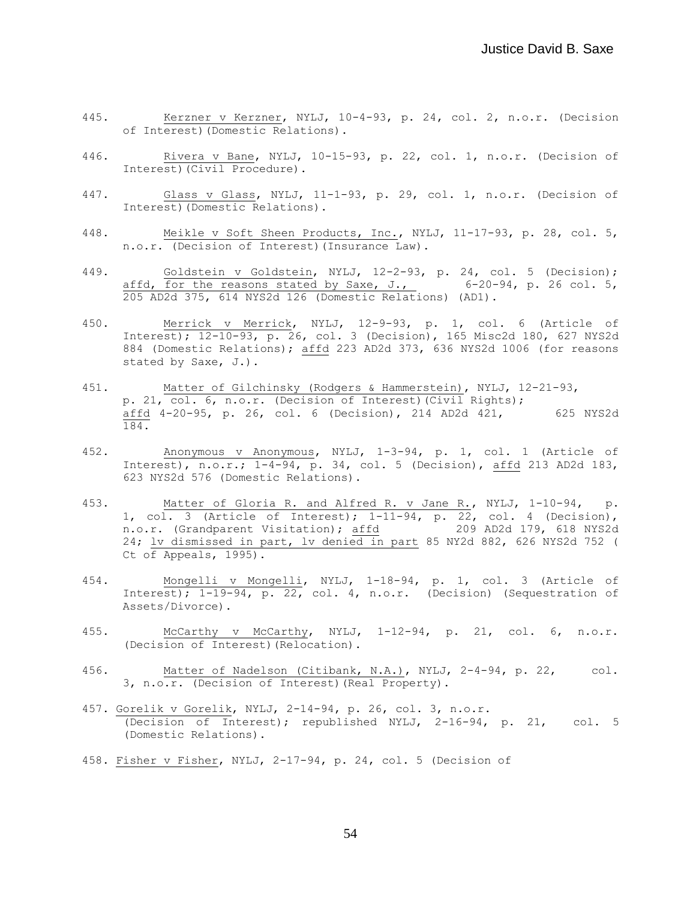- 445. Kerzner v Kerzner, NYLJ, 10-4-93, p. 24, col. 2, n.o.r. (Decision of Interest)(Domestic Relations).
- 446. Rivera v Bane, NYLJ, 10-15-93, p. 22, col. 1, n.o.r. (Decision of Interest)(Civil Procedure).
- 447. Glass v Glass, NYLJ, 11-1-93, p. 29, col. 1, n.o.r. (Decision of Interest)(Domestic Relations).
- 448. Meikle v Soft Sheen Products, Inc., NYLJ, 11-17-93, p. 28, col. 5, n.o.r. (Decision of Interest)(Insurance Law).
- 449. Goldstein v Goldstein, NYLJ, 12-2-93, p. 24, col. 5 (Decision); affd, for the reasons stated by Saxe, J.,  $6-20-94$ , p. 26 col. 5, 205 AD2d 375, 614 NYS2d 126 (Domestic Relations) (AD1).
- 450. Merrick v Merrick, NYLJ, 12-9-93, p. 1, col. 6 (Article of Interest); 12-10-93, p. 26, col. 3 (Decision), 165 Misc2d 180, 627 NYS2d 884 (Domestic Relations); affd 223 AD2d 373, 636 NYS2d 1006 (for reasons stated by Saxe, J.).
- 451. Matter of Gilchinsky (Rodgers & Hammerstein), NYLJ, 12-21-93, p. 21, col. 6, n.o.r. (Decision of Interest)(Civil Rights); affd 4-20-95, p. 26, col. 6 (Decision), 214 AD2d 421, 625 NYS2d 184.
- 452. Anonymous v Anonymous, NYLJ, 1-3-94, p. 1, col. 1 (Article of Interest), n.o.r.; 1-4-94, p. 34, col. 5 (Decision), affd 213 AD2d 183, 623 NYS2d 576 (Domestic Relations).
- 453. Matter of Gloria R. and Alfred R. v Jane R., NYLJ, 1-10-94, p. 1, col. 3 (Article of Interest); 1-11-94, p. 22, col. 4 (Decision), n.o.r. (Grandparent Visitation); affd 209 AD2d 179, 618 NYS2d 24; lv dismissed in part, lv denied in part 85 NY2d 882, 626 NYS2d 752 ( Ct of Appeals, 1995).
- 454. Mongelli v Mongelli, NYLJ, 1-18-94, p. 1, col. 3 (Article of Interest); 1-19-94, p. 22, col. 4, n.o.r. (Decision) (Sequestration of Assets/Divorce).
- 455. McCarthy v McCarthy, NYLJ, 1-12-94, p. 21, col. 6, n.o.r. (Decision of Interest)(Relocation).
- 456. Matter of Nadelson (Citibank, N.A.), NYLJ, 2-4-94, p. 22, col. 3, n.o.r. (Decision of Interest)(Real Property).
- 457. Gorelik v Gorelik, NYLJ, 2-14-94, p. 26, col. 3, n.o.r. (Decision of Interest); republished NYLJ, 2-16-94, p. 21, col. 5 (Domestic Relations).
- 458. Fisher v Fisher, NYLJ, 2-17-94, p. 24, col. 5 (Decision of

54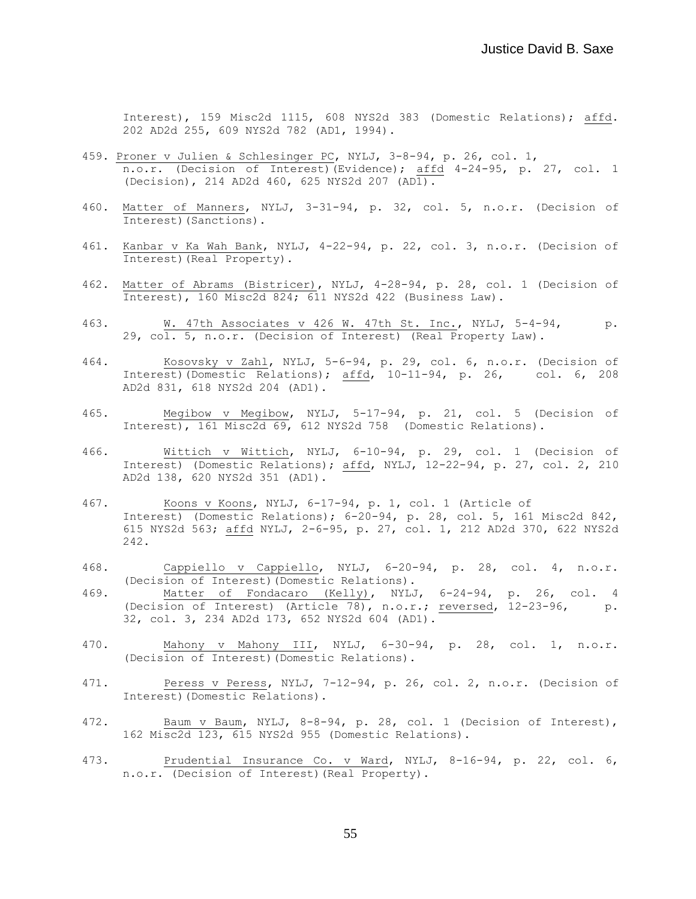Interest), 159 Misc2d 1115, 608 NYS2d 383 (Domestic Relations); affd. 202 AD2d 255, 609 NYS2d 782 (AD1, 1994).

- 459. Proner v Julien & Schlesinger PC, NYLJ, 3-8-94, p. 26, col. 1, n.o.r. (Decision of Interest)(Evidence); affd 4-24-95, p. 27, col. 1 (Decision), 214 AD2d 460, 625 NYS2d 207 (AD1).
- 460. Matter of Manners, NYLJ, 3-31-94, p. 32, col. 5, n.o.r. (Decision of Interest)(Sanctions).
- 461. Kanbar v Ka Wah Bank, NYLJ, 4-22-94, p. 22, col. 3, n.o.r. (Decision of Interest)(Real Property).
- 462. Matter of Abrams (Bistricer), NYLJ, 4-28-94, p. 28, col. 1 (Decision of Interest), 160 Misc2d 824; 611 NYS2d 422 (Business Law).
- 463. W. 47th Associates v 426 W. 47th St. Inc., NYLJ, 5-4-94, p. 29, col. 5, n.o.r. (Decision of Interest) (Real Property Law).
- 464. Kosovsky v Zahl, NYLJ, 5-6-94, p. 29, col. 6, n.o.r. (Decision of Interest)(Domestic Relations); affd, 10-11-94, p. 26, col. 6, 208 AD2d 831, 618 NYS2d 204 (AD1).
- 465. Megibow v Megibow, NYLJ, 5-17-94, p. 21, col. 5 (Decision of Interest), 161 Misc2d 69, 612 NYS2d 758 (Domestic Relations).
- 466. Wittich v Wittich, NYLJ, 6-10-94, p. 29, col. 1 (Decision of Interest) (Domestic Relations); affd, NYLJ, 12-22-94, p. 27, col. 2, 210 AD2d 138, 620 NYS2d 351 (AD1).
- 467. Koons v Koons, NYLJ, 6-17-94, p. 1, col. 1 (Article of Interest) (Domestic Relations); 6-20-94, p. 28, col. 5, 161 Misc2d 842, 615 NYS2d 563; affd NYLJ, 2-6-95, p. 27, col. 1, 212 AD2d 370, 622 NYS2d 242.
- 468. Cappiello v Cappiello, NYLJ, 6-20-94, p. 28, col. 4, n.o.r. (Decision of Interest)(Domestic Relations).
- 469. Matter of Fondacaro (Kelly), NYLJ, 6-24-94, p. 26, col. 4 (Decision of Interest) (Article 78), n.o.r.; reversed, 12-23-96, p. 32, col. 3, 234 AD2d 173, 652 NYS2d 604 (AD1).
- 470. Mahony v Mahony III, NYLJ, 6-30-94, p. 28, col. 1, n.o.r. (Decision of Interest)(Domestic Relations).
- 471. Peress v Peress, NYLJ, 7-12-94, p. 26, col. 2, n.o.r. (Decision of Interest)(Domestic Relations).
- 472. Baum v Baum, NYLJ, 8-8-94, p. 28, col. 1 (Decision of Interest), 162 Misc2d 123, 615 NYS2d 955 (Domestic Relations).
- 473. Prudential Insurance Co. v Ward, NYLJ, 8-16-94, p. 22, col. 6, n.o.r. (Decision of Interest)(Real Property).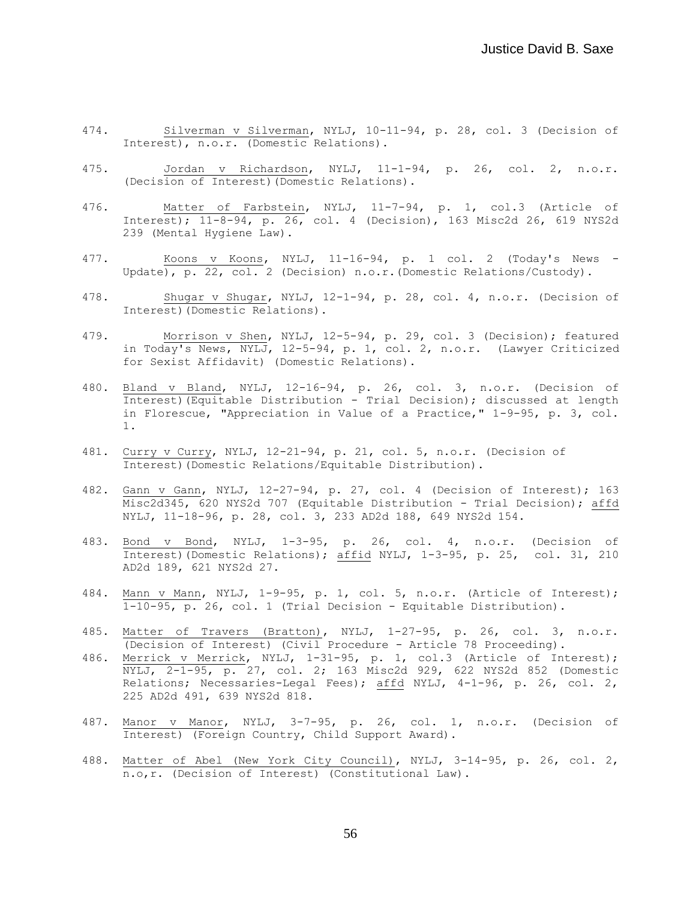- 474. Silverman v Silverman, NYLJ, 10-11-94, p. 28, col. 3 (Decision of Interest), n.o.r. (Domestic Relations).
- 475. Jordan v Richardson, NYLJ, 11-1-94, p. 26, col. 2, n.o.r. (Decision of Interest)(Domestic Relations).
- 476. Matter of Farbstein, NYLJ, 11-7-94, p. 1, col.3 (Article of Interest); 11-8-94, p. 26, col. 4 (Decision), 163 Misc2d 26, 619 NYS2d 239 (Mental Hygiene Law).
- 477. Koons v Koons, NYLJ, 11-16-94, p. 1 col. 2 (Today's News Update), p. 22, col. 2 (Decision) n.o.r.(Domestic Relations/Custody).
- 478. Shugar v Shugar, NYLJ, 12-1-94, p. 28, col. 4, n.o.r. (Decision of Interest)(Domestic Relations).
- 479. Morrison v Shen, NYLJ, 12-5-94, p. 29, col. 3 (Decision); featured in Today's News, NYLJ, 12-5-94, p. 1, col. 2, n.o.r. (Lawyer Criticized for Sexist Affidavit) (Domestic Relations).
- 480. Bland v Bland, NYLJ, 12-16-94, p. 26, col. 3, n.o.r. (Decision of Interest)(Equitable Distribution - Trial Decision); discussed at length in Florescue, "Appreciation in Value of a Practice," 1-9-95, p. 3, col. 1.
- 481. Curry v Curry, NYLJ, 12-21-94, p. 21, col. 5, n.o.r. (Decision of Interest)(Domestic Relations/Equitable Distribution).
- 482. Gann v Gann, NYLJ, 12-27-94, p. 27, col. 4 (Decision of Interest); 163 Misc2d345, 620 NYS2d 707 (Equitable Distribution - Trial Decision); affd NYLJ, 11-18-96, p. 28, col. 3, 233 AD2d 188, 649 NYS2d 154.
- 483. Bond v Bond, NYLJ, 1-3-95, p. 26, col. 4, n.o.r. (Decision of Interest)(Domestic Relations); affid NYLJ, 1-3-95, p. 25, col. 3l, 210 AD2d 189, 621 NYS2d 27.
- 484. Mann v Mann, NYLJ, 1-9-95, p. 1, col. 5, n.o.r. (Article of Interest);  $\overline{1-10-95}$ , p. 26, col. 1 (Trial Decision - Equitable Distribution).
- 485. Matter of Travers (Bratton), NYLJ, 1-27-95, p. 26, col. 3, n.o.r. (Decision of Interest) (Civil Procedure - Article 78 Proceeding).
- 486. Merrick v Merrick, NYLJ, 1-31-95, p. 1, col.3 (Article of Interest); NYLJ, 2-1-95, p. 27, col. 2; 163 Misc2d 929, 622 NYS2d 852 (Domestic Relations; Necessaries-Legal Fees); affd NYLJ, 4-1-96, p. 26, col. 2, 225 AD2d 491, 639 NYS2d 818.
- 487. Manor v Manor, NYLJ, 3-7-95, p. 26, col. 1, n.o.r. (Decision of Interest) (Foreign Country, Child Support Award).
- 488. Matter of Abel (New York City Council), NYLJ, 3-14-95, p. 26, col. 2, n.o,r. (Decision of Interest) (Constitutional Law).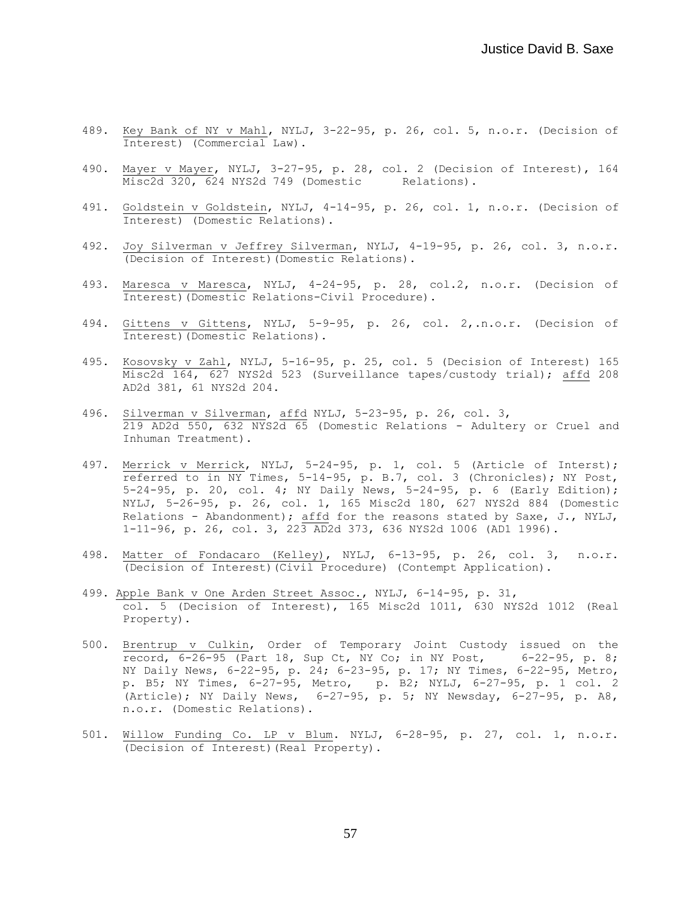- 489. Key Bank of NY v Mahl, NYLJ, 3-22-95, p. 26, col. 5, n.o.r. (Decision of Interest) (Commercial Law).
- 490. Mayer v Mayer, NYLJ, 3-27-95, p. 28, col. 2 (Decision of Interest), 164 Misc2d 320, 624 NYS2d 749 (Domestic Relations).
- 491. Goldstein v Goldstein, NYLJ, 4-14-95, p. 26, col. 1, n.o.r. (Decision of Interest) (Domestic Relations).
- 492. Joy Silverman v Jeffrey Silverman, NYLJ, 4-19-95, p. 26, col. 3, n.o.r. (Decision of Interest)(Domestic Relations).
- 493. Maresca v Maresca, NYLJ, 4-24-95, p. 28, col.2, n.o.r. (Decision of Interest)(Domestic Relations-Civil Procedure).
- 494. Gittens v Gittens, NYLJ, 5-9-95, p. 26, col. 2,.n.o.r. (Decision of Interest)(Domestic Relations).
- 495. Kosovsky v Zahl, NYLJ, 5-16-95, p. 25, col. 5 (Decision of Interest) 165 Misc2d 164, 627 NYS2d 523 (Surveillance tapes/custody trial); affd 208 AD2d 381, 61 NYS2d 204.
- 496. Silverman v Silverman, affd NYLJ, 5-23-95, p. 26, col. 3, 219 AD2d 550, 632 NYS2d 65 (Domestic Relations - Adultery or Cruel and Inhuman Treatment).
- 497. Merrick v Merrick, NYLJ, 5-24-95, p. 1, col. 5 (Article of Interst); referred to in NY Times, 5-14-95, p. B.7, col. 3 (Chronicles); NY Post, 5-24-95, p. 20, col. 4; NY Daily News, 5-24-95, p. 6 (Early Edition); NYLJ, 5-26-95, p. 26, col. 1, 165 Misc2d 180, 627 NYS2d 884 (Domestic Relations - Abandonment); affd for the reasons stated by Saxe, J., NYLJ, 1-11-96, p. 26, col. 3, 223 AD2d 373, 636 NYS2d 1006 (AD1 1996).
- 498. Matter of Fondacaro (Kelley), NYLJ, 6-13-95, p. 26, col. 3, n.o.r. (Decision of Interest)(Civil Procedure) (Contempt Application).
- 499. Apple Bank v One Arden Street Assoc., NYLJ, 6-14-95, p. 31, col. 5 (Decision of Interest), 165 Misc2d 1011, 630 NYS2d 1012 (Real Property).
- 500. Brentrup v Culkin, Order of Temporary Joint Custody issued on the record, 6-26-95 (Part 18, Sup Ct, NY Co; in NY Post, 6-22-95, p. 8; NY Daily News, 6-22-95, p. 24; 6-23-95, p. 17; NY Times, 6-22-95, Metro, p. B5; NY Times, 6-27-95, Metro, p. B2; NYLJ, 6-27-95, p. 1 col. 2 (Article); NY Daily News, 6-27-95, p. 5; NY Newsday, 6-27-95, p. A8, n.o.r. (Domestic Relations).
- 501. Willow Funding Co. LP v Blum. NYLJ, 6-28-95, p. 27, col. 1, n.o.r. (Decision of Interest)(Real Property).

57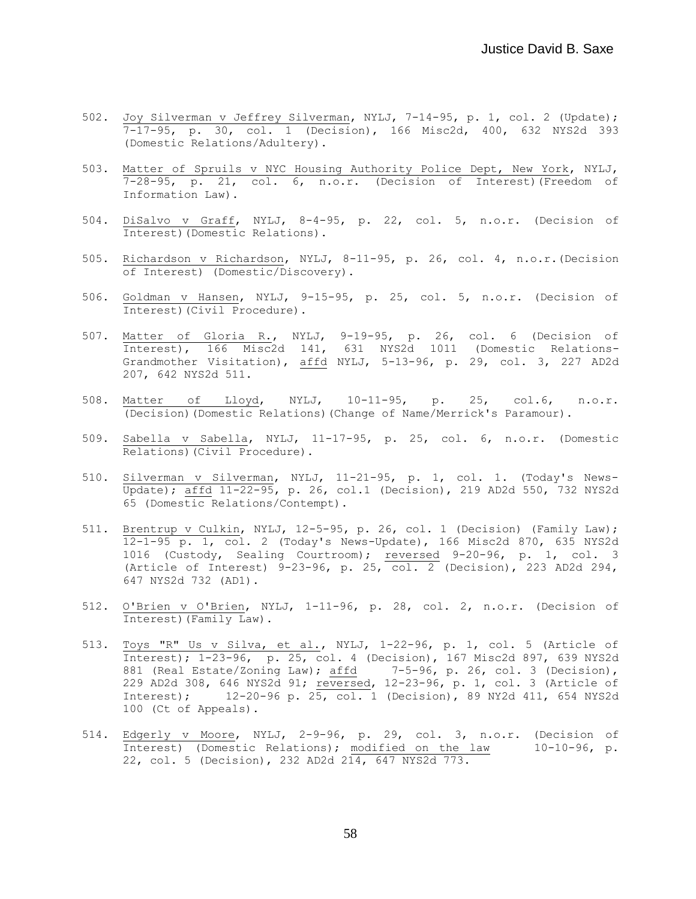- 502. Joy Silverman v Jeffrey Silverman, NYLJ, 7-14-95, p. 1, col. 2 (Update); 7-17-95, p. 30, col. 1 (Decision), 166 Misc2d, 400, 632 NYS2d 393 (Domestic Relations/Adultery).
- 503. Matter of Spruils v NYC Housing Authority Police Dept, New York, NYLJ, 7-28-95, p. 21, col. 6, n.o.r. (Decision of Interest)(Freedom of Information Law).
- 504. DiSalvo v Graff, NYLJ, 8-4-95, p. 22, col. 5, n.o.r. (Decision of Interest)(Domestic Relations).
- 505. Richardson v Richardson, NYLJ, 8-11-95, p. 26, col. 4, n.o.r.(Decision of Interest) (Domestic/Discovery).
- 506. Goldman v Hansen, NYLJ, 9-15-95, p. 25, col. 5, n.o.r. (Decision of Interest)(Civil Procedure).
- 507. Matter of Gloria R., NYLJ, 9-19-95, p. 26, col. 6 (Decision of Interest), 166 Misc2d 141, 631 NYS2d 1011 (Domestic Relations-Grandmother Visitation), affd NYLJ, 5-13-96, p. 29, col. 3, 227 AD2d 207, 642 NYS2d 511.
- 508. Matter of Lloyd, NYLJ, 10-11-95, p. 25, col.6, n.o.r. (Decision)(Domestic Relations)(Change of Name/Merrick's Paramour).
- 509. Sabella v Sabella, NYLJ, 11-17-95, p. 25, col. 6, n.o.r. (Domestic Relations)(Civil Procedure).
- 510. Silverman v Silverman, NYLJ, 11-21-95, p. 1, col. 1. (Today's News-Update); affd 11-22-95, p. 26, col.1 (Decision), 219 AD2d 550, 732 NYS2d 65 (Domestic Relations/Contempt).
- 511. Brentrup v Culkin, NYLJ, 12-5-95, p. 26, col. 1 (Decision) (Family Law); 12-1-95 p. 1, col. 2 (Today's News-Update), 166 Misc2d 870, 635 NYS2d 1016 (Custody, Sealing Courtroom); reversed 9-20-96, p. 1, col. 3 (Article of Interest) 9-23-96, p. 25, col. 2 (Decision), 223 AD2d 294, 647 NYS2d 732 (AD1).
- 512. O'Brien v O'Brien, NYLJ, 1-11-96, p. 28, col. 2, n.o.r. (Decision of Interest)(Family Law).
- 513. Toys "R" Us v Silva, et al., NYLJ, 1-22-96, p. 1, col. 5 (Article of Interest); 1-23-96, p. 25, col. 4 (Decision), 167 Misc2d 897, 639 NYS2d 881 (Real Estate/Zoning Law);  $\frac{\text{affd}}{ }$  7-5-96, p. 26, col. 3 (Decision), 229 AD2d 308, 646 NYS2d 91; reversed, 12-23-96, p. 1, col. 3 (Article of Interest); 12-20-96 p. 25, col. 1 (Decision), 89 NY2d 411, 654 NYS2d 100 (Ct of Appeals).
- 514. Edgerly v Moore, NYLJ, 2-9-96, p. 29, col. 3, n.o.r. (Decision of Interest) (Domestic Relations); modified on the law 10-10-96, p. 22, col. 5 (Decision), 232 AD2d 214, 647 NYS2d 773.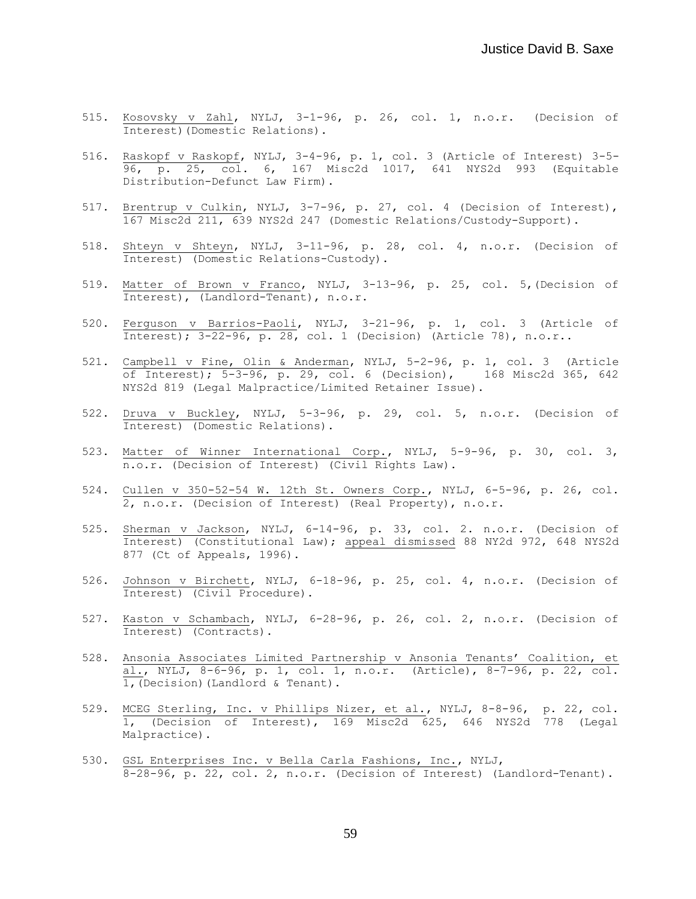- 515. Kosovsky v Zahl, NYLJ, 3-1-96, p. 26, col. 1, n.o.r. (Decision of Interest)(Domestic Relations).
- 516. Raskopf v Raskopf, NYLJ, 3-4-96, p. 1, col. 3 (Article of Interest) 3-5- 96, p. 25, col. 6, 167 Misc2d 1017, 641 NYS2d 993 (Equitable Distribution-Defunct Law Firm).
- 517. Brentrup v Culkin, NYLJ, 3-7-96, p. 27, col. 4 (Decision of Interest), 167 Misc2d 211, 639 NYS2d 247 (Domestic Relations/Custody-Support).
- 518. Shteyn v Shteyn, NYLJ, 3-11-96, p. 28, col. 4, n.o.r. (Decision of Interest) (Domestic Relations-Custody).
- 519. Matter of Brown v Franco, NYLJ, 3-13-96, p. 25, col. 5,(Decision of Interest), (Landlord-Tenant), n.o.r.
- 520. Ferguson v Barrios-Paoli, NYLJ, 3-21-96, p. 1, col. 3 (Article of Interest);  $3-22-96$ , p.  $28$ , col. 1 (Decision) (Article 78), n.o.r..
- 521. Campbell v Fine, Olin & Anderman, NYLJ, 5-2-96, p. 1, col. 3 (Article of Interest); 5-3-96, p. 29, col. 6 (Decision), 168 Misc2d 365, 642 NYS2d 819 (Legal Malpractice/Limited Retainer Issue).
- 522. Druva v Buckley, NYLJ, 5-3-96, p. 29, col. 5, n.o.r. (Decision of Interest) (Domestic Relations).
- 523. Matter of Winner International Corp., NYLJ, 5-9-96, p. 30, col. 3, n.o.r. (Decision of Interest) (Civil Rights Law).
- 524. Cullen v 350-52-54 W. 12th St. Owners Corp., NYLJ, 6-5-96, p. 26, col. 2, n.o.r. (Decision of Interest) (Real Property), n.o.r.
- 525. Sherman v Jackson, NYLJ, 6-14-96, p. 33, col. 2. n.o.r. (Decision of Interest) (Constitutional Law); appeal dismissed 88 NY2d 972, 648 NYS2d 877 (Ct of Appeals, 1996).
- 526. Johnson v Birchett, NYLJ, 6-18-96, p. 25, col. 4, n.o.r. (Decision of Interest) (Civil Procedure).
- 527. Kaston v Schambach, NYLJ, 6-28-96, p. 26, col. 2, n.o.r. (Decision of Interest) (Contracts).
- 528. Ansonia Associates Limited Partnership v Ansonia Tenants' Coalition, et al., NYLJ, 8-6-96, p. 1, col. 1, n.o.r. (Article), 8-7-96, p. 22, col. 1,(Decision)(Landlord & Tenant).
- 529. MCEG Sterling, Inc. v Phillips Nizer, et al., NYLJ, 8-8-96, p. 22, col. 1, (Decision of Interest), 169 Misc2d 625, 646 NYS2d 778 (Legal Malpractice).
- 530. GSL Enterprises Inc. v Bella Carla Fashions, Inc., NYLJ, 8-28-96, p. 22, col. 2, n.o.r. (Decision of Interest) (Landlord-Tenant).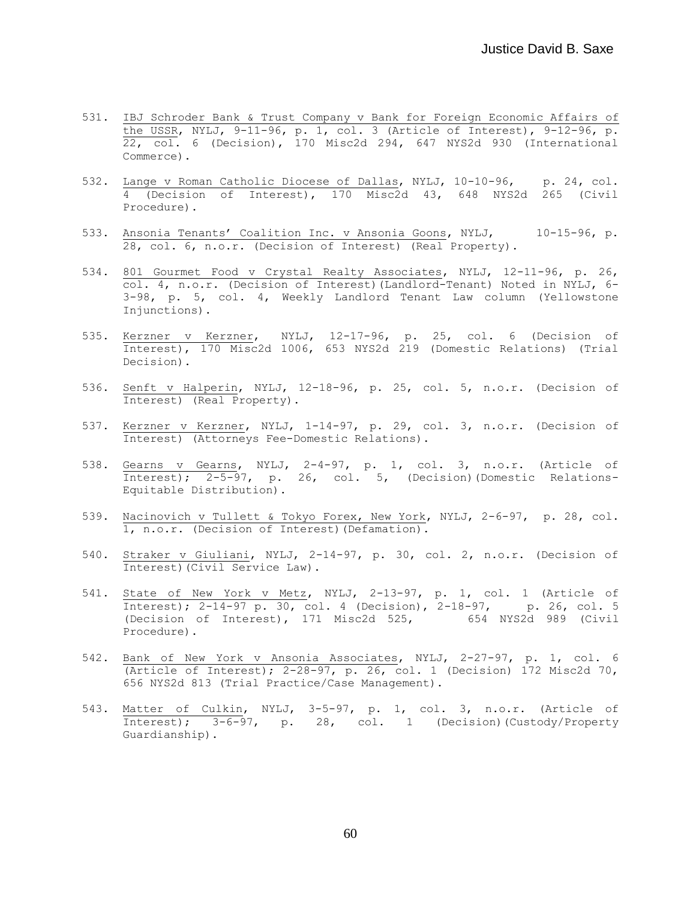- 531. IBJ Schroder Bank & Trust Company v Bank for Foreign Economic Affairs of the USSR, NYLJ, 9-11-96, p. 1, col. 3 (Article of Interest), 9-12-96, p.  $\overline{22, \text{ col.}}$  6 (Decision), 170 Misc2d 294, 647 NYS2d 930 (International Commerce).
- 532. Lange v Roman Catholic Diocese of Dallas, NYLJ, 10-10-96, p. 24, col. 4 (Decision of Interest), 170 Misc2d 43, 648 NYS2d 265 (Civil Procedure).
- 533. Ansonia Tenants' Coalition Inc. v Ansonia Goons, NYLJ, 10-15-96, p. 28, col. 6, n.o.r. (Decision of Interest) (Real Property).
- 534. 801 Gourmet Food v Crystal Realty Associates, NYLJ, 12-11-96, p. 26, col. 4, n.o.r. (Decision of Interest)(Landlord-Tenant) Noted in NYLJ, 6- 3-98, p. 5, col. 4, Weekly Landlord Tenant Law column (Yellowstone Injunctions).
- 535. Kerzner v Kerzner, NYLJ, 12-17-96, p. 25, col. 6 (Decision of Interest), 170 Misc2d 1006, 653 NYS2d 219 (Domestic Relations) (Trial Decision).
- 536. Senft v Halperin, NYLJ, 12-18-96, p. 25, col. 5, n.o.r. (Decision of Interest) (Real Property).
- 537. Kerzner v Kerzner, NYLJ, 1-14-97, p. 29, col. 3, n.o.r. (Decision of Interest) (Attorneys Fee-Domestic Relations).
- 538. Gearns v Gearns, NYLJ, 2-4-97, p. 1, col. 3, n.o.r. (Article of Interest); 2-5-97, p. 26, col. 5, (Decision)(Domestic Relations-Equitable Distribution).
- 539. Nacinovich v Tullett & Tokyo Forex, New York, NYLJ, 2-6-97, p. 28, col. 1, n.o.r. (Decision of Interest)(Defamation).
- 540. Straker v Giuliani, NYLJ, 2-14-97, p. 30, col. 2, n.o.r. (Decision of Interest)(Civil Service Law).
- 541. State of New York v Metz, NYLJ, 2-13-97, p. 1, col. 1 (Article of Interest); 2-14-97 p. 30, col. 4 (Decision), 2-18-97, p. 26, col. 5 (Decision of Interest), 171 Misc2d 525, 654 NYS2d 989 (Civil Procedure).
- 542. Bank of New York v Ansonia Associates, NYLJ, 2-27-97, p. 1, col. 6 (Article of Interest); 2-28-97, p. 26, col. 1 (Decision) 172 Misc2d 70, 656 NYS2d 813 (Trial Practice/Case Management).
- 543. Matter of Culkin, NYLJ, 3-5-97, p. 1, col. 3, n.o.r. (Article of Interest); 3-6-97, p. 28, col. 1 (Decision)(Custody/Property Guardianship).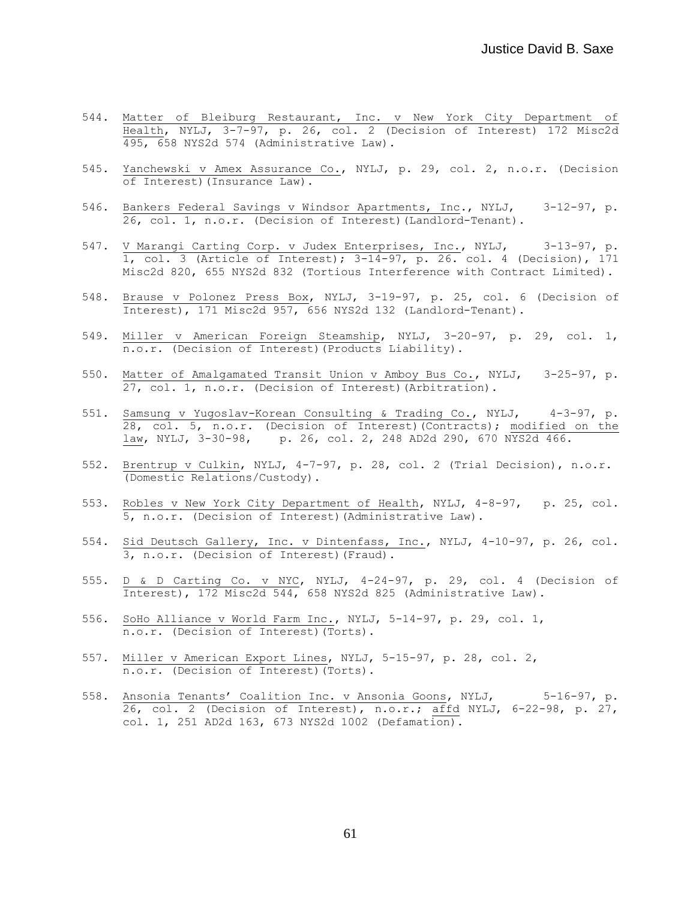- 544. Matter of Bleiburg Restaurant, Inc. v New York City Department of Health, NYLJ, 3-7-97, p. 26, col. 2 (Decision of Interest) 172 Misc2d 495, 658 NYS2d 574 (Administrative Law).
- 545. Yanchewski v Amex Assurance Co., NYLJ, p. 29, col. 2, n.o.r. (Decision of Interest)(Insurance Law).
- 546. Bankers Federal Savings v Windsor Apartments, Inc., NYLJ, 3-12-97, p. 26, col. 1, n.o.r. (Decision of Interest)(Landlord-Tenant).
- 547. V Marangi Carting Corp. v Judex Enterprises, Inc., NYLJ, 3-13-97, p. 1, col. 3 (Article of Interest); 3-14-97, p. 26. col. 4 (Decision), 171 Misc2d 820, 655 NYS2d 832 (Tortious Interference with Contract Limited).
- 548. Brause v Polonez Press Box, NYLJ, 3-19-97, p. 25, col. 6 (Decision of Interest), 171 Misc2d 957, 656 NYS2d 132 (Landlord-Tenant).
- 549. Miller v American Foreign Steamship, NYLJ, 3-20-97, p. 29, col. 1, n.o.r. (Decision of Interest)(Products Liability).
- 550. Matter of Amalgamated Transit Union v Amboy Bus Co., NYLJ, 3-25-97, p. 27, col. 1, n.o.r. (Decision of Interest)(Arbitration).
- 551. Samsung v Yugoslav-Korean Consulting & Trading Co., NYLJ, 4-3-97, p. 28, col. 5, n.o.r. (Decision of Interest)(Contracts); modified on the law, NYLJ, 3-30-98, p. 26, col. 2, 248 AD2d 290, 670 NYS2d 466.
- 552. Brentrup v Culkin, NYLJ, 4-7-97, p. 28, col. 2 (Trial Decision), n.o.r. (Domestic Relations/Custody).
- 553. Robles v New York City Department of Health, NYLJ, 4-8-97, p. 25, col. 5, n.o.r. (Decision of Interest)(Administrative Law).
- 554. Sid Deutsch Gallery, Inc. v Dintenfass, Inc., NYLJ, 4-10-97, p. 26, col. 3, n.o.r. (Decision of Interest)(Fraud).
- 555. D & D Carting Co. v NYC, NYLJ, 4-24-97, p. 29, col. 4 (Decision of Interest), 172 Misc2d 544, 658 NYS2d 825 (Administrative Law).
- 556. SoHo Alliance v World Farm Inc., NYLJ, 5-14-97, p. 29, col. 1, n.o.r. (Decision of Interest)(Torts).
- 557. Miller v American Export Lines, NYLJ, 5-15-97, p. 28, col. 2, n.o.r. (Decision of Interest)(Torts).
- 558. Ansonia Tenants' Coalition Inc. v Ansonia Goons, NYLJ, 5-16-97, p. 26, col. 2 (Decision of Interest), n.o.r.; affd NYLJ, 6-22-98, p. 27, col. 1, 251 AD2d 163, 673 NYS2d 1002 (Defamation).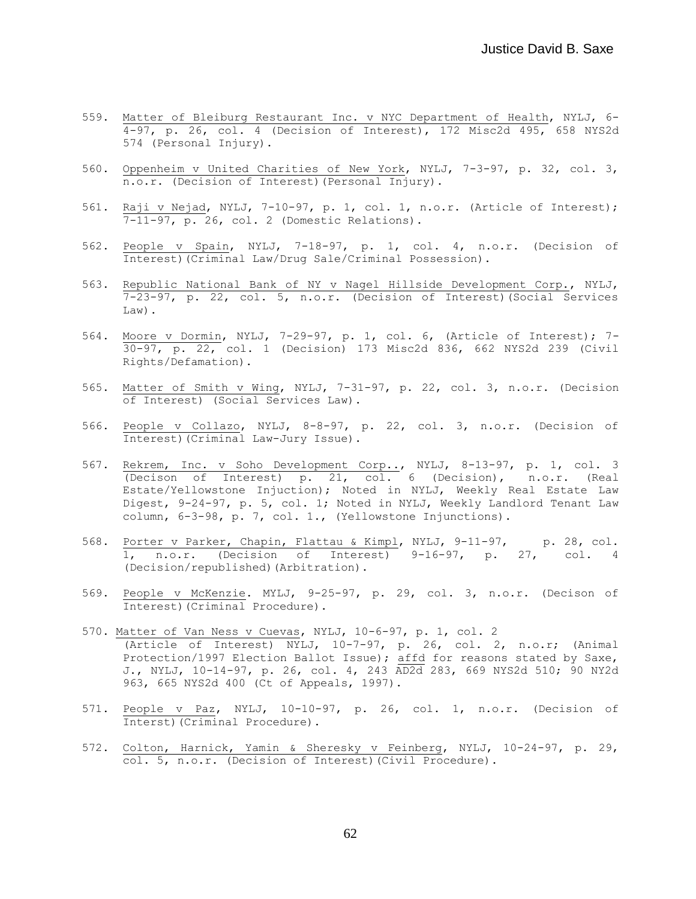- 559. Matter of Bleiburg Restaurant Inc. v NYC Department of Health, NYLJ, 6- 4-97, p. 26, col. 4 (Decision of Interest), 172 Misc2d 495, 658 NYS2d 574 (Personal Injury).
- 560. Oppenheim v United Charities of New York, NYLJ, 7-3-97, p. 32, col. 3, n.o.r. (Decision of Interest)(Personal Injury).
- 561. Raji v Nejad, NYLJ, 7-10-97, p. 1, col. 1, n.o.r. (Article of Interest); 7-11-97, p. 26, col. 2 (Domestic Relations).
- 562. People v Spain, NYLJ, 7-18-97, p. 1, col. 4, n.o.r. (Decision of Interest)(Criminal Law/Drug Sale/Criminal Possession).
- 563. Republic National Bank of NY v Nagel Hillside Development Corp., NYLJ, 7-23-97, p. 22, col. 5, n.o.r. (Decision of Interest)(Social Services Law).
- 564. Moore v Dormin, NYLJ, 7-29-97, p. 1, col. 6, (Article of Interest); 7- 30-97, p. 22, col. 1 (Decision) 173 Misc2d 836, 662 NYS2d 239 (Civil Rights/Defamation).
- 565. Matter of Smith v Wing, NYLJ, 7-31-97, p. 22, col. 3, n.o.r. (Decision of Interest) (Social Services Law).
- 566. People v Collazo, NYLJ, 8-8-97, p. 22, col. 3, n.o.r. (Decision of Interest)(Criminal Law-Jury Issue).
- 567. Rekrem, Inc. v Soho Development Corp.., NYLJ, 8-13-97, p. 1, col. 3 (Decison of Interest) p. 21, col. 6 (Decision), n.o.r. (Real Estate/Yellowstone Injuction); Noted in NYLJ, Weekly Real Estate Law Digest, 9-24-97, p. 5, col. 1; Noted in NYLJ, Weekly Landlord Tenant Law column, 6-3-98, p. 7, col. 1., (Yellowstone Injunctions).
- 568. Porter v Parker, Chapin, Flattau & Kimpl, NYLJ, 9-11-97, p. 28, col. 1, n.o.r. (Decision of Interest) 9-16-97, p. 27, col. 4 (Decision/republished)(Arbitration).
- 569. People v McKenzie. MYLJ, 9-25-97, p. 29, col. 3, n.o.r. (Decison of Interest)(Criminal Procedure).
- 570. Matter of Van Ness v Cuevas, NYLJ, 10-6-97, p. 1, col. 2 (Article of Interest) NYLJ, 10-7-97, p. 26, col. 2, n.o.r; (Animal Protection/1997 Election Ballot Issue); affd for reasons stated by Saxe, J., NYLJ, 10-14-97, p. 26, col. 4, 243 AD2d 283, 669 NYS2d 510; 90 NY2d 963, 665 NYS2d 400 (Ct of Appeals, 1997).
- 571. People v Paz, NYLJ, 10-10-97, p. 26, col. 1, n.o.r. (Decision of Interst)(Criminal Procedure).
- 572. Colton, Harnick, Yamin & Sheresky v Feinberg, NYLJ, 10-24-97, p. 29, col. 5, n.o.r. (Decision of Interest)(Civil Procedure).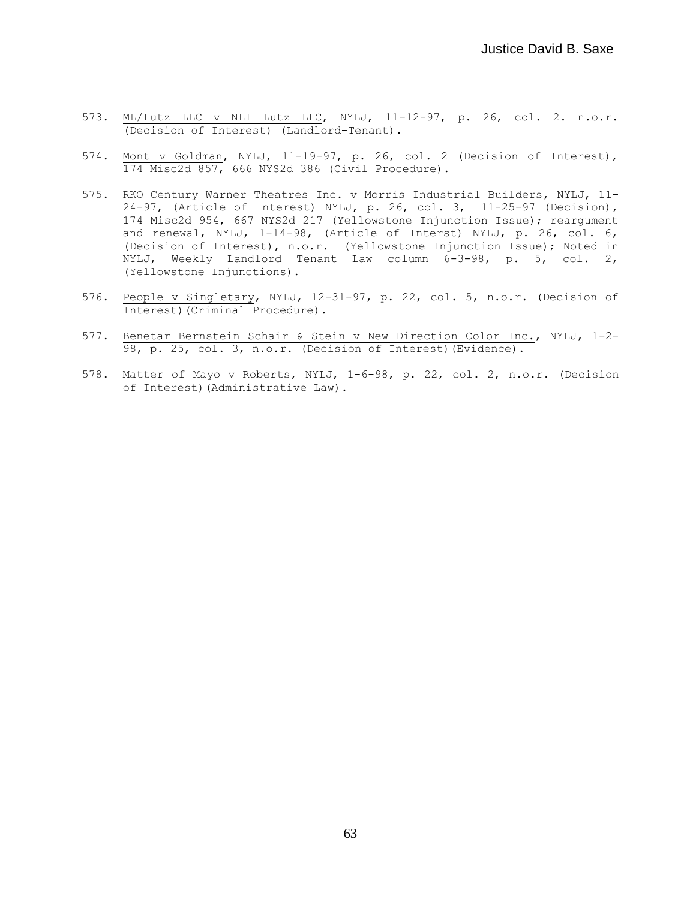- 573. ML/Lutz LLC v NLI Lutz LLC, NYLJ, 11-12-97, p. 26, col. 2. n.o.r. (Decision of Interest) (Landlord-Tenant).
- 574. Mont v Goldman, NYLJ, 11-19-97, p. 26, col. 2 (Decision of Interest), 174 Misc2d 857, 666 NYS2d 386 (Civil Procedure).
- 575. RKO Century Warner Theatres Inc. v Morris Industrial Builders, NYLJ, 11-  $\overline{24-97}$ , (Article of Interest) NYLJ, p. 26, col. 3, 11-25-97 (Decision), 174 Misc2d 954, 667 NYS2d 217 (Yellowstone Injunction Issue); reargument and renewal, NYLJ, 1-14-98, (Article of Interst) NYLJ, p. 26, col. 6, (Decision of Interest), n.o.r. (Yellowstone Injunction Issue); Noted in NYLJ, Weekly Landlord Tenant Law column 6-3-98, p. 5, col. 2, (Yellowstone Injunctions).
- 576. People v Singletary, NYLJ, 12-31-97, p. 22, col. 5, n.o.r. (Decision of Interest)(Criminal Procedure).
- 577. Benetar Bernstein Schair & Stein v New Direction Color Inc., NYLJ, 1-2- 98, p. 25, col. 3, n.o.r. (Decision of Interest) (Evidence).
- 578. Matter of Mayo v Roberts, NYLJ, 1-6-98, p. 22, col. 2, n.o.r. (Decision of Interest)(Administrative Law).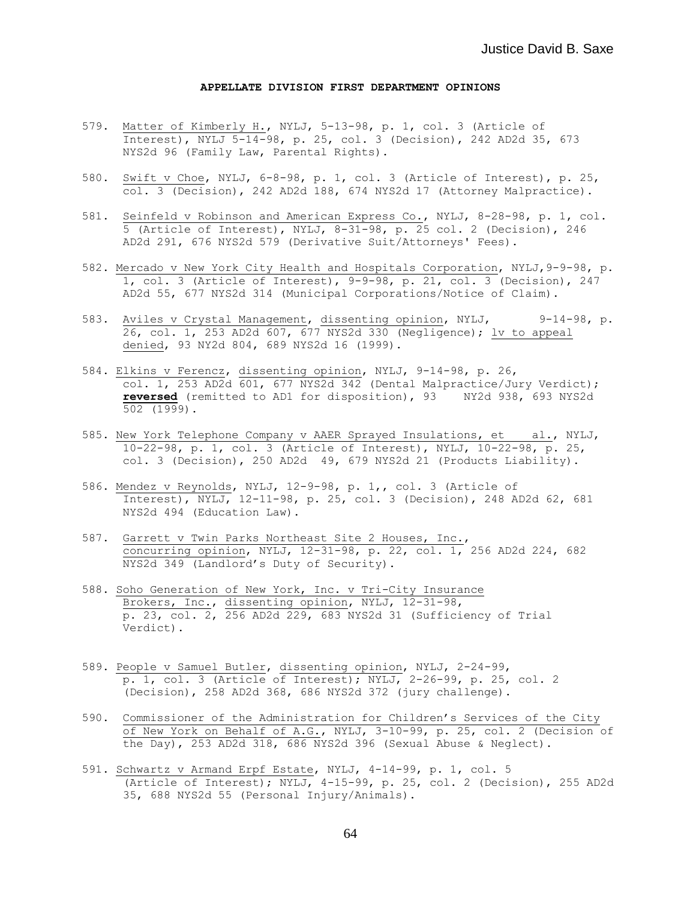## **APPELLATE DIVISION FIRST DEPARTMENT OPINIONS**

- 579. Matter of Kimberly H., NYLJ, 5-13-98, p. 1, col. 3 (Article of Interest), NYLJ 5-14-98, p. 25, col. 3 (Decision), 242 AD2d 35, 673 NYS2d 96 (Family Law, Parental Rights).
- 580. Swift v Choe, NYLJ, 6-8-98, p. 1, col. 3 (Article of Interest), p. 25, col. 3 (Decision), 242 AD2d 188, 674 NYS2d 17 (Attorney Malpractice).
- 581. Seinfeld v Robinson and American Express Co., NYLJ, 8-28-98, p. 1, col. 5 (Article of Interest), NYLJ, 8-31-98, p. 25 col. 2 (Decision), 246 AD2d 291, 676 NYS2d 579 (Derivative Suit/Attorneys' Fees).
- 582. Mercado v New York City Health and Hospitals Corporation, NYLJ,9-9-98, p. 1, col. 3 (Article of Interest), 9-9-98, p. 21, col. 3 (Decision), 247 AD2d 55, 677 NYS2d 314 (Municipal Corporations/Notice of Claim).
- 583. Aviles v Crystal Management, dissenting opinion, NYLJ, 9-14-98, p. 26, col. 1, 253 AD2d 607, 677 NYS2d 330 (Negligence); lv to appeal denied, 93 NY2d 804, 689 NYS2d 16 (1999).
- 584. Elkins v Ferencz, dissenting opinion, NYLJ, 9-14-98, p. 26, col. 1, 253 AD2d 601, 677 NYS2d 342 (Dental Malpractice/Jury Verdict); **reversed** (remitted to AD1 for disposition), 93 NY2d 938, 693 NYS2d 502 (1999).
- 585. New York Telephone Company v AAER Sprayed Insulations, et al., NYLJ, 10-22-98, p. 1, col. 3 (Article of Interest), NYLJ, 10-22-98, p. 25, col. 3 (Decision), 250 AD2d 49, 679 NYS2d 21 (Products Liability).
- 586. Mendez v Reynolds, NYLJ, 12-9-98, p. 1,, col. 3 (Article of Interest), NYLJ, 12-11-98, p. 25, col. 3 (Decision), 248 AD2d 62, 681 NYS2d 494 (Education Law).
- 587. Garrett v Twin Parks Northeast Site 2 Houses, Inc., concurring opinion, NYLJ, 12-31-98, p. 22, col. 1, 256 AD2d 224, 682 NYS2d 349 (Landlord's Duty of Security).
- 588. Soho Generation of New York, Inc. v Tri-City Insurance Brokers, Inc., dissenting opinion, NYLJ, 12-31-98, p. 23, col. 2, 256 AD2d 229, 683 NYS2d 31 (Sufficiency of Trial Verdict).
- 589. People v Samuel Butler, dissenting opinion, NYLJ, 2-24-99, p. 1, col. 3 (Article of Interest); NYLJ, 2-26-99, p. 25, col. 2 (Decision), 258 AD2d 368, 686 NYS2d 372 (jury challenge).
- 590. Commissioner of the Administration for Children's Services of the City of New York on Behalf of A.G., NYLJ, 3-10-99, p. 25, col. 2 (Decision of the Day), 253 AD2d 318, 686 NYS2d 396 (Sexual Abuse & Neglect).
- 591. Schwartz v Armand Erpf Estate, NYLJ, 4-14-99, p. 1, col. 5 (Article of Interest); NYLJ, 4-15-99, p. 25, col. 2 (Decision), 255 AD2d 35, 688 NYS2d 55 (Personal Injury/Animals).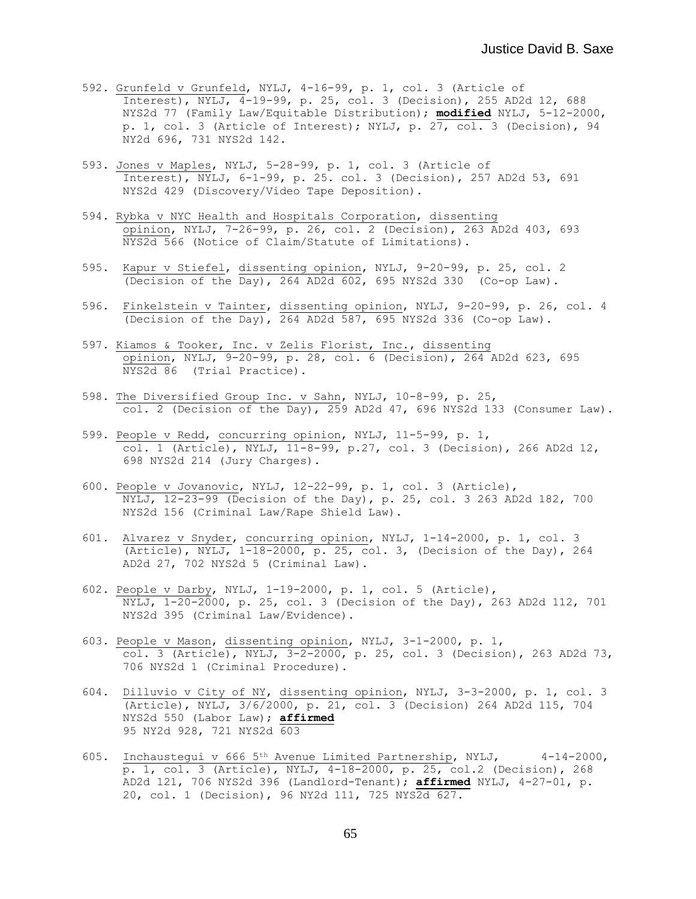- 592. Grunfeld v Grunfeld, NYLJ, 4-16-99, p. 1, col. 3 (Article of Interest), NYLJ,  $4-19-99$ , p. 25, col. 3 (Decision), 255 AD2d 12, 688 NYS2d 77 (Family Law/Equitable Distribution); **modified** NYLJ, 5-12-2000, p. 1, col. 3 (Article of Interest); NYLJ, p.  $27$ , col. 3 (Decision), 94 NY2d 696, 731 NYS2d 142.
- 593. Jones v Maples, NYLJ, 5-28-99, p. 1, col. 3 (Article of Interest), NYLJ, 6-1-99, p. 25. col. 3 (Decision), 257 AD2d 53, 691 NYS2d 429 (Discovery/Video Tape Deposition).
- 594. Rybka v NYC Health and Hospitals Corporation, dissenting opinion, NYLJ, 7-26-99, p. 26, col. 2 (Decision), 263 AD2d 403, 693 NYS2d 566 (Notice of Claim/Statute of Limitations).
- 595. Kapur v Stiefel, dissenting opinion, NYLJ, 9-20-99, p. 25, col. 2 (Decision of the Day), 264 AD2d 602, 695 NYS2d 330 (Co-op Law).
- 596. Finkelstein v Tainter, dissenting opinion, NYLJ, 9-20-99, p. 26, col. 4 (Decision of the Day),  $\overline{264}$  AD2d 587, 695 NYS2d 336 (Co-op Law).
- 597. Kiamos & Tooker, Inc. v Zelis Florist, Inc., dissenting opinion, NYLJ, 9-20-99, p. 28, col. 6 (Decision), 264 AD2d 623, 695 NYS2d 86 (Trial Practice).
- 598. The Diversified Group Inc. v Sahn, NYLJ, 10-8-99, p. 25, col. 2 (Decision of the Day), 259 AD2d 47, 696 NYS2d 133 (Consumer Law).
- 599. People v Redd, concurring opinion, NYLJ, 11-5-99, p. 1, col. 1 (Article), NYLJ, 11-8-99, p.27, col. 3 (Decision), 266 AD2d 12, 698 NYS2d 214 (Jury Charges).
- 600. People v Jovanovic, NYLJ, 12-22-99, p. 1, col. 3 (Article), NYLJ, 12-23-99 (Decision of the Day), p. 25, col. 3 263 AD2d 182, 700 NYS2d 156 (Criminal Law/Rape Shield Law).
- 601. Alvarez v Snyder, concurring opinion, NYLJ, 1-14-2000, p. 1, col. 3 (Article),  $NTLJ$ ,  $1-18-2000$ , p. 25, col. 3, (Decision of the Day), 264 AD2d 27, 702 NYS2d 5 (Criminal Law).
- 602. People v Darby, NYLJ, 1-19-2000, p. 1, col. 5 (Article), NYLJ, 1-20-2000, p. 25, col. 3 (Decision of the Day), 263 AD2d 112, 701 NYS2d 395 (Criminal Law/Evidence).
- 603. People v Mason, dissenting opinion, NYLJ, 3-1-2000, p. 1, col. 3 (Article), NYLJ, 3-2-2000, p. 25, col. 3 (Decision), 263 AD2d 73, 706 NYS2d 1 (Criminal Procedure).
- 604. Dilluvio v City of NY, dissenting opinion, NYLJ, 3-3-2000, p. 1, col. 3 (Article), NYLJ, 3/6/2000, p. 21, col. 3 (Decision) 264 AD2d 115, 704 NYS2d 550 (Labor Law); **affirmed** 95 NY2d 928, 721 NYS2d 603
- 605. Inchaustegui v 666 5th Avenue Limited Partnership, NYLJ, 4-14-2000, p. 1, col. 3 (Article), NYLJ, 4-18-2000, p. 25, col.2 (Decision), 268 AD2d 121, 706 NYS2d 396 (Landlord-Tenant); **affirmed** NYLJ, 4-27-01, p. 20, col. 1 (Decision), 96 NY2d 111, 725 NYS2d 627.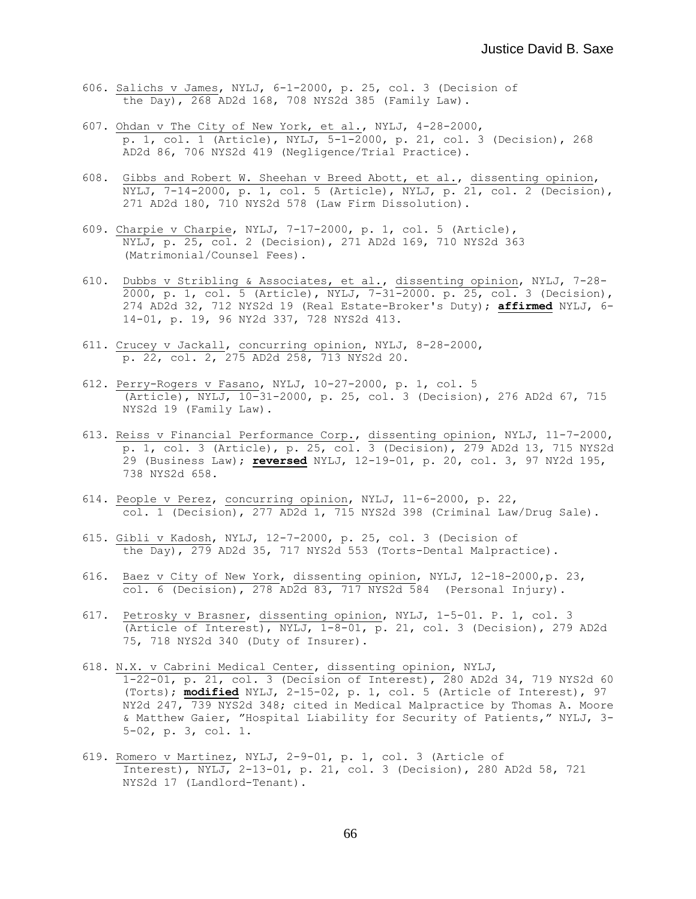- 606. Salichs v James, NYLJ, 6-1-2000, p. 25, col. 3 (Decision of the Day), 268 AD2d 168, 708 NYS2d 385 (Family Law).
- 607. Ohdan v The City of New York, et al., NYLJ, 4-28-2000, p. 1, col. 1 (Article), NYLJ, 5-1-2000, p. 21, col. 3 (Decision), 268 AD2d 86, 706 NYS2d 419 (Negligence/Trial Practice).
- 608. Gibbs and Robert W. Sheehan v Breed Abott, et al., dissenting opinion, NYLJ, 7-14-2000, p. 1, col. 5 (Article), NYLJ, p. 21, col. 2 (Decision), 271 AD2d 180, 710 NYS2d 578 (Law Firm Dissolution).
- 609. Charpie v Charpie, NYLJ, 7-17-2000, p. 1, col. 5 (Article), NYLJ, p. 25, col. 2 (Decision), 271 AD2d 169, 710 NYS2d 363 (Matrimonial/Counsel Fees).
- 610. Dubbs v Stribling & Associates, et al., dissenting opinion, NYLJ, 7-28- 2000, p. 1, col. 5 (Article), NYLJ, 7-31-2000. p. 25, col. 3 (Decision), 274 AD2d 32, 712 NYS2d 19 (Real Estate-Broker's Duty); **affirmed** NYLJ, 6- 14-01, p. 19, 96 NY2d 337, 728 NYS2d 413.
- 611. Crucey v Jackall, concurring opinion, NYLJ, 8-28-2000, p. 22, col. 2, 275 AD2d 258, 713 NYS2d 20.
- 612. Perry-Rogers v Fasano, NYLJ, 10-27-2000, p. 1, col. 5 (Article), NYLJ, 10-31-2000, p. 25, col. 3 (Decision), 276 AD2d 67, 715 NYS2d 19 (Family Law).
- 613. Reiss v Financial Performance Corp., dissenting opinion, NYLJ, 11-7-2000, p. 1, col. 3 (Article), p. 25, col. 3 (Decision), 279 AD2d 13, 715 NYS2d 29 (Business Law); **reversed** NYLJ, 12-19-01, p. 20, col. 3, 97 NY2d 195, 738 NYS2d 658.
- 614. People v Perez, concurring opinion, NYLJ, 11-6-2000, p. 22, col. 1 (Decision), 277 AD2d 1, 715 NYS2d 398 (Criminal Law/Drug Sale).
- 615. Gibli v Kadosh, NYLJ, 12-7-2000, p. 25, col. 3 (Decision of the Day), 279 AD2d 35, 717 NYS2d 553 (Torts-Dental Malpractice).
- 616. Baez v City of New York, dissenting opinion, NYLJ, 12-18-2000,p. 23, col. 6 (Decision), 278 AD2d 83, 717 NYS2d 584 (Personal Injury).
- 617. Petrosky v Brasner, dissenting opinion, NYLJ, 1-5-01. P. 1, col. 3 (Article of Interest), NYLJ, 1-8-01, p. 21, col. 3 (Decision), 279 AD2d 75, 718 NYS2d 340 (Duty of Insurer).
- 618. N.X. v Cabrini Medical Center, dissenting opinion, NYLJ, 1-22-01, p. 21, col. 3 (Decision of Interest), 280 AD2d 34, 719 NYS2d 60 (Torts); **modified** NYLJ, 2-15-02, p. 1, col. 5 (Article of Interest), 97 NY2d 247, 739 NYS2d 348; cited in Medical Malpractice by Thomas A. Moore & Matthew Gaier, "Hospital Liability for Security of Patients," NYLJ, 3- 5-02, p. 3, col. 1.
- 619. Romero v Martinez, NYLJ, 2-9-01, p. 1, col. 3 (Article of Interest), NYLJ, 2-13-01, p. 21, col. 3 (Decision), 280 AD2d 58, 721 NYS2d 17 (Landlord-Tenant).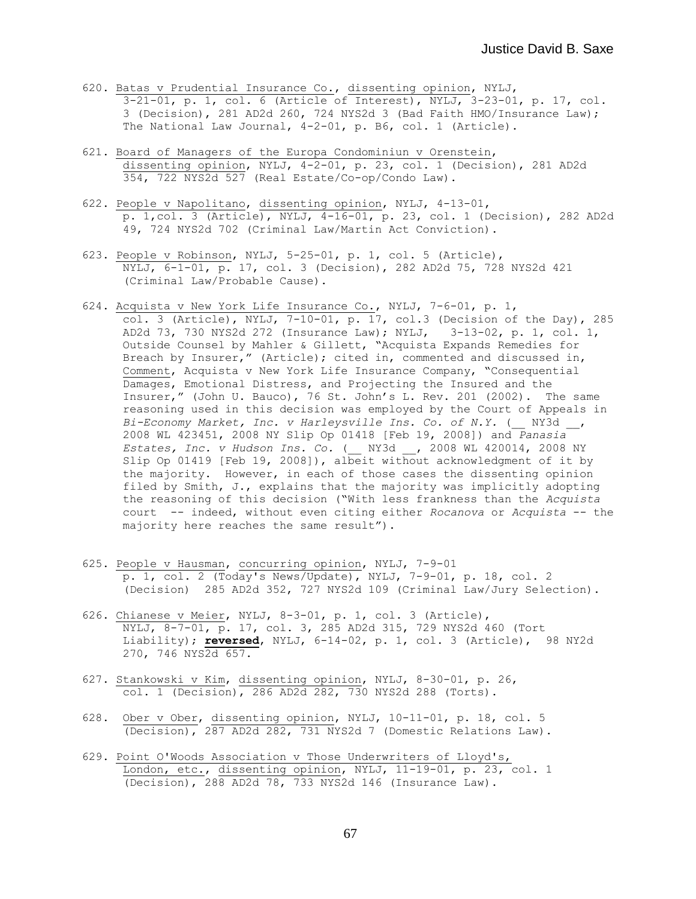- 620. Batas v Prudential Insurance Co., dissenting opinion, NYLJ, 3-21-01, p. 1, col. 6 (Article of Interest), NYLJ, 3-23-01, p. 17, col. 3 (Decision), 281 AD2d 260, 724 NYS2d 3 (Bad Faith HMO/Insurance Law); The National Law Journal, 4-2-01, p. B6, col. 1 (Article).
- 621. Board of Managers of the Europa Condominiun v Orenstein, dissenting opinion, NYLJ, 4-2-01, p. 23, col. 1 (Decision), 281 AD2d 354, 722 NYS2d 527 (Real Estate/Co-op/Condo Law).
- 622. People v Napolitano, dissenting opinion, NYLJ, 4-13-01, p. 1,col. 3 (Article), NYLJ, 4-16-01, p. 23, col. 1 (Decision), 282 AD2d 49, 724 NYS2d 702 (Criminal Law/Martin Act Conviction).
- 623. People v Robinson, NYLJ, 5-25-01, p. 1, col. 5 (Article), NYLJ, 6-1-01, p. 17, col. 3 (Decision), 282 AD2d 75, 728 NYS2d 421 (Criminal Law/Probable Cause).
- 624. Acquista v New York Life Insurance Co., NYLJ, 7-6-01, p. 1, col. 3 (Article), NYLJ,  $7-10-01$ , p. 17, col.3 (Decision of the Day), 285 AD2d 73, 730 NYS2d 272 (Insurance Law); NYLJ, 3-13-02, p. 1, col. 1, Outside Counsel by Mahler & Gillett, "Acquista Expands Remedies for Breach by Insurer," (Article); cited in, commented and discussed in, Comment, Acquista v New York Life Insurance Company, "Consequential Damages, Emotional Distress, and Projecting the Insured and the Insurer," (John U. Bauco), 76 St. John's L. Rev. 201 (2002). The same reasoning used in this decision was employed by the Court of Appeals in Bi-Economy Market, Inc. v Harleysville Ins. Co. of N.Y. ( \_\_ NY3d \_\_ , 2008 WL 423451, 2008 NY Slip Op 01418 [Feb 19, 2008]) and *Panasia Estates, Inc. v Hudson Ins. Co.* (\_\_ NY3d \_\_, 2008 WL 420014, 2008 NY Slip Op 01419 [Feb 19, 2008]), albeit without acknowledgment of it by the majority. However, in each of those cases the dissenting opinion filed by Smith, J., explains that the majority was implicitly adopting the reasoning of this decision ("With less frankness than the *Acquista* court -- indeed, without even citing either *Rocanova* or *Acquista* -- the majority here reaches the same result").
- 625. People v Hausman, concurring opinion, NYLJ, 7-9-01 p. 1, col. 2 (Today's News/Update), NYLJ, 7-9-01, p. 18, col. 2 (Decision) 285 AD2d 352, 727 NYS2d 109 (Criminal Law/Jury Selection).
- 626. Chianese v Meier, NYLJ, 8-3-01, p. 1, col. 3 (Article), NYLJ, 8-7-01, p. 17, col. 3, 285 AD2d 315, 729 NYS2d 460 (Tort Liability); **reversed**, NYLJ, 6-14-02, p. 1, col. 3 (Article), 98 NY2d 270, 746 NYS2d 657.
- 627. Stankowski v Kim, dissenting opinion, NYLJ, 8-30-01, p. 26, col. 1 (Decision), 286 AD2d 282, 730 NYS2d 288 (Torts).
- 628. Ober v Ober, dissenting opinion, NYLJ, 10-11-01, p. 18, col. 5 (Decision), 287 AD2d 282, 731 NYS2d 7 (Domestic Relations Law).
- 629. Point O'Woods Association v Those Underwriters of Lloyd's, London, etc., dissenting opinion, NYLJ, 11-19-01, p. 23, col. 1 (Decision), 288 AD2d 78, 733 NYS2d 146 (Insurance Law).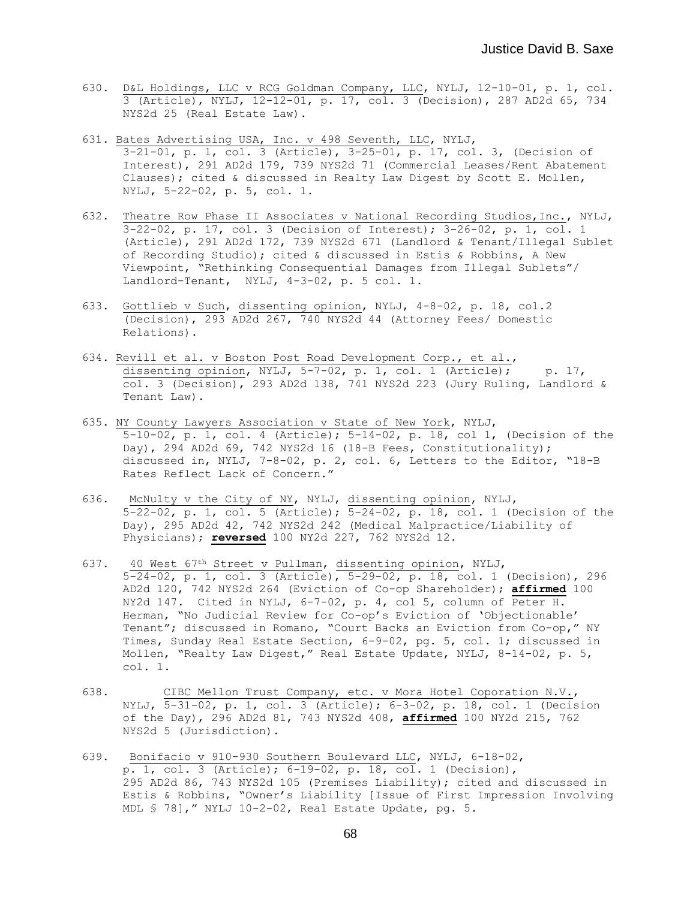- 630. D&L Holdings, LLC v RCG Goldman Company, LLC, NYLJ, 12-10-01, p. 1, col. 3 (Article), NYLJ, 12-12-01, p. 17, col. 3 (Decision), 287 AD2d 65, 734 NYS2d 25 (Real Estate Law).
- 631. Bates Advertising USA, Inc. v 498 Seventh, LLC, NYLJ, 3-21-01, p. 1, col. 3 (Article), 3-25-01, p. 17, col. 3, (Decision of Interest), 291 AD2d 179, 739 NYS2d 71 (Commercial Leases/Rent Abatement Clauses); cited & discussed in Realty Law Digest by Scott E. Mollen, NYLJ, 5-22-02, p. 5, col. 1.
- 632. Theatre Row Phase II Associates v National Recording Studios,Inc., NYLJ, 3-22-02, p. 17, col. 3 (Decision of Interest); 3-26-02, p. 1, col. 1 (Article), 291 AD2d 172, 739 NYS2d 671 (Landlord & Tenant/Illegal Sublet of Recording Studio); cited & discussed in Estis & Robbins, A New Viewpoint, "Rethinking Consequential Damages from Illegal Sublets"/ Landlord-Tenant, NYLJ, 4-3-02, p. 5 col. 1.
- 633. Gottlieb v Such, dissenting opinion, NYLJ, 4-8-02, p. 18, col.2 (Decision), 293 AD2d 267, 740 NYS2d 44 (Attorney Fees/ Domestic Relations).
- 634. Revill et al. v Boston Post Road Development Corp., et al., dissenting opinion, NYLJ,  $5-7-02$ , p. 1, col. 1 (Article); p. 17,  $\overline{col.}$  3 (Decision), 293 AD2d 138, 741 NYS2d 223 (Jury Ruling, Landlord & Tenant Law).
- 635. NY County Lawyers Association v State of New York, NYLJ, 5-10-02, p. 1, col. 4 (Article); 5-14-02, p. 18, col 1, (Decision of the Day), 294 AD2d 69, 742 NYS2d 16 (18-B Fees, Constitutionality); discussed in, NYLJ, 7-8-02, p. 2, col. 6, Letters to the Editor, "18-B Rates Reflect Lack of Concern."
- 636. McNulty v the City of NY, NYLJ, dissenting opinion, NYLJ, 5-22-02, p. 1, col. 5 (Article); 5-24-02, p. 18, col. 1 (Decision of the Day), 295 AD2d 42, 742 NYS2d 242 (Medical Malpractice/Liability of Physicians); **reversed** 100 NY2d 227, 762 NYS2d 12.
- 637. 40 West 67th Street v Pullman, dissenting opinion, NYLJ, 5-24-02, p. 1, col. 3 (Article), 5-29-02, p. 18, col. 1 (Decision), 296 AD2d 120, 742 NYS2d 264 (Eviction of Co-op Shareholder); **affirmed** 100 NY2d 147. Cited in NYLJ, 6-7-02, p. 4, col 5, column of Peter H. Herman, "No Judicial Review for Co-op's Eviction of 'Objectionable' Tenant"; discussed in Romano, "Court Backs an Eviction from Co-op," NY Times, Sunday Real Estate Section, 6-9-02, pg. 5, col. 1; discussed in Mollen, "Realty Law Digest," Real Estate Update, NYLJ, 8-14-02, p. 5, col. 1.
- 638. CIBC Mellon Trust Company, etc. v Mora Hotel Coporation N.V., NYLJ, 5-31-02, p. 1, col. 3 (Article); 6-3-02, p. 18, col. 1 (Decision of the Day), 296 AD2d 81, 743 NYS2d 408, **affirmed** 100 NY2d 215, 762 NYS2d 5 (Jurisdiction).
- 639. Bonifacio v 910-930 Southern Boulevard LLC, NYLJ, 6-18-02, p. 1, col. 3 (Article); 6-19-02, p. 18, col. 1 (Decision), 295 AD2d 86, 743 NYS2d 105 (Premises Liability); cited and discussed in Estis & Robbins, "Owner's Liability [Issue of First Impression Involving MDL § 78]," NYLJ 10-2-02, Real Estate Update, pg. 5.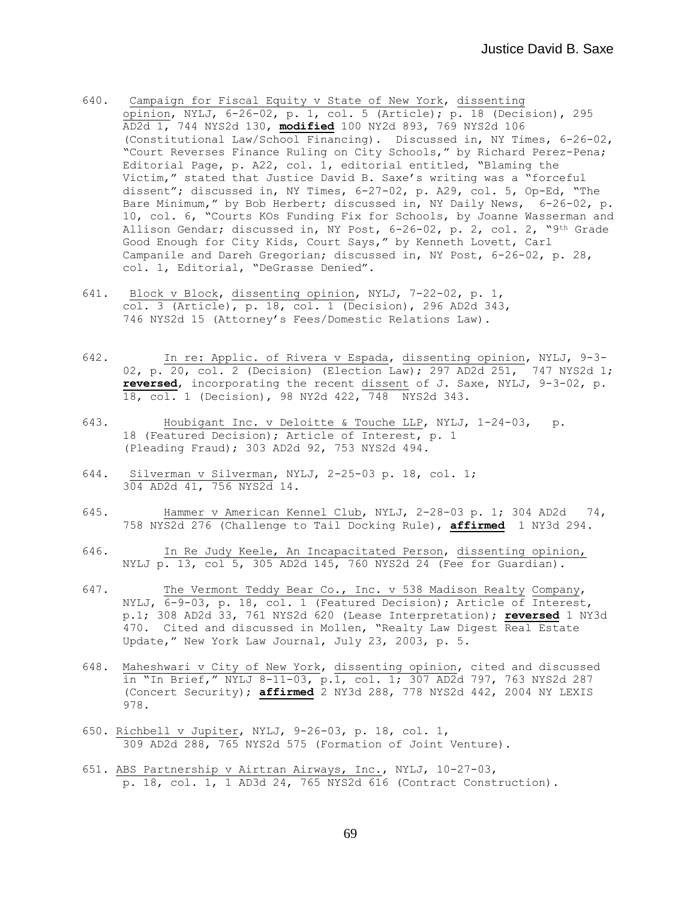- 640. Campaign for Fiscal Equity v State of New York, dissenting opinion, NYLJ, 6-26-02, p. 1, col. 5 (Article); p. 18 (Decision), 295 AD2d 1, 744 NYS2d 130, **modified** 100 NY2d 893, 769 NYS2d 106 (Constitutional Law/School Financing). Discussed in, NY Times, 6-26-02, "Court Reverses Finance Ruling on City Schools," by Richard Perez-Pena; Editorial Page, p. A22, col. 1, editorial entitled, "Blaming the Victim," stated that Justice David B. Saxe's writing was a "forceful dissent"; discussed in, NY Times, 6-27-02, p. A29, col. 5, Op-Ed, "The Bare Minimum," by Bob Herbert; discussed in, NY Daily News, 6-26-02, p. 10, col. 6, "Courts KOs Funding Fix for Schools, by Joanne Wasserman and Allison Gendar; discussed in, NY Post, 6-26-02, p. 2, col. 2, "9th Grade Good Enough for City Kids, Court Says," by Kenneth Lovett, Carl Campanile and Dareh Gregorian; discussed in, NY Post, 6-26-02, p. 28, col. 1, Editorial, "DeGrasse Denied".
- 641. Block v Block, dissenting opinion, NYLJ, 7-22-02, p. 1, col. 3 (Article), p. 18, col. 1 (Decision), 296 AD2d 343, 746 NYS2d 15 (Attorney's Fees/Domestic Relations Law).
- 642. In re: Applic. of Rivera v Espada, dissenting opinion, NYLJ, 9-3- 02, p. 20, col. 2 (Decision) (Election Law); 297 AD2d 251, 747 NYS2d 1; **reversed**, incorporating the recent dissent of J. Saxe, NYLJ, 9-3-02, p. 18, col. 1 (Decision), 98 NY2d 422, 748 NYS2d 343.
- 643. Houbigant Inc. v Deloitte & Touche LLP, NYLJ, 1-24-03, p. 18 (Featured Decision); Article of Interest, p. 1 (Pleading Fraud); 303 AD2d 92, 753 NYS2d 494.
- 644. Silverman v Silverman, NYLJ, 2-25-03 p. 18, col. 1; 304 AD2d 41, 756 NYS2d 14.
- 645. Hammer v American Kennel Club, NYLJ, 2-28-03 p. 1; 304 AD2d 74, 758 NYS2d 276 (Challenge to Tail Docking Rule), **affirmed** 1 NY3d 294.
- 646. In Re Judy Keele, An Incapacitated Person, dissenting opinion, NYLJ p. 13, col 5, 305 AD2d 145, 760 NYS2d 24 (Fee for Guardian).
- 647. The Vermont Teddy Bear Co., Inc. v 538 Madison Realty Company, NYLJ, 6-9-03, p. 18, col. 1 (Featured Decision); Article of Interest, p.1; 308 AD2d 33, 761 NYS2d 620 (Lease Interpretation); **reversed** 1 NY3d 470. Cited and discussed in Mollen, "Realty Law Digest Real Estate Update," New York Law Journal, July 23, 2003, p. 5.
- 648. Maheshwari v City of New York, dissenting opinion, cited and discussed in "In Brief," NYLJ 8-11-03, p.1, col. 1; 307 AD2d 797, 763 NYS2d 287 (Concert Security); **affirmed** 2 NY3d 288, 778 NYS2d 442, 2004 NY LEXIS 978.
- 650. Richbell v Jupiter, NYLJ, 9-26-03, p. 18, col. 1, 309 AD2d 288, 765 NYS2d 575 (Formation of Joint Venture).
- 651. ABS Partnership v Airtran Airways, Inc., NYLJ, 10-27-03, p. 18, col. 1, 1 AD3d 24, 765 NYS2d 616 (Contract Construction).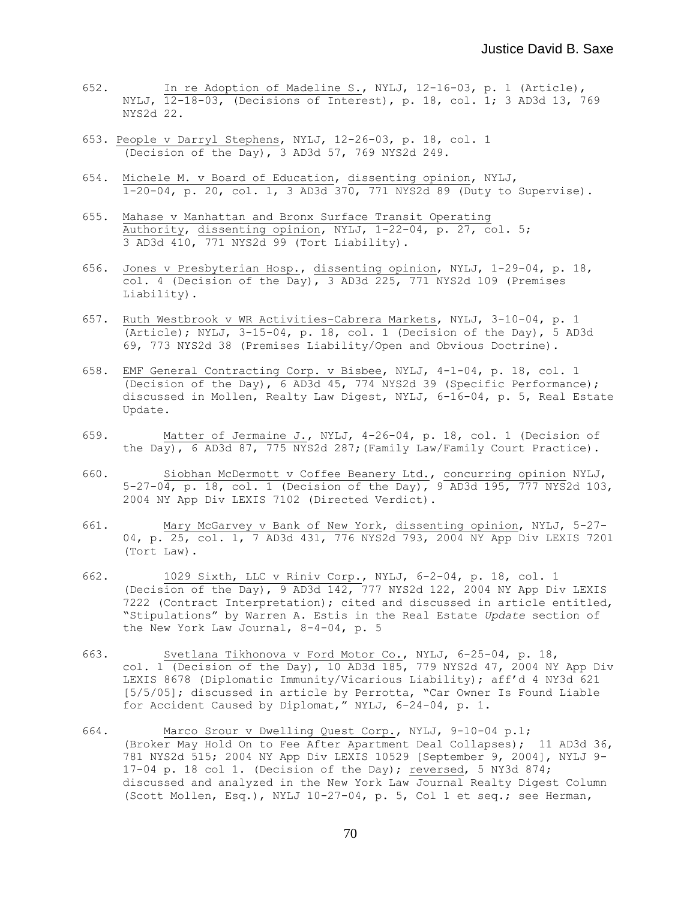- 652. In re Adoption of Madeline S., NYLJ, 12-16-03, p. 1 (Article), NYLJ, 12-18-03, (Decisions of Interest), p. 18, col. 1; 3 AD3d 13, 769 NYS2d 22.
- 653. People v Darryl Stephens, NYLJ, 12-26-03, p. 18, col. 1 (Decision of the Day), 3 AD3d 57, 769 NYS2d 249.
- 654. Michele M. v Board of Education, dissenting opinion, NYLJ, 1-20-04, p. 20, col. 1, 3 AD3d 370, 771 NYS2d 89 (Duty to Supervise).
- 655. Mahase v Manhattan and Bronx Surface Transit Operating Authority, dissenting opinion, NYLJ, 1-22-04, p. 27, col. 5; 3 AD3d 410, 771 NYS2d 99 (Tort Liability).
- 656. Jones v Presbyterian Hosp., dissenting opinion, NYLJ, 1-29-04, p. 18, col. 4 (Decision of the Day), 3 AD3d 225, 771 NYS2d 109 (Premises Liability).
- 657. Ruth Westbrook v WR Activities-Cabrera Markets, NYLJ, 3-10-04, p. 1 (Article); NYLJ,  $3-15-04$ , p. 18, col. 1 (Decision of the Day), 5 AD3d 69, 773 NYS2d 38 (Premises Liability/Open and Obvious Doctrine).
- 658. EMF General Contracting Corp. v Bisbee, NYLJ, 4-1-04, p. 18, col. 1 (Decision of the Day), 6 AD3d 45, 774 NYS2d 39 (Specific Performance); discussed in Mollen, Realty Law Digest, NYLJ, 6-16-04, p. 5, Real Estate Update.
- 659. Matter of Jermaine J., NYLJ, 4-26-04, p. 18, col. 1 (Decision of the Day), 6 AD3d 87, 775 NYS2d 287; (Family Law/Family Court Practice).
- 660. Siobhan McDermott v Coffee Beanery Ltd., concurring opinion NYLJ, 5-27-04, p. 18, col. 1 (Decision of the Day), 9 AD3d 195, 777 NYS2d 103, 2004 NY App Div LEXIS 7102 (Directed Verdict).
- 661. Mary McGarvey v Bank of New York, dissenting opinion, NYLJ, 5-27- 04, p. 25, col. 1, 7 AD3d 431, 776 NYS2d 793, 2004 NY App Div LEXIS 7201 (Tort Law).
- 662. 1029 Sixth, LLC v Riniv Corp., NYLJ, 6-2-04, p. 18, col. 1 (Decision of the Day), 9 AD3d 142, 777 NYS2d 122, 2004 NY App Div LEXIS 7222 (Contract Interpretation); cited and discussed in article entitled, "Stipulations" by Warren A. Estis in the Real Estate *Update* section of the New York Law Journal, 8-4-04, p. 5
- 663. Svetlana Tikhonova v Ford Motor Co., NYLJ, 6-25-04, p. 18, col. 1 (Decision of the Day), 10 AD3d 185, 779 NYS2d 47, 2004 NY App Div LEXIS 8678 (Diplomatic Immunity/Vicarious Liability); aff'd 4 NY3d 621 [5/5/05]; discussed in article by Perrotta, "Car Owner Is Found Liable for Accident Caused by Diplomat," NYLJ, 6-24-04, p. 1.
- 664. Marco Srour v Dwelling Quest Corp., NYLJ, 9-10-04 p.1; (Broker May Hold On to Fee After Apartment Deal Collapses); 11 AD3d 36, 781 NYS2d 515; 2004 NY App Div LEXIS 10529 [September 9, 2004], NYLJ 9- 17-04 p. 18 col 1. (Decision of the Day); reversed, 5 NY3d 874; discussed and analyzed in the New York Law Journal Realty Digest Column (Scott Mollen, Esq.), NYLJ 10-27-04, p. 5, Col 1 et seq.; see Herman,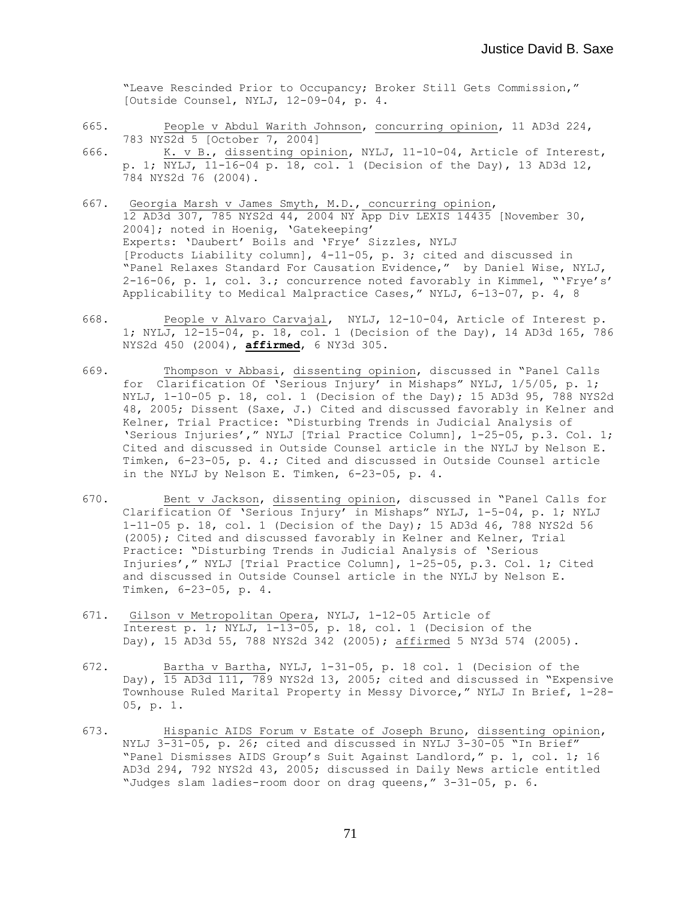"Leave Rescinded Prior to Occupancy; Broker Still Gets Commission," [Outside Counsel, NYLJ, 12-09-04, p. 4.

- 665. People v Abdul Warith Johnson, concurring opinion, 11 AD3d 224, 783 NYS2d 5 [October 7, 2004]
- 666. K. v B., dissenting opinion, NYLJ, 11-10-04, Article of Interest, p. 1; NYLJ, 11-16-04 p. 18, col. 1 (Decision of the Day), 13 AD3d 12, 784 NYS2d 76 (2004).
- 667. Georgia Marsh v James Smyth, M.D., concurring opinion, 12 AD3d 307, 785 NYS2d 44, 2004 NY App Div LEXIS 14435 [November 30, 2004]; noted in Hoenig, 'Gatekeeping' Experts: 'Daubert' Boils and 'Frye' Sizzles, NYLJ [Products Liability column], 4-11-05, p. 3; cited and discussed in "Panel Relaxes Standard For Causation Evidence," by Daniel Wise, NYLJ, 2-16-06, p. 1, col. 3.; concurrence noted favorably in Kimmel, "'Frye's' Applicability to Medical Malpractice Cases," NYLJ, 6-13-07, p. 4, 8
- 668. People v Alvaro Carvajal, NYLJ, 12-10-04, Article of Interest p. 1; NYLJ, 12-15-04, p. 18, col. 1 (Decision of the Day), 14 AD3d 165, 786 NYS2d 450 (2004), **affirmed**, 6 NY3d 305.
- 669. Thompson v Abbasi, dissenting opinion, discussed in "Panel Calls for Clarification Of 'Serious Injury' in Mishaps" NYLJ, 1/5/05, p. 1; NYLJ, 1-10-05 p. 18, col. 1 (Decision of the Day); 15 AD3d 95, 788 NYS2d 48, 2005; Dissent (Saxe, J.) Cited and discussed favorably in Kelner and Kelner, Trial Practice: "Disturbing Trends in Judicial Analysis of 'Serious Injuries'," NYLJ [Trial Practice Column], 1-25-05, p.3. Col. 1; Cited and discussed in Outside Counsel article in the NYLJ by Nelson E. Timken, 6-23-05, p. 4.; Cited and discussed in Outside Counsel article in the NYLJ by Nelson E. Timken, 6-23-05, p. 4.
- 670. Bent v Jackson, dissenting opinion, discussed in "Panel Calls for Clarification Of 'Serious Injury' in Mishaps" NYLJ, 1-5-04, p. 1; NYLJ 1-11-05 p. 18, col. 1 (Decision of the Day); 15 AD3d 46, 788 NYS2d 56 (2005); Cited and discussed favorably in Kelner and Kelner, Trial Practice: "Disturbing Trends in Judicial Analysis of 'Serious Injuries'," NYLJ [Trial Practice Column], 1-25-05, p.3. Col. 1; Cited and discussed in Outside Counsel article in the NYLJ by Nelson E. Timken, 6-23-05, p. 4.
- 671. Gilson v Metropolitan Opera, NYLJ, 1-12-05 Article of Interest p. 1; NYLJ, 1-13-05, p. 18, col. 1 (Decision of the Day), 15 AD3d 55, 788 NYS2d 342 (2005); affirmed 5 NY3d 574 (2005).
- 672. Bartha v Bartha, NYLJ, 1-31-05, p. 18 col. 1 (Decision of the Day), 15 AD3d 111, 789 NYS2d 13, 2005; cited and discussed in "Expensive Townhouse Ruled Marital Property in Messy Divorce," NYLJ In Brief, 1-28- 05, p. 1.
- 673. Hispanic AIDS Forum v Estate of Joseph Bruno, dissenting opinion, NYLJ 3-31-05, p. 26; cited and discussed in NYLJ 3-30-05 "In Brief" "Panel Dismisses AIDS Group's Suit Against Landlord," p. 1, col. 1; 16 AD3d 294, 792 NYS2d 43, 2005; discussed in Daily News article entitled "Judges slam ladies-room door on drag queens," 3-31-05, p. 6.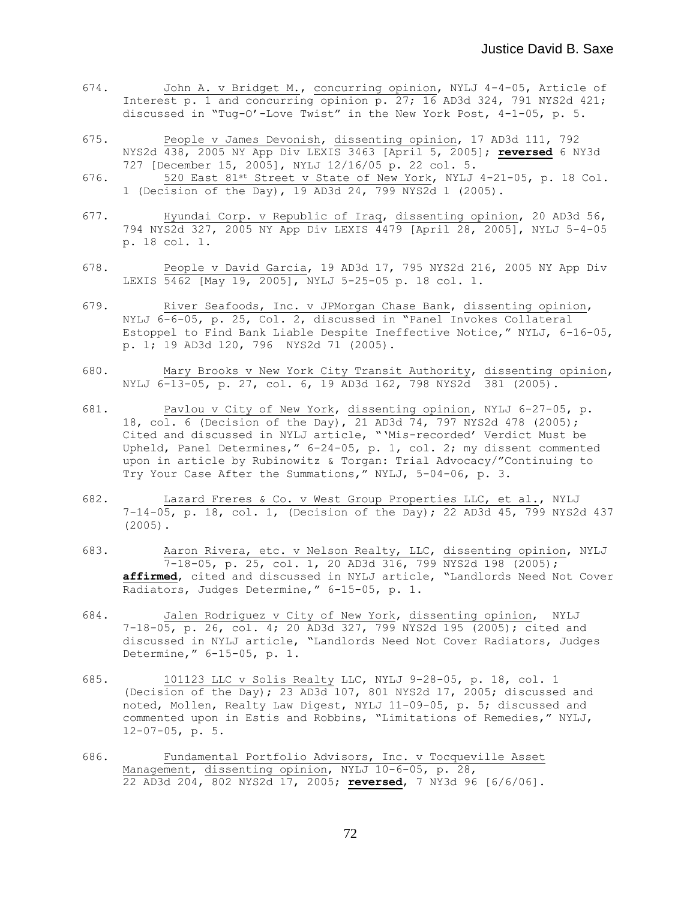- 674. John A. v Bridget M., concurring opinion, NYLJ 4-4-05, Article of Interest p. 1 and concurring opinion p. 27; 16 AD3d 324, 791 NYS2d 421; discussed in "Tug-O'-Love Twist" in the New York Post, 4-1-05, p. 5.
- 675. People v James Devonish, dissenting opinion, 17 AD3d 111, 792 NYS2d 438, 2005 NY App Div LEXIS 3463 [April 5, 2005]; **reversed** 6 NY3d 727 [December 15, 2005], NYLJ 12/16/05 p. 22 col. 5.
- 676. 520 East 81st Street v State of New York, NYLJ 4-21-05, p. 18 Col. 1 (Decision of the Day), 19 AD3d 24, 799 NYS2d 1 (2005).
- 677. Hyundai Corp. v Republic of Iraq, dissenting opinion, 20 AD3d 56, 794 NYS2d 327, 2005 NY App Div LEXIS 4479 [April 28, 2005], NYLJ 5-4-05 p. 18 col. 1.
- 678. People v David Garcia, 19 AD3d 17, 795 NYS2d 216, 2005 NY App Div LEXIS 5462 [May 19, 2005], NYLJ 5-25-05 p. 18 col. 1.
- 679. River Seafoods, Inc. v JPMorgan Chase Bank, dissenting opinion, NYLJ 6-6-05, p. 25, Col. 2, discussed in "Panel Invokes Collateral Estoppel to Find Bank Liable Despite Ineffective Notice," NYLJ, 6-16-05, p. 1; 19 AD3d 120, 796 NYS2d 71 (2005).
- 680. Mary Brooks v New York City Transit Authority, dissenting opinion, NYLJ 6-13-05, p. 27, col. 6, 19 AD3d 162, 798 NYS2d 381 (2005).
- 681. Pavlou v City of New York, dissenting opinion, NYLJ 6-27-05, p. 18, col. 6 (Decision of the Day), 21 AD3d 74, 797 NYS2d 478 (2005); Cited and discussed in NYLJ article, "'Mis-recorded' Verdict Must be Upheld, Panel Determines," 6-24-05, p. 1, col. 2; my dissent commented upon in article by Rubinowitz & Torgan: Trial Advocacy/"Continuing to Try Your Case After the Summations," NYLJ, 5-04-06, p. 3.
- 682. Lazard Freres & Co. v West Group Properties LLC, et al., NYLJ 7-14-05, p. 18, col. 1, (Decision of the Day); 22 AD3d 45, 799 NYS2d 437 (2005).
- 683. Aaron Rivera, etc. v Nelson Realty, LLC, dissenting opinion, NYLJ 7-18-05, p. 25, col. 1, 20 AD3d 316, 799 NYS2d 198 (2005); **affirmed**, cited and discussed in NYLJ article, "Landlords Need Not Cover Radiators, Judges Determine," 6-15-05, p. 1.
- 684. Jalen Rodriguez v City of New York, dissenting opinion, NYLJ 7-18-05, p. 26, col. 4; 20 AD3d 327, 799 NYS2d 195 (2005); cited and discussed in NYLJ article, "Landlords Need Not Cover Radiators, Judges Determine," 6-15-05, p. 1.
- 685. 101123 LLC v Solis Realty LLC, NYLJ 9-28-05, p. 18, col. 1 (Decision of the Day); 23 AD3d 107, 801 NYS2d 17, 2005; discussed and noted, Mollen, Realty Law Digest, NYLJ 11-09-05, p. 5; discussed and commented upon in Estis and Robbins, "Limitations of Remedies," NYLJ, 12-07-05, p. 5.
- 686. Fundamental Portfolio Advisors, Inc. v Tocqueville Asset Management, dissenting opinion, NYLJ 10-6-05, p. 28, 22 AD3d 204, 802 NYS2d 17, 2005; **reversed**, 7 NY3d 96 [6/6/06].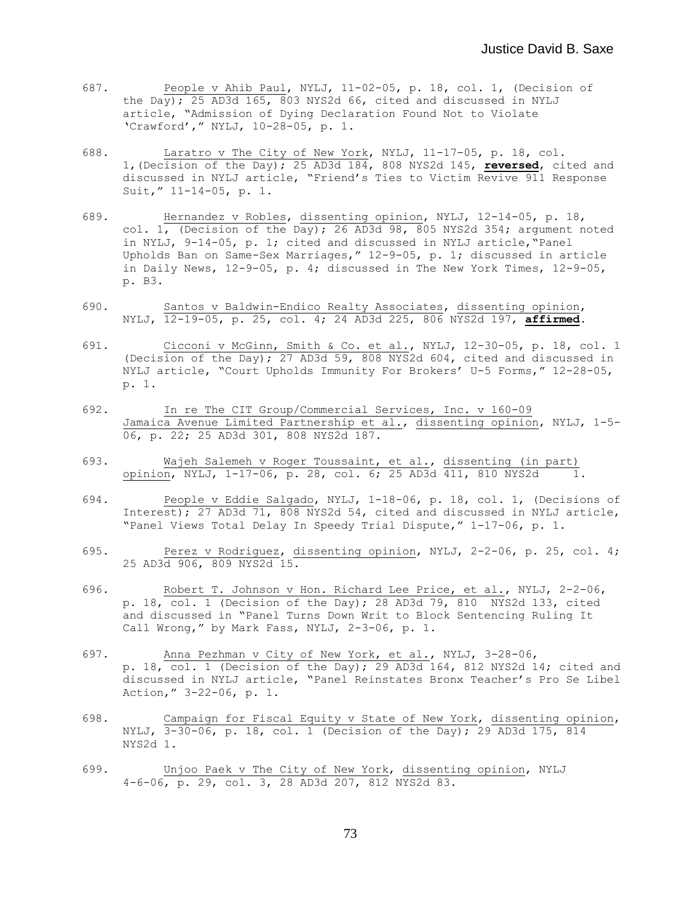- 687. People v Ahib Paul, NYLJ, 11-02-05, p. 18, col. 1, (Decision of the Day); 25 AD3d 165, 803 NYS2d 66, cited and discussed in NYLJ article, "Admission of Dying Declaration Found Not to Violate 'Crawford'," NYLJ, 10-28-05, p. 1.
- 688. Laratro v The City of New York, NYLJ, 11-17-05, p. 18, col. 1,(Decision of the Day); 25 AD3d 184, 808 NYS2d 145, **reversed**, cited and discussed in NYLJ article, "Friend's Ties to Victim Revive 911 Response Suit," 11-14-05, p. 1.
- 689. Hernandez v Robles, dissenting opinion, NYLJ, 12-14-05, p. 18, col. 1, (Decision of the Day); 26 AD3d 98, 805 NYS2d 354; argument noted in NYLJ, 9-14-05, p. 1; cited and discussed in NYLJ article,"Panel Upholds Ban on Same-Sex Marriages," 12-9-05, p. 1; discussed in article in Daily News, 12-9-05, p. 4; discussed in The New York Times, 12-9-05, p. B3.
- 690. Santos v Baldwin-Endico Realty Associates, dissenting opinion, NYLJ, 12-19-05, p. 25, col. 4; 24 AD3d 225, 806 NYS2d 197, **affirmed**.
- 691. Cicconi v McGinn, Smith & Co. et al., NYLJ, 12-30-05, p. 18, col. 1 (Decision of the Day); 27 AD3d 59, 808 NYS2d 604, cited and discussed in NYLJ article, "Court Upholds Immunity For Brokers' U-5 Forms," 12-28-05, p. 1.
- 692. In re The CIT Group/Commercial Services, Inc. v 160-09 Jamaica Avenue Limited Partnership et al., dissenting opinion, NYLJ, 1-5- 06, p. 22; 25 AD3d 301, 808 NYS2d 187.
- 693. Wajeh Salemeh v Roger Toussaint, et al., dissenting (in part) opinion, NYLJ, 1-17-06, p. 28, col. 6; 25 AD3d 411, 810 NYS2d
- 694. People v Eddie Salgado, NYLJ, 1-18-06, p. 18, col. 1, (Decisions of Interest); 27 AD3d 71, 808 NYS2d 54, cited and discussed in NYLJ article, "Panel Views Total Delay In Speedy Trial Dispute," 1-17-06, p. 1.
- 695. Perez v Rodriguez, dissenting opinion, NYLJ, 2-2-06, p. 25, col. 4; 25 AD3d 906, 809 NYS2d 15.
- 696. Robert T. Johnson v Hon. Richard Lee Price, et al., NYLJ, 2-2-06, p. 18, col. 1 (Decision of the Day); 28 AD3d 79, 810 NYS2d 133, cited and discussed in "Panel Turns Down Writ to Block Sentencing Ruling It Call Wrong," by Mark Fass, NYLJ, 2-3-06, p. 1.
- 697. Anna Pezhman v City of New York, et al., NYLJ, 3-28-06, p. 18, col. 1 (Decision of the Day); 29 AD3d 164, 812 NYS2d 14; cited and discussed in NYLJ article, "Panel Reinstates Bronx Teacher's Pro Se Libel Action," 3-22-06, p. 1.
- 698. Campaign for Fiscal Equity v State of New York, dissenting opinion, NYLJ, 3-30-06, p. 18, col. 1 (Decision of the Day); 29 AD3d 175, 814 NYS2d 1.
- 699. Unjoo Paek v The City of New York, dissenting opinion, NYLJ 4-6-06, p. 29, col. 3, 28 AD3d 207, 812 NYS2d 83.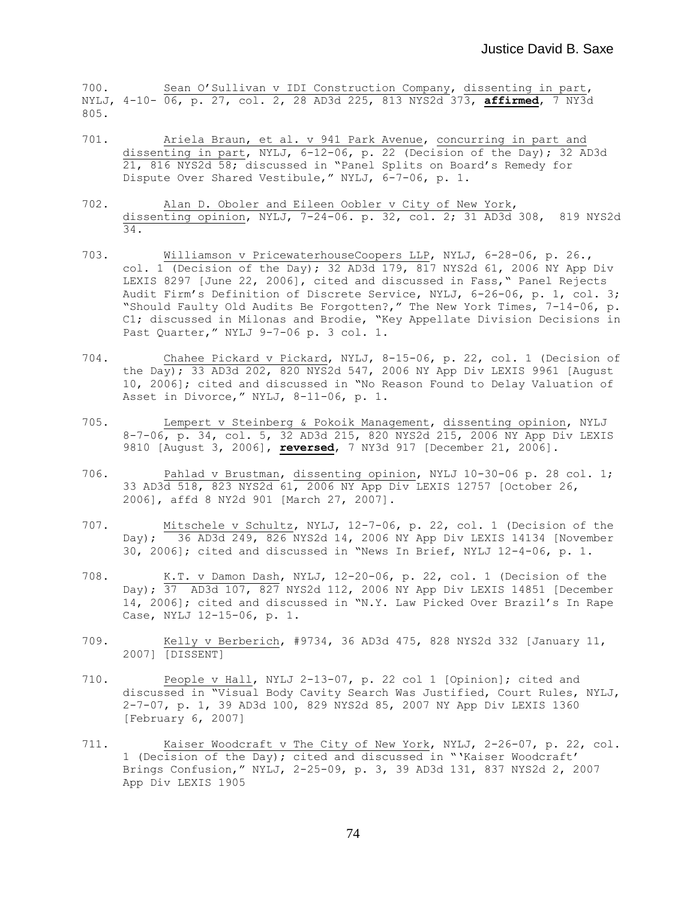700. Sean O'Sullivan v IDI Construction Company, dissenting in part, NYLJ, 4-10- 06, p. 27, col. 2, 28 AD3d 225, 813 NYS2d 373, **affirmed**, 7 NY3d 805.

- 701. Ariela Braun, et al. v 941 Park Avenue, concurring in part and dissenting in part, NYLJ, 6-12-06, p. 22 (Decision of the Day); 32 AD3d 21, 816 NYS2d 58; discussed in "Panel Splits on Board's Remedy for Dispute Over Shared Vestibule," NYLJ, 6-7-06, p. 1.
- 702. Alan D. Oboler and Eileen Oobler v City of New York, dissenting opinion, NYLJ, 7-24-06. p. 32, col. 2; 31 AD3d 308, 819 NYS2d 34.
- 703. Williamson v PricewaterhouseCoopers LLP, NYLJ, 6-28-06, p. 26., col. 1 (Decision of the Day); 32 AD3d 179, 817 NYS2d 61, 2006 NY App Div LEXIS 8297 [June 22, 2006], cited and discussed in Fass," Panel Rejects Audit Firm's Definition of Discrete Service, NYLJ, 6-26-06, p. 1, col. 3; "Should Faulty Old Audits Be Forgotten?," The New York Times, 7-14-06, p. C1; discussed in Milonas and Brodie, "Key Appellate Division Decisions in Past Quarter," NYLJ 9-7-06 p. 3 col. 1.
- 704. Chahee Pickard v Pickard, NYLJ, 8-15-06, p. 22, col. 1 (Decision of the Day); 33 AD3d 202, 820 NYS2d 547, 2006 NY App Div LEXIS 9961 [August 10, 2006]; cited and discussed in "No Reason Found to Delay Valuation of Asset in Divorce," NYLJ, 8-11-06, p. 1.
- 705. Lempert v Steinberg & Pokoik Management, dissenting opinion, NYLJ 8-7-06, p. 34, col. 5, 32 AD3d 215, 820 NYS2d 215, 2006 NY App Div LEXIS 9810 [August 3, 2006], **reversed**, 7 NY3d 917 [December 21, 2006].
- 706. Pahlad v Brustman, dissenting opinion, NYLJ 10-30-06 p. 28 col. 1; 33 AD3d 518, 823 NYS2d 61, 2006 NY App Div LEXIS 12757 [October 26, 2006], affd 8 NY2d 901 [March 27, 2007].
- 707. Mitschele v Schultz, NYLJ, 12-7-06, p. 22, col. 1 (Decision of the Day); 36 AD3d 249, 826 NYS2d 14, 2006 NY App Div LEXIS 14134 [November 30, 2006]; cited and discussed in "News In Brief, NYLJ 12-4-06, p. 1.
- 708. K.T. v Damon Dash, NYLJ, 12-20-06, p. 22, col. 1 (Decision of the Day); 37 AD3d 107, 827 NYS2d 112, 2006 NY App Div LEXIS 14851 [December 14, 2006]; cited and discussed in "N.Y. Law Picked Over Brazil's In Rape Case, NYLJ 12-15-06, p. 1.
- 709. Kelly v Berberich, #9734, 36 AD3d 475, 828 NYS2d 332 [January 11, 2007] [DISSENT]
- 710. People v Hall, NYLJ 2-13-07, p. 22 col 1 [Opinion]; cited and discussed in "Visual Body Cavity Search Was Justified, Court Rules, NYLJ, 2-7-07, p. 1, 39 AD3d 100, 829 NYS2d 85, 2007 NY App Div LEXIS 1360 [February 6, 2007]
- 711. Kaiser Woodcraft v The City of New York, NYLJ, 2-26-07, p. 22, col. 1 (Decision of the Day); cited and discussed in "'Kaiser Woodcraft' Brings Confusion," NYLJ, 2-25-09, p. 3, 39 AD3d 131, 837 NYS2d 2, 2007 App Div LEXIS 1905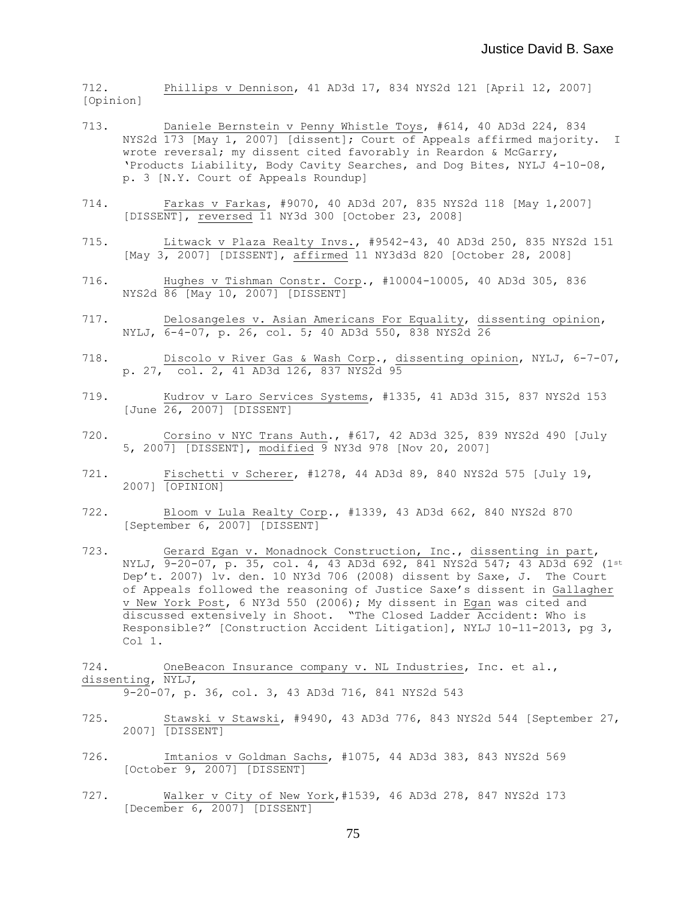712. Phillips v Dennison, 41 AD3d 17, 834 NYS2d 121 [April 12, 2007] [Opinion]

- 713. Daniele Bernstein v Penny Whistle Toys, #614, 40 AD3d 224, 834 NYS2d 173 [May 1, 2007] [dissent]; Court of Appeals affirmed majority. I wrote reversal; my dissent cited favorably in Reardon & McGarry, 'Products Liability, Body Cavity Searches, and Dog Bites, NYLJ 4-10-08, p. 3 [N.Y. Court of Appeals Roundup]
- 714. Farkas v Farkas, #9070, 40 AD3d 207, 835 NYS2d 118 [May 1,2007] [DISSENT], reversed 11 NY3d 300 [October 23, 2008]
- 715. Litwack v Plaza Realty Invs., #9542-43, 40 AD3d 250, 835 NYS2d 151 [May 3, 2007] [DISSENT], affirmed 11 NY3d3d 820 [October 28, 2008]
- 716. Hughes v Tishman Constr. Corp., #10004-10005, 40 AD3d 305, 836 NYS2d 86 [May 10, 2007] [DISSENT]
- 717. Delosangeles v. Asian Americans For Equality, dissenting opinion, NYLJ, 6-4-07, p. 26, col. 5; 40 AD3d 550, 838 NYS2d 26
- 718. Discolo v River Gas & Wash Corp., dissenting opinion, NYLJ, 6-7-07, p. 27, col. 2, 41 AD3d 126, 837 NYS2d 95
- 719. Kudrov v Laro Services Systems, #1335, 41 AD3d 315, 837 NYS2d 153 [June 26, 2007] [DISSENT]
- 720. Corsino v NYC Trans Auth., #617, 42 AD3d 325, 839 NYS2d 490 [July 5, 2007] [DISSENT], modified 9 NY3d 978 [Nov 20, 2007]
- 721. Fischetti v Scherer, #1278, 44 AD3d 89, 840 NYS2d 575 [July 19, 2007] [OPINION]
- 722. Bloom v Lula Realty Corp., #1339, 43 AD3d 662, 840 NYS2d 870 [September 6, 2007] [DISSENT]
- 723. Gerard Egan v. Monadnock Construction, Inc., dissenting in part, NYLJ, 9-20-07, p. 35, col. 4, 43 AD3d 692, 841 NYS2d 547; 43 AD3d 692 (1st Dep't. 2007) lv. den. 10 NY3d 706 (2008) dissent by Saxe, J. The Court of Appeals followed the reasoning of Justice Saxe's dissent in Gallagher v New York Post, 6 NY3d 550 (2006); My dissent in Egan was cited and discussed extensively in Shoot. "The Closed Ladder Accident: Who is Responsible?" [Construction Accident Litigation], NYLJ 10-11-2013, pg 3, Col 1.

724. OneBeacon Insurance company v. NL Industries, Inc. et al., dissenting, NYLJ,

9-20-07, p. 36, col. 3, 43 AD3d 716, 841 NYS2d 543

- 725. Stawski v Stawski, #9490, 43 AD3d 776, 843 NYS2d 544 [September 27, 2007] [DISSENT]
- 726. Imtanios v Goldman Sachs, #1075, 44 AD3d 383, 843 NYS2d 569 [October 9, 2007] [DISSENT]
- 727. Walker v City of New York,#1539, 46 AD3d 278, 847 NYS2d 173 [December 6, 2007] [DISSENT]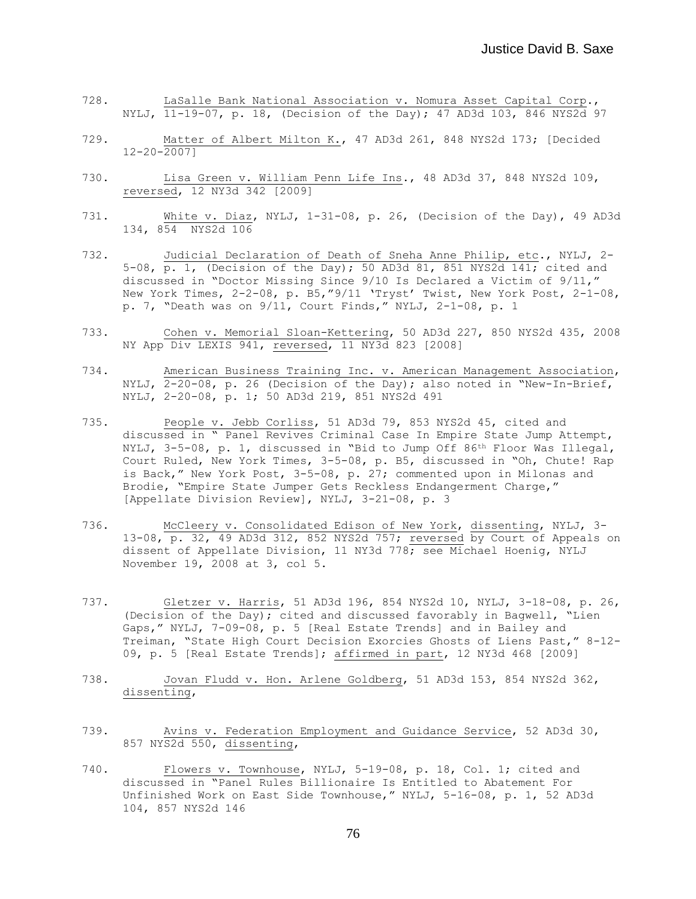- 728. LaSalle Bank National Association v. Nomura Asset Capital Corp., NYLJ, 11-19-07, p. 18, (Decision of the Day); 47 AD3d 103, 846 NYS2d 97
- 729. Matter of Albert Milton K., 47 AD3d 261, 848 NYS2d 173; [Decided  $12 - 20 - 20071$
- 730. Lisa Green v. William Penn Life Ins., 48 AD3d 37, 848 NYS2d 109, reversed, 12 NY3d 342 [2009]
- 731. White v. Diaz, NYLJ, 1-31-08, p. 26, (Decision of the Day), 49 AD3d 134, 854 NYS2d 106
- 732. Judicial Declaration of Death of Sneha Anne Philip, etc., NYLJ, 2- 5-08, p. 1, (Decision of the Day); 50 AD3d 81, 851 NYS2d  $141$ ; cited and discussed in "Doctor Missing Since 9/10 Is Declared a Victim of 9/11," New York Times, 2-2-08, p. B5,"9/11 'Tryst' Twist, New York Post, 2-1-08, p. 7, "Death was on 9/11, Court Finds," NYLJ, 2-1-08, p. 1
- 733. Cohen v. Memorial Sloan-Kettering, 50 AD3d 227, 850 NYS2d 435, 2008 NY App Div LEXIS 941, reversed, 11 NY3d 823 [2008]
- 734. American Business Training Inc. v. American Management Association, NYLJ, 2-20-08, p. 26 (Decision of the Day); also noted in "New-In-Brief, NYLJ, 2-20-08, p. 1; 50 AD3d 219, 851 NYS2d 491
- 735. People v. Jebb Corliss, 51 AD3d 79, 853 NYS2d 45, cited and discussed in " Panel Revives Criminal Case In Empire State Jump Attempt, NYLJ, 3-5-08, p. 1, discussed in "Bid to Jump Off 86<sup>th</sup> Floor Was Illegal, Court Ruled, New York Times, 3-5-08, p. B5, discussed in "Oh, Chute! Rap is Back," New York Post, 3-5-08, p. 27; commented upon in Milonas and Brodie, "Empire State Jumper Gets Reckless Endangerment Charge," [Appellate Division Review], NYLJ, 3-21-08, p. 3
- 736. McCleery v. Consolidated Edison of New York, dissenting, NYLJ, 3- 13-08, p. 32, 49 AD3d 312, 852 NYS2d 757; reversed by Court of Appeals on dissent of Appellate Division, 11 NY3d 778; see Michael Hoenig, NYLJ November 19, 2008 at 3, col 5.
- 737. Gletzer v. Harris, 51 AD3d 196, 854 NYS2d 10, NYLJ, 3-18-08, p. 26, (Decision of the Day); cited and discussed favorably in Bagwell, "Lien Gaps," NYLJ, 7-09-08, p. 5 [Real Estate Trends] and in Bailey and Treiman, "State High Court Decision Exorcies Ghosts of Liens Past," 8-12- 09, p. 5 [Real Estate Trends]; affirmed in part, 12 NY3d 468 [2009]
- 738. Jovan Fludd v. Hon. Arlene Goldberg, 51 AD3d 153, 854 NYS2d 362, dissenting,
- 739. Avins v. Federation Employment and Guidance Service, 52 AD3d 30, 857 NYS2d 550, dissenting,
- 740. Flowers v. Townhouse, NYLJ, 5-19-08, p. 18, Col. 1; cited and discussed in "Panel Rules Billionaire Is Entitled to Abatement For Unfinished Work on East Side Townhouse," NYLJ, 5-16-08, p. 1, 52 AD3d 104, 857 NYS2d 146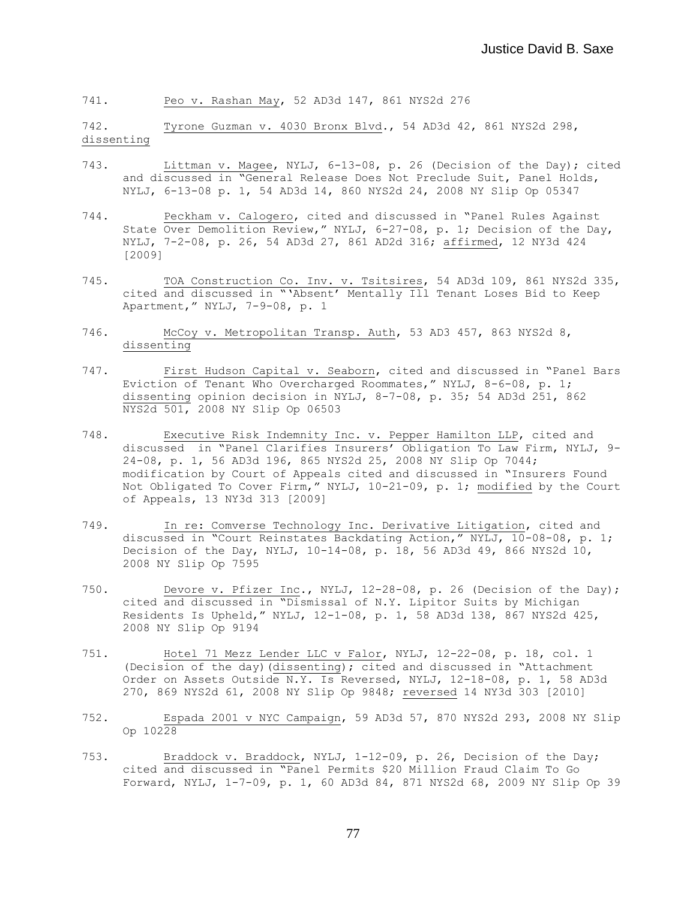741. Peo v. Rashan May, 52 AD3d 147, 861 NYS2d 276

742. Tyrone Guzman v. 4030 Bronx Blvd., 54 AD3d 42, 861 NYS2d 298, dissenting

- 743. Littman v. Magee, NYLJ, 6-13-08, p. 26 (Decision of the Day); cited and discussed in "General Release Does Not Preclude Suit, Panel Holds, NYLJ, 6-13-08 p. 1, 54 AD3d 14, 860 NYS2d 24, 2008 NY Slip Op 05347
- 744. Peckham v. Calogero, cited and discussed in "Panel Rules Against State Over Demolition Review," NYLJ, 6-27-08, p. 1; Decision of the Day, NYLJ, 7-2-08, p. 26, 54 AD3d 27, 861 AD2d 316; affirmed, 12 NY3d 424 [2009]
- 745. TOA Construction Co. Inv. v. Tsitsires, 54 AD3d 109, 861 NYS2d 335, cited and discussed in "'Absent' Mentally Ill Tenant Loses Bid to Keep Apartment," NYLJ, 7-9-08, p. 1
- 746. McCoy v. Metropolitan Transp. Auth, 53 AD3 457, 863 NYS2d 8, dissenting
- 747. First Hudson Capital v. Seaborn, cited and discussed in "Panel Bars Eviction of Tenant Who Overcharged Roommates," NYLJ, 8-6-08, p. 1; dissenting opinion decision in NYLJ, 8-7-08, p. 35; 54 AD3d 251, 862 NYS2d 501, 2008 NY Slip Op 06503
- 748. Executive Risk Indemnity Inc. v. Pepper Hamilton LLP, cited and discussed in "Panel Clarifies Insurers' Obligation To Law Firm, NYLJ, 9- 24-08, p. 1, 56 AD3d 196, 865 NYS2d 25, 2008 NY Slip Op 7044; modification by Court of Appeals cited and discussed in "Insurers Found Not Obligated To Cover Firm," NYLJ, 10-21-09, p. 1; modified by the Court of Appeals, 13 NY3d 313 [2009]
- 749. In re: Comverse Technology Inc. Derivative Litigation, cited and discussed in "Court Reinstates Backdating Action," NYLJ, 10-08-08, p. 1; Decision of the Day, NYLJ, 10-14-08, p. 18, 56 AD3d 49, 866 NYS2d 10, 2008 NY Slip Op 7595
- 750. Devore v. Pfizer Inc., NYLJ, 12-28-08, p. 26 (Decision of the Day); cited and discussed in "Dismissal of N.Y. Lipitor Suits by Michigan Residents Is Upheld," NYLJ, 12-1-08, p. 1, 58 AD3d 138, 867 NYS2d 425, 2008 NY Slip Op 9194
- 751. Hotel 71 Mezz Lender LLC v Falor, NYLJ, 12-22-08, p. 18, col. 1 (Decision of the day) (dissenting); cited and discussed in "Attachment Order on Assets Outside N.Y. Is Reversed, NYLJ, 12-18-08, p. 1, 58 AD3d 270, 869 NYS2d 61, 2008 NY Slip Op 9848; reversed 14 NY3d 303 [2010]
- 752. Espada 2001 v NYC Campaign, 59 AD3d 57, 870 NYS2d 293, 2008 NY Slip Op 10228
- 753. Braddock v. Braddock, NYLJ, 1-12-09, p. 26, Decision of the Day; cited and discussed in "Panel Permits \$20 Million Fraud Claim To Go Forward, NYLJ, 1-7-09, p. 1, 60 AD3d 84, 871 NYS2d 68, 2009 NY Slip Op 39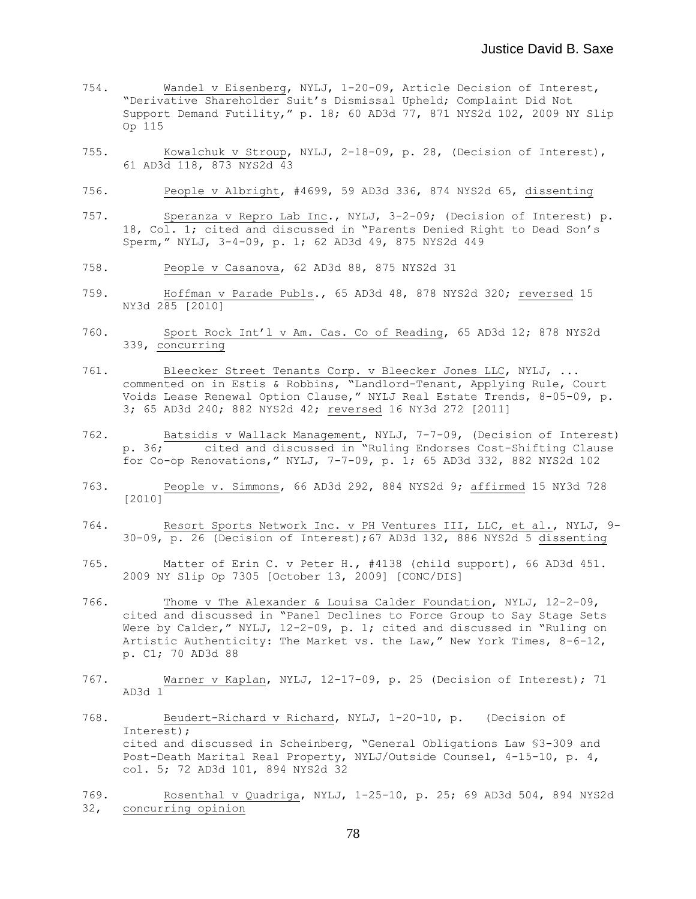- 754. Wandel v Eisenberg, NYLJ, 1-20-09, Article Decision of Interest, "Derivative Shareholder Suit's Dismissal Upheld; Complaint Did Not Support Demand Futility," p. 18; 60 AD3d 77, 871 NYS2d 102, 2009 NY Slip Op 115
- 755. Kowalchuk v Stroup, NYLJ, 2-18-09, p. 28, (Decision of Interest), 61 AD3d 118, 873 NYS2d 43
- 756. People v Albright, #4699, 59 AD3d 336, 874 NYS2d 65, dissenting
- 757. Speranza v Repro Lab Inc., NYLJ, 3-2-09; (Decision of Interest) p. 18, Col. 1; cited and discussed in "Parents Denied Right to Dead Son's Sperm," NYLJ, 3-4-09, p. 1; 62 AD3d 49, 875 NYS2d 449
- 758. People v Casanova, 62 AD3d 88, 875 NYS2d 31
- 759. Hoffman v Parade Publs., 65 AD3d 48, 878 NYS2d 320; reversed 15 NY3d 285 [2010]
- 760. Sport Rock Int'l v Am. Cas. Co of Reading, 65 AD3d 12; 878 NYS2d 339, concurring
- 761. Bleecker Street Tenants Corp. v Bleecker Jones LLC, NYLJ, ... commented on in Estis & Robbins, "Landlord-Tenant, Applying Rule, Court Voids Lease Renewal Option Clause," NYLJ Real Estate Trends, 8-05-09, p. 3; 65 AD3d 240; 882 NYS2d 42; reversed 16 NY3d 272 [2011]
- 762. Batsidis v Wallack Management, NYLJ, 7-7-09, (Decision of Interest) p. 36; cited and discussed in "Ruling Endorses Cost-Shifting Clause for Co-op Renovations," NYLJ, 7-7-09, p. 1; 65 AD3d 332, 882 NYS2d 102
- 763. People v. Simmons, 66 AD3d 292, 884 NYS2d 9; affirmed 15 NY3d 728 [2010]
- 764. Resort Sports Network Inc. v PH Ventures III, LLC, et al., NYLJ, 9- 30-09, p. 26 (Decision of Interest);67 AD3d 132, 886 NYS2d 5 dissenting
- 765. Matter of Erin C. v Peter H., #4138 (child support), 66 AD3d 451. 2009 NY Slip Op 7305 [October 13, 2009] [CONC/DIS]
- 766. Thome v The Alexander & Louisa Calder Foundation, NYLJ, 12-2-09, cited and discussed in "Panel Declines to Force Group to Say Stage Sets Were by Calder," NYLJ, 12-2-09, p. 1; cited and discussed in "Ruling on Artistic Authenticity: The Market vs. the Law," New York Times, 8-6-12, p. C1; 70 AD3d 88
- 767. Warner v Kaplan, NYLJ, 12-17-09, p. 25 (Decision of Interest); 71  $AD3d<sub>1</sub>$
- 768. Beudert-Richard v Richard, NYLJ, 1-20-10, p. (Decision of Interest); cited and discussed in Scheinberg, "General Obligations Law §3-309 and Post-Death Marital Real Property, NYLJ/Outside Counsel, 4-15-10, p. 4, col. 5; 72 AD3d 101, 894 NYS2d 32
- 769. Rosenthal v Quadriga, NYLJ, 1-25-10, p. 25; 69 AD3d 504, 894 NYS2d 32, concurring opinion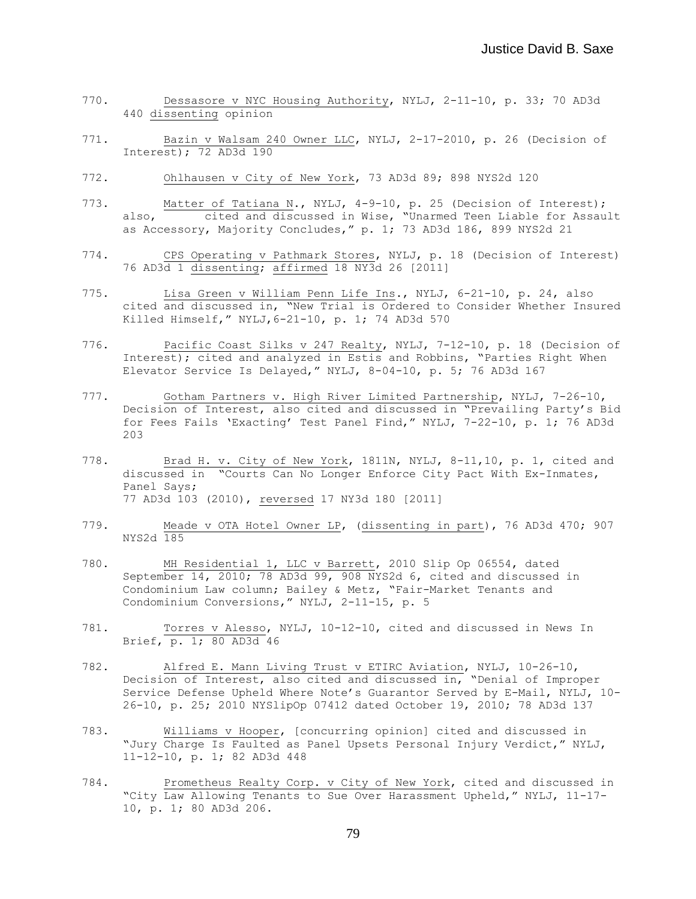- 770. Dessasore v NYC Housing Authority, NYLJ, 2-11-10, p. 33; 70 AD3d 440 dissenting opinion
- 771. Bazin v Walsam 240 Owner LLC, NYLJ, 2-17-2010, p. 26 (Decision of Interest); 72 AD3d 190
- 772. Ohlhausen v City of New York, 73 AD3d 89; 898 NYS2d 120
- 773. Matter of Tatiana N., NYLJ, 4-9-10, p. 25 (Decision of Interest);<br>also, cited and discussed in Wise, "Unarmed Teen Liable for Assau cited and discussed in Wise, "Unarmed Teen Liable for Assault as Accessory, Majority Concludes," p. 1; 73 AD3d 186, 899 NYS2d 21
- 774. CPS Operating v Pathmark Stores, NYLJ, p. 18 (Decision of Interest) 76 AD3d 1 dissenting; affirmed 18 NY3d 26 [2011]
- 775. Lisa Green v William Penn Life Ins., NYLJ, 6-21-10, p. 24, also cited and discussed in, "New Trial is Ordered to Consider Whether Insured Killed Himself," NYLJ,6-21-10, p. 1; 74 AD3d 570
- 776. Pacific Coast Silks v 247 Realty, NYLJ, 7-12-10, p. 18 (Decision of Interest); cited and analyzed in Estis and Robbins, "Parties Right When Elevator Service Is Delayed," NYLJ, 8-04-10, p. 5; 76 AD3d 167
- 777. Gotham Partners v. High River Limited Partnership, NYLJ, 7-26-10, Decision of Interest, also cited and discussed in "Prevailing Party's Bid for Fees Fails 'Exacting' Test Panel Find," NYLJ, 7-22-10, p. 1; 76 AD3d 203
- 778. Brad H. v. City of New York, 1811N, NYLJ, 8-11,10, p. 1, cited and discussed in "Courts Can No Longer Enforce City Pact With Ex-Inmates, Panel Says; 77 AD3d 103 (2010), reversed 17 NY3d 180 [2011]
- 779. Meade v OTA Hotel Owner LP, (dissenting in part), 76 AD3d 470; 907 NYS2d 185
- 780. MH Residential 1, LLC v Barrett, 2010 Slip Op 06554, dated September 14, 2010; 78 AD3d 99, 908 NYS2d 6, cited and discussed in Condominium Law column; Bailey & Metz, "Fair-Market Tenants and Condominium Conversions," NYLJ, 2-11-15, p. 5
- 781. Torres v Alesso, NYLJ, 10-12-10, cited and discussed in News In Brief, p. 1; 80 AD3d 46
- 782. Alfred E. Mann Living Trust v ETIRC Aviation, NYLJ, 10-26-10, Decision of Interest, also cited and discussed in, "Denial of Improper Service Defense Upheld Where Note's Guarantor Served by E-Mail, NYLJ, 10- 26-10, p. 25; 2010 NYSlipOp 07412 dated October 19, 2010; 78 AD3d 137
- 783. Williams v Hooper, [concurring opinion] cited and discussed in "Jury Charge Is Faulted as Panel Upsets Personal Injury Verdict," NYLJ, 11-12-10, p. 1; 82 AD3d 448
- 784. Prometheus Realty Corp. v City of New York, cited and discussed in "City Law Allowing Tenants to Sue Over Harassment Upheld," NYLJ, 11-17- 10, p. 1; 80 AD3d 206.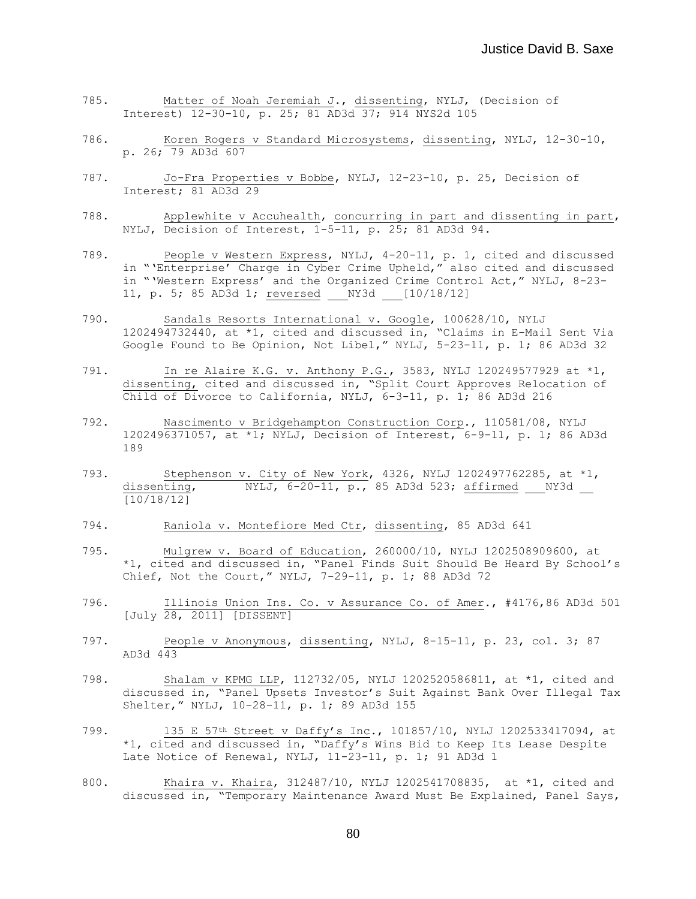- 785. Matter of Noah Jeremiah J., dissenting, NYLJ, (Decision of Interest) 12-30-10, p. 25; 81 AD3d 37; 914 NYS2d 105
- 786. Koren Rogers v Standard Microsystems, dissenting, NYLJ, 12-30-10, p. 26; 79 AD3d 607
- 787. Jo-Fra Properties v Bobbe, NYLJ, 12-23-10, p. 25, Decision of Interest; 81 AD3d 29
- 788. Applewhite v Accuhealth, concurring in part and dissenting in part, NYLJ, Decision of Interest, 1-5-11, p. 25; 81 AD3d 94.
- 789. People v Western Express, NYLJ, 4-20-11, p. 1, cited and discussed in "'Enterprise' Charge in Cyber Crime Upheld," also cited and discussed in "'Western Express' and the Organized Crime Control Act," NYLJ, 8-23- 11, p. 5; 85 AD3d 1; reversed NY3d [10/18/12]
- 790. Sandals Resorts International v. Google, 100628/10, NYLJ 1202494732440, at \*1, cited and discussed in, "Claims in E-Mail Sent Via Google Found to Be Opinion, Not Libel," NYLJ, 5-23-11, p. 1; 86 AD3d 32
- 791. In re Alaire K.G. v. Anthony P.G., 3583, NYLJ 120249577929 at \*1, dissenting, cited and discussed in, "Split Court Approves Relocation of Child of Divorce to California, NYLJ, 6-3-11, p. 1; 86 AD3d 216
- 792. Nascimento v Bridgehampton Construction Corp., 110581/08, NYLJ 1202496371057, at \*1; NYLJ, Decision of Interest, 6-9-11, p. 1; 86 AD3d 189
- 793. Stephenson v. City of New York, 4326, NYLJ 1202497762285, at \*1, dissenting,  $NYLJ$ , 6-20-11, p., 85 AD3d 523; affirmed  $NY3d$  $\sqrt{10/18/12}$
- 794. Raniola v. Montefiore Med Ctr, dissenting, 85 AD3d 641
- 795. Mulgrew v. Board of Education, 260000/10, NYLJ 1202508909600, at \*1, cited and discussed in, "Panel Finds Suit Should Be Heard By School's Chief, Not the Court," NYLJ, 7-29-11, p. 1; 88 AD3d 72
- 796. Illinois Union Ins. Co. v Assurance Co. of Amer., #4176,86 AD3d 501 [July 28, 2011] [DISSENT]
- 797. People v Anonymous, dissenting, NYLJ, 8-15-11, p. 23, col. 3; 87 AD3d 443
- 798. Shalam v KPMG LLP, 112732/05, NYLJ 1202520586811, at \*1, cited and discussed in, "Panel Upsets Investor's Suit Against Bank Over Illegal Tax Shelter," NYLJ, 10-28-11, p. 1; 89 AD3d 155
- 799. 135 E 57<sup>th</sup> Street v Daffy's Inc., 101857/10, NYLJ 1202533417094, at \*1, cited and discussed in, "Daffy's Wins Bid to Keep Its Lease Despite Late Notice of Renewal, NYLJ, 11-23-11, p. 1; 91 AD3d 1
- 800. Khaira v. Khaira, 312487/10, NYLJ 1202541708835, at \*1, cited and discussed in, "Temporary Maintenance Award Must Be Explained, Panel Says,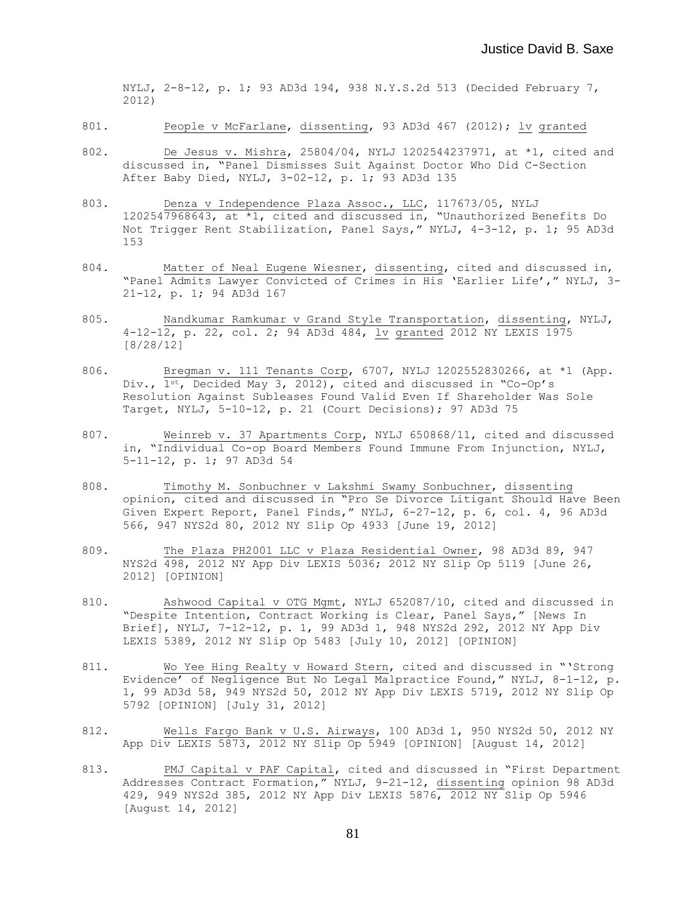NYLJ, 2-8-12, p. 1; 93 AD3d 194, 938 N.Y.S.2d 513 (Decided February 7, 2012)

- 801. People v McFarlane, dissenting, 93 AD3d 467 (2012); lv granted
- 802. De Jesus v. Mishra, 25804/04, NYLJ 1202544237971, at \*1, cited and discussed in, "Panel Dismisses Suit Against Doctor Who Did C-Section After Baby Died, NYLJ, 3-02-12, p. 1; 93 AD3d 135
- 803. Denza v Independence Plaza Assoc., LLC, 117673/05, NYLJ 1202547968643, at \*1, cited and discussed in, "Unauthorized Benefits Do Not Trigger Rent Stabilization, Panel Says," NYLJ, 4-3-12, p. 1; 95 AD3d 153
- 804. Matter of Neal Eugene Wiesner, dissenting, cited and discussed in, "Panel Admits Lawyer Convicted of Crimes in His 'Earlier Life'," NYLJ, 3- 21-12, p. 1; 94 AD3d 167
- 805. Nandkumar Ramkumar v Grand Style Transportation, dissenting, NYLJ, 4-12-12, p. 22, col. 2; 94 AD3d 484, lv granted 2012 NY LEXIS 1975 [8/28/12]
- 806. Bregman v. 111 Tenants Corp, 6707, NYLJ 1202552830266, at \*1 (App. Div., 1st, Decided May 3, 2012), cited and discussed in "Co-Op's Resolution Against Subleases Found Valid Even If Shareholder Was Sole Target, NYLJ, 5-10-12, p. 21 (Court Decisions); 97 AD3d 75
- 807. Weinreb v. 37 Apartments Corp, NYLJ 650868/11, cited and discussed in, "Individual Co-op Board Members Found Immune From Injunction, NYLJ, 5-11-12, p. 1; 97 AD3d 54
- 808. Timothy M. Sonbuchner v Lakshmi Swamy Sonbuchner, dissenting opinion, cited and discussed in "Pro Se Divorce Litigant Should Have Been Given Expert Report, Panel Finds," NYLJ, 6-27-12, p. 6, col. 4, 96 AD3d 566, 947 NYS2d 80, 2012 NY Slip Op 4933 [June 19, 2012]
- 809. The Plaza PH2001 LLC v Plaza Residential Owner, 98 AD3d 89, 947 NYS2d 498, 2012 NY App Div LEXIS 5036; 2012 NY Slip Op 5119 [June 26, 2012] [OPINION]
- 810. Ashwood Capital v OTG Mgmt, NYLJ 652087/10, cited and discussed in "Despite Intention, Contract Working is Clear, Panel Says," [News In Brief], NYLJ, 7-12-12, p. 1, 99 AD3d 1, 948 NYS2d 292, 2012 NY App Div LEXIS 5389, 2012 NY Slip Op 5483 [July 10, 2012] [OPINION]
- 811. Wo Yee Hing Realty v Howard Stern, cited and discussed in "'Strong Evidence' of Negligence But No Legal Malpractice Found," NYLJ, 8-1-12, p. 1, 99 AD3d 58, 949 NYS2d 50, 2012 NY App Div LEXIS 5719, 2012 NY Slip Op 5792 [OPINION] [July 31, 2012]
- 812. Wells Fargo Bank v U.S. Airways, 100 AD3d 1, 950 NYS2d 50, 2012 NY App Div LEXIS 5873, 2012 NY Slip Op 5949 [OPINION] [August 14, 2012]
- 813. PMJ Capital v PAF Capital, cited and discussed in "First Department Addresses Contract Formation," NYLJ, 9-21-12, dissenting opinion 98 AD3d 429, 949 NYS2d 385, 2012 NY App Div LEXIS 5876, 2012 NY Slip Op 5946 [August 14, 2012]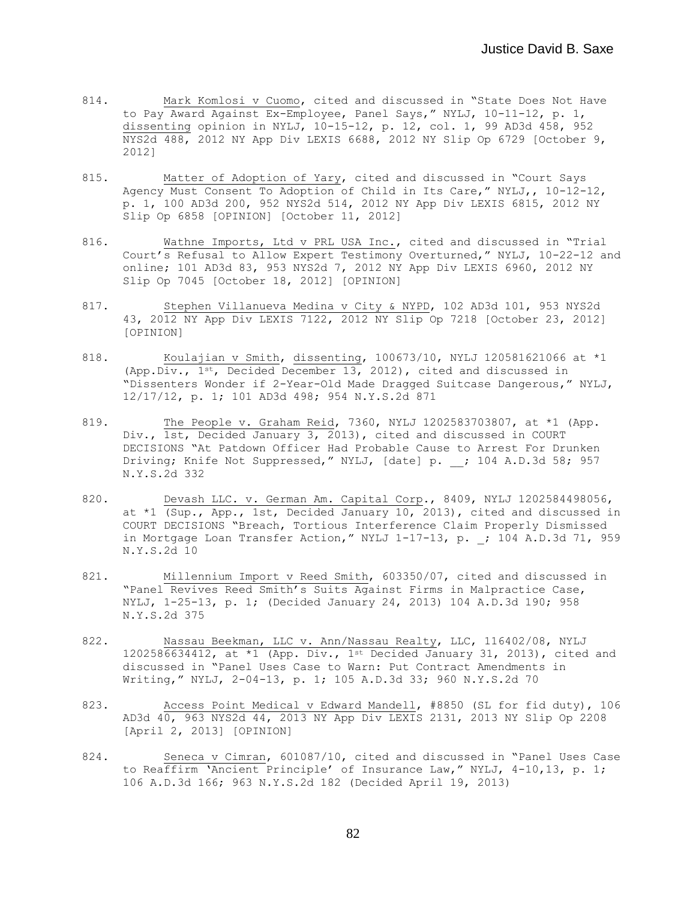- 814. Mark Komlosi v Cuomo, cited and discussed in "State Does Not Have to Pay Award Against Ex-Employee, Panel Says," NYLJ, 10-11-12, p. 1, dissenting opinion in NYLJ, 10-15-12, p. 12, col. 1, 99 AD3d 458, 952 NYS2d 488, 2012 NY App Div LEXIS 6688, 2012 NY Slip Op 6729 [October 9, 2012]
- 815. Matter of Adoption of Yary, cited and discussed in "Court Says Agency Must Consent To Adoption of Child in Its Care," NYLJ,, 10-12-12, p. 1, 100 AD3d 200, 952 NYS2d 514, 2012 NY App Div LEXIS 6815, 2012 NY Slip Op 6858 [OPINION] [October 11, 2012]
- 816. Wathne Imports, Ltd v PRL USA Inc., cited and discussed in "Trial Court's Refusal to Allow Expert Testimony Overturned," NYLJ, 10-22-12 and online; 101 AD3d 83, 953 NYS2d 7, 2012 NY App Div LEXIS 6960, 2012 NY Slip Op 7045 [October 18, 2012] [OPINION]
- 817. Stephen Villanueva Medina v City & NYPD, 102 AD3d 101, 953 NYS2d 43, 2012 NY App Div LEXIS 7122, 2012 NY Slip Op 7218 [October 23, 2012] [OPINION]
- 818. Koulajian v Smith, dissenting, 100673/10, NYLJ 120581621066 at \*1 (App.Div., 1st, Decided December 13, 2012), cited and discussed in "Dissenters Wonder if 2-Year-Old Made Dragged Suitcase Dangerous," NYLJ, 12/17/12, p. 1; 101 AD3d 498; 954 N.Y.S.2d 871
- 819. The People v. Graham Reid, 7360, NYLJ 1202583703807, at \*1 (App. Div., 1st, Decided January 3, 2013), cited and discussed in COURT DECISIONS "At Patdown Officer Had Probable Cause to Arrest For Drunken Driving; Knife Not Suppressed," NYLJ, [date] p. ; 104 A.D.3d 58; 957 N.Y.S.2d 332
- 820. Devash LLC. v. German Am. Capital Corp., 8409, NYLJ 1202584498056, at \*1 (Sup., App., 1st, Decided January 10, 2013), cited and discussed in COURT DECISIONS "Breach, Tortious Interference Claim Properly Dismissed in Mortgage Loan Transfer Action," NYLJ  $1-17-13$ , p. ; 104 A.D.3d 71, 959 N.Y.S.2d 10
- 821. Millennium Import v Reed Smith, 603350/07, cited and discussed in "Panel Revives Reed Smith's Suits Against Firms in Malpractice Case, NYLJ, 1-25-13, p. 1; (Decided January 24, 2013) 104 A.D.3d 190; 958 N.Y.S.2d 375
- 822. Nassau Beekman, LLC v. Ann/Nassau Realty, LLC, 116402/08, NYLJ 1202586634412, at \*1 (App. Div.,  $1^{st}$  Decided January 31, 2013), cited and discussed in "Panel Uses Case to Warn: Put Contract Amendments in Writing," NYLJ, 2-04-13, p. 1; 105 A.D.3d 33; 960 N.Y.S.2d 70
- 823. Access Point Medical v Edward Mandell, #8850 (SL for fid duty), 106 AD3d 40, 963 NYS2d 44, 2013 NY App Div LEXIS 2131, 2013 NY Slip Op 2208 [April 2, 2013] [OPINION]
- 824. Seneca v Cimran, 601087/10, cited and discussed in "Panel Uses Case to Reaffirm 'Ancient Principle' of Insurance Law," NYLJ, 4-10,13, p. 1; 106 A.D.3d 166; 963 N.Y.S.2d 182 (Decided April 19, 2013)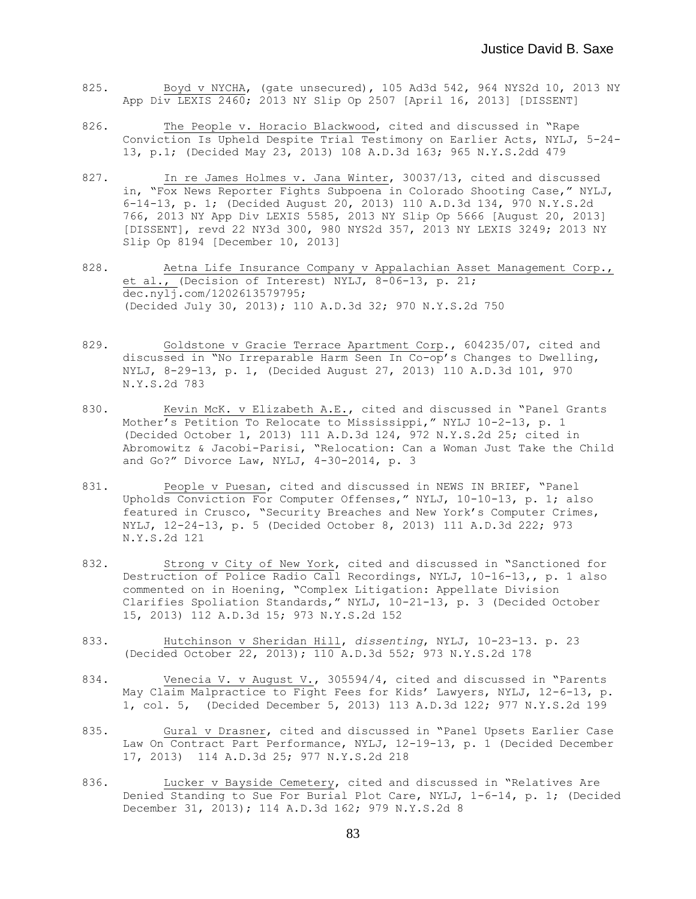- 825. Boyd v NYCHA, (gate unsecured), 105 Ad3d 542, 964 NYS2d 10, 2013 NY App Div LEXIS 2460; 2013 NY Slip Op 2507 [April 16, 2013] [DISSENT]
- 826. The People v. Horacio Blackwood, cited and discussed in "Rape Conviction Is Upheld Despite Trial Testimony on Earlier Acts, NYLJ, 5-24- 13, p.1; (Decided May 23, 2013) 108 A.D.3d 163; 965 N.Y.S.2dd 479
- 827. In re James Holmes v. Jana Winter, 30037/13, cited and discussed in, "Fox News Reporter Fights Subpoena in Colorado Shooting Case," NYLJ, 6-14-13, p. 1; (Decided August 20, 2013) 110 A.D.3d 134, 970 N.Y.S.2d 766, 2013 NY App Div LEXIS 5585, 2013 NY Slip Op 5666 [August 20, 2013] [DISSENT], revd 22 NY3d 300, 980 NYS2d 357, 2013 NY LEXIS 3249; 2013 NY Slip Op 8194 [December 10, 2013]
- 828. Aetna Life Insurance Company v Appalachian Asset Management Corp., et al., (Decision of Interest) NYLJ, 8-06-13, p. 21; dec.nylj.com/1202613579795; (Decided July 30, 2013); 110 A.D.3d 32; 970 N.Y.S.2d 750
- 829. Goldstone v Gracie Terrace Apartment Corp., 604235/07, cited and discussed in "No Irreparable Harm Seen In Co-op's Changes to Dwelling, NYLJ, 8-29-13, p. 1, (Decided August 27, 2013) 110 A.D.3d 101, 970 N.Y.S.2d 783
- 830. Kevin McK. v Elizabeth A.E., cited and discussed in "Panel Grants Mother's Petition To Relocate to Mississippi," NYLJ 10-2-13, p. 1 (Decided October 1, 2013) 111 A.D.3d 124, 972 N.Y.S.2d 25; cited in Abromowitz & Jacobi-Parisi, "Relocation: Can a Woman Just Take the Child and Go?" Divorce Law, NYLJ, 4-30-2014, p. 3
- 831. People v Puesan, cited and discussed in NEWS IN BRIEF, "Panel Upholds Conviction For Computer Offenses," NYLJ, 10-10-13, p. 1; also featured in Crusco, "Security Breaches and New York's Computer Crimes, NYLJ, 12-24-13, p. 5 (Decided October 8, 2013) 111 A.D.3d 222; 973 N.Y.S.2d 121
- 832. Strong v City of New York, cited and discussed in "Sanctioned for Destruction of Police Radio Call Recordings, NYLJ, 10-16-13,, p. 1 also commented on in Hoening, "Complex Litigation: Appellate Division Clarifies Spoliation Standards," NYLJ, 10-21-13, p. 3 (Decided October 15, 2013) 112 A.D.3d 15; 973 N.Y.S.2d 152
- 833. Hutchinson v Sheridan Hill, *dissenting*, NYLJ, 10-23-13. p. 23 (Decided October 22, 2013); 110 A.D.3d 552; 973 N.Y.S.2d 178
- 834. Venecia V. v August V., 305594/4, cited and discussed in "Parents" May Claim Malpractice to Fight Fees for Kids' Lawyers, NYLJ, 12-6-13, p. 1, col. 5, (Decided December 5, 2013) 113 A.D.3d 122; 977 N.Y.S.2d 199
- 835. Gural v Drasner, cited and discussed in "Panel Upsets Earlier Case Law On Contract Part Performance, NYLJ, 12-19-13, p. 1 (Decided December 17, 2013) 114 A.D.3d 25; 977 N.Y.S.2d 218
- 836. Lucker v Bayside Cemetery, cited and discussed in "Relatives Are Denied Standing to Sue For Burial Plot Care, NYLJ, 1-6-14, p. 1; (Decided December 31, 2013); 114 A.D.3d 162; 979 N.Y.S.2d 8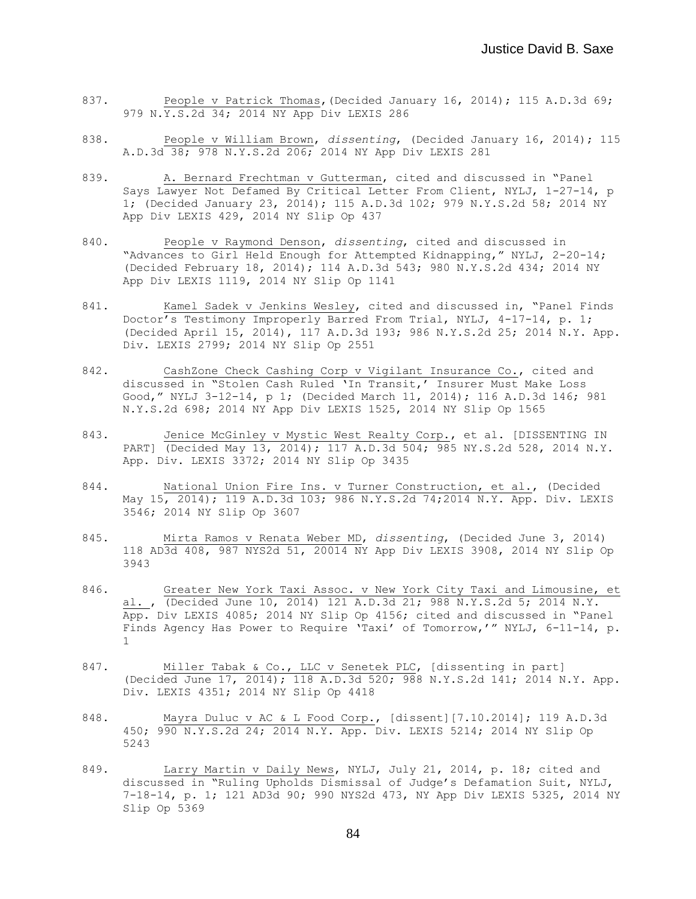- 837. People v Patrick Thomas, (Decided January 16, 2014); 115 A.D.3d 69; 979 N.Y.S.2d 34; 2014 NY App Div LEXIS 286
- 838. People v William Brown, *dissenting*, (Decided January 16, 2014); 115 A.D.3d 38; 978 N.Y.S.2d 206; 2014 NY App Div LEXIS 281
- 839. A. Bernard Frechtman v Gutterman, cited and discussed in "Panel Says Lawyer Not Defamed By Critical Letter From Client, NYLJ, 1-27-14, p 1; (Decided January 23, 2014); 115 A.D.3d 102; 979 N.Y.S.2d 58; 2014 NY App Div LEXIS 429, 2014 NY Slip Op 437
- 840. People v Raymond Denson, *dissenting*, cited and discussed in "Advances to Girl Held Enough for Attempted Kidnapping," NYLJ, 2-20-14; (Decided February 18, 2014); 114 A.D.3d 543; 980 N.Y.S.2d 434; 2014 NY App Div LEXIS 1119, 2014 NY Slip Op 1141
- 841. Kamel Sadek v Jenkins Wesley, cited and discussed in, "Panel Finds Doctor's Testimony Improperly Barred From Trial, NYLJ, 4-17-14, p. 1; (Decided April 15, 2014), 117 A.D.3d 193; 986 N.Y.S.2d 25; 2014 N.Y. App. Div. LEXIS 2799; 2014 NY Slip Op 2551
- 842. CashZone Check Cashing Corp v Vigilant Insurance Co., cited and discussed in "Stolen Cash Ruled 'In Transit,' Insurer Must Make Loss Good," NYLJ 3-12-14, p 1; (Decided March 11, 2014); 116 A.D.3d 146; 981 N.Y.S.2d 698; 2014 NY App Div LEXIS 1525, 2014 NY Slip Op 1565
- 843. Jenice McGinley v Mystic West Realty Corp., et al. [DISSENTING IN PART] (Decided May 13, 2014); 117 A.D.3d 504; 985 NY.S.2d 528, 2014 N.Y. App. Div. LEXIS 3372; 2014 NY Slip Op 3435
- 844. National Union Fire Ins. v Turner Construction, et al., (Decided May 15, 2014); 119 A.D.3d 103; 986 N.Y.S.2d 74;2014 N.Y. App. Div. LEXIS 3546; 2014 NY Slip Op 3607
- 845. Mirta Ramos v Renata Weber MD, *dissenting*, (Decided June 3, 2014) 118 AD3d 408, 987 NYS2d 51, 20014 NY App Div LEXIS 3908, 2014 NY Slip Op 3943
- 846. Greater New York Taxi Assoc. v New York City Taxi and Limousine, et al. , (Decided June 10, 2014) 121 A.D.3d 21; 988 N.Y.S.2d 5; 2014 N.Y. App. Div LEXIS 4085; 2014 NY Slip Op 4156; cited and discussed in "Panel Finds Agency Has Power to Require 'Taxi' of Tomorrow,'" NYLJ, 6-11-14, p. 1
- 847. Miller Tabak & Co., LLC v Senetek PLC, [dissenting in part] (Decided June 17, 2014); 118 A.D.3d 520; 988 N.Y.S.2d 141; 2014 N.Y. App. Div. LEXIS 4351; 2014 NY Slip Op 4418
- 848. Mayra Duluc v AC & L Food Corp., [dissent][7.10.2014]; 119 A.D.3d 450; 990 N.Y.S.2d 24; 2014 N.Y. App. Div. LEXIS 5214; 2014 NY Slip Op 5243
- 849. Larry Martin v Daily News, NYLJ, July 21, 2014, p. 18; cited and discussed in "Ruling Upholds Dismissal of Judge's Defamation Suit, NYLJ, 7-18-14, p. 1; 121 AD3d 90; 990 NYS2d 473, NY App Div LEXIS 5325, 2014 NY Slip Op 5369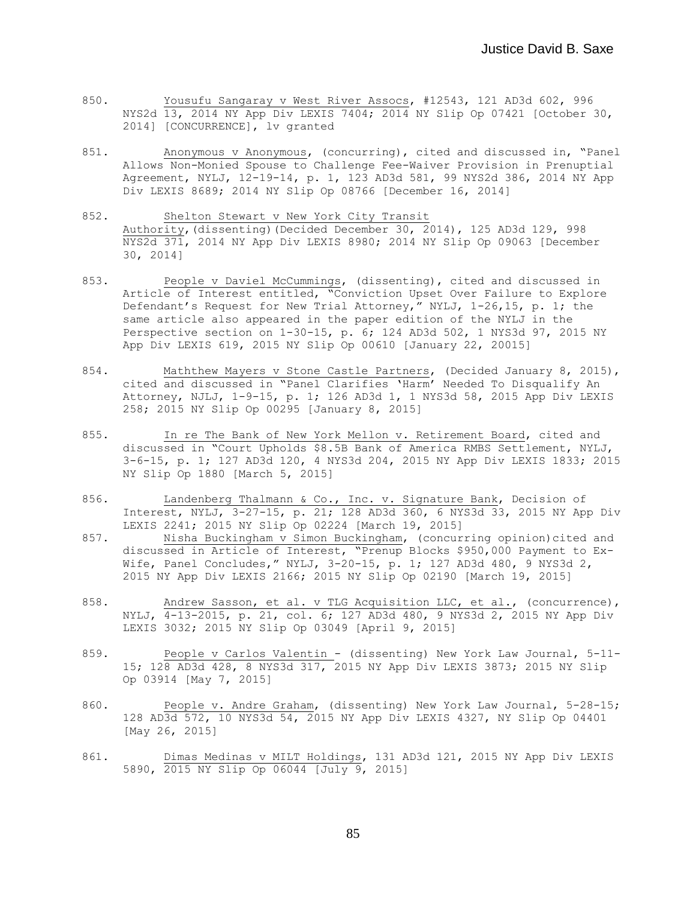- 850. Yousufu Sangaray v West River Assocs, #12543, 121 AD3d 602, 996 NYS2d 13, 2014 NY App Div LEXIS 7404; 2014 NY Slip Op 07421 [October 30, 2014] [CONCURRENCE], lv granted
- 851. Anonymous v Anonymous, (concurring), cited and discussed in, "Panel Allows Non-Monied Spouse to Challenge Fee-Waiver Provision in Prenuptial Agreement, NYLJ, 12-19-14, p. 1, 123 AD3d 581, 99 NYS2d 386, 2014 NY App Div LEXIS 8689; 2014 NY Slip Op 08766 [December 16, 2014]
- 852. Shelton Stewart v New York City Transit Authority,(dissenting)(Decided December 30, 2014), 125 AD3d 129, 998 NYS2d 371, 2014 NY App Div LEXIS 8980; 2014 NY Slip Op 09063 [December 30, 2014]
- 853. People v Daviel McCummings, (dissenting), cited and discussed in Article of Interest entitled, "Conviction Upset Over Failure to Explore Defendant's Request for New Trial Attorney," NYLJ, 1-26,15, p. 1; the same article also appeared in the paper edition of the NYLJ in the Perspective section on 1-30-15, p. 6; 124 AD3d 502, 1 NYS3d 97, 2015 NY App Div LEXIS 619, 2015 NY Slip Op 00610 [January 22, 20015]
- 854. Maththew Mayers v Stone Castle Partners, (Decided January 8, 2015), cited and discussed in "Panel Clarifies 'Harm' Needed To Disqualify An Attorney, NJLJ, 1-9-15, p. 1; 126 AD3d 1, 1 NYS3d 58, 2015 App Div LEXIS 258; 2015 NY Slip Op 00295 [January 8, 2015]
- 855. In re The Bank of New York Mellon v. Retirement Board, cited and discussed in "Court Upholds \$8.5B Bank of America RMBS Settlement, NYLJ, 3-6-15, p. 1; 127 AD3d 120, 4 NYS3d 204, 2015 NY App Div LEXIS 1833; 2015 NY Slip Op 1880 [March 5, 2015]
- 856. Landenberg Thalmann & Co., Inc. v. Signature Bank, Decision of Interest, NYLJ, 3-27-15, p. 21; 128 AD3d 360, 6 NYS3d 33, 2015 NY App Div LEXIS 2241; 2015 NY Slip Op 02224 [March 19, 2015]
- 857. Nisha Buckingham v Simon Buckingham, (concurring opinion)cited and discussed in Article of Interest, "Prenup Blocks \$950,000 Payment to Ex-Wife, Panel Concludes," NYLJ, 3-20-15, p. 1; 127 AD3d 480, 9 NYS3d 2, 2015 NY App Div LEXIS 2166; 2015 NY Slip Op 02190 [March 19, 2015]
- 858. Andrew Sasson, et al. v TLG Acquisition LLC, et al., (concurrence), NYLJ, 4-13-2015, p. 21, col. 6; 127 AD3d 480, 9 NYS3d 2, 2015 NY App Div LEXIS 3032; 2015 NY Slip Op 03049 [April 9, 2015]
- 859. People v Carlos Valentin (dissenting) New York Law Journal, 5-11-15; 128 AD3d 428, 8 NYS3d 317, 2015 NY App Div LEXIS 3873; 2015 NY Slip Op 03914 [May 7, 2015]
- 860. People v. Andre Graham, (dissenting) New York Law Journal, 5-28-15; 128 AD3d 572, 10 NYS3d 54, 2015 NY App Div LEXIS 4327, NY Slip Op 04401 [May 26, 2015]
- 861. Dimas Medinas v MILT Holdings, 131 AD3d 121, 2015 NY App Div LEXIS 5890, 2015 NY Slip Op 06044 [July 9, 2015]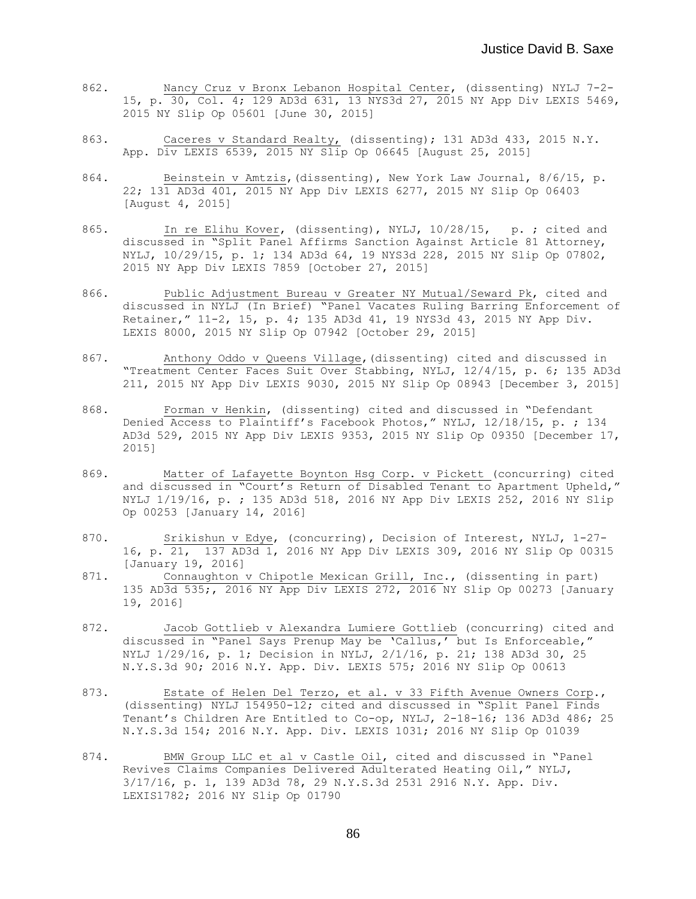- 862. Nancy Cruz v Bronx Lebanon Hospital Center, (dissenting) NYLJ 7-2- 15, p. 30, Col. 4; 129 AD3d 631, 13 NYS3d 27, 2015 NY App Div LEXIS 5469, 2015 NY Slip Op 05601 [June 30, 2015]
- 863. Caceres v Standard Realty, (dissenting); 131 AD3d 433, 2015 N.Y. App. Div LEXIS 6539, 2015 NY Slip Op 06645 [August 25, 2015]
- 864. Beinstein v Amtzis,(dissenting), New York Law Journal, 8/6/15, p. 22; 131 AD3d 401, 2015 NY App Div LEXIS 6277, 2015 NY Slip Op 06403 [August 4, 2015]
- 865. In re Elihu Kover, (dissenting), NYLJ, 10/28/15, p. ; cited and discussed in "Split Panel Affirms Sanction Against Article 81 Attorney, NYLJ, 10/29/15, p. 1; 134 AD3d 64, 19 NYS3d 228, 2015 NY Slip Op 07802, 2015 NY App Div LEXIS 7859 [October 27, 2015]
- 866. Public Adjustment Bureau v Greater NY Mutual/Seward Pk, cited and discussed in NYLJ (In Brief) "Panel Vacates Ruling Barring Enforcement of Retainer," 11-2, 15, p. 4; 135 AD3d 41, 19 NYS3d 43, 2015 NY App Div. LEXIS 8000, 2015 NY Slip Op 07942 [October 29, 2015]
- 867. Anthony Oddo v Queens Village,(dissenting) cited and discussed in "Treatment Center Faces Suit Over Stabbing, NYLJ, 12/4/15, p. 6; 135 AD3d 211, 2015 NY App Div LEXIS 9030, 2015 NY Slip Op 08943 [December 3, 2015]
- 868. Forman v Henkin, (dissenting) cited and discussed in "Defendant Denied Access to Plaintiff's Facebook Photos," NYLJ, 12/18/15, p. ; 134 AD3d 529, 2015 NY App Div LEXIS 9353, 2015 NY Slip Op 09350 [December 17, 2015]
- 869. Matter of Lafayette Boynton Hsg Corp. v Pickett (concurring) cited and discussed in "Court's Return of Disabled Tenant to Apartment Upheld," NYLJ 1/19/16, p. ; 135 AD3d 518, 2016 NY App Div LEXIS 252, 2016 NY Slip Op 00253 [January 14, 2016]
- 870. Srikishun v Edye, (concurring), Decision of Interest, NYLJ, 1-27- 16, p. 21, 137 AD3d 1, 2016 NY App Div LEXIS 309, 2016 NY Slip Op 00315 [January 19, 2016]
- 871. Connaughton v Chipotle Mexican Grill, Inc., (dissenting in part) 135 AD3d 535;, 2016 NY App Div LEXIS 272, 2016 NY Slip Op 00273 [January 19, 2016]
- 872. Jacob Gottlieb v Alexandra Lumiere Gottlieb (concurring) cited and discussed in "Panel Says Prenup May be 'Callus,' but Is Enforceable," NYLJ 1/29/16, p. 1; Decision in NYLJ, 2/1/16, p. 21; 138 AD3d 30, 25 N.Y.S.3d 90; 2016 N.Y. App. Div. LEXIS 575; 2016 NY Slip Op 00613
- 873. Estate of Helen Del Terzo, et al. v 33 Fifth Avenue Owners Corp., (dissenting) NYLJ 154950-12; cited and discussed in "Split Panel Finds Tenant's Children Are Entitled to Co-op, NYLJ, 2-18-16; 136 AD3d 486; 25 N.Y.S.3d 154; 2016 N.Y. App. Div. LEXIS 1031; 2016 NY Slip Op 01039
- 874. BMW Group LLC et al v Castle Oil, cited and discussed in "Panel Revives Claims Companies Delivered Adulterated Heating Oil," NYLJ, 3/17/16, p. 1, 139 AD3d 78, 29 N.Y.S.3d 253l 2916 N.Y. App. Div. LEXIS1782; 2016 NY Slip Op 01790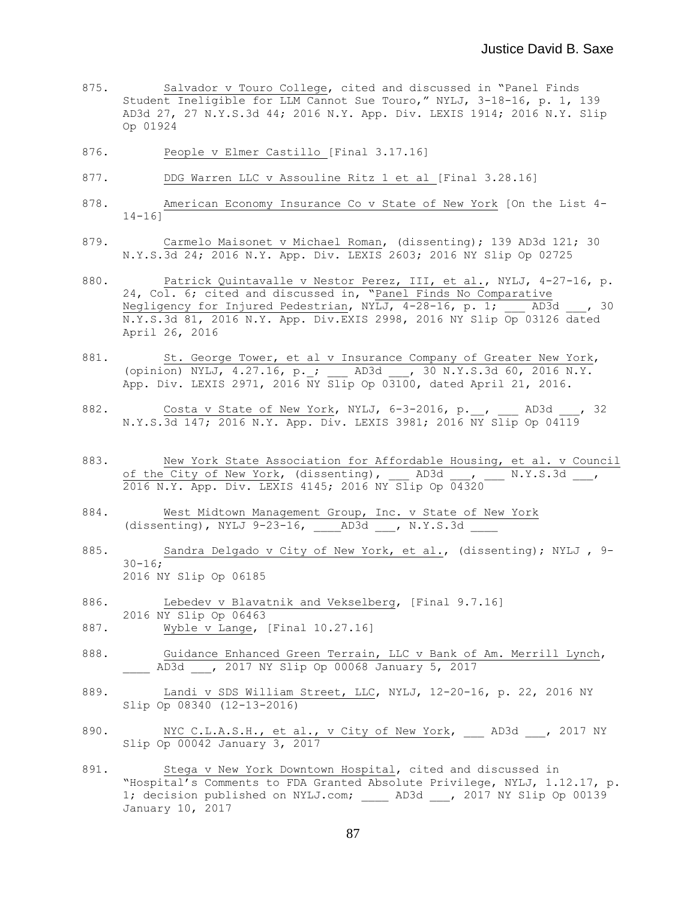- 875. Salvador v Touro College, cited and discussed in "Panel Finds Student Ineligible for LLM Cannot Sue Touro," NYLJ, 3-18-16, p. 1, 139 AD3d 27, 27 N.Y.S.3d 44; 2016 N.Y. App. Div. LEXIS 1914; 2016 N.Y. Slip Op 01924
- 876. People v Elmer Castillo [Final 3.17.16]
- 877. DDG Warren LLC v Assouline Ritz 1 et al [Final 3.28.16]
- 878. American Economy Insurance Co v State of New York [On the List 4-  $14 - 16$ ]
- 879. Carmelo Maisonet v Michael Roman, (dissenting); 139 AD3d 121; 30 N.Y.S.3d 24; 2016 N.Y. App. Div. LEXIS 2603; 2016 NY Slip Op 02725
- 880. Patrick Quintavalle v Nestor Perez, III, et al., NYLJ, 4-27-16, p. 24, Col. 6; cited and discussed in, "Panel Finds No Comparative Negligency for Injured Pedestrian, NYLJ, 4-28-16, p. 1; \_\_\_ AD3d \_\_\_, 30 N.Y.S.3d 81, 2016 N.Y. App. Div.EXIS 2998, 2016 NY Slip Op 03126 dated April 26, 2016
- 881. St. George Tower, et al v Insurance Company of Greater New York, (opinion) NYLJ,  $4.27.16$ , p.; AD3d , 30 N.Y.S.3d 60, 2016 N.Y. App. Div. LEXIS 2971, 2016 NY Slip Op 03100, dated April 21, 2016.
- 882. Costa v State of <u>New York</u>, NYLJ, 6-3-2016, p. \_\_, \_\_\_ AD3d \_\_\_, 32 N.Y.S.3d 147; 2016 N.Y. App. Div. LEXIS 3981; 2016 NY Slip Op 04119
- 883. New York State Association for Affordable Housing, et al. v Council of the City of New York, (dissenting),  $\Box$  AD3d  $\Box$ , N.Y.S.3d  $\Box$ , 2016 N.Y. App. Div. LEXIS 4145; 2016 NY Slip Op 04320
- 884. West Midtown Management Group, Inc. v State of New York (dissenting), NYLJ 9-23-16, \_\_\_\_AD3d \_\_\_, N.Y.S.3d \_\_\_\_
- 885. Sandra Delgado v City of New York, et al., (dissenting); NYLJ , 9-  $30 - 16;$ 2016 NY Slip Op 06185
- 886. Lebedev v Blavatnik and Vekselberg, [Final 9.7.16] 2016 NY Slip Op 06463
- 887. Wyble v Lange, [Final 10.27.16]
- 888. Guidance Enhanced Green Terrain, LLC v Bank of Am. Merrill Lynch, AD3d \_\_, 2017 NY Slip Op 00068 January 5, 2017
- 889. Landi v SDS William Street, LLC, NYLJ, 12-20-16, p. 22, 2016 NY Slip Op 08340 (12-13-2016)
- 890. NYC C.L.A.S.H., et al., v City of New York, \_\_\_ AD3d \_\_\_, 2017 NY Slip Op 00042 January 3, 2017
- 891. Stega v New York Downtown Hospital, cited and discussed in "Hospital's Comments to FDA Granted Absolute Privilege, NYLJ, 1.12.17, p. 1; decision published on NYLJ.com; AD3d , 2017 NY Slip Op 00139 January 10, 2017